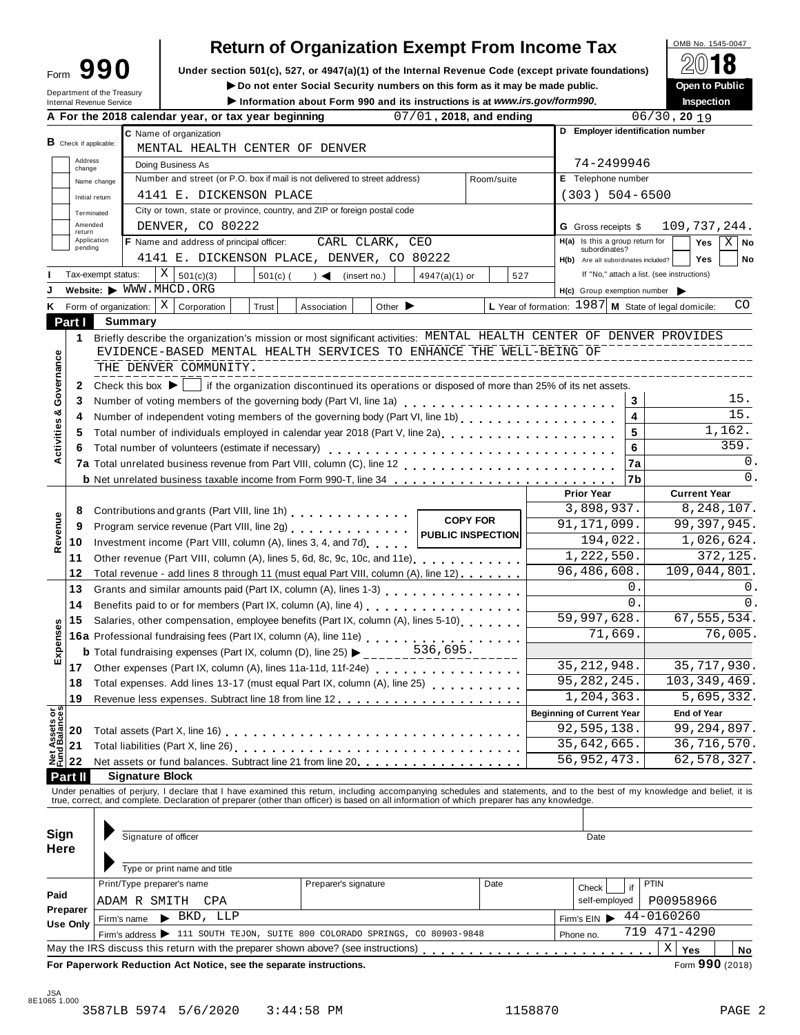| ∙orm | <b>AQ</b> I |  |
|------|-------------|--|
|      |             |  |

# Return of Organization Exempt From Income Tax  $\frac{\text{OMB NO. 1545-0047}}{2018}$

**Example 1990** Under section 501(c), 527, or 4947(a)(1) of the Internal Revenue Code (except private foundations) **Form 301** △<sup>₩</sup> Do not enter Social Security numbers on this form as it may be made public. Open to Public

 $\blacktriangleright$  Do not enter Social Security numbers on this form as it may be made public.

|                         |                               | Department of the Treasury<br>Internal Revenue Service |              |                                                     |            | Information about Form 990 and its instructions is at www.irs.gov/form990.                                                             |                             | ► Do not enter Social Security numbers on this form as it may be made public. |            |                                                      |            | <b>Open to Public</b><br>Inspection                                                                                                                                                                                            |
|-------------------------|-------------------------------|--------------------------------------------------------|--------------|-----------------------------------------------------|------------|----------------------------------------------------------------------------------------------------------------------------------------|-----------------------------|-------------------------------------------------------------------------------|------------|------------------------------------------------------|------------|--------------------------------------------------------------------------------------------------------------------------------------------------------------------------------------------------------------------------------|
|                         |                               |                                                        |              | A For the 2018 calendar year, or tax year beginning |            |                                                                                                                                        |                             | 07/01, 2018, and ending                                                       |            |                                                      |            | $06/30$ , 20 19                                                                                                                                                                                                                |
|                         |                               |                                                        |              | C Name of organization                              |            |                                                                                                                                        |                             |                                                                               |            |                                                      |            | D Employer identification number                                                                                                                                                                                               |
|                         | <b>B</b> Check if applicable: |                                                        |              |                                                     |            | MENTAL HEALTH CENTER OF DENVER                                                                                                         |                             |                                                                               |            |                                                      |            |                                                                                                                                                                                                                                |
|                         | Address<br>change             |                                                        |              | Doing Business As                                   |            |                                                                                                                                        |                             |                                                                               |            | 74-2499946                                           |            |                                                                                                                                                                                                                                |
|                         |                               | Name change                                            |              |                                                     |            | Number and street (or P.O. box if mail is not delivered to street address)                                                             |                             |                                                                               | Room/suite | E Telephone number                                   |            |                                                                                                                                                                                                                                |
|                         |                               | Initial return                                         |              | 4141 E. DICKENSON PLACE                             |            |                                                                                                                                        |                             |                                                                               |            | $(303) 504 - 6500$                                   |            |                                                                                                                                                                                                                                |
|                         |                               | Terminated                                             |              |                                                     |            | City or town, state or province, country, and ZIP or foreign postal code                                                               |                             |                                                                               |            |                                                      |            |                                                                                                                                                                                                                                |
|                         | Amended<br>return             |                                                        |              | DENVER, CO 80222                                    |            |                                                                                                                                        |                             |                                                                               |            | <b>G</b> Gross receipts \$                           |            | 109,737,244.                                                                                                                                                                                                                   |
|                         | pending                       | Application                                            |              | F Name and address of principal officer:            |            |                                                                                                                                        | CARL CLARK, CEO             |                                                                               |            | $H(a)$ Is this a group return for                    |            | $X \mid$ No<br>Yes                                                                                                                                                                                                             |
|                         |                               |                                                        |              |                                                     |            | 4141 E. DICKENSON PLACE, DENVER, CO 80222                                                                                              |                             |                                                                               |            | subordinates?<br>H(b) Are all subordinates included? |            | <b>Yes</b><br>No                                                                                                                                                                                                               |
|                         |                               | Tax-exempt status:                                     |              | X<br>501(c)(3)                                      | $501(c)$ ( | $\rightarrow$                                                                                                                          | (insert no.)                | 4947(a)(1) or                                                                 | 527        |                                                      |            | If "No," attach a list. (see instructions)                                                                                                                                                                                     |
|                         |                               |                                                        |              | Website: WWW.MHCD.ORG                               |            |                                                                                                                                        |                             |                                                                               |            | $H(c)$ Group exemption number                        |            |                                                                                                                                                                                                                                |
| Κ                       |                               | Form of organization:                                  |              | ΧI<br>Corporation                                   | Trust      | Association                                                                                                                            | Other $\blacktriangleright$ |                                                                               |            |                                                      |            | L Year of formation: $1987$ M State of legal domicile:<br>CO                                                                                                                                                                   |
|                         | Part I                        |                                                        | Summary      |                                                     |            |                                                                                                                                        |                             |                                                                               |            |                                                      |            |                                                                                                                                                                                                                                |
|                         | 1                             |                                                        |              |                                                     |            |                                                                                                                                        |                             |                                                                               |            |                                                      |            | Briefly describe the organization's mission or most significant activities: MENTAL HEALTH CENTER OF DENVER PROVIDES                                                                                                            |
|                         |                               |                                                        |              |                                                     |            | EVIDENCE-BASED MENTAL HEALTH SERVICES TO ENHANCE THE WELL-BEING OF                                                                     |                             |                                                                               |            |                                                      |            |                                                                                                                                                                                                                                |
| Activities & Governance |                               |                                                        |              | THE DENVER COMMUNITY.                               |            |                                                                                                                                        |                             |                                                                               |            |                                                      |            |                                                                                                                                                                                                                                |
|                         | 2                             |                                                        |              |                                                     |            | Check this box $\blacktriangleright$   if the organization discontinued its operations or disposed of more than 25% of its net assets. |                             |                                                                               |            |                                                      |            |                                                                                                                                                                                                                                |
|                         | 3                             |                                                        |              |                                                     |            | Number of voting members of the governing body (Part VI, line 1a)                                                                      |                             |                                                                               |            |                                                      | 3          | 15.                                                                                                                                                                                                                            |
|                         | 4                             |                                                        |              |                                                     |            |                                                                                                                                        |                             |                                                                               |            |                                                      | 4          | $\overline{15}$ .                                                                                                                                                                                                              |
|                         | 5                             |                                                        |              |                                                     |            | Total number of individuals employed in calendar year 2018 (Part V, line 2a)<br>The 2a)                                                |                             |                                                                               |            |                                                      | 5          | 1,162.                                                                                                                                                                                                                         |
|                         | 6                             |                                                        |              | Total number of volunteers (estimate if necessary)  |            |                                                                                                                                        |                             |                                                                               |            |                                                      | 6          | 359.                                                                                                                                                                                                                           |
|                         |                               |                                                        |              |                                                     |            |                                                                                                                                        |                             |                                                                               |            |                                                      | 7a         | 0.                                                                                                                                                                                                                             |
|                         |                               |                                                        |              |                                                     |            | <b>b</b> Net unrelated business taxable income from Form 990-T, line 34                                                                |                             |                                                                               |            |                                                      | 7b         |                                                                                                                                                                                                                                |
|                         |                               |                                                        |              |                                                     |            |                                                                                                                                        |                             |                                                                               |            | <b>Prior Year</b>                                    |            | <b>Current Year</b>                                                                                                                                                                                                            |
|                         | 8                             |                                                        |              |                                                     |            | Contributions and grants (Part VIII, line 1h)                                                                                          |                             |                                                                               |            | 3,898,937.                                           |            | 8,248,107.                                                                                                                                                                                                                     |
| Revenue                 | 9                             |                                                        |              |                                                     |            | Program service revenue (Part VIII, line 2g)                                                                                           |                             | <b>COPY FOR</b>                                                               |            | 91, 171, 099.                                        |            | 99,397,945.                                                                                                                                                                                                                    |
|                         | 10                            |                                                        |              |                                                     |            | Investment income (Part VIII, column (A), lines 3, 4, and 7d)                                                                          |                             | <b>PUBLIC INSPECTION</b>                                                      |            | 194,022.                                             |            | 1,026,624.                                                                                                                                                                                                                     |
|                         | 11                            |                                                        |              |                                                     |            | Other revenue (Part VIII, column (A), lines 5, 6d, 8c, 9c, 10c, and 11e)                                                               |                             |                                                                               |            | 1,222,550.                                           |            | 372,125.                                                                                                                                                                                                                       |
|                         | 12                            |                                                        |              |                                                     |            | Total revenue - add lines 8 through 11 (must equal Part VIII, column (A), line 12)                                                     |                             |                                                                               |            | 96,486,608.                                          |            | 109,044,801.                                                                                                                                                                                                                   |
|                         | 13                            |                                                        |              |                                                     |            |                                                                                                                                        |                             |                                                                               |            |                                                      | 0.         |                                                                                                                                                                                                                                |
|                         | 14                            |                                                        |              |                                                     |            | Benefits paid to or for members (Part IX, column (A), line 4)                                                                          |                             |                                                                               |            |                                                      | $\Omega$ . |                                                                                                                                                                                                                                |
|                         | 15                            |                                                        |              |                                                     |            | Salaries, other compensation, employee benefits (Part IX, column (A), lines 5-10)                                                      |                             |                                                                               |            | 59,997,628.                                          |            | 67, 555, 534.                                                                                                                                                                                                                  |
| Expenses                |                               |                                                        |              |                                                     |            | 16a Professional fundraising fees (Part IX, column (A), line 11e)<br>16a Professional fundraising fees (Part IX, column (A), line 11e) |                             |                                                                               |            |                                                      | 71,669.    | 76,005.                                                                                                                                                                                                                        |
|                         |                               |                                                        |              |                                                     |            | <b>b</b> Total fundraising expenses (Part IX, column (D), line 25) $\blacktriangleright$ _____                                         |                             | 536,695.                                                                      |            |                                                      |            |                                                                                                                                                                                                                                |
|                         | 17 <sup>7</sup>               |                                                        |              |                                                     |            | Other expenses (Part IX, column (A), lines 11a-11d, 11f-24e)                                                                           |                             |                                                                               |            | 35, 212, 948.                                        |            | 35, 717, 930.                                                                                                                                                                                                                  |
|                         | 18                            |                                                        |              |                                                     |            | Total expenses. Add lines 13-17 (must equal Part IX, column (A), line 25)                                                              |                             |                                                                               |            | 95, 282, 245.                                        |            | 103, 349, 469.                                                                                                                                                                                                                 |
|                         | 19                            |                                                        |              |                                                     |            |                                                                                                                                        |                             |                                                                               |            | 1, 204, 363.                                         |            | $\overline{5,695,332}$ .                                                                                                                                                                                                       |
|                         |                               |                                                        |              |                                                     |            |                                                                                                                                        |                             |                                                                               |            | <b>Beginning of Current Year</b>                     |            | <b>End of Year</b>                                                                                                                                                                                                             |
|                         | 20                            |                                                        |              |                                                     |            |                                                                                                                                        |                             |                                                                               |            | 92,595,138.                                          |            | 99, 294, 897.                                                                                                                                                                                                                  |
|                         | 21                            |                                                        |              |                                                     |            |                                                                                                                                        |                             |                                                                               |            | 35,642,665.                                          |            | 36,716,570.                                                                                                                                                                                                                    |
| Net Assets or           | 22                            |                                                        |              |                                                     |            | Net assets or fund balances. Subtract line 21 from line 20 [11, 11, 11, 11, 11, 11, 11, 11]                                            |                             |                                                                               |            | 56, 952, 473.                                        |            | 62, 578, 327.                                                                                                                                                                                                                  |
|                         | Part II                       |                                                        |              | <b>Signature Block</b>                              |            |                                                                                                                                        |                             |                                                                               |            |                                                      |            |                                                                                                                                                                                                                                |
|                         |                               |                                                        |              |                                                     |            |                                                                                                                                        |                             |                                                                               |            |                                                      |            | Under penalties of perjury, I declare that I have examined this return, including accompanying schedules and statements, and to the best of my knowledge and belief, it is true, correct, and complete. Declaration of prepare |
|                         |                               |                                                        |              |                                                     |            |                                                                                                                                        |                             |                                                                               |            |                                                      |            |                                                                                                                                                                                                                                |
| Sign                    |                               |                                                        |              | Signature of officer                                |            |                                                                                                                                        |                             |                                                                               |            | Date                                                 |            |                                                                                                                                                                                                                                |
| <b>Here</b>             |                               |                                                        |              |                                                     |            |                                                                                                                                        |                             |                                                                               |            |                                                      |            |                                                                                                                                                                                                                                |
|                         |                               |                                                        |              |                                                     |            |                                                                                                                                        |                             |                                                                               |            |                                                      |            |                                                                                                                                                                                                                                |
|                         |                               |                                                        |              | Type or print name and title                        |            |                                                                                                                                        |                             |                                                                               |            |                                                      |            |                                                                                                                                                                                                                                |
| Paid                    |                               |                                                        |              | Print/Type preparer's name                          |            | Preparer's signature                                                                                                                   |                             |                                                                               | Date       | Check                                                | if         | <b>PTIN</b>                                                                                                                                                                                                                    |
|                         | Preparer                      |                                                        | ADAM R SMITH | CPA                                                 |            |                                                                                                                                        |                             |                                                                               |            | self-employed                                        |            | P00958966                                                                                                                                                                                                                      |
|                         | Use Only                      | Firm's name                                            |              | $\blacktriangleright$ BKD, LLP                      |            |                                                                                                                                        |                             |                                                                               |            | Firm's EIN                                           |            | 44-0160260                                                                                                                                                                                                                     |
|                         |                               |                                                        |              |                                                     |            | Firm's address > 111 SOUTH TEJON, SUITE 800 COLORADO SPRINGS, CO 80903-9848                                                            |                             |                                                                               |            | Phone no.                                            |            | 719 471-4290                                                                                                                                                                                                                   |

May the IRS discuss this return with the preparer shown above? (see instructions)

I

m m m m m m m m m m m m m m m m m m m m m m m m m **Yes No**

 $\sqrt{\frac{X}{1}}$  Yes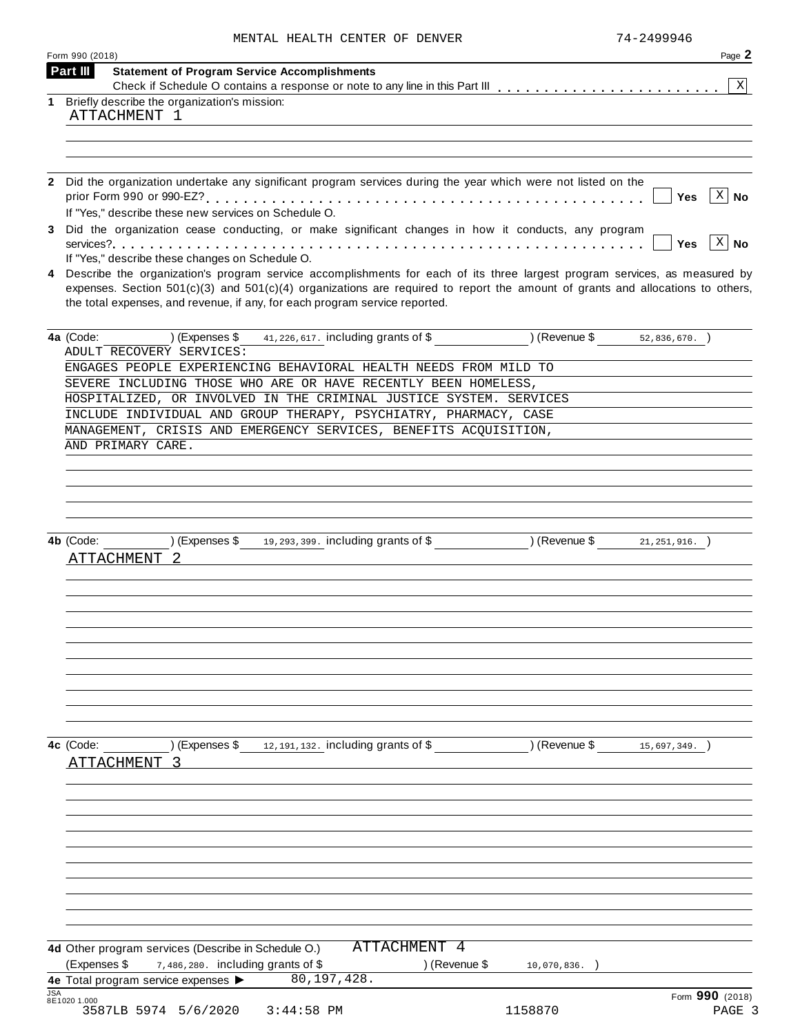| MENTAL HEALTH CENTER OF DENVER |  | 74-2499946<br>7 A |
|--------------------------------|--|-------------------|

|            | Form 990 (2018)                                                                                                                           | Page 2          |
|------------|-------------------------------------------------------------------------------------------------------------------------------------------|-----------------|
| Part III   | <b>Statement of Program Service Accomplishments</b>                                                                                       | $\mathbf{X}$    |
|            | 1 Briefly describe the organization's mission:                                                                                            |                 |
|            | ATTACHMENT 1                                                                                                                              |                 |
|            |                                                                                                                                           |                 |
|            |                                                                                                                                           |                 |
|            | Did the organization undertake any significant program services during the year which were not listed on the                              |                 |
|            |                                                                                                                                           | $ X $ No<br>Yes |
|            | If "Yes," describe these new services on Schedule O.                                                                                      |                 |
|            | Did the organization cease conducting, or make significant changes in how it conducts, any program                                        |                 |
|            | If "Yes," describe these changes on Schedule O.                                                                                           | $ X $ No<br>Yes |
|            | 4 Describe the organization's program service accomplishments for each of its three largest program services, as measured by              |                 |
|            | expenses. Section $501(c)(3)$ and $501(c)(4)$ organizations are required to report the amount of grants and allocations to others,        |                 |
|            | the total expenses, and revenue, if any, for each program service reported.                                                               |                 |
|            | $($ Revenue \$ $52, 836, 670.$<br>41, 226, 617. including grants of \$<br>4a (Code:<br>) (Expenses \$                                     |                 |
|            | ADULT RECOVERY SERVICES:                                                                                                                  |                 |
|            | ENGAGES PEOPLE EXPERIENCING BEHAVIORAL HEALTH NEEDS FROM MILD TO                                                                          |                 |
|            | SEVERE INCLUDING THOSE WHO ARE OR HAVE RECENTLY BEEN HOMELESS,                                                                            |                 |
|            | HOSPITALIZED, OR INVOLVED IN THE CRIMINAL JUSTICE SYSTEM. SERVICES<br>INCLUDE INDIVIDUAL AND GROUP THERAPY, PSYCHIATRY, PHARMACY, CASE    |                 |
|            | MANAGEMENT, CRISIS AND EMERGENCY SERVICES, BENEFITS ACQUISITION,                                                                          |                 |
|            | AND PRIMARY CARE.                                                                                                                         |                 |
|            |                                                                                                                                           |                 |
|            |                                                                                                                                           |                 |
|            |                                                                                                                                           |                 |
|            |                                                                                                                                           |                 |
|            | (Expenses \$ 19, 293, 399. including grants of \$ ) (Revenue \$ 21, 251, 916. )<br>4b (Code:                                              |                 |
|            | ATTACHMENT<br>2                                                                                                                           |                 |
|            |                                                                                                                                           |                 |
|            |                                                                                                                                           |                 |
|            |                                                                                                                                           |                 |
|            |                                                                                                                                           |                 |
|            |                                                                                                                                           |                 |
|            |                                                                                                                                           |                 |
|            |                                                                                                                                           |                 |
|            |                                                                                                                                           |                 |
|            |                                                                                                                                           |                 |
|            |                                                                                                                                           |                 |
|            | $(1)$ (Expenses \$ 12, 191, 132. including grants of \$ ) (Revenue \$<br>4c (Code:<br>15,697,349.                                         |                 |
|            | ATTACHMENT 3                                                                                                                              |                 |
|            |                                                                                                                                           |                 |
|            |                                                                                                                                           |                 |
|            |                                                                                                                                           |                 |
|            |                                                                                                                                           |                 |
|            |                                                                                                                                           |                 |
|            |                                                                                                                                           |                 |
|            |                                                                                                                                           |                 |
|            |                                                                                                                                           |                 |
|            |                                                                                                                                           |                 |
|            | ATTACHMENT 4<br>4d Other program services (Describe in Schedule O.)                                                                       |                 |
|            | (Expenses \$<br>7,486,280. including grants of \$<br>) (Revenue \$<br>10,070,836.<br>80, 197, 428.<br>4e Total program service expenses > |                 |
| <b>JSA</b> |                                                                                                                                           | Form 990 (2018) |
|            | 8E1020 1.000<br>3587LB 5974 5/6/2020<br>$3:44:58$ PM<br>1158870                                                                           | PAGE 3          |
|            |                                                                                                                                           |                 |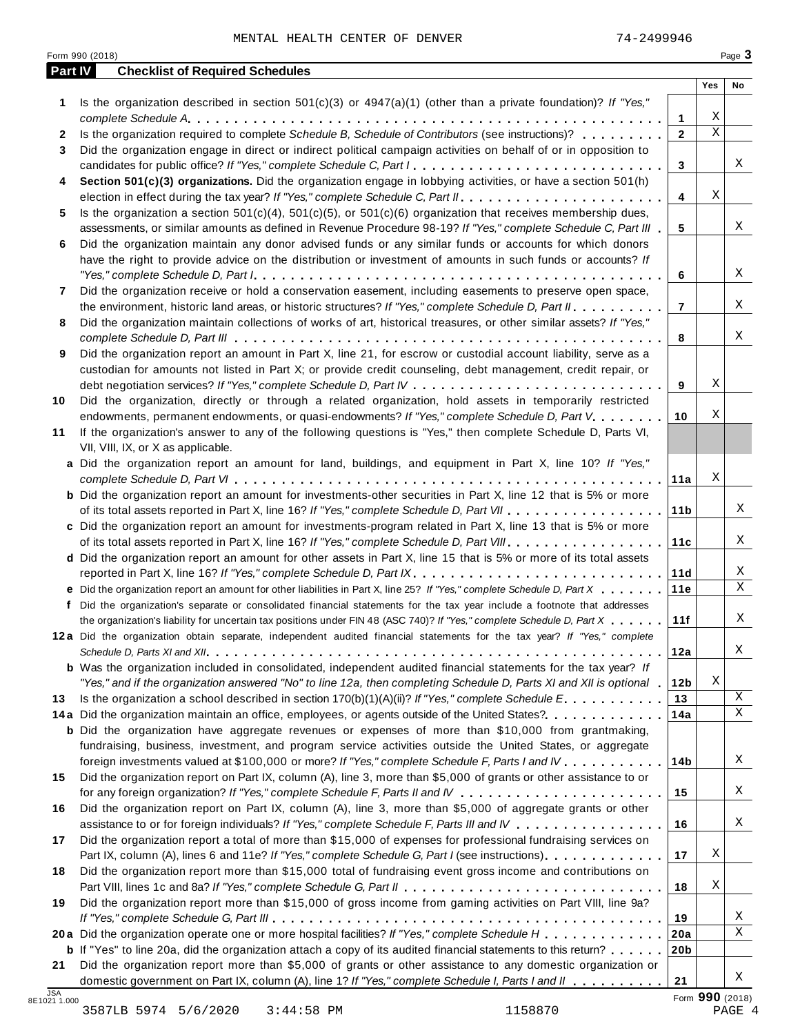|              | Part IV<br><b>Checklist of Required Schedules</b>                                                                                                                                                                                    |                 |             |    |
|--------------|--------------------------------------------------------------------------------------------------------------------------------------------------------------------------------------------------------------------------------------|-----------------|-------------|----|
|              |                                                                                                                                                                                                                                      |                 | Yes         | No |
| 1            | Is the organization described in section $501(c)(3)$ or $4947(a)(1)$ (other than a private foundation)? If "Yes,"                                                                                                                    |                 |             |    |
|              |                                                                                                                                                                                                                                      | 1               | Χ           |    |
| $\mathbf{2}$ | Is the organization required to complete Schedule B, Schedule of Contributors (see instructions)?                                                                                                                                    | $\mathbf{2}$    | $\mathbf X$ |    |
| 3            | Did the organization engage in direct or indirect political campaign activities on behalf of or in opposition to                                                                                                                     |                 |             |    |
|              | candidates for public office? If "Yes," complete Schedule C, Part I.                                                                                                                                                                 | 3               |             | Χ  |
| 4            | Section 501(c)(3) organizations. Did the organization engage in lobbying activities, or have a section 501(h)                                                                                                                        |                 |             |    |
|              |                                                                                                                                                                                                                                      | 4               | Χ           |    |
| 5            | Is the organization a section $501(c)(4)$ , $501(c)(5)$ , or $501(c)(6)$ organization that receives membership dues,                                                                                                                 |                 |             |    |
|              | assessments, or similar amounts as defined in Revenue Procedure 98-19? If "Yes," complete Schedule C, Part III                                                                                                                       | 5               |             | Χ  |
| 6            | Did the organization maintain any donor advised funds or any similar funds or accounts for which donors                                                                                                                              |                 |             |    |
|              | have the right to provide advice on the distribution or investment of amounts in such funds or accounts? If                                                                                                                          |                 |             |    |
|              |                                                                                                                                                                                                                                      | 6               |             | X  |
| 7            | Did the organization receive or hold a conservation easement, including easements to preserve open space,                                                                                                                            |                 |             |    |
|              | the environment, historic land areas, or historic structures? If "Yes," complete Schedule D, Part II.                                                                                                                                | $\overline{7}$  |             | Χ  |
| 8            | Did the organization maintain collections of works of art, historical treasures, or other similar assets? If "Yes,"                                                                                                                  |                 |             |    |
|              |                                                                                                                                                                                                                                      | 8               |             | Χ  |
| 9            | Did the organization report an amount in Part X, line 21, for escrow or custodial account liability, serve as a                                                                                                                      |                 |             |    |
|              | custodian for amounts not listed in Part X; or provide credit counseling, debt management, credit repair, or                                                                                                                         |                 | Χ           |    |
|              |                                                                                                                                                                                                                                      | 9               |             |    |
| 10           | Did the organization, directly or through a related organization, hold assets in temporarily restricted                                                                                                                              |                 | Χ           |    |
|              | endowments, permanent endowments, or quasi-endowments? If "Yes," complete Schedule D, Part V.<br>If the organization's answer to any of the following questions is "Yes," then complete Schedule D, Parts VI,                        | 10              |             |    |
| 11           |                                                                                                                                                                                                                                      |                 |             |    |
|              | VII, VIII, IX, or X as applicable.<br>a Did the organization report an amount for land, buildings, and equipment in Part X, line 10? If "Yes,"                                                                                       |                 |             |    |
|              |                                                                                                                                                                                                                                      | 11a             | Χ           |    |
|              | <b>b</b> Did the organization report an amount for investments-other securities in Part X, line 12 that is 5% or more                                                                                                                |                 |             |    |
|              |                                                                                                                                                                                                                                      | 11 <sub>b</sub> |             | Χ  |
|              | c Did the organization report an amount for investments-program related in Part X, line 13 that is 5% or more                                                                                                                        |                 |             |    |
|              |                                                                                                                                                                                                                                      | 11c             |             | Χ  |
|              | d Did the organization report an amount for other assets in Part X, line 15 that is 5% or more of its total assets                                                                                                                   |                 |             |    |
|              | reported in Part X, line 16? If "Yes," complete Schedule D, Part IX.                                                                                                                                                                 | 11d             |             | Χ  |
|              | e Did the organization report an amount for other liabilities in Part X, line 25? If "Yes," complete Schedule D, Part X                                                                                                              | 11e             |             | Χ  |
| f            | Did the organization's separate or consolidated financial statements for the tax year include a footnote that addresses                                                                                                              |                 |             |    |
|              | the organization's liability for uncertain tax positions under FIN 48 (ASC 740)? If "Yes," complete Schedule D, Part X                                                                                                               | 11f             |             | Χ  |
|              | 12a Did the organization obtain separate, independent audited financial statements for the tax year? If "Yes," complete                                                                                                              |                 |             |    |
|              |                                                                                                                                                                                                                                      | 12a             |             | Χ  |
|              | <b>b</b> Was the organization included in consolidated, independent audited financial statements for the tax year? If                                                                                                                |                 |             |    |
|              | "Yes," and if the organization answered "No" to line 12a, then completing Schedule D, Parts XI and XII is optional 1                                                                                                                 | 12 <sub>b</sub> | Χ           |    |
| 13           | Is the organization a school described in section $170(b)(1)(A)(ii)?$ If "Yes," complete Schedule E.                                                                                                                                 | 13              |             | Χ  |
|              | 14a Did the organization maintain an office, employees, or agents outside of the United States?.                                                                                                                                     | 14a             |             | X  |
|              | <b>b</b> Did the organization have aggregate revenues or expenses of more than \$10,000 from grantmaking,                                                                                                                            |                 |             |    |
|              | fundraising, business, investment, and program service activities outside the United States, or aggregate                                                                                                                            |                 |             |    |
|              | foreign investments valued at \$100,000 or more? If "Yes," complete Schedule F, Parts I and IV                                                                                                                                       | 14b             |             | Χ  |
| 15           | Did the organization report on Part IX, column (A), line 3, more than \$5,000 of grants or other assistance to or                                                                                                                    |                 |             |    |
|              |                                                                                                                                                                                                                                      | 15              |             | Χ  |
| 16           | Did the organization report on Part IX, column (A), line 3, more than \$5,000 of aggregate grants or other                                                                                                                           |                 |             |    |
|              | assistance to or for foreign individuals? If "Yes," complete Schedule F, Parts III and IV                                                                                                                                            | 16              |             | Χ  |
| 17           | Did the organization report a total of more than \$15,000 of expenses for professional fundraising services on                                                                                                                       |                 |             |    |
|              | Part IX, column (A), lines 6 and 11e? If "Yes," complete Schedule G, Part I (see instructions)                                                                                                                                       | 17              | Χ           |    |
| 18           | Did the organization report more than \$15,000 total of fundraising event gross income and contributions on                                                                                                                          |                 |             |    |
|              |                                                                                                                                                                                                                                      | 18              | Χ           |    |
|              | Did the organization report more than \$15,000 of gross income from gaming activities on Part VIII, line 9a?                                                                                                                         |                 |             |    |
|              |                                                                                                                                                                                                                                      | 19              |             | Χ  |
|              |                                                                                                                                                                                                                                      |                 |             |    |
| 19           |                                                                                                                                                                                                                                      |                 |             | X  |
|              | 20a Did the organization operate one or more hospital facilities? If "Yes," complete Schedule H                                                                                                                                      | 20a             |             |    |
| 21           | <b>b</b> If "Yes" to line 20a, did the organization attach a copy of its audited financial statements to this return?<br>Did the organization report more than \$5,000 of grants or other assistance to any domestic organization or | 20 <sub>b</sub> |             |    |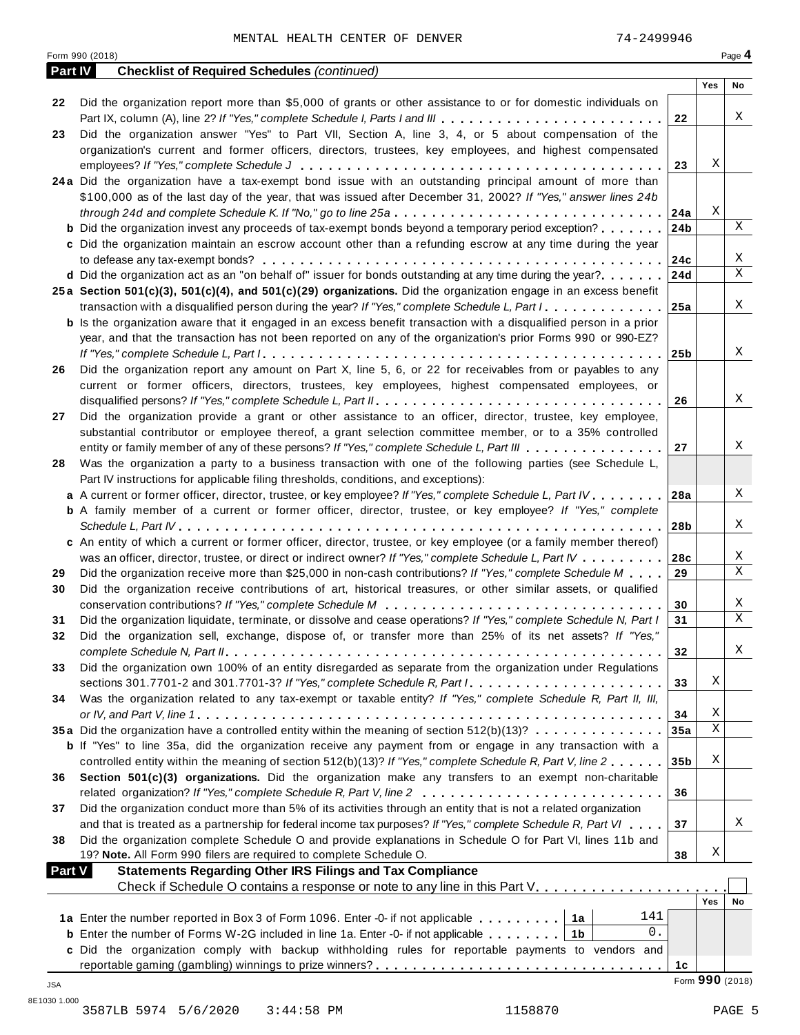Form <sup>990</sup> (2018) Page **4**

| Part IV       | <b>Checklist of Required Schedules (continued)</b>                                                                                                                                                                            |                 |                 |        |
|---------------|-------------------------------------------------------------------------------------------------------------------------------------------------------------------------------------------------------------------------------|-----------------|-----------------|--------|
|               |                                                                                                                                                                                                                               |                 | Yes             | No     |
| 22            | Did the organization report more than \$5,000 of grants or other assistance to or for domestic individuals on                                                                                                                 |                 |                 |        |
|               |                                                                                                                                                                                                                               | 22              |                 | Χ      |
| 23            | Did the organization answer "Yes" to Part VII, Section A, line 3, 4, or 5 about compensation of the                                                                                                                           |                 |                 |        |
|               | organization's current and former officers, directors, trustees, key employees, and highest compensated                                                                                                                       |                 |                 |        |
|               |                                                                                                                                                                                                                               | 23              | Χ               |        |
|               | 24a Did the organization have a tax-exempt bond issue with an outstanding principal amount of more than                                                                                                                       |                 |                 |        |
|               | \$100,000 as of the last day of the year, that was issued after December 31, 2002? If "Yes," answer lines 24b                                                                                                                 |                 |                 |        |
|               |                                                                                                                                                                                                                               |                 | Χ               |        |
|               | <b>b</b> Did the organization invest any proceeds of tax-exempt bonds beyond a temporary period exception?                                                                                                                    | 24 <sub>b</sub> |                 | X      |
|               | c Did the organization maintain an escrow account other than a refunding escrow at any time during the year                                                                                                                   |                 |                 |        |
|               |                                                                                                                                                                                                                               | 24c             |                 | X      |
|               | <b>d</b> Did the organization act as an "on behalf of" issuer for bonds outstanding at any time during the year?                                                                                                              | 24d             |                 | X      |
|               | 25a Section 501(c)(3), 501(c)(4), and 501(c)(29) organizations. Did the organization engage in an excess benefit                                                                                                              |                 |                 |        |
|               | transaction with a disqualified person during the year? If "Yes," complete Schedule L, Part $1, \ldots, \ldots, 125$ a                                                                                                        |                 |                 | X      |
|               | <b>b</b> Is the organization aware that it engaged in an excess benefit transaction with a disqualified person in a prior                                                                                                     |                 |                 |        |
|               | year, and that the transaction has not been reported on any of the organization's prior Forms 990 or 990-EZ?                                                                                                                  |                 |                 |        |
|               |                                                                                                                                                                                                                               |                 |                 | Χ      |
| 26            | Did the organization report any amount on Part X, line 5, 6, or 22 for receivables from or payables to any                                                                                                                    |                 |                 |        |
|               | current or former officers, directors, trustees, key employees, highest compensated employees, or                                                                                                                             |                 |                 |        |
|               |                                                                                                                                                                                                                               | 26              |                 | X      |
| 27            | Did the organization provide a grant or other assistance to an officer, director, trustee, key employee,                                                                                                                      |                 |                 |        |
|               | substantial contributor or employee thereof, a grant selection committee member, or to a 35% controlled                                                                                                                       |                 |                 |        |
|               | entity or family member of any of these persons? If "Yes," complete Schedule L, Part III                                                                                                                                      | 27              |                 | X      |
| 28            | Was the organization a party to a business transaction with one of the following parties (see Schedule L,                                                                                                                     |                 |                 |        |
|               | Part IV instructions for applicable filing thresholds, conditions, and exceptions):                                                                                                                                           |                 |                 |        |
|               | a A current or former officer, director, trustee, or key employee? If "Yes," complete Schedule L, Part IV                                                                                                                     | 28a             |                 | X      |
|               | <b>b</b> A family member of a current or former officer, director, trustee, or key employee? If "Yes," complete                                                                                                               |                 |                 |        |
|               |                                                                                                                                                                                                                               | 28b             |                 | Χ      |
|               | c An entity of which a current or former officer, director, trustee, or key employee (or a family member thereof)                                                                                                             |                 |                 |        |
|               | was an officer, director, trustee, or direct or indirect owner? If "Yes," complete Schedule L, Part IV                                                                                                                        | 28c             |                 | Χ<br>X |
| 29            | Did the organization receive more than \$25,000 in non-cash contributions? If "Yes," complete Schedule M                                                                                                                      | 29              |                 |        |
| 30            | Did the organization receive contributions of art, historical treasures, or other similar assets, or qualified                                                                                                                |                 |                 |        |
|               |                                                                                                                                                                                                                               | 30              |                 | X<br>X |
| 31            | Did the organization liquidate, terminate, or dissolve and cease operations? If "Yes," complete Schedule N, Part I                                                                                                            | 31              |                 |        |
| 32            | Did the organization sell, exchange, dispose of, or transfer more than 25% of its net assets? If "Yes,"                                                                                                                       |                 |                 | Χ      |
|               |                                                                                                                                                                                                                               | 32              |                 |        |
| 33            | Did the organization own 100% of an entity disregarded as separate from the organization under Regulations                                                                                                                    |                 | Χ               |        |
|               | sections 301.7701-2 and 301.7701-3? If "Yes," complete Schedule R, Part $l_1, \ldots, \ldots, \ldots, \ldots, \ldots, \ldots$                                                                                                 | 33              |                 |        |
| 34            | Was the organization related to any tax-exempt or taxable entity? If "Yes," complete Schedule R, Part II, III,                                                                                                                |                 | Χ               |        |
|               | 35a Did the organization have a controlled entity within the meaning of section 512(b)(13)?                                                                                                                                   | 34<br>35a       | Χ               |        |
|               |                                                                                                                                                                                                                               |                 |                 |        |
|               | <b>b</b> If "Yes" to line 35a, did the organization receive any payment from or engage in any transaction with a<br>controlled entity within the meaning of section 512(b)(13)? If "Yes," complete Schedule R, Part V, line 2 | 35 <sub>b</sub> | Χ               |        |
| 36            | Section 501(c)(3) organizations. Did the organization make any transfers to an exempt non-charitable                                                                                                                          |                 |                 |        |
|               |                                                                                                                                                                                                                               | 36              |                 |        |
| 37            | Did the organization conduct more than 5% of its activities through an entity that is not a related organization                                                                                                              |                 |                 |        |
|               | and that is treated as a partnership for federal income tax purposes? If "Yes," complete Schedule R, Part VI                                                                                                                  | 37              |                 | Χ      |
| 38            | Did the organization complete Schedule O and provide explanations in Schedule O for Part VI, lines 11b and                                                                                                                    |                 |                 |        |
|               | 19? Note. All Form 990 filers are required to complete Schedule O.                                                                                                                                                            | 38              | Χ               |        |
| <b>Part V</b> | <b>Statements Regarding Other IRS Filings and Tax Compliance</b>                                                                                                                                                              |                 |                 |        |
|               | Check if Schedule O contains a response or note to any line in this Part V.                                                                                                                                                   |                 |                 |        |
|               |                                                                                                                                                                                                                               |                 | Yes             | No     |
|               | 141<br>1a Enter the number reported in Box 3 of Form 1096. Enter -0- if not applicable   1a                                                                                                                                   |                 |                 |        |
|               | 0.<br><b>b</b> Enter the number of Forms W-2G included in line 1a. Enter -0- if not applicable   1b                                                                                                                           |                 |                 |        |
|               | c Did the organization comply with backup withholding rules for reportable payments to vendors and                                                                                                                            |                 |                 |        |
|               |                                                                                                                                                                                                                               | 1c              |                 |        |
| JSA           |                                                                                                                                                                                                                               |                 | Form 990 (2018) |        |
|               |                                                                                                                                                                                                                               |                 |                 |        |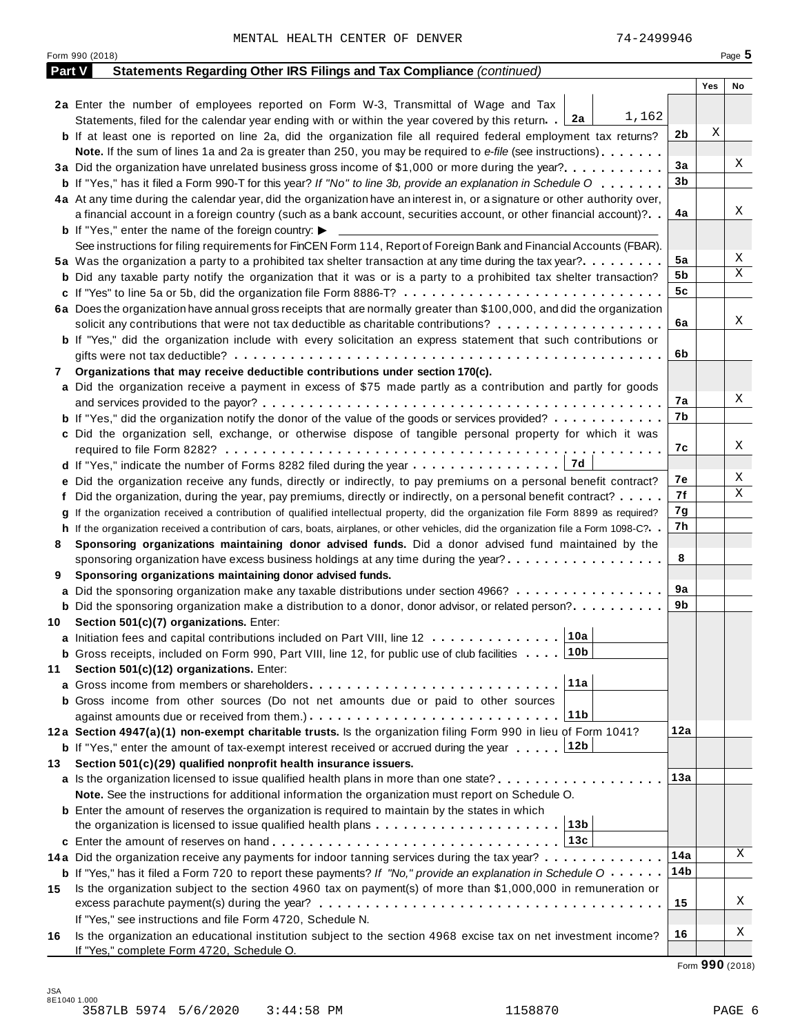|        | Form 990 (2018)                                                                                                                              |     |     | Page 5 |
|--------|----------------------------------------------------------------------------------------------------------------------------------------------|-----|-----|--------|
| Part V | Statements Regarding Other IRS Filings and Tax Compliance (continued)                                                                        |     |     |        |
|        |                                                                                                                                              |     | Yes | No     |
|        | 2a Enter the number of employees reported on Form W-3, Transmittal of Wage and Tax                                                           |     |     |        |
|        | 1,162<br>Statements, filed for the calendar year ending with or within the year covered by this return. [2a]                                 |     |     |        |
|        | <b>b</b> If at least one is reported on line 2a, did the organization file all required federal employment tax returns?                      | 2b  | Χ   |        |
|        | <b>Note.</b> If the sum of lines 1a and 2a is greater than 250, you may be required to e-file (see instructions).                            |     |     |        |
|        | 3a Did the organization have unrelated business gross income of \$1,000 or more during the year?                                             | 3a  |     | Χ      |
|        | <b>b</b> If "Yes," has it filed a Form 990-T for this year? If "No" to line 3b, provide an explanation in Schedule O                         | 3b  |     |        |
|        | 4a At any time during the calendar year, did the organization have an interest in, or a signature or other authority over,                   |     |     |        |
|        | a financial account in a foreign country (such as a bank account, securities account, or other financial account)?                           | 4a  |     | Χ      |
|        | <b>b</b> If "Yes," enter the name of the foreign country: $\blacktriangleright$                                                              |     |     |        |
|        | See instructions for filing requirements for FinCEN Form 114, Report of Foreign Bank and Financial Accounts (FBAR).                          |     |     |        |
|        | 5a Was the organization a party to a prohibited tax shelter transaction at any time during the tax year?                                     | 5a  |     | Χ      |
|        | <b>b</b> Did any taxable party notify the organization that it was or is a party to a prohibited tax shelter transaction?                    | 5b  |     | Χ      |
|        |                                                                                                                                              | 5c  |     |        |
|        |                                                                                                                                              |     |     |        |
|        | 6a Does the organization have annual gross receipts that are normally greater than \$100,000, and did the organization                       | 6a  |     | Χ      |
|        | solicit any contributions that were not tax deductible as charitable contributions?                                                          |     |     |        |
|        | <b>b</b> If "Yes," did the organization include with every solicitation an express statement that such contributions or                      |     |     |        |
|        |                                                                                                                                              | 6b  |     |        |
| 7      | Organizations that may receive deductible contributions under section 170(c).                                                                |     |     |        |
|        | a Did the organization receive a payment in excess of \$75 made partly as a contribution and partly for goods                                |     |     |        |
|        |                                                                                                                                              | 7а  |     | Χ      |
|        | <b>b</b> If "Yes," did the organization notify the donor of the value of the goods or services provided?                                     | 7b  |     |        |
|        | c Did the organization sell, exchange, or otherwise dispose of tangible personal property for which it was                                   |     |     |        |
|        |                                                                                                                                              | 7с  |     | Χ      |
|        | 7d                                                                                                                                           |     |     |        |
|        | e Did the organization receive any funds, directly or indirectly, to pay premiums on a personal benefit contract?                            | 7е  |     | Χ      |
|        | f Did the organization, during the year, pay premiums, directly or indirectly, on a personal benefit contract?                               | 7f  |     | Χ      |
|        | If the organization received a contribution of qualified intellectual property, did the organization file Form 8899 as required?             | 7g  |     |        |
|        | h If the organization received a contribution of cars, boats, airplanes, or other vehicles, did the organization file a Form 1098-C?         | 7h  |     |        |
| 8      | Sponsoring organizations maintaining donor advised funds. Did a donor advised fund maintained by the                                         |     |     |        |
|        | sponsoring organization have excess business holdings at any time during the year?                                                           | 8   |     |        |
| 9      | Sponsoring organizations maintaining donor advised funds.                                                                                    |     |     |        |
|        | <b>a</b> Did the sponsoring organization make any taxable distributions under section 4966?                                                  | 9а  |     |        |
|        | <b>b</b> Did the sponsoring organization make a distribution to a donor, donor advisor, or related person?                                   | 9b  |     |        |
|        | 10 Section 501(c)(7) organizations. Enter:                                                                                                   |     |     |        |
|        | 10a <br>a Initiation fees and capital contributions included on Part VIII, line 12                                                           |     |     |        |
|        | 10b<br><b>b</b> Gross receipts, included on Form 990, Part VIII, line 12, for public use of club facilities                                  |     |     |        |
| 11     | Section 501(c)(12) organizations. Enter:                                                                                                     |     |     |        |
|        | 11a<br><b>a</b> Gross income from members or shareholders                                                                                    |     |     |        |
|        | b Gross income from other sources (Do not net amounts due or paid to other sources                                                           |     |     |        |
|        | 11b                                                                                                                                          |     |     |        |
|        |                                                                                                                                              | 12a |     |        |
|        | 12a Section 4947(a)(1) non-exempt charitable trusts. Is the organization filing Form 990 in lieu of Form 1041?<br>12b                        |     |     |        |
|        | <b>b</b> If "Yes," enter the amount of tax-exempt interest received or accrued during the year                                               |     |     |        |
| 13.    | Section 501(c)(29) qualified nonprofit health insurance issuers.                                                                             |     |     |        |
|        | <b>a</b> Is the organization licensed to issue qualified health plans in more than one state?                                                | 13а |     |        |
|        | Note. See the instructions for additional information the organization must report on Schedule O.                                            |     |     |        |
|        | <b>b</b> Enter the amount of reserves the organization is required to maintain by the states in which                                        |     |     |        |
|        | 13b<br>the organization is licensed to issue qualified health plans                                                                          |     |     |        |
|        | 13c                                                                                                                                          |     |     |        |
|        | 14a Did the organization receive any payments for indoor tanning services during the tax year?                                               | 14a |     | Χ      |
|        | <b>b</b> If "Yes," has it filed a Form 720 to report these payments? If "No," provide an explanation in Schedule $0 \cdot \cdot \cdot \cdot$ | 14b |     |        |
| 15     | Is the organization subject to the section 4960 tax on payment(s) of more than \$1,000,000 in remuneration or                                |     |     |        |
|        |                                                                                                                                              | 15  |     | Χ      |
|        | If "Yes," see instructions and file Form 4720, Schedule N.                                                                                   |     |     |        |
| 16     | Is the organization an educational institution subject to the section 4968 excise tax on net investment income?                              | 16  |     | Χ      |
|        | If "Yes," complete Form 4720, Schedule O.                                                                                                    |     |     |        |

Form **990** (2018)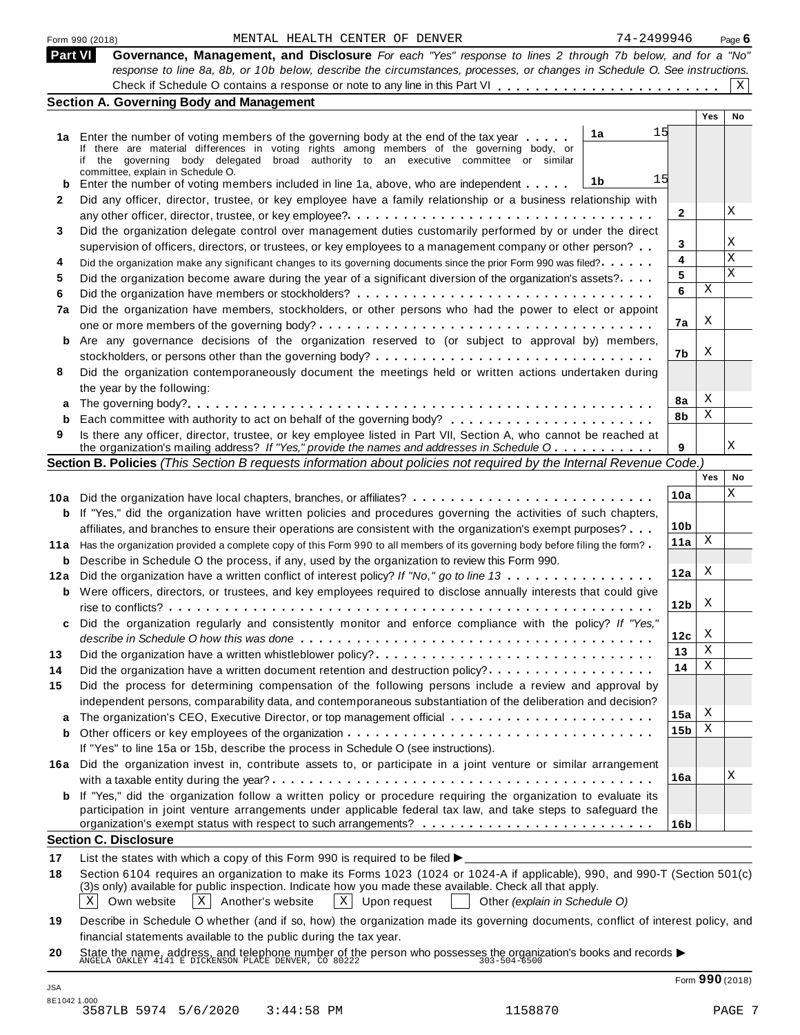|                | 74-2499946<br>MENTAL HEALTH CENTER OF DENVER<br>Form 990 (2018)                                                                                                                                            |                 |            | Page $\bm{6}$ |
|----------------|------------------------------------------------------------------------------------------------------------------------------------------------------------------------------------------------------------|-----------------|------------|---------------|
| <b>Part VI</b> | Governance, Management, and Disclosure For each "Yes" response to lines 2 through 7b below, and for a "No"                                                                                                 |                 |            |               |
|                | response to line 8a, 8b, or 10b below, describe the circumstances, processes, or changes in Schedule O. See instructions.                                                                                  |                 |            |               |
|                | <b>Section A. Governing Body and Management</b>                                                                                                                                                            |                 |            | X             |
|                |                                                                                                                                                                                                            |                 | <b>Yes</b> | No            |
|                | 1a<br>1a Enter the number of voting members of the governing body at the end of the tax year                                                                                                               | 15              |            |               |
|                | If there are material differences in voting rights among members of the governing body, or                                                                                                                 |                 |            |               |
|                | if the governing body delegated broad authority to an executive committee or similar                                                                                                                       |                 |            |               |
|                | committee, explain in Schedule O.<br>1b<br>Enter the number of voting members included in line 1a, above, who are independent                                                                              | 15              |            |               |
| 2              | Did any officer, director, trustee, or key employee have a family relationship or a business relationship with                                                                                             |                 |            |               |
|                |                                                                                                                                                                                                            | 2               |            | X             |
| 3              | Did the organization delegate control over management duties customarily performed by or under the direct                                                                                                  |                 |            |               |
|                | supervision of officers, directors, or trustees, or key employees to a management company or other person?                                                                                                 | 3               |            | Χ             |
| 4              | Did the organization make any significant changes to its governing documents since the prior Form 990 was filed?                                                                                           | 4               |            | Χ             |
| 5              | Did the organization become aware during the year of a significant diversion of the organization's assets?                                                                                                 | 5               |            | X             |
| 6              |                                                                                                                                                                                                            | 6               | Χ          |               |
| 7a             | Did the organization have members, stockholders, or other persons who had the power to elect or appoint                                                                                                    |                 |            |               |
|                |                                                                                                                                                                                                            | 7a              | Χ          |               |
|                | b Are any governance decisions of the organization reserved to (or subject to approval by) members,                                                                                                        |                 |            |               |
|                |                                                                                                                                                                                                            | 7b              | Χ          |               |
| 8              | Did the organization contemporaneously document the meetings held or written actions undertaken during                                                                                                     |                 |            |               |
|                | the year by the following:                                                                                                                                                                                 |                 |            |               |
| а              |                                                                                                                                                                                                            | 8a              | Χ          |               |
|                |                                                                                                                                                                                                            | 8b              | Χ          |               |
| 9              | Is there any officer, director, trustee, or key employee listed in Part VII, Section A, who cannot be reached at                                                                                           |                 |            |               |
|                | the organization's mailing address? If "Yes," provide the names and addresses in Schedule O                                                                                                                | 9               |            | Χ             |
|                | Section B. Policies (This Section B requests information about policies not required by the Internal Revenue Code.)                                                                                        |                 | Yes        | No            |
|                |                                                                                                                                                                                                            | 10a             |            | Χ             |
|                | 10a Did the organization have local chapters, branches, or affiliates?<br><b>b</b> If "Yes," did the organization have written policies and procedures governing the activities of such chapters,          |                 |            |               |
|                | affiliates, and branches to ensure their operations are consistent with the organization's exempt purposes?                                                                                                | 10 <sub>b</sub> |            |               |
| 11 a           | Has the organization provided a complete copy of this Form 990 to all members of its governing body before filing the form?                                                                                | 11a             | Χ          |               |
| b              | Describe in Schedule O the process, if any, used by the organization to review this Form 990.                                                                                                              |                 |            |               |
| 12a            | Did the organization have a written conflict of interest policy? If "No," go to line 13                                                                                                                    | 12a             | X          |               |
|                | <b>b</b> Were officers, directors, or trustees, and key employees required to disclose annually interests that could give                                                                                  |                 |            |               |
|                |                                                                                                                                                                                                            | 12 <sub>b</sub> | X          |               |
|                | Did the organization regularly and consistently monitor and enforce compliance with the policy? If "Yes,"                                                                                                  |                 |            |               |
|                |                                                                                                                                                                                                            | 12c             | X          |               |
| 13             | Did the organization have a written whistleblower policy?                                                                                                                                                  | 13              | Χ          |               |
| 14             | Did the organization have a written document retention and destruction policy?                                                                                                                             | 14              | Χ          |               |
| 15             | Did the process for determining compensation of the following persons include a review and approval by                                                                                                     |                 |            |               |
|                | independent persons, comparability data, and contemporaneous substantiation of the deliberation and decision?                                                                                              |                 |            |               |
| a              |                                                                                                                                                                                                            | 15a             | Χ          |               |
| b              |                                                                                                                                                                                                            | 15 <sub>b</sub> | Χ          |               |
|                | If "Yes" to line 15a or 15b, describe the process in Schedule O (see instructions).                                                                                                                        |                 |            |               |
|                | 16a Did the organization invest in, contribute assets to, or participate in a joint venture or similar arrangement                                                                                         |                 |            |               |
|                |                                                                                                                                                                                                            | 16a             |            | Χ             |
|                | <b>b</b> If "Yes," did the organization follow a written policy or procedure requiring the organization to evaluate its                                                                                    |                 |            |               |
|                | participation in joint venture arrangements under applicable federal tax law, and take steps to safeguard the                                                                                              |                 |            |               |
|                |                                                                                                                                                                                                            | 16 <sub>b</sub> |            |               |
|                | <b>Section C. Disclosure</b>                                                                                                                                                                               |                 |            |               |
| 17             | List the states with which a copy of this Form 990 is required to be filed $\blacktriangleright$                                                                                                           |                 |            |               |
| 18             | Section 6104 requires an organization to make its Forms 1023 (1024 or 1024-A if applicable), 990, and 990-T (Section 501(c)                                                                                |                 |            |               |
|                | (3)s only) available for public inspection. Indicate how you made these available. Check all that apply.<br>$X$ Upon request<br>X<br>Own website<br>$X$ Another's website<br>Other (explain in Schedule O) |                 |            |               |
|                |                                                                                                                                                                                                            |                 |            |               |
| 19             | Describe in Schedule O whether (and if so, how) the organization made its governing documents, conflict of interest policy, and                                                                            |                 |            |               |
|                | financial statements available to the public during the tax year.                                                                                                                                          |                 |            |               |
| 20             | State the name, address, and telephone number of the person who possesses the organization's books and records $\blacktriangleright$ ANGELA OAKLEY 4141 E DICKENSON PLACE DENVER, CO 80222                 |                 |            |               |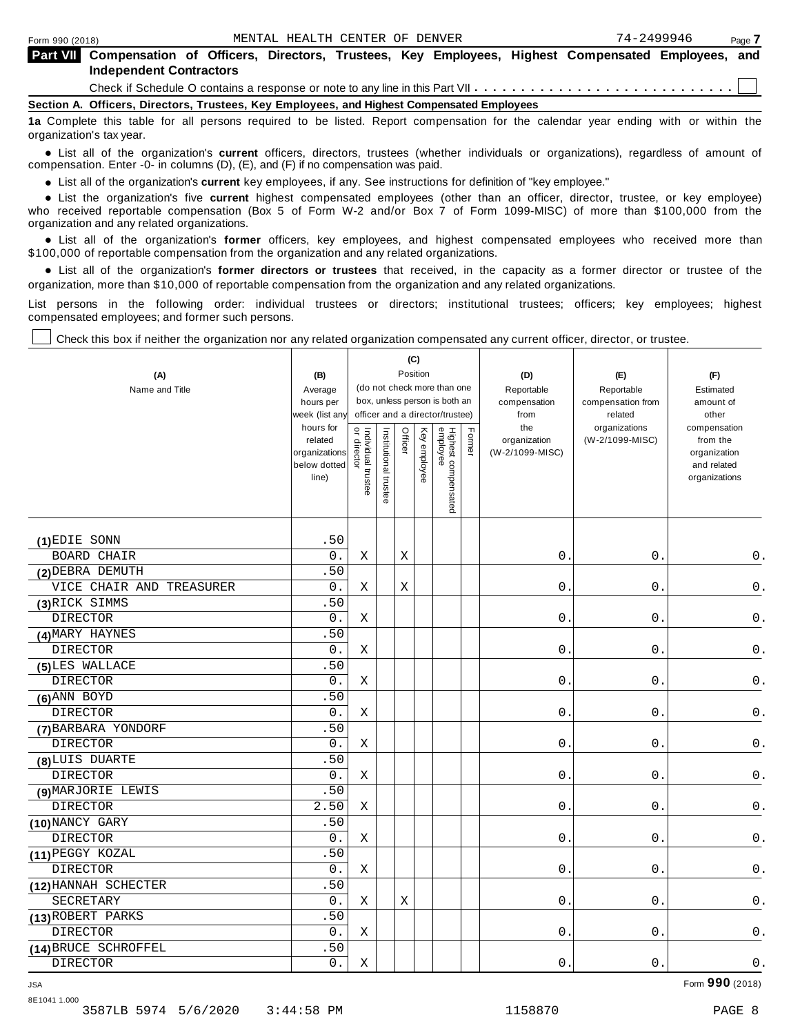| <b>Part VII</b> Compensation of Officers, Directors, Trustees, Key Employees, Highest Compensated Employees, and<br><b>Independent Contractors</b> |  |
|----------------------------------------------------------------------------------------------------------------------------------------------------|--|
|                                                                                                                                                    |  |
| Section A. Officers, Directors, Trustees, Key Employees, and Highest Compensated Employees                                                         |  |

**1a** Complete this table for all persons required to be listed. Report compensation for the calendar year ending with or within the organization's tax year.

anization's lax year.<br>● List all of the organization's **current** officers, directors, trustees (whether individuals or organizations), regardless of amount of<br>nnensation Enter -0- in columns (D) (E) and (E) if no compensa compensation. Enter -0- in columns (D), (E), and (F) if no compensation was paid.

**■** List all of the organization's **current** key employees, if any. See instructions for definition of "key employee."<br>■ List the experientials five event highert expressed employees (other than an efficer director of

**Example in the organization's current** key employees, if any. See instructions for definition of key employee.<br>• List the organization's five **current** highest compensated employees (other than an officer, director, trust who received reportable compensation (Box 5 of Form W-2 and/or Box 7 of Form 1099-MISC) of more than \$100,000 from the

organization and any related organizations.<br>• List all of the organization's **former** officers, key employees, and highest compensated employees who received more than<br>\$1.00.000 of reportable componention from the erganiza \$100,000 of reportable compensation from the organization and any related organizations.

% List all of the organization's **former directors or trustees** that received, in the capacity as a former director or trustee of the organization, more than \$10,000 of reportable compensation from the organization and any related organizations.

List persons in the following order: individual trustees or directors; institutional trustees; officers; key employees; highest compensated employees; and former such persons.

Check this box if neither the organization nor any related organization compensated any current officer, director, or trustee.

|                          |                               |                                   |                       |         | (C)          |                                                                  |        |                      |                              |                             |
|--------------------------|-------------------------------|-----------------------------------|-----------------------|---------|--------------|------------------------------------------------------------------|--------|----------------------|------------------------------|-----------------------------|
| (A)                      | (B)                           |                                   |                       |         | Position     |                                                                  |        | (D)                  | (E)                          | (F)                         |
| Name and Title           | Average                       |                                   |                       |         |              | (do not check more than one                                      |        | Reportable           | Reportable                   | Estimated                   |
|                          | hours per<br>week (list an    |                                   |                       |         |              | box, unless person is both an<br>officer and a director/trustee) |        | compensation<br>from | compensation from<br>related | amount of<br>other          |
|                          | hours for                     |                                   |                       |         |              |                                                                  |        | the                  | organizations                | compensation                |
|                          | related                       | or director<br>Individual trustee | Institutional trustee | Officer | Key employee | Highest compensated<br>employee                                  | Former | organization         | (W-2/1099-MISC)              | from the                    |
|                          | organizations<br>below dotted |                                   |                       |         |              |                                                                  |        | (W-2/1099-MISC)      |                              | organization<br>and related |
|                          | line)                         |                                   |                       |         |              |                                                                  |        |                      |                              | organizations               |
|                          |                               |                                   |                       |         |              |                                                                  |        |                      |                              |                             |
|                          |                               |                                   |                       |         |              |                                                                  |        |                      |                              |                             |
|                          |                               |                                   |                       |         |              |                                                                  |        |                      |                              |                             |
| (1)EDIE SONN             | .50                           |                                   |                       |         |              |                                                                  |        |                      |                              |                             |
| <b>BOARD CHAIR</b>       | $0$ .                         | Χ                                 |                       | Χ       |              |                                                                  |        | 0.                   | $0$ .                        | 0.                          |
| (2) DEBRA DEMUTH         | .50                           |                                   |                       |         |              |                                                                  |        |                      |                              |                             |
| VICE CHAIR AND TREASURER | $0$ .                         | Χ                                 |                       | Χ       |              |                                                                  |        | $0$ .                | $0$ .                        | $\mathsf 0$ .               |
| (3) RICK SIMMS           | .50                           |                                   |                       |         |              |                                                                  |        |                      |                              |                             |
| <b>DIRECTOR</b>          | 0.                            | X                                 |                       |         |              |                                                                  |        | $\mathsf{O}$ .       | $0$ .                        | $\mathsf 0$ .               |
| (4) MARY HAYNES          | .50                           |                                   |                       |         |              |                                                                  |        |                      |                              |                             |
| <b>DIRECTOR</b>          | $0$ .                         | Χ                                 |                       |         |              |                                                                  |        | $0$ .                | $0$ .                        | $\mathsf 0$ .               |
| (5) LES WALLACE          | .50                           |                                   |                       |         |              |                                                                  |        |                      |                              |                             |
| <b>DIRECTOR</b>          | 0.                            | Χ                                 |                       |         |              |                                                                  |        | 0.                   | $\boldsymbol{0}$ .           | 0.                          |
| $(6)$ ANN BOYD           | .50                           |                                   |                       |         |              |                                                                  |        |                      |                              |                             |
| <b>DIRECTOR</b>          | 0.                            | Χ                                 |                       |         |              |                                                                  |        | 0.                   | 0.                           | 0.                          |
| (7) BARBARA YONDORF      | .50                           |                                   |                       |         |              |                                                                  |        |                      |                              |                             |
| <b>DIRECTOR</b>          | 0.                            | Χ                                 |                       |         |              |                                                                  |        | $\mathsf{O}$ .       | 0.                           | 0.                          |
| (8) LUIS DUARTE          | .50                           |                                   |                       |         |              |                                                                  |        |                      |                              |                             |
| <b>DIRECTOR</b>          | 0.                            | $\mathbf X$                       |                       |         |              |                                                                  |        | $\mathsf{O}$ .       | $0$ .                        | $0$ .                       |
| (9) MARJORIE LEWIS       | .50                           |                                   |                       |         |              |                                                                  |        |                      |                              |                             |
| <b>DIRECTOR</b>          | 2.50                          | Χ                                 |                       |         |              |                                                                  |        | $\mathsf{O}$ .       | $0$ .                        | $0$ .                       |
| (10) NANCY GARY          | .50                           |                                   |                       |         |              |                                                                  |        |                      |                              |                             |
| <b>DIRECTOR</b>          | 0.                            | Χ                                 |                       |         |              |                                                                  |        | 0.                   | $0$ .                        | $0$ .                       |
| (11) PEGGY KOZAL         | .50                           |                                   |                       |         |              |                                                                  |        |                      |                              |                             |
| DIRECTOR                 | $0$ .                         | Χ                                 |                       |         |              |                                                                  |        | 0.                   | 0.                           | 0.                          |
| (12) HANNAH SCHECTER     | .50                           |                                   |                       |         |              |                                                                  |        |                      |                              |                             |
| SECRETARY                | 0.                            | Χ                                 |                       | Χ       |              |                                                                  |        | 0.                   | $0$ .                        | $\mathsf 0$ .               |
| (13) ROBERT PARKS        | .50                           |                                   |                       |         |              |                                                                  |        |                      |                              |                             |
| <b>DIRECTOR</b>          | $0$ .                         | $\mathbf X$                       |                       |         |              |                                                                  |        | $\mathsf{O}$ .       | $0$ .                        | $\mathsf 0$ .               |
| (14) BRUCE SCHROFFEL     | .50                           |                                   |                       |         |              |                                                                  |        |                      |                              |                             |
| <b>DIRECTOR</b>          | $\overline{0}$ .              | Χ                                 |                       |         |              |                                                                  |        | $0$ .                | $0$ .                        | $\mathsf 0$ .               |

JSA Form **990** (2018)

8E1041 1.000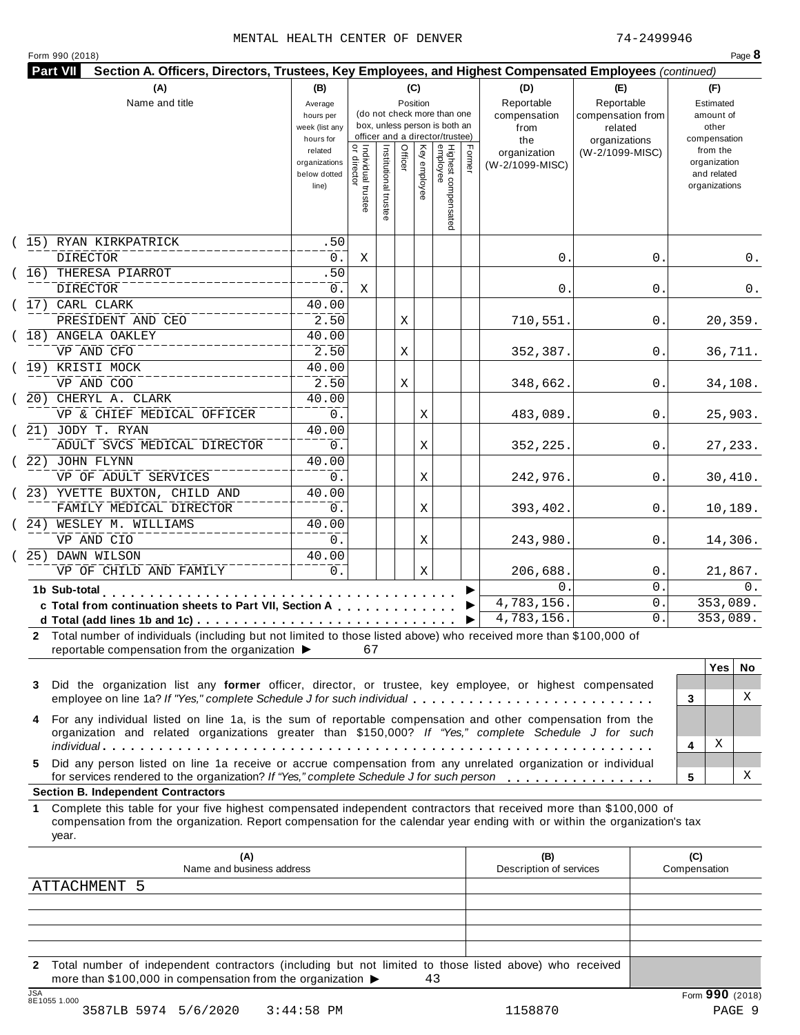| Form 990 (2018) |  |  |  |
|-----------------|--|--|--|
|-----------------|--|--|--|

| Individual trustee<br>   or director<br>Highest compensated<br>employee<br>Institutional trustee<br>Officer<br>Key employee<br>Former<br>related<br>organization<br>organizations<br>(W-2/1099-MISC)<br>below dotted<br>line)<br>(15) RYAN KIRKPATRICK<br>.50<br><b>DIRECTOR</b><br>$\mathsf{0}$ .<br>0.<br>Χ<br>(16) THERESA PIARROT<br>.50<br><b>DIRECTOR</b><br>0.<br>Χ<br>0.<br>(17) CARL CLARK<br>40.00<br>2.50<br>PRESIDENT AND CEO<br>710,551.<br>Χ<br>(18) ANGELA OAKLEY<br>40.00<br>VP AND CFO<br>2.50<br>352,387.<br>Χ<br>(19) KRISTI MOCK<br>40.00<br>VP AND COO<br>2.50<br>348,662.<br>Χ<br>(20) CHERYL A. CLARK<br>40.00<br>VP & CHIEF MEDICAL OFFICER<br>0.<br>Χ<br>483,089.<br>(21) JODY T. RYAN<br>40.00<br>ADULT SVCS MEDICAL DIRECTOR<br>0.<br>Χ<br>352,225.<br>(22) JOHN FLYNN<br>40.00<br>VP OF ADULT SERVICES<br>0.<br>Χ<br>242,976.<br>(23) YVETTE BUXTON, CHILD AND<br>40.00<br>FAMILY MEDICAL DIRECTOR<br>0.<br>Χ<br>393,402.<br>(24) WESLEY M. WILLIAMS<br>40.00<br>VP AND CIO<br>0.<br>243,980.<br>Χ<br>25) DAWN WILSON<br>40.00<br>$0$ .<br>VP OF CHILD AND FAMILY<br>Χ<br>206,688.<br>0<br>1b Sub-total<br>4,783,156.<br>c Total from continuation sheets to Part VII, Section A<br>4,783,156.<br>▶<br>2 Total number of individuals (including but not limited to those listed above) who received more than \$100,000 of<br>reportable compensation from the organization ▶<br>67<br>Did the organization list any former officer, director, or trustee, key employee, or highest compensated<br>3<br>employee on line 1a? If "Yes," complete Schedule J for such individual<br>For any individual listed on line 1a, is the sum of reportable compensation and other compensation from the<br>4<br>organization and related organizations greater than \$150,000? If "Yes," complete Schedule J for such<br>Did any person listed on line 1a receive or accrue compensation from any unrelated organization or individual<br>5.<br>for services rendered to the organization? If "Yes," complete Schedule J for such person<br><b>Section B. Independent Contractors</b><br>Complete this table for your five highest compensated independent contractors that received more than \$100,000 of<br>1<br>compensation from the organization. Report compensation for the calendar year ending with or within the organization's tax<br>year.<br>(A)<br>(B)<br>Name and business address<br>Description of services<br><b>ATTACHMENT</b><br>-5 | compensation from<br>related<br>organizations | amount of<br>other<br>compensation                       |
|----------------------------------------------------------------------------------------------------------------------------------------------------------------------------------------------------------------------------------------------------------------------------------------------------------------------------------------------------------------------------------------------------------------------------------------------------------------------------------------------------------------------------------------------------------------------------------------------------------------------------------------------------------------------------------------------------------------------------------------------------------------------------------------------------------------------------------------------------------------------------------------------------------------------------------------------------------------------------------------------------------------------------------------------------------------------------------------------------------------------------------------------------------------------------------------------------------------------------------------------------------------------------------------------------------------------------------------------------------------------------------------------------------------------------------------------------------------------------------------------------------------------------------------------------------------------------------------------------------------------------------------------------------------------------------------------------------------------------------------------------------------------------------------------------------------------------------------------------------------------------------------------------------------------------------------------------------------------------------------------------------------------------------------------------------------------------------------------------------------------------------------------------------------------------------------------------------------------------------------------------------------------------------------------------------------------------------------------------------------------------------------------------------------------------------------------------------------------------|-----------------------------------------------|----------------------------------------------------------|
|                                                                                                                                                                                                                                                                                                                                                                                                                                                                                                                                                                                                                                                                                                                                                                                                                                                                                                                                                                                                                                                                                                                                                                                                                                                                                                                                                                                                                                                                                                                                                                                                                                                                                                                                                                                                                                                                                                                                                                                                                                                                                                                                                                                                                                                                                                                                                                                                                                                                            | (W-2/1099-MISC)                               | from the<br>organization<br>and related<br>organizations |
|                                                                                                                                                                                                                                                                                                                                                                                                                                                                                                                                                                                                                                                                                                                                                                                                                                                                                                                                                                                                                                                                                                                                                                                                                                                                                                                                                                                                                                                                                                                                                                                                                                                                                                                                                                                                                                                                                                                                                                                                                                                                                                                                                                                                                                                                                                                                                                                                                                                                            |                                               |                                                          |
|                                                                                                                                                                                                                                                                                                                                                                                                                                                                                                                                                                                                                                                                                                                                                                                                                                                                                                                                                                                                                                                                                                                                                                                                                                                                                                                                                                                                                                                                                                                                                                                                                                                                                                                                                                                                                                                                                                                                                                                                                                                                                                                                                                                                                                                                                                                                                                                                                                                                            | 0.                                            | 0.                                                       |
|                                                                                                                                                                                                                                                                                                                                                                                                                                                                                                                                                                                                                                                                                                                                                                                                                                                                                                                                                                                                                                                                                                                                                                                                                                                                                                                                                                                                                                                                                                                                                                                                                                                                                                                                                                                                                                                                                                                                                                                                                                                                                                                                                                                                                                                                                                                                                                                                                                                                            | 0                                             | 0.                                                       |
|                                                                                                                                                                                                                                                                                                                                                                                                                                                                                                                                                                                                                                                                                                                                                                                                                                                                                                                                                                                                                                                                                                                                                                                                                                                                                                                                                                                                                                                                                                                                                                                                                                                                                                                                                                                                                                                                                                                                                                                                                                                                                                                                                                                                                                                                                                                                                                                                                                                                            |                                               |                                                          |
|                                                                                                                                                                                                                                                                                                                                                                                                                                                                                                                                                                                                                                                                                                                                                                                                                                                                                                                                                                                                                                                                                                                                                                                                                                                                                                                                                                                                                                                                                                                                                                                                                                                                                                                                                                                                                                                                                                                                                                                                                                                                                                                                                                                                                                                                                                                                                                                                                                                                            | 0.                                            | 20, 359.                                                 |
|                                                                                                                                                                                                                                                                                                                                                                                                                                                                                                                                                                                                                                                                                                                                                                                                                                                                                                                                                                                                                                                                                                                                                                                                                                                                                                                                                                                                                                                                                                                                                                                                                                                                                                                                                                                                                                                                                                                                                                                                                                                                                                                                                                                                                                                                                                                                                                                                                                                                            |                                               |                                                          |
|                                                                                                                                                                                                                                                                                                                                                                                                                                                                                                                                                                                                                                                                                                                                                                                                                                                                                                                                                                                                                                                                                                                                                                                                                                                                                                                                                                                                                                                                                                                                                                                                                                                                                                                                                                                                                                                                                                                                                                                                                                                                                                                                                                                                                                                                                                                                                                                                                                                                            | 0.                                            | 36,711.                                                  |
|                                                                                                                                                                                                                                                                                                                                                                                                                                                                                                                                                                                                                                                                                                                                                                                                                                                                                                                                                                                                                                                                                                                                                                                                                                                                                                                                                                                                                                                                                                                                                                                                                                                                                                                                                                                                                                                                                                                                                                                                                                                                                                                                                                                                                                                                                                                                                                                                                                                                            |                                               |                                                          |
|                                                                                                                                                                                                                                                                                                                                                                                                                                                                                                                                                                                                                                                                                                                                                                                                                                                                                                                                                                                                                                                                                                                                                                                                                                                                                                                                                                                                                                                                                                                                                                                                                                                                                                                                                                                                                                                                                                                                                                                                                                                                                                                                                                                                                                                                                                                                                                                                                                                                            | 0.                                            | 34,108.                                                  |
|                                                                                                                                                                                                                                                                                                                                                                                                                                                                                                                                                                                                                                                                                                                                                                                                                                                                                                                                                                                                                                                                                                                                                                                                                                                                                                                                                                                                                                                                                                                                                                                                                                                                                                                                                                                                                                                                                                                                                                                                                                                                                                                                                                                                                                                                                                                                                                                                                                                                            |                                               |                                                          |
|                                                                                                                                                                                                                                                                                                                                                                                                                                                                                                                                                                                                                                                                                                                                                                                                                                                                                                                                                                                                                                                                                                                                                                                                                                                                                                                                                                                                                                                                                                                                                                                                                                                                                                                                                                                                                                                                                                                                                                                                                                                                                                                                                                                                                                                                                                                                                                                                                                                                            | 0.                                            | 25,903.                                                  |
|                                                                                                                                                                                                                                                                                                                                                                                                                                                                                                                                                                                                                                                                                                                                                                                                                                                                                                                                                                                                                                                                                                                                                                                                                                                                                                                                                                                                                                                                                                                                                                                                                                                                                                                                                                                                                                                                                                                                                                                                                                                                                                                                                                                                                                                                                                                                                                                                                                                                            | 0.                                            | 27, 233.                                                 |
|                                                                                                                                                                                                                                                                                                                                                                                                                                                                                                                                                                                                                                                                                                                                                                                                                                                                                                                                                                                                                                                                                                                                                                                                                                                                                                                                                                                                                                                                                                                                                                                                                                                                                                                                                                                                                                                                                                                                                                                                                                                                                                                                                                                                                                                                                                                                                                                                                                                                            |                                               |                                                          |
|                                                                                                                                                                                                                                                                                                                                                                                                                                                                                                                                                                                                                                                                                                                                                                                                                                                                                                                                                                                                                                                                                                                                                                                                                                                                                                                                                                                                                                                                                                                                                                                                                                                                                                                                                                                                                                                                                                                                                                                                                                                                                                                                                                                                                                                                                                                                                                                                                                                                            | 0.                                            | $30,410$ .                                               |
|                                                                                                                                                                                                                                                                                                                                                                                                                                                                                                                                                                                                                                                                                                                                                                                                                                                                                                                                                                                                                                                                                                                                                                                                                                                                                                                                                                                                                                                                                                                                                                                                                                                                                                                                                                                                                                                                                                                                                                                                                                                                                                                                                                                                                                                                                                                                                                                                                                                                            |                                               |                                                          |
|                                                                                                                                                                                                                                                                                                                                                                                                                                                                                                                                                                                                                                                                                                                                                                                                                                                                                                                                                                                                                                                                                                                                                                                                                                                                                                                                                                                                                                                                                                                                                                                                                                                                                                                                                                                                                                                                                                                                                                                                                                                                                                                                                                                                                                                                                                                                                                                                                                                                            | 0.                                            | 10,189.                                                  |
|                                                                                                                                                                                                                                                                                                                                                                                                                                                                                                                                                                                                                                                                                                                                                                                                                                                                                                                                                                                                                                                                                                                                                                                                                                                                                                                                                                                                                                                                                                                                                                                                                                                                                                                                                                                                                                                                                                                                                                                                                                                                                                                                                                                                                                                                                                                                                                                                                                                                            |                                               |                                                          |
|                                                                                                                                                                                                                                                                                                                                                                                                                                                                                                                                                                                                                                                                                                                                                                                                                                                                                                                                                                                                                                                                                                                                                                                                                                                                                                                                                                                                                                                                                                                                                                                                                                                                                                                                                                                                                                                                                                                                                                                                                                                                                                                                                                                                                                                                                                                                                                                                                                                                            | 0.                                            | 14,306.                                                  |
|                                                                                                                                                                                                                                                                                                                                                                                                                                                                                                                                                                                                                                                                                                                                                                                                                                                                                                                                                                                                                                                                                                                                                                                                                                                                                                                                                                                                                                                                                                                                                                                                                                                                                                                                                                                                                                                                                                                                                                                                                                                                                                                                                                                                                                                                                                                                                                                                                                                                            |                                               |                                                          |
|                                                                                                                                                                                                                                                                                                                                                                                                                                                                                                                                                                                                                                                                                                                                                                                                                                                                                                                                                                                                                                                                                                                                                                                                                                                                                                                                                                                                                                                                                                                                                                                                                                                                                                                                                                                                                                                                                                                                                                                                                                                                                                                                                                                                                                                                                                                                                                                                                                                                            | 0.                                            | 21,867.                                                  |
|                                                                                                                                                                                                                                                                                                                                                                                                                                                                                                                                                                                                                                                                                                                                                                                                                                                                                                                                                                                                                                                                                                                                                                                                                                                                                                                                                                                                                                                                                                                                                                                                                                                                                                                                                                                                                                                                                                                                                                                                                                                                                                                                                                                                                                                                                                                                                                                                                                                                            | $\mathbf 0$ .<br>0.                           | 0.<br>353,089.                                           |
|                                                                                                                                                                                                                                                                                                                                                                                                                                                                                                                                                                                                                                                                                                                                                                                                                                                                                                                                                                                                                                                                                                                                                                                                                                                                                                                                                                                                                                                                                                                                                                                                                                                                                                                                                                                                                                                                                                                                                                                                                                                                                                                                                                                                                                                                                                                                                                                                                                                                            | $\mathbf 0$ .                                 | 353,089.                                                 |
|                                                                                                                                                                                                                                                                                                                                                                                                                                                                                                                                                                                                                                                                                                                                                                                                                                                                                                                                                                                                                                                                                                                                                                                                                                                                                                                                                                                                                                                                                                                                                                                                                                                                                                                                                                                                                                                                                                                                                                                                                                                                                                                                                                                                                                                                                                                                                                                                                                                                            |                                               | <b>Yes</b><br>No.<br>X<br>3                              |
|                                                                                                                                                                                                                                                                                                                                                                                                                                                                                                                                                                                                                                                                                                                                                                                                                                                                                                                                                                                                                                                                                                                                                                                                                                                                                                                                                                                                                                                                                                                                                                                                                                                                                                                                                                                                                                                                                                                                                                                                                                                                                                                                                                                                                                                                                                                                                                                                                                                                            |                                               | Χ<br>4<br>Χ                                              |
|                                                                                                                                                                                                                                                                                                                                                                                                                                                                                                                                                                                                                                                                                                                                                                                                                                                                                                                                                                                                                                                                                                                                                                                                                                                                                                                                                                                                                                                                                                                                                                                                                                                                                                                                                                                                                                                                                                                                                                                                                                                                                                                                                                                                                                                                                                                                                                                                                                                                            |                                               | 5                                                        |
|                                                                                                                                                                                                                                                                                                                                                                                                                                                                                                                                                                                                                                                                                                                                                                                                                                                                                                                                                                                                                                                                                                                                                                                                                                                                                                                                                                                                                                                                                                                                                                                                                                                                                                                                                                                                                                                                                                                                                                                                                                                                                                                                                                                                                                                                                                                                                                                                                                                                            |                                               |                                                          |
|                                                                                                                                                                                                                                                                                                                                                                                                                                                                                                                                                                                                                                                                                                                                                                                                                                                                                                                                                                                                                                                                                                                                                                                                                                                                                                                                                                                                                                                                                                                                                                                                                                                                                                                                                                                                                                                                                                                                                                                                                                                                                                                                                                                                                                                                                                                                                                                                                                                                            |                                               | (C)<br>Compensation                                      |
|                                                                                                                                                                                                                                                                                                                                                                                                                                                                                                                                                                                                                                                                                                                                                                                                                                                                                                                                                                                                                                                                                                                                                                                                                                                                                                                                                                                                                                                                                                                                                                                                                                                                                                                                                                                                                                                                                                                                                                                                                                                                                                                                                                                                                                                                                                                                                                                                                                                                            |                                               |                                                          |
|                                                                                                                                                                                                                                                                                                                                                                                                                                                                                                                                                                                                                                                                                                                                                                                                                                                                                                                                                                                                                                                                                                                                                                                                                                                                                                                                                                                                                                                                                                                                                                                                                                                                                                                                                                                                                                                                                                                                                                                                                                                                                                                                                                                                                                                                                                                                                                                                                                                                            |                                               |                                                          |
|                                                                                                                                                                                                                                                                                                                                                                                                                                                                                                                                                                                                                                                                                                                                                                                                                                                                                                                                                                                                                                                                                                                                                                                                                                                                                                                                                                                                                                                                                                                                                                                                                                                                                                                                                                                                                                                                                                                                                                                                                                                                                                                                                                                                                                                                                                                                                                                                                                                                            |                                               |                                                          |
|                                                                                                                                                                                                                                                                                                                                                                                                                                                                                                                                                                                                                                                                                                                                                                                                                                                                                                                                                                                                                                                                                                                                                                                                                                                                                                                                                                                                                                                                                                                                                                                                                                                                                                                                                                                                                                                                                                                                                                                                                                                                                                                                                                                                                                                                                                                                                                                                                                                                            |                                               |                                                          |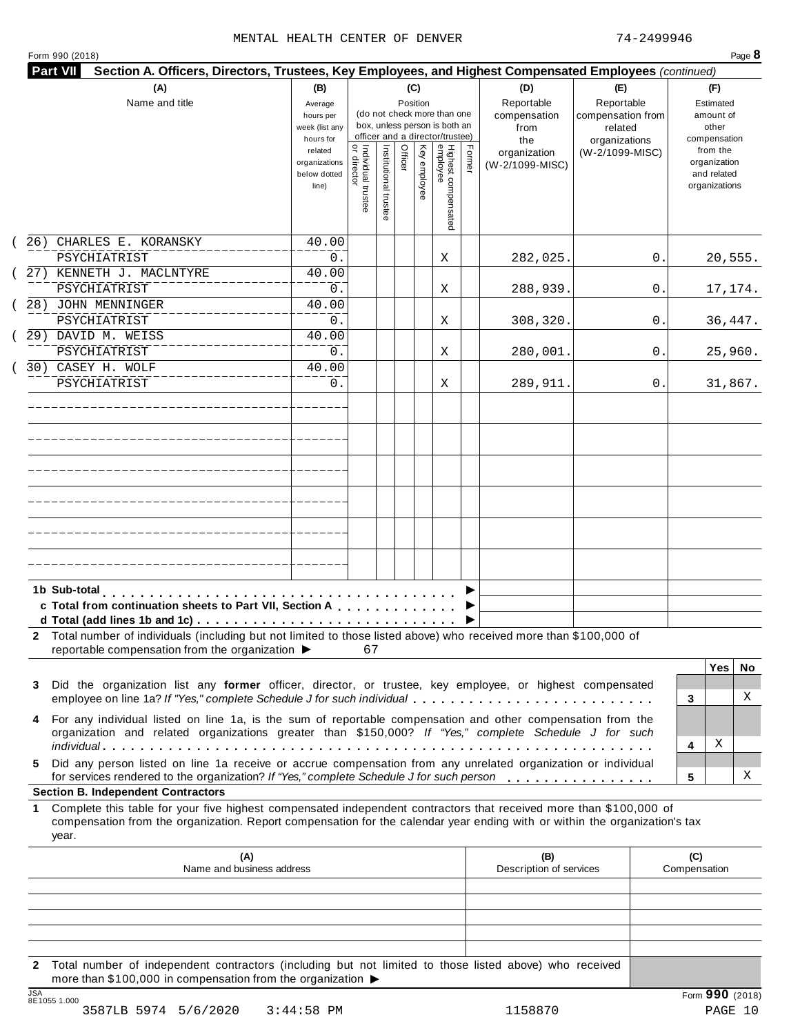| Form 990 (2018) |
|-----------------|
|-----------------|

|    |                                                                                                                                                                                                                                                           | related                                | Position<br>Average<br>(do not check more than one<br>hours per<br>box, unless person is both an<br>week (list any<br>officer and a director/trustee)<br>hours for |                       |         |              |                                 |        | compensation<br>from<br>the     | compensation from<br>related<br>organizations | amount of<br>other<br>compensation                       |
|----|-----------------------------------------------------------------------------------------------------------------------------------------------------------------------------------------------------------------------------------------------------------|----------------------------------------|--------------------------------------------------------------------------------------------------------------------------------------------------------------------|-----------------------|---------|--------------|---------------------------------|--------|---------------------------------|-----------------------------------------------|----------------------------------------------------------|
|    | CHARLES E. KORANSKY<br>26)                                                                                                                                                                                                                                | organizations<br>below dotted<br>line) | Individual trustee<br>  or director                                                                                                                                | Institutional trustee | Officer | Key employee | Highest compensated<br>employee | Former | organization<br>(W-2/1099-MISC) | (W-2/1099-MISC)                               | from the<br>organization<br>and related<br>organizations |
|    |                                                                                                                                                                                                                                                           | 40.00                                  |                                                                                                                                                                    |                       |         |              |                                 |        |                                 |                                               |                                                          |
|    | PSYCHIATRIST<br>27) KENNETH J. MACLNTYRE                                                                                                                                                                                                                  | 0.<br>40.00                            |                                                                                                                                                                    |                       |         |              | Χ                               |        | 282,025.                        | 0                                             | 20,555.                                                  |
|    | PSYCHIATRIST                                                                                                                                                                                                                                              | 0.                                     |                                                                                                                                                                    |                       |         |              | Χ                               |        | 288,939.                        | 0.                                            | 17,174.                                                  |
|    | 28) JOHN MENNINGER                                                                                                                                                                                                                                        | 40.00                                  |                                                                                                                                                                    |                       |         |              |                                 |        |                                 |                                               |                                                          |
|    | PSYCHIATRIST                                                                                                                                                                                                                                              | 0.                                     |                                                                                                                                                                    |                       |         |              | X                               |        | 308,320.                        | 0.                                            | 36,447.                                                  |
|    | 29) DAVID M. WEISS                                                                                                                                                                                                                                        | 40.00                                  |                                                                                                                                                                    |                       |         |              |                                 |        |                                 |                                               |                                                          |
|    | PSYCHIATRIST                                                                                                                                                                                                                                              | 0.                                     |                                                                                                                                                                    |                       |         |              | Χ                               |        | 280,001.                        | 0.                                            | 25,960.                                                  |
|    | 30) CASEY H. WOLF<br>PSYCHIATRIST                                                                                                                                                                                                                         | 40.00<br>0.                            |                                                                                                                                                                    |                       |         |              | Χ                               |        | 289,911.                        | 0.                                            | 31,867.                                                  |
|    |                                                                                                                                                                                                                                                           |                                        |                                                                                                                                                                    |                       |         |              |                                 |        |                                 |                                               |                                                          |
|    |                                                                                                                                                                                                                                                           |                                        |                                                                                                                                                                    |                       |         |              |                                 |        |                                 |                                               |                                                          |
|    |                                                                                                                                                                                                                                                           |                                        |                                                                                                                                                                    |                       |         |              |                                 |        |                                 |                                               |                                                          |
|    |                                                                                                                                                                                                                                                           |                                        |                                                                                                                                                                    |                       |         |              |                                 |        |                                 |                                               |                                                          |
|    |                                                                                                                                                                                                                                                           |                                        |                                                                                                                                                                    |                       |         |              |                                 |        |                                 |                                               |                                                          |
|    |                                                                                                                                                                                                                                                           |                                        |                                                                                                                                                                    |                       |         |              |                                 |        |                                 |                                               |                                                          |
|    | 1b Sub-total<br>c Total from continuation sheets to Part VII, Section A                                                                                                                                                                                   |                                        |                                                                                                                                                                    |                       |         |              |                                 |        |                                 |                                               |                                                          |
|    | 2 Total number of individuals (including but not limited to those listed above) who received more than \$100,000 of<br>reportable compensation from the organization ▶                                                                                    |                                        | 67                                                                                                                                                                 |                       |         |              |                                 |        |                                 |                                               |                                                          |
| 3  | Did the organization list any former officer, director, or trustee, key employee, or highest compensated                                                                                                                                                  |                                        |                                                                                                                                                                    |                       |         |              |                                 |        |                                 |                                               | <b>Yes</b><br>No.                                        |
|    | employee on line 1a? If "Yes," complete Schedule J for such individual                                                                                                                                                                                    |                                        |                                                                                                                                                                    |                       |         |              |                                 |        |                                 |                                               | X<br>3                                                   |
| 4  | For any individual listed on line 1a, is the sum of reportable compensation and other compensation from the<br>organization and related organizations greater than \$150,000? If "Yes," complete Schedule J for such                                      |                                        |                                                                                                                                                                    |                       |         |              |                                 |        |                                 |                                               | х<br>4                                                   |
| 5. | Did any person listed on line 1a receive or accrue compensation from any unrelated organization or individual<br>for services rendered to the organization? If "Yes," complete Schedule J for such person                                                 |                                        |                                                                                                                                                                    |                       |         |              |                                 |        |                                 |                                               | Χ<br>5                                                   |
|    | <b>Section B. Independent Contractors</b>                                                                                                                                                                                                                 |                                        |                                                                                                                                                                    |                       |         |              |                                 |        |                                 |                                               |                                                          |
| 1  | Complete this table for your five highest compensated independent contractors that received more than \$100,000 of<br>compensation from the organization. Report compensation for the calendar year ending with or within the organization's tax<br>year. |                                        |                                                                                                                                                                    |                       |         |              |                                 |        |                                 |                                               |                                                          |
|    | (A)<br>Name and business address                                                                                                                                                                                                                          |                                        |                                                                                                                                                                    |                       |         |              |                                 |        | (B)<br>Description of services  |                                               | (C)<br>Compensation                                      |
|    |                                                                                                                                                                                                                                                           |                                        |                                                                                                                                                                    |                       |         |              |                                 |        |                                 |                                               |                                                          |
|    |                                                                                                                                                                                                                                                           |                                        |                                                                                                                                                                    |                       |         |              |                                 |        |                                 |                                               |                                                          |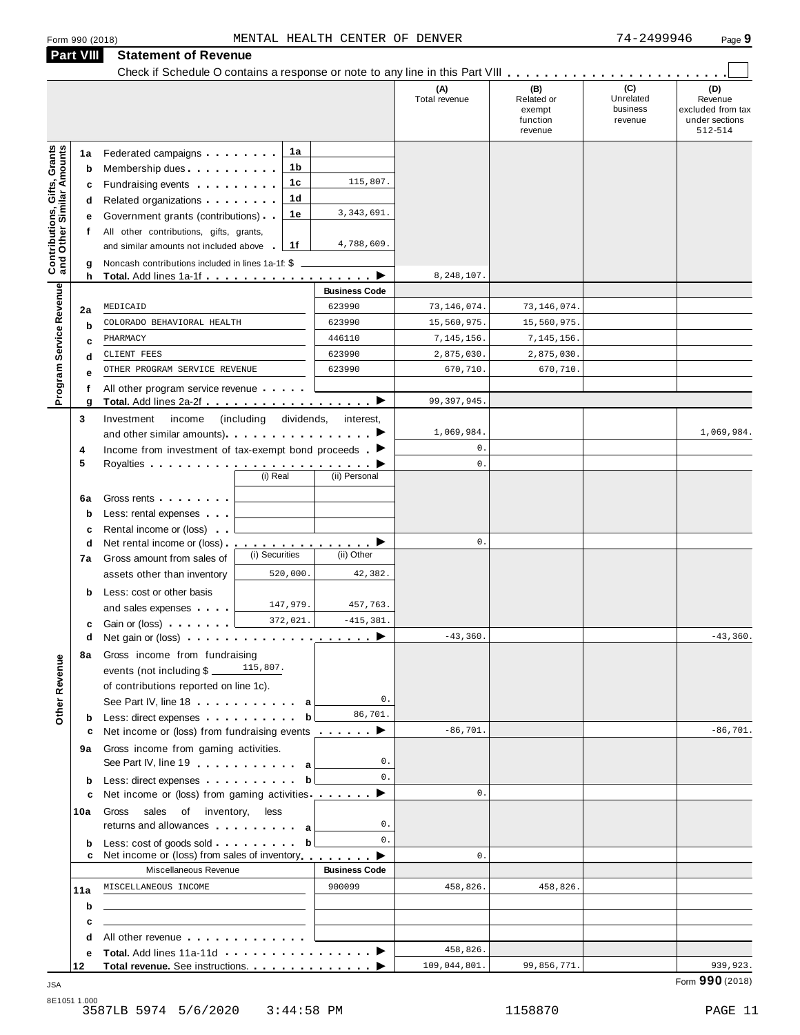| Part VIII                                                        |             | <b>Statement of Revenue</b>                                                                                                                                                                                                    |                           |                      |                          |                             |                              |                                     |
|------------------------------------------------------------------|-------------|--------------------------------------------------------------------------------------------------------------------------------------------------------------------------------------------------------------------------------|---------------------------|----------------------|--------------------------|-----------------------------|------------------------------|-------------------------------------|
|                                                                  |             | Check if Schedule O contains a response or note to any line in this Part VIII                                                                                                                                                  |                           |                      | (A)<br>Total revenue     | (B)<br>Related or<br>exempt | (C)<br>Unrelated<br>business | (D)<br>Revenue<br>excluded from tax |
|                                                                  |             |                                                                                                                                                                                                                                |                           |                      |                          | function<br>revenue         | revenue                      | under sections<br>512-514           |
|                                                                  | 1a          | Federated campaigns <b>Federated</b><br>Membership dues                                                                                                                                                                        | 1a<br>1 b                 |                      |                          |                             |                              |                                     |
|                                                                  | b<br>c<br>d | Fundraising events <b>Fundraising</b><br>Related organizations <b>contains</b> and <b>Related</b> organizations <b>and relations</b>                                                                                           | 1с<br>1d                  | 115,807.             |                          |                             |                              |                                     |
| <b>Contributions, Gifts, Grants</b><br>and Other Similar Amounts | е<br>f      | Government grants (contributions)<br>All other contributions, gifts, grants,                                                                                                                                                   | 1е                        | 3, 343, 691.         |                          |                             |                              |                                     |
|                                                                  | g           | and similar amounts not included above<br>Noncash contributions included in lines 1a-1f: \$                                                                                                                                    | 1f                        | 4,788,609.           |                          |                             |                              |                                     |
|                                                                  | h           | Total. Add lines 1a-1f (a) a matrix and a matrix of Delta Delta Delta Delta Delta Delta Delta Delta Delta Delt                                                                                                                 |                           |                      | 8,248,107.               |                             |                              |                                     |
|                                                                  |             |                                                                                                                                                                                                                                |                           | <b>Business Code</b> |                          |                             |                              |                                     |
|                                                                  | 2a          | MEDICAID                                                                                                                                                                                                                       |                           | 623990<br>623990     | 73,146,074.              | 73,146,074.                 |                              |                                     |
|                                                                  | b           | COLORADO BEHAVIORAL HEALTH<br>PHARMACY                                                                                                                                                                                         |                           |                      | 15,560,975<br>7,145,156. | 15,560,975.                 |                              |                                     |
| Program Service Revenue                                          | c           |                                                                                                                                                                                                                                |                           | 446110<br>623990     |                          | 7,145,156.                  |                              |                                     |
|                                                                  | d           | CLIENT FEES<br>OTHER PROGRAM SERVICE REVENUE                                                                                                                                                                                   |                           | 623990               | 2,875,030.<br>670,710    | 2,875,030.<br>670,710.      |                              |                                     |
|                                                                  | е<br>f      | All other program service revenue                                                                                                                                                                                              |                           |                      |                          |                             |                              |                                     |
|                                                                  | g           | Total. Add lines 2a-2f ▶                                                                                                                                                                                                       |                           |                      | 99,397,945               |                             |                              |                                     |
|                                                                  | 3           | income<br>Investment                                                                                                                                                                                                           | (including)<br>dividends, | interest,            | 1,069,984                |                             |                              | 1,069,984.                          |
|                                                                  |             | and other similar amounts).                                                                                                                                                                                                    |                           |                      | $\mathbf 0$ .            |                             |                              |                                     |
|                                                                  | 4<br>5      | Income from investment of tax-exempt bond proceeds $\blacksquare$                                                                                                                                                              |                           |                      | $\mathbf 0$ .            |                             |                              |                                     |
|                                                                  |             |                                                                                                                                                                                                                                | (i) Real                  | (ii) Personal        |                          |                             |                              |                                     |
|                                                                  |             |                                                                                                                                                                                                                                |                           |                      |                          |                             |                              |                                     |
|                                                                  | 6a          | Gross rents                                                                                                                                                                                                                    |                           |                      |                          |                             |                              |                                     |
|                                                                  | $\mathbf b$ | Less: rental expenses                                                                                                                                                                                                          |                           |                      |                          |                             |                              |                                     |
|                                                                  | c           | Rental income or (loss)                                                                                                                                                                                                        |                           |                      |                          |                             |                              |                                     |
|                                                                  | d           | Net rental income or (loss) $\cdots$ $\cdots$ $\cdots$ $\cdots$                                                                                                                                                                | (i) Securities            | (ii) Other           | $\mathbb O$ .            |                             |                              |                                     |
|                                                                  | 7a          | Gross amount from sales of                                                                                                                                                                                                     |                           |                      |                          |                             |                              |                                     |
|                                                                  |             | assets other than inventory                                                                                                                                                                                                    | 520,000.                  | 42,382.              |                          |                             |                              |                                     |
|                                                                  | b           | Less: cost or other basis                                                                                                                                                                                                      |                           |                      |                          |                             |                              |                                     |
|                                                                  |             | and sales expenses                                                                                                                                                                                                             | 147,979.                  | 457,763.             |                          |                             |                              |                                     |
|                                                                  | с           | Gain or (loss)                                                                                                                                                                                                                 | 372,021.                  | $-415, 381.$         |                          |                             |                              |                                     |
|                                                                  | d           | Net gain or (loss) example and the set of the set of the set of the set of the set of the set of the set of the set of the set of the set of the set of the set of the set of the set of the set of the set of the set of the  |                           |                      | $-43,360.$               |                             |                              | $-43,360.$                          |
|                                                                  | 8а          | Gross income from fundraising                                                                                                                                                                                                  |                           |                      |                          |                             |                              |                                     |
|                                                                  |             | events (not including \$                                                                                                                                                                                                       | 115,807.                  |                      |                          |                             |                              |                                     |
|                                                                  |             | of contributions reported on line 1c).                                                                                                                                                                                         |                           |                      |                          |                             |                              |                                     |
| Other Revenue                                                    |             |                                                                                                                                                                                                                                |                           | $0$ .                |                          |                             |                              |                                     |
|                                                                  | b           | Less: direct expenses b                                                                                                                                                                                                        |                           | 86,701.              |                          |                             |                              |                                     |
|                                                                  | c           | Net income or (loss) from fundraising events $\ldots$                                                                                                                                                                          |                           |                      | $-86,701.$               |                             |                              | $-86,701.$                          |
|                                                                  | 9а          | Gross income from gaming activities.                                                                                                                                                                                           |                           |                      |                          |                             |                              |                                     |
|                                                                  |             | See Part IV, line 19 and the set of the set of the set of the set of the set of the set of the set of the set of the set of the set of the set of the set of the set of the set of the set of the set of the set of the set of |                           | 0.                   |                          |                             |                              |                                     |
|                                                                  | b<br>с      | Less: direct expenses b<br>Net income or (loss) from gaming activities ________ ▶                                                                                                                                              |                           | $\mathbf{0}$ .       | $\mathbf{0}$ .           |                             |                              |                                     |
|                                                                  | 10a         | Gross sales of inventory, less                                                                                                                                                                                                 |                           |                      |                          |                             |                              |                                     |
|                                                                  | b           | returns and allowances entertainment as<br>Less: cost of goods sold entitled and the set of goods sold                                                                                                                         | b <sub>l</sub>            | 0.<br>0.             |                          |                             |                              |                                     |
|                                                                  |             | Net income or (loss) from sales of inventory                                                                                                                                                                                   |                           |                      | $\mathbf{0}$ .           |                             |                              |                                     |
|                                                                  |             | Miscellaneous Revenue                                                                                                                                                                                                          |                           | <b>Business Code</b> |                          |                             |                              |                                     |
|                                                                  | 11a         | MISCELLANEOUS INCOME                                                                                                                                                                                                           |                           | 900099               | 458,826.                 | 458,826.                    |                              |                                     |
|                                                                  | b           |                                                                                                                                                                                                                                |                           |                      |                          |                             |                              |                                     |
|                                                                  | с           |                                                                                                                                                                                                                                |                           |                      |                          |                             |                              |                                     |
|                                                                  | d           | All other revenue entitled and a series of the series of the series of the series of the series of the series                                                                                                                  |                           |                      |                          |                             |                              |                                     |
|                                                                  | е           |                                                                                                                                                                                                                                |                           |                      | 458,826.                 |                             |                              |                                     |
|                                                                  | 12          |                                                                                                                                                                                                                                |                           |                      | 109,044,801.             | 99,856,771.                 |                              | 939,923.                            |

 $\blacksquare$  JSA  $\blacksquare$   $\blacksquare$   $\blacksquare$   $\blacksquare$   $\blacksquare$   $\blacksquare$   $\blacksquare$   $\blacksquare$   $\blacksquare$   $\blacksquare$   $\blacksquare$   $\blacksquare$   $\blacksquare$   $\blacksquare$   $\blacksquare$   $\blacksquare$   $\blacksquare$   $\blacksquare$   $\blacksquare$   $\blacksquare$   $\blacksquare$   $\blacksquare$   $\blacksquare$   $\blacksquare$   $\blacksquare$   $\blacksquare$   $\blacksquare$   $\blacksquare$   $\blacksquare$   $\blacksquare$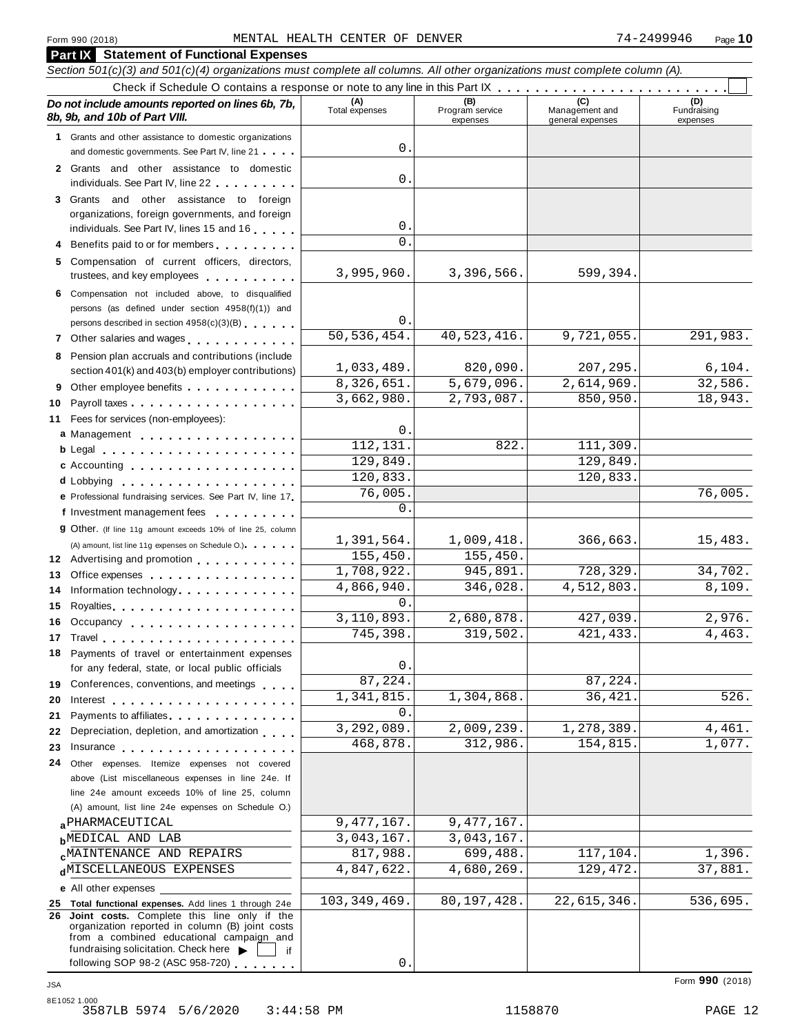|     | Section 501(c)(3) and 501(c)(4) organizations must complete all columns. All other organizations must complete column (A).                                                                                                           |                          |                                    |                                    |                                |
|-----|--------------------------------------------------------------------------------------------------------------------------------------------------------------------------------------------------------------------------------------|--------------------------|------------------------------------|------------------------------------|--------------------------------|
|     |                                                                                                                                                                                                                                      |                          |                                    |                                    |                                |
|     | Do not include amounts reported on lines 6b, 7b,<br>8b, 9b, and 10b of Part VIII.                                                                                                                                                    | (A)<br>Total expenses    | (B)<br>Program service<br>expenses | Management and<br>general expenses | (D)<br>Fundraising<br>expenses |
|     | 1 Grants and other assistance to domestic organizations                                                                                                                                                                              |                          |                                    |                                    |                                |
|     | and domestic governments. See Part IV, line 21                                                                                                                                                                                       | 0.                       |                                    |                                    |                                |
|     | 2 Grants and other assistance to domestic                                                                                                                                                                                            |                          |                                    |                                    |                                |
|     | individuals. See Part IV, line 22                                                                                                                                                                                                    | 0.                       |                                    |                                    |                                |
|     | 3 Grants and other assistance to foreign                                                                                                                                                                                             |                          |                                    |                                    |                                |
|     | organizations, foreign governments, and foreign                                                                                                                                                                                      |                          |                                    |                                    |                                |
|     | individuals. See Part IV, lines 15 and 16                                                                                                                                                                                            | 0.                       |                                    |                                    |                                |
|     | Benefits paid to or for members                                                                                                                                                                                                      | $\Omega$                 |                                    |                                    |                                |
|     | 5 Compensation of current officers, directors,                                                                                                                                                                                       |                          |                                    |                                    |                                |
|     | trustees, and key employees                                                                                                                                                                                                          | 3,995,960.               | 3,396,566.                         | 599,394.                           |                                |
| 6   | Compensation not included above, to disqualified                                                                                                                                                                                     |                          |                                    |                                    |                                |
|     | persons (as defined under section 4958(f)(1)) and                                                                                                                                                                                    |                          |                                    |                                    |                                |
|     | persons described in section 4958(c)(3)(B)                                                                                                                                                                                           | 0.                       |                                    |                                    |                                |
|     | 7 Other salaries and wages <b>container and all the sales of the sales of the sales of the sales of the sales of the sales of the sales of the sales of the sales of the sales of the sales of the sales of the sales of the sal</b> | 50, 536, 454.            | 40,523,416.                        | 9,721,055.                         | 291,983.                       |
|     | 8 Pension plan accruals and contributions (include                                                                                                                                                                                   |                          |                                    |                                    |                                |
|     | section 401(k) and 403(b) employer contributions)                                                                                                                                                                                    | 1,033,489.<br>8,326,651. | 820,090.<br>5,679,096.             | 207,295.<br>2,614,969.             | 6,104.<br>32,586.              |
| 9   | Other employee benefits enter the state of the state of the state of the state of the state of the state of the state of the state of the state of the state of the state of the state of the state of the state of the state        | 3,662,980.               | 2,793,087.                         | 850,950.                           | 18,943.                        |
| 10  |                                                                                                                                                                                                                                      |                          |                                    |                                    |                                |
| 11  | Fees for services (non-employees):                                                                                                                                                                                                   | 0.                       |                                    |                                    |                                |
|     | a Management                                                                                                                                                                                                                         | 112, 131.                | $\overline{822}$ .                 | 111,309.                           |                                |
|     | $b$ Legal $\ldots$ , $\ldots$ , $\ldots$ , $\ldots$ , $\ldots$ , $\ldots$ , $\ldots$                                                                                                                                                 | 129,849.                 |                                    | 129,849.                           |                                |
|     | c Accounting                                                                                                                                                                                                                         | 120,833.                 |                                    | 120,833.                           |                                |
|     |                                                                                                                                                                                                                                      | 76,005.                  |                                    |                                    | 76,005.                        |
|     | e Professional fundraising services. See Part IV, line 17                                                                                                                                                                            | $\Omega$ .               |                                    |                                    |                                |
|     | f Investment management fees                                                                                                                                                                                                         |                          |                                    |                                    |                                |
|     | 9 Other. (If line 11g amount exceeds 10% of line 25, column                                                                                                                                                                          | 1,391,564.               | 1,009,418.                         | 366,663.                           | 15,483.                        |
|     | (A) amount, list line 11g expenses on Schedule O.) expenses<br>12 Advertising and promotion                                                                                                                                          | 155,450.                 | 155,450.                           |                                    |                                |
| 13  | Office expenses                                                                                                                                                                                                                      | 1,708,922.               | 945,891.                           | 728,329.                           | 34,702.                        |
| 14  | Information technology experience and the state of the state of the state of the state of the state of the state of the state of the state of the state of the state of the state of the state of the state of the state of th       | 4,866,940.               | 346,028.                           | 4,512,803.                         | 8,109.                         |
| 15  |                                                                                                                                                                                                                                      | $\Omega$ .               |                                    |                                    |                                |
| 16  | Occupancy                                                                                                                                                                                                                            | 3,110,893.               | 2,680,878.                         | 427,039.                           | 2,976.                         |
|     |                                                                                                                                                                                                                                      | 745,398.                 | 319,502.                           | 421, 433.                          | 4,463.                         |
|     | <b>18</b> Payments of travel or entertainment expenses                                                                                                                                                                               |                          |                                    |                                    |                                |
|     | for any federal, state, or local public officials                                                                                                                                                                                    | $0$ .                    |                                    |                                    |                                |
|     | 19 Conferences, conventions, and meetings                                                                                                                                                                                            | 87,224.                  |                                    | 87,224.                            |                                |
| 20  | Interest the contract of the contract of the contract of the contract of the contract of the contract of the contract of the contract of the contract of the contract of the contract of the contract of the contract of the c       | 1,341,815                | 1,304,868.                         | 36,421                             | 526.                           |
| 21  | Payments to affiliates experience and the set of the set of the set of the set of the set of the set of the set of the set of the set of the set of the set of the set of the set of the set of the set of the set of the set        | 0.                       |                                    |                                    |                                |
| 22  | Depreciation, depletion, and amortization                                                                                                                                                                                            | 3,292,089.               | 2,009,239.                         | 1,278,389.                         | 4,461.                         |
| 23  | Insurance experience and the set of the set of the set of the set of the set of the set of the set of the set o                                                                                                                      | 468,878.                 | 312,986.                           | 154,815.                           | 1,077.                         |
| 24. | Other expenses. Itemize expenses not covered                                                                                                                                                                                         |                          |                                    |                                    |                                |
|     | above (List miscellaneous expenses in line 24e. If                                                                                                                                                                                   |                          |                                    |                                    |                                |
|     | line 24e amount exceeds 10% of line 25, column                                                                                                                                                                                       |                          |                                    |                                    |                                |
|     | (A) amount, list line 24e expenses on Schedule O.)                                                                                                                                                                                   |                          |                                    |                                    |                                |
|     | <b>a</b> PHARMACEUTICAL                                                                                                                                                                                                              | 9, 477, 167.             | 9, 477, 167.                       |                                    |                                |
|     | <b>b</b> MEDICAL AND LAB                                                                                                                                                                                                             | 3,043,167.               | 3,043,167.                         |                                    |                                |
|     | MAINTENANCE AND REPAIRS                                                                                                                                                                                                              | 817,988.                 | 699,488.                           | 117,104.                           | 1,396.                         |
|     | dMISCELLANEOUS EXPENSES                                                                                                                                                                                                              | 4,847,622.               | 4,680,269.                         | 129, 472.                          | 37,881.                        |
|     | <b>e</b> All other expenses                                                                                                                                                                                                          |                          |                                    |                                    |                                |
|     | 25 Total functional expenses. Add lines 1 through 24e                                                                                                                                                                                | 103, 349, 469.           | 80, 197, 428.                      | 22,615,346.                        | 536,695.                       |
| 26  | Joint costs. Complete this line only if the<br>organization reported in column (B) joint costs<br>from a combined educational campaign and                                                                                           |                          |                                    |                                    |                                |
|     | fundraising solicitation. Check here<br>if                                                                                                                                                                                           |                          |                                    |                                    |                                |
|     | following SOP 98-2 (ASC 958-720)                                                                                                                                                                                                     | 0.                       |                                    |                                    |                                |

Form **990** (2018) JSA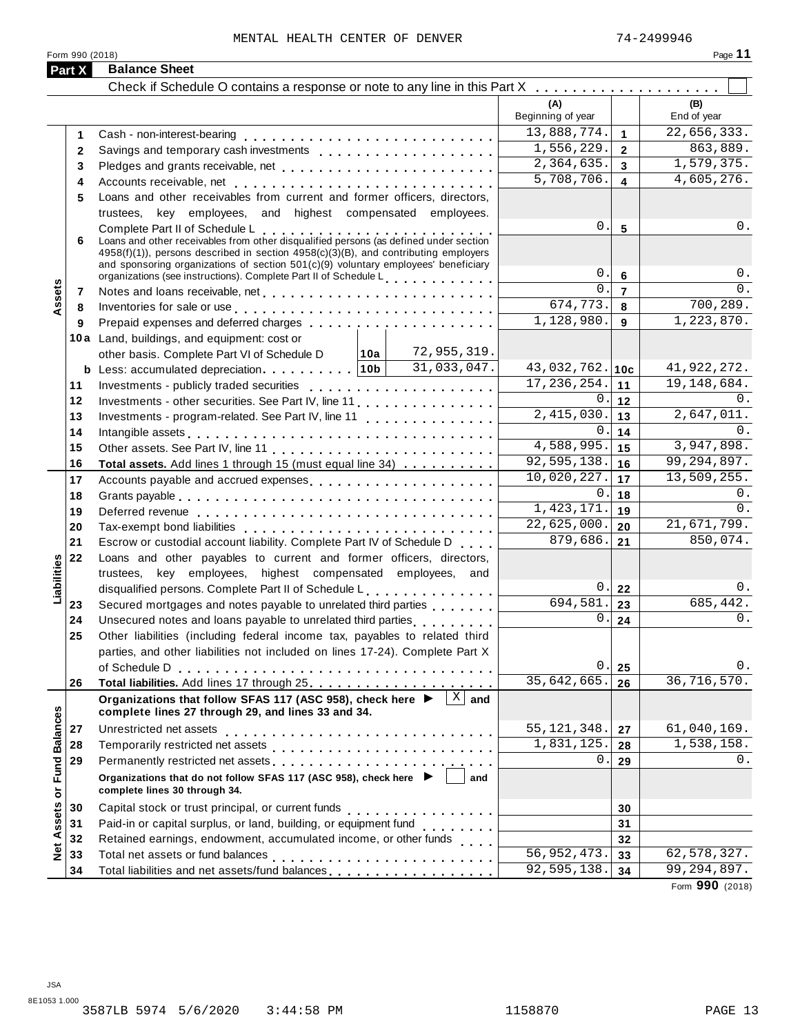Form <sup>990</sup> (2018) Page **11**

|                             | Part X       | <b>Balance Sheet</b>                                                                                                                                                                                                           |                           |                         |                    |
|-----------------------------|--------------|--------------------------------------------------------------------------------------------------------------------------------------------------------------------------------------------------------------------------------|---------------------------|-------------------------|--------------------|
|                             |              | Check if Schedule O contains a response or note to any line in this Part X                                                                                                                                                     |                           |                         |                    |
|                             |              |                                                                                                                                                                                                                                | (A)<br>Beginning of year  |                         | (B)<br>End of year |
|                             | 1.           |                                                                                                                                                                                                                                | 13,888,774.               | $\mathbf{1}$            | 22,656,333.        |
|                             | $\mathbf{2}$ | Savings and temporary cash investments                                                                                                                                                                                         | 1,556,229.                | $\overline{2}$          | 863,889.           |
|                             | 3            | Pledges and grants receivable, net                                                                                                                                                                                             | 2,364,635.                | $\mathbf{3}$            | 1,579,375.         |
|                             | 4            |                                                                                                                                                                                                                                | 5,708,706.                | $\overline{\mathbf{4}}$ | 4,605,276.         |
|                             | 5            | Loans and other receivables from current and former officers, directors,                                                                                                                                                       |                           |                         |                    |
|                             |              | trustees, key employees, and highest compensated employees.                                                                                                                                                                    |                           |                         |                    |
|                             | 6            | Complete Part II of Schedule L<br>Loans and other receivables from other disqualified persons (as defined under section<br>4958(f)(1)), persons described in section 4958(c)(3)(B), and contributing employers                 | $0$ .                     | $5\phantom{.0}$         | 0.                 |
|                             |              | and sponsoring organizations of section $501(c)(9)$ voluntary employees' beneficiary<br>organizations (see instructions). Complete Part II of Schedule L.                                                                      | 0.                        | 6                       | $0$ .              |
|                             | 7            |                                                                                                                                                                                                                                | $0$ .                     | $\overline{7}$          | 0.                 |
| Assets                      | 8            | Inventories for sale or use enterprise and and all the set of the set of the set of the set of the set of the set of the set of the set of the set of the set of the set of the set of the set of the set of the set of the se | 674,773.                  | 8                       | 700,289.           |
|                             | 9            |                                                                                                                                                                                                                                | 1,128,980.                | 9                       | 1,223,870.         |
|                             |              | 10a Land, buildings, and equipment: cost or                                                                                                                                                                                    |                           |                         |                    |
|                             |              | 72,955,319.<br>∣10a<br>other basis. Complete Part VI of Schedule D                                                                                                                                                             |                           |                         |                    |
|                             |              | 31,033,047.                                                                                                                                                                                                                    | 43,032,762.               | 10c                     | 41,922,272.        |
|                             | 11           | Investments - publicly traded securities                                                                                                                                                                                       | 17, 236, 254.             | 11                      | 19, 148, 684.      |
|                             | 12           | Investments - other securities. See Part IV, line 11                                                                                                                                                                           | 0.                        | 12                      | 0.                 |
|                             | 13           |                                                                                                                                                                                                                                | $\overline{2,415}$ , 030. | 13                      | 2,647,011.         |
|                             | 14           |                                                                                                                                                                                                                                | 0.                        | 14                      | 0.                 |
|                             | 15           |                                                                                                                                                                                                                                | 4,588,995.                | 15                      | 3,947,898.         |
|                             | 16           | Total assets. Add lines 1 through 15 (must equal line 34)                                                                                                                                                                      | $\overline{92,595,138}$ . | 16                      | 99, 294, 897.      |
|                             | 17           | Accounts payable and accrued expenses                                                                                                                                                                                          | 10,020,227.               | 17                      | 13,509,255.        |
|                             | 18           |                                                                                                                                                                                                                                | 0                         | 18                      | 0.                 |
|                             | 19           |                                                                                                                                                                                                                                | 1, 423, 171.              | 19                      | 0.                 |
|                             | 20           |                                                                                                                                                                                                                                | 22,625,000.               | 20                      | 21,671,799.        |
|                             | 21           | Escrow or custodial account liability. Complete Part IV of Schedule D                                                                                                                                                          | 879,686.                  | 21                      | 850,074.           |
|                             | 22           | Loans and other payables to current and former officers, directors,                                                                                                                                                            |                           |                         |                    |
| Liabilities                 |              | trustees, key employees, highest compensated employees, and                                                                                                                                                                    |                           |                         |                    |
|                             |              | disqualified persons. Complete Part II of Schedule L.                                                                                                                                                                          | 0.1                       | 22                      | 0.                 |
|                             | 23           | Secured mortgages and notes payable to unrelated third parties                                                                                                                                                                 | 694,581.                  | 23                      | 685,442.           |
|                             | 24           | Unsecured notes and loans payable to unrelated third parties <b>State 10</b> and 1.                                                                                                                                            | $0$ .                     | 24                      | 0.                 |
|                             | 25           | Other liabilities (including federal income tax, payables to related third                                                                                                                                                     |                           |                         |                    |
|                             |              | parties, and other liabilities not included on lines 17-24). Complete Part X                                                                                                                                                   | 0.                        |                         | 0.                 |
|                             |              |                                                                                                                                                                                                                                | 35,642,665.               | 25<br>26                | 36,716,570.        |
|                             | 26           | X <br>and                                                                                                                                                                                                                      |                           |                         |                    |
|                             |              | Organizations that follow SFAS 117 (ASC 958), check here ▶<br>complete lines 27 through 29, and lines 33 and 34.                                                                                                               |                           |                         |                    |
|                             | 27           | Unrestricted net assets                                                                                                                                                                                                        | 55, 121, 348.             | 27                      | 61,040,169.        |
|                             | 28           |                                                                                                                                                                                                                                | 1,831,125.                | 28                      | 1,538,158.         |
|                             | 29           | Permanently restricted net assets entertainment resumes and research and research and response to the results                                                                                                                  | 0.                        | 29                      | $0$ .              |
| Net Assets or Fund Balances |              | Organizations that do not follow SFAS 117 (ASC 958), check here ▶ │<br>and<br>complete lines 30 through 34.                                                                                                                    |                           |                         |                    |
|                             | 30           |                                                                                                                                                                                                                                |                           | 30                      |                    |
|                             | 31           |                                                                                                                                                                                                                                |                           | 31                      |                    |
|                             | 32           | Retained earnings, endowment, accumulated income, or other funds                                                                                                                                                               |                           | 32                      |                    |
|                             | 33           |                                                                                                                                                                                                                                | $\overline{56,952,473}$ . | 33                      | 62,578,327.        |
|                             | 34           |                                                                                                                                                                                                                                | 92,595,138.               | 34                      | 99, 294, 897.      |
|                             |              |                                                                                                                                                                                                                                |                           |                         |                    |

Form **990** (2018)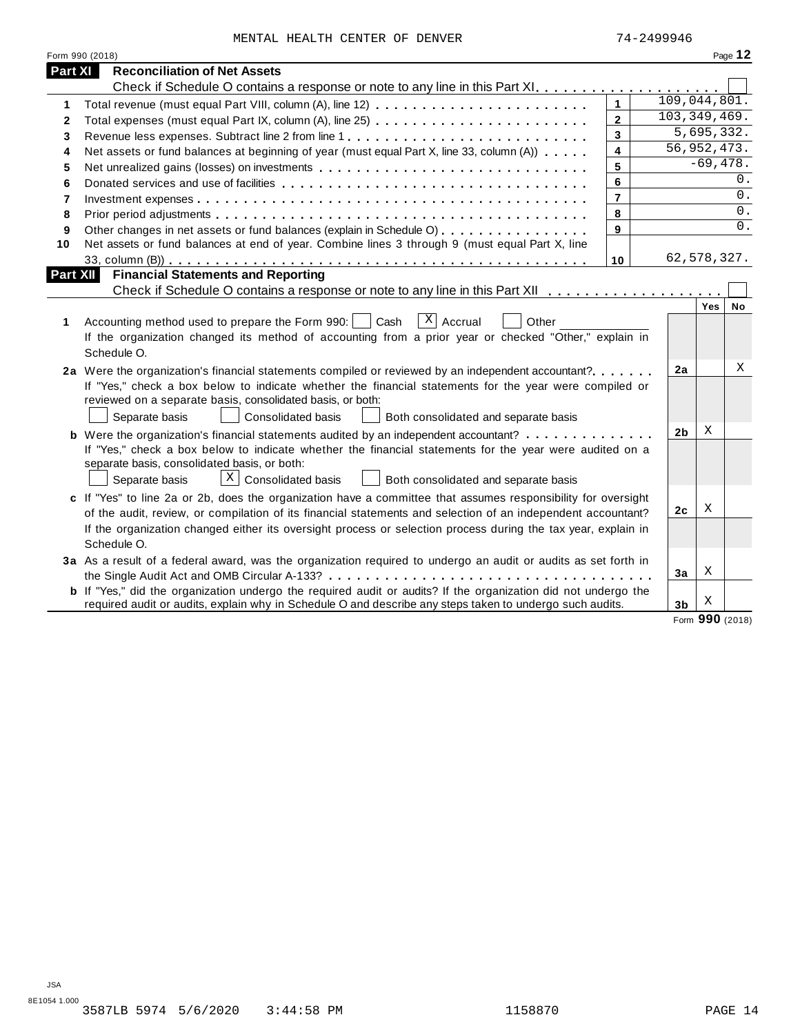|  | MENTAL HEALTH CENTER OF DENVER |  |  |  |
|--|--------------------------------|--|--|--|
|--|--------------------------------|--|--|--|

|          | Form 990 (2018)                                                                                                                                                                                                                                                                                                                                            |                         |                |                  | Page 12 |
|----------|------------------------------------------------------------------------------------------------------------------------------------------------------------------------------------------------------------------------------------------------------------------------------------------------------------------------------------------------------------|-------------------------|----------------|------------------|---------|
| Part XI  | <b>Reconciliation of Net Assets</b>                                                                                                                                                                                                                                                                                                                        |                         |                |                  |         |
|          |                                                                                                                                                                                                                                                                                                                                                            |                         |                |                  |         |
| 1        |                                                                                                                                                                                                                                                                                                                                                            | $\mathbf{1}$            | 109,044,801.   |                  |         |
| 2        | Total expenses (must equal Part IX, column (A), line 25)                                                                                                                                                                                                                                                                                                   | $\overline{2}$          | 103, 349, 469. |                  |         |
| 3        | Revenue less expenses. Subtract line 2 from line 1                                                                                                                                                                                                                                                                                                         | 3                       |                | 5,695,332.       |         |
| 4        | Net assets or fund balances at beginning of year (must equal Part X, line 33, column (A))                                                                                                                                                                                                                                                                  | $\overline{\mathbf{4}}$ | 56,952,473.    |                  |         |
| 5        |                                                                                                                                                                                                                                                                                                                                                            | 5                       |                | $-69,478.$       |         |
| 6        |                                                                                                                                                                                                                                                                                                                                                            | 6                       |                |                  | 0.      |
| 7        |                                                                                                                                                                                                                                                                                                                                                            | $\overline{7}$          |                |                  | 0.      |
| 8        |                                                                                                                                                                                                                                                                                                                                                            | 8                       |                |                  | 0.      |
| 9        | Other changes in net assets or fund balances (explain in Schedule O)                                                                                                                                                                                                                                                                                       | 9                       |                |                  | $0$ .   |
| 10       | Net assets or fund balances at end of year. Combine lines 3 through 9 (must equal Part X, line                                                                                                                                                                                                                                                             |                         |                |                  |         |
|          |                                                                                                                                                                                                                                                                                                                                                            | 10                      | 62,578,327.    |                  |         |
| Part XII | <b>Financial Statements and Reporting</b>                                                                                                                                                                                                                                                                                                                  |                         |                |                  |         |
|          |                                                                                                                                                                                                                                                                                                                                                            |                         |                |                  |         |
| 1        | $X$ Accrual<br>Accounting method used to prepare the Form 990:<br>Cash<br>Other<br>If the organization changed its method of accounting from a prior year or checked "Other," explain in<br>Schedule O.                                                                                                                                                    |                         |                | Yes <sub>1</sub> | No      |
|          | 2a Were the organization's financial statements compiled or reviewed by an independent accountant?<br>If "Yes," check a box below to indicate whether the financial statements for the year were compiled or<br>reviewed on a separate basis, consolidated basis, or both:<br>Separate basis<br>Consolidated basis<br>Both consolidated and separate basis |                         | 2a             |                  | Χ       |
|          | <b>b</b> Were the organization's financial statements audited by an independent accountant?                                                                                                                                                                                                                                                                |                         | 2 <sub>b</sub> | X                |         |
|          | If "Yes," check a box below to indicate whether the financial statements for the year were audited on a<br>separate basis, consolidated basis, or both:<br>$X \bigcup$ Consolidated basis<br>Separate basis<br>Both consolidated and separate basis                                                                                                        |                         |                |                  |         |
|          | c If "Yes" to line 2a or 2b, does the organization have a committee that assumes responsibility for oversight                                                                                                                                                                                                                                              |                         |                |                  |         |
|          | of the audit, review, or compilation of its financial statements and selection of an independent accountant?                                                                                                                                                                                                                                               |                         | 2c             | X                |         |
|          | If the organization changed either its oversight process or selection process during the tax year, explain in<br>Schedule O.                                                                                                                                                                                                                               |                         |                |                  |         |
|          | 3a As a result of a federal award, was the organization required to undergo an audit or audits as set forth in                                                                                                                                                                                                                                             |                         |                |                  |         |
|          |                                                                                                                                                                                                                                                                                                                                                            |                         | 3a             | X                |         |
|          | <b>b</b> If "Yes," did the organization undergo the required audit or audits? If the organization did not undergo the<br>required audit or audits, explain why in Schedule O and describe any steps taken to undergo such audits.                                                                                                                          |                         | 3 <sub>b</sub> | х                |         |

Form **990** (2018)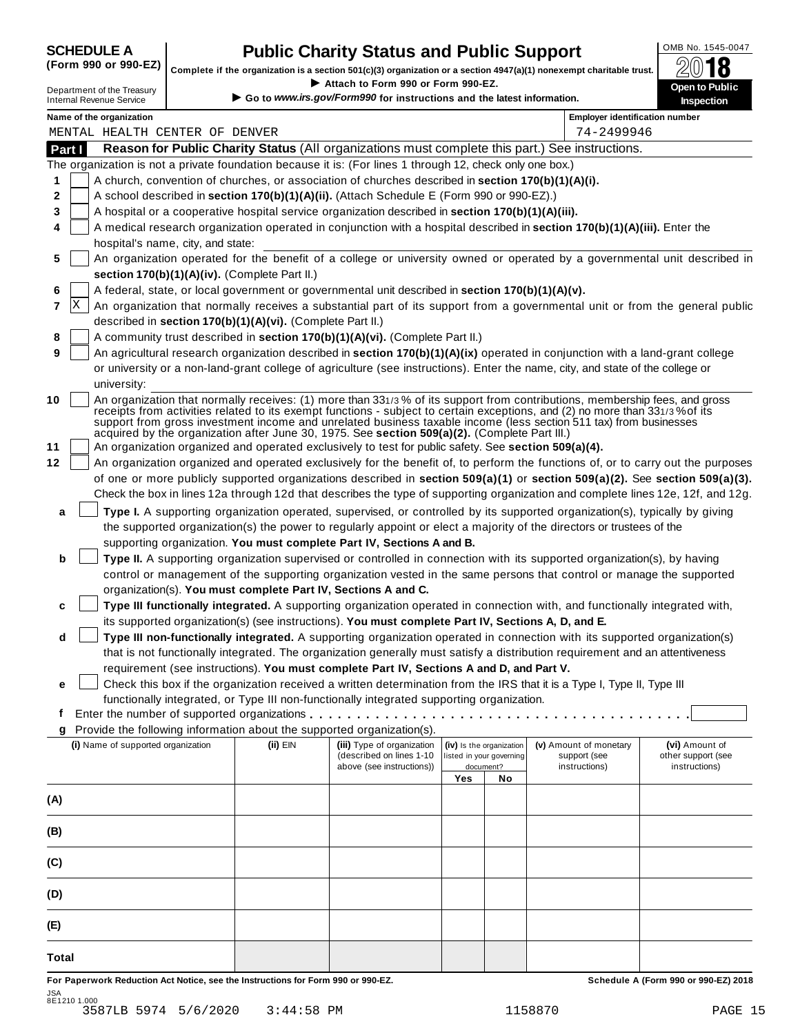### **SCHEDULE A Public Charity Status and Public Support**  $\frac{\text{OMB No. 1545-0047}}{\text{OMB}}$

(Form 990 or 990-EZ) complete if the organization is a section 501(c)(3) organization or a section 4947(a)(1) nonexempt charitable trust.  $2018$ 

|                                                               |                                   |                                                            | Complete if the organization is a section 501(c)(3) organization or a section 4947(a)(1) nonexempt charitable trust.                                                                                  |     |                                                      |                                                                                                                                  | 4V<br>10                             |
|---------------------------------------------------------------|-----------------------------------|------------------------------------------------------------|-------------------------------------------------------------------------------------------------------------------------------------------------------------------------------------------------------|-----|------------------------------------------------------|----------------------------------------------------------------------------------------------------------------------------------|--------------------------------------|
| Department of the Treasury<br><b>Internal Revenue Service</b> |                                   |                                                            | Attach to Form 990 or Form 990-EZ.<br>Go to www.irs.gov/Form990 for instructions and the latest information.                                                                                          |     |                                                      |                                                                                                                                  | Open to Public<br><b>Inspection</b>  |
| Name of the organization                                      |                                   |                                                            |                                                                                                                                                                                                       |     |                                                      | <b>Employer identification number</b>                                                                                            |                                      |
| MENTAL HEALTH CENTER OF DENVER                                |                                   |                                                            |                                                                                                                                                                                                       |     |                                                      | 74-2499946                                                                                                                       |                                      |
| Part I                                                        |                                   |                                                            |                                                                                                                                                                                                       |     |                                                      | Reason for Public Charity Status (All organizations must complete this part.) See instructions.                                  |                                      |
|                                                               |                                   |                                                            | The organization is not a private foundation because it is: (For lines 1 through 12, check only one box.)                                                                                             |     |                                                      |                                                                                                                                  |                                      |
| 1                                                             |                                   |                                                            | A church, convention of churches, or association of churches described in section 170(b)(1)(A)(i).                                                                                                    |     |                                                      |                                                                                                                                  |                                      |
| 2                                                             |                                   |                                                            | A school described in section 170(b)(1)(A)(ii). (Attach Schedule E (Form 990 or 990-EZ).)                                                                                                             |     |                                                      |                                                                                                                                  |                                      |
| 3                                                             |                                   |                                                            | A hospital or a cooperative hospital service organization described in section 170(b)(1)(A)(iii).                                                                                                     |     |                                                      |                                                                                                                                  |                                      |
| 4                                                             | hospital's name, city, and state: |                                                            |                                                                                                                                                                                                       |     |                                                      | A medical research organization operated in conjunction with a hospital described in section 170(b)(1)(A)(iii). Enter the        |                                      |
| 5                                                             |                                   |                                                            |                                                                                                                                                                                                       |     |                                                      | An organization operated for the benefit of a college or university owned or operated by a governmental unit described in        |                                      |
|                                                               |                                   | section 170(b)(1)(A)(iv). (Complete Part II.)              |                                                                                                                                                                                                       |     |                                                      |                                                                                                                                  |                                      |
| 6                                                             |                                   |                                                            | A federal, state, or local government or governmental unit described in section 170(b)(1)(A)(v).                                                                                                      |     |                                                      |                                                                                                                                  |                                      |
| X<br>7                                                        |                                   |                                                            |                                                                                                                                                                                                       |     |                                                      | An organization that normally receives a substantial part of its support from a governmental unit or from the general public     |                                      |
|                                                               |                                   | described in section 170(b)(1)(A)(vi). (Complete Part II.) |                                                                                                                                                                                                       |     |                                                      |                                                                                                                                  |                                      |
| 8                                                             |                                   |                                                            | A community trust described in section 170(b)(1)(A)(vi). (Complete Part II.)                                                                                                                          |     |                                                      |                                                                                                                                  |                                      |
| 9                                                             |                                   |                                                            |                                                                                                                                                                                                       |     |                                                      | An agricultural research organization described in section 170(b)(1)(A)(ix) operated in conjunction with a land-grant college    |                                      |
|                                                               |                                   |                                                            |                                                                                                                                                                                                       |     |                                                      | or university or a non-land-grant college of agriculture (see instructions). Enter the name, city, and state of the college or   |                                      |
| university:                                                   |                                   |                                                            |                                                                                                                                                                                                       |     |                                                      |                                                                                                                                  |                                      |
| 10                                                            |                                   |                                                            |                                                                                                                                                                                                       |     |                                                      | An organization that normally receives: (1) more than 331/3% of its support from contributions, membership fees, and gross       |                                      |
|                                                               |                                   |                                                            |                                                                                                                                                                                                       |     |                                                      | receipts from activities related to its exempt functions - subject to certain exceptions, and (2) no more than 331/3% of its     |                                      |
|                                                               |                                   |                                                            |                                                                                                                                                                                                       |     |                                                      | support from gross investment income and unrelated business taxable income (less section 511 tax) from businesses                |                                      |
| 11                                                            |                                   |                                                            | acquired by the organization after June 30, 1975. See section 509(a)(2). (Complete Part III.)<br>An organization organized and operated exclusively to test for public safety. See section 509(a)(4). |     |                                                      |                                                                                                                                  |                                      |
| 12                                                            |                                   |                                                            |                                                                                                                                                                                                       |     |                                                      | An organization organized and operated exclusively for the benefit of, to perform the functions of, or to carry out the purposes |                                      |
|                                                               |                                   |                                                            |                                                                                                                                                                                                       |     |                                                      | of one or more publicly supported organizations described in section 509(a)(1) or section 509(a)(2). See section 509(a)(3).      |                                      |
|                                                               |                                   |                                                            |                                                                                                                                                                                                       |     |                                                      |                                                                                                                                  |                                      |
|                                                               |                                   |                                                            |                                                                                                                                                                                                       |     |                                                      | Check the box in lines 12a through 12d that describes the type of supporting organization and complete lines 12e, 12f, and 12g.  |                                      |
| a                                                             |                                   |                                                            |                                                                                                                                                                                                       |     |                                                      | Type I. A supporting organization operated, supervised, or controlled by its supported organization(s), typically by giving      |                                      |
|                                                               |                                   |                                                            |                                                                                                                                                                                                       |     |                                                      | the supported organization(s) the power to regularly appoint or elect a majority of the directors or trustees of the             |                                      |
|                                                               |                                   |                                                            | supporting organization. You must complete Part IV, Sections A and B.                                                                                                                                 |     |                                                      |                                                                                                                                  |                                      |
| b                                                             |                                   |                                                            |                                                                                                                                                                                                       |     |                                                      | Type II. A supporting organization supervised or controlled in connection with its supported organization(s), by having          |                                      |
|                                                               |                                   |                                                            |                                                                                                                                                                                                       |     |                                                      | control or management of the supporting organization vested in the same persons that control or manage the supported             |                                      |
|                                                               |                                   |                                                            | organization(s). You must complete Part IV, Sections A and C.                                                                                                                                         |     |                                                      |                                                                                                                                  |                                      |
| c                                                             |                                   |                                                            |                                                                                                                                                                                                       |     |                                                      | Type III functionally integrated. A supporting organization operated in connection with, and functionally integrated with,       |                                      |
|                                                               |                                   |                                                            | its supported organization(s) (see instructions). You must complete Part IV, Sections A, D, and E.                                                                                                    |     |                                                      |                                                                                                                                  |                                      |
| d                                                             |                                   |                                                            |                                                                                                                                                                                                       |     |                                                      | Type III non-functionally integrated. A supporting organization operated in connection with its supported organization(s)        |                                      |
|                                                               |                                   |                                                            |                                                                                                                                                                                                       |     |                                                      | that is not functionally integrated. The organization generally must satisfy a distribution requirement and an attentiveness     |                                      |
|                                                               |                                   |                                                            | requirement (see instructions). You must complete Part IV, Sections A and D, and Part V.                                                                                                              |     |                                                      |                                                                                                                                  |                                      |
| е                                                             |                                   |                                                            |                                                                                                                                                                                                       |     |                                                      | Check this box if the organization received a written determination from the IRS that it is a Type I, Type II, Type III          |                                      |
|                                                               |                                   |                                                            | functionally integrated, or Type III non-functionally integrated supporting organization.                                                                                                             |     |                                                      |                                                                                                                                  |                                      |
| f                                                             |                                   |                                                            |                                                                                                                                                                                                       |     |                                                      |                                                                                                                                  |                                      |
| g                                                             |                                   |                                                            | Provide the following information about the supported organization(s).                                                                                                                                |     |                                                      |                                                                                                                                  |                                      |
| (i) Name of supported organization                            |                                   | (ii) EIN                                                   | (iii) Type of organization<br>(described on lines 1-10                                                                                                                                                |     | (iv) Is the organization<br>listed in your governing | (v) Amount of monetary<br>support (see                                                                                           | (vi) Amount of<br>other support (see |
|                                                               |                                   |                                                            | above (see instructions))                                                                                                                                                                             |     | document?                                            | instructions)                                                                                                                    | instructions)                        |
|                                                               |                                   |                                                            |                                                                                                                                                                                                       | Yes | No                                                   |                                                                                                                                  |                                      |
| (A)                                                           |                                   |                                                            |                                                                                                                                                                                                       |     |                                                      |                                                                                                                                  |                                      |
|                                                               |                                   |                                                            |                                                                                                                                                                                                       |     |                                                      |                                                                                                                                  |                                      |
| (B)                                                           |                                   |                                                            |                                                                                                                                                                                                       |     |                                                      |                                                                                                                                  |                                      |
|                                                               |                                   |                                                            |                                                                                                                                                                                                       |     |                                                      |                                                                                                                                  |                                      |
| (C)                                                           |                                   |                                                            |                                                                                                                                                                                                       |     |                                                      |                                                                                                                                  |                                      |
|                                                               |                                   |                                                            |                                                                                                                                                                                                       |     |                                                      |                                                                                                                                  |                                      |
| (D)                                                           |                                   |                                                            |                                                                                                                                                                                                       |     |                                                      |                                                                                                                                  |                                      |
|                                                               |                                   |                                                            |                                                                                                                                                                                                       |     |                                                      |                                                                                                                                  |                                      |
| (E)                                                           |                                   |                                                            |                                                                                                                                                                                                       |     |                                                      |                                                                                                                                  |                                      |
|                                                               |                                   |                                                            |                                                                                                                                                                                                       |     |                                                      |                                                                                                                                  |                                      |
| <b>Total</b>                                                  |                                   |                                                            |                                                                                                                                                                                                       |     |                                                      |                                                                                                                                  |                                      |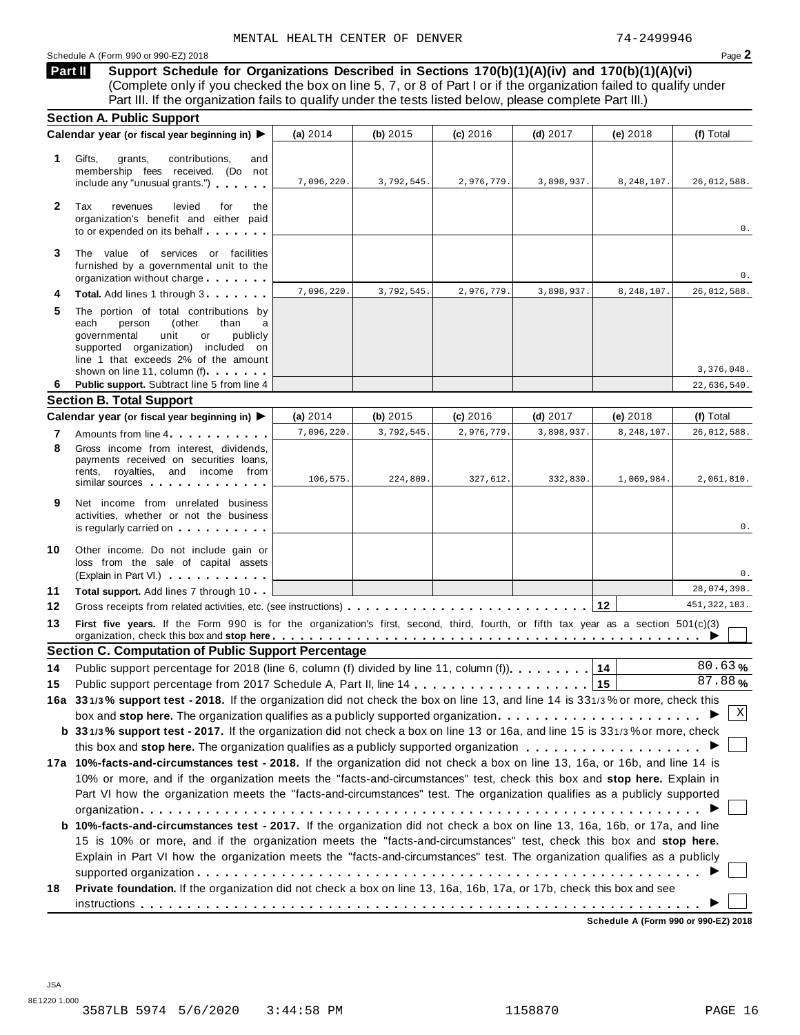#### Schedule A (Form 990 or 990-EZ) 2018 Page 2

**Support Schedule for Organizations Described in Sections 170(b)(1)(A)(iv) and 170(b)(1)(A)(vi)** (Complete only if you checked the box on line 5, 7, or 8 of Part I or if the organization failed to qualify under Part III. If the organization fails to qualify under the tests listed below, please complete Part III.) **Part II**

|                            | <b>Section A. Public Support</b>                                                                                                                                                                                                                                 |            |            |            |            |            |                |
|----------------------------|------------------------------------------------------------------------------------------------------------------------------------------------------------------------------------------------------------------------------------------------------------------|------------|------------|------------|------------|------------|----------------|
|                            | Calendar year (or fiscal year beginning in)                                                                                                                                                                                                                      | (a) $2014$ | (b) 2015   | (c) 2016   | $(d)$ 2017 | (e) 2018   | (f) Total      |
| 1.                         | Gifts,<br>grants,<br>contributions,<br>and<br>membership fees received. (Do not<br>include any "unusual grants.")                                                                                                                                                | 7,096,220. | 3,792,545. | 2,976,779. | 3,898,937. | 8,248,107. | 26,012,588.    |
| $\mathbf{2}$               | Tax<br>levied<br>revenues<br>for<br>the<br>organization's benefit and either paid<br>to or expended on its behalf                                                                                                                                                |            |            |            |            |            | 0.             |
| 3                          | The value of services or facilities<br>furnished by a governmental unit to the<br>organization without charge                                                                                                                                                    |            |            |            |            |            | 0.             |
| 4                          | Total. Add lines 1 through 3.                                                                                                                                                                                                                                    | 7,096,220. | 3,792,545. | 2,976,779. | 3,898,937. | 8,248,107. | 26,012,588.    |
| 5                          | The portion of total contributions by<br>(other<br>each<br>person<br>than<br>a<br>governmental<br>unit<br>publicly<br>or<br>supported organization) included on<br>line 1 that exceeds 2% of the amount                                                          |            |            |            |            |            |                |
|                            | shown on line 11, column (f).<br>Public support. Subtract line 5 from line 4                                                                                                                                                                                     |            |            |            |            |            | 3,376,048.     |
| 6                          | <b>Section B. Total Support</b>                                                                                                                                                                                                                                  |            |            |            |            |            | 22,636,540.    |
|                            | Calendar year (or fiscal year beginning in) ▶                                                                                                                                                                                                                    | (a) 2014   | (b) 2015   | (c) 2016   | $(d)$ 2017 | (e) 2018   | (f) Total      |
| 7                          | Amounts from line 4                                                                                                                                                                                                                                              | 7,096,220. | 3,792,545. | 2,976,779  | 3,898,937. | 8,248,107  | 26,012,588.    |
| 8                          | Gross income from interest, dividends,<br>payments received on securities loans,<br>rents, royalties, and income from<br>similar sources experiences                                                                                                             | 106,575.   | 224,809.   | 327,612.   | 332,830.   | 1,069,984. | 2,061,810.     |
| 9                          | Net income from unrelated business<br>activities, whether or not the business<br>is regularly carried on the contract of the set of the set of the set of the set of the set of the set of the                                                                   |            |            |            |            |            | 0.             |
| 10                         | Other income. Do not include gain or<br>loss from the sale of capital assets<br>(Explain in Part VI.)                                                                                                                                                            |            |            |            |            |            | 0.             |
|                            |                                                                                                                                                                                                                                                                  |            |            |            |            |            | 28,074,398.    |
|                            | Total support. Add lines 7 through 10                                                                                                                                                                                                                            |            |            |            |            | 12         | 451, 322, 183. |
|                            |                                                                                                                                                                                                                                                                  |            |            |            |            |            |                |
|                            | First five years. If the Form 990 is for the organization's first, second, third, fourth, or fifth tax year as a section 501(c)(3)<br>organization, check this box and stop here <i>etable of the state of the state for state for state in the state of the</i> |            |            |            |            |            |                |
|                            | <b>Section C. Computation of Public Support Percentage</b>                                                                                                                                                                                                       |            |            |            |            |            |                |
|                            | Public support percentage for 2018 (line 6, column (f) divided by line 11, column (f) $\ldots \ldots \ldots$                                                                                                                                                     |            |            |            |            |            | 80.63%         |
|                            |                                                                                                                                                                                                                                                                  |            |            |            |            | 15         | 87.88%         |
|                            | 16a 331/3% support test - 2018. If the organization did not check the box on line 13, and line 14 is 331/3% or more, check this                                                                                                                                  |            |            |            |            |            |                |
|                            |                                                                                                                                                                                                                                                                  |            |            |            |            |            | X              |
|                            | b 331/3% support test - 2017. If the organization did not check a box on line 13 or 16a, and line 15 is 331/3% or more, check                                                                                                                                    |            |            |            |            |            |                |
|                            |                                                                                                                                                                                                                                                                  |            |            |            |            |            |                |
|                            | 17a 10%-facts-and-circumstances test - 2018. If the organization did not check a box on line 13, 16a, or 16b, and line 14 is                                                                                                                                     |            |            |            |            |            |                |
|                            | 10% or more, and if the organization meets the "facts-and-circumstances" test, check this box and stop here. Explain in                                                                                                                                          |            |            |            |            |            |                |
|                            | Part VI how the organization meets the "facts-and-circumstances" test. The organization qualifies as a publicly supported                                                                                                                                        |            |            |            |            |            |                |
|                            |                                                                                                                                                                                                                                                                  |            |            |            |            |            |                |
|                            | b 10%-facts-and-circumstances test - 2017. If the organization did not check a box on line 13, 16a, 16b, or 17a, and line                                                                                                                                        |            |            |            |            |            |                |
|                            | 15 is 10% or more, and if the organization meets the "facts-and-circumstances" test, check this box and stop here.                                                                                                                                               |            |            |            |            |            |                |
| 11<br>12<br>13<br>14<br>15 | Explain in Part VI how the organization meets the "facts-and-circumstances" test. The organization qualifies as a publicly                                                                                                                                       |            |            |            |            |            |                |
|                            |                                                                                                                                                                                                                                                                  |            |            |            |            |            |                |
| 18                         | Private foundation. If the organization did not check a box on line 13, 16a, 16b, 17a, or 17b, check this box and see                                                                                                                                            |            |            |            |            |            |                |

**Schedule A (Form 990 or 990-EZ) 2018**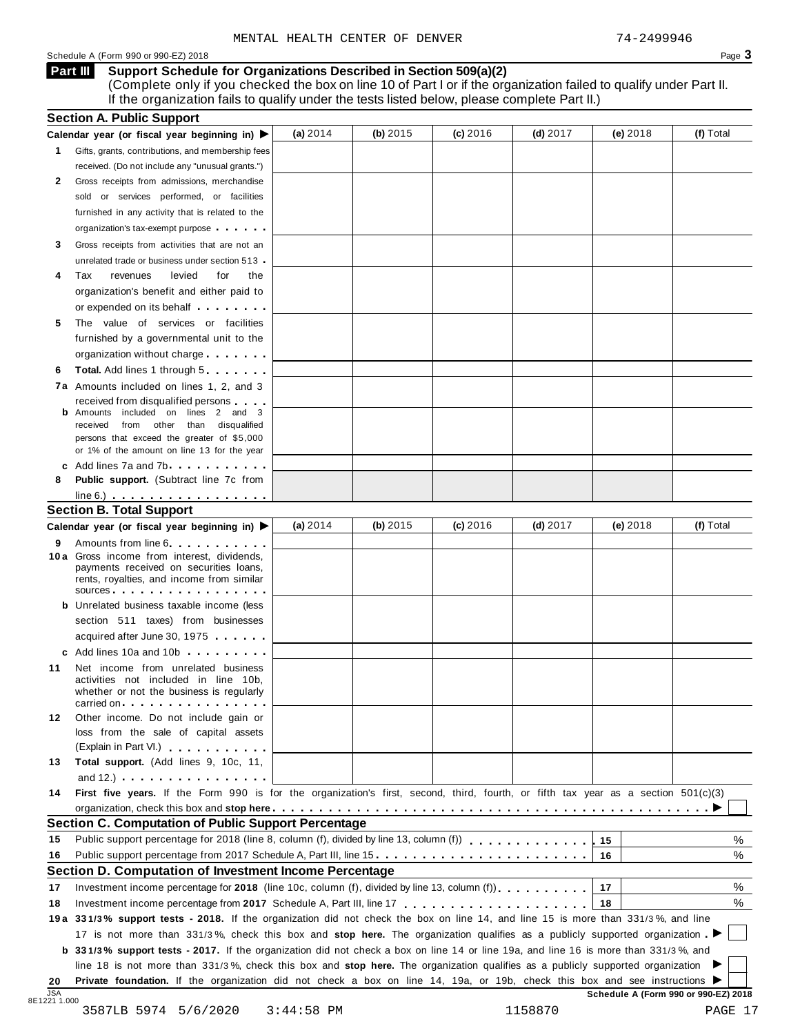#### Schedule A (Form 990 or 990-EZ) 2018 Page 3

#### **Support Schedule for Organizations Described in Section 509(a)(2) Part III**

(Complete only if you checked the box on line 10 of Part I or if the organization failed to qualify under Part II. If the organization fails to qualify under the tests listed below, please complete Part II.)

|    | Calendar year (or fiscal year beginning in) $\blacktriangleright$                                                                                                                                                                                                            | (a) 2014   | (b) $2015$ | (c) 2016   | $(d)$ 2017 | (e) 2018   | (f) Total |
|----|------------------------------------------------------------------------------------------------------------------------------------------------------------------------------------------------------------------------------------------------------------------------------|------------|------------|------------|------------|------------|-----------|
|    | 1 Gifts, grants, contributions, and membership fees                                                                                                                                                                                                                          |            |            |            |            |            |           |
|    | received. (Do not include any "unusual grants.")                                                                                                                                                                                                                             |            |            |            |            |            |           |
| 2  | Gross receipts from admissions, merchandise                                                                                                                                                                                                                                  |            |            |            |            |            |           |
|    | sold or services performed, or facilities                                                                                                                                                                                                                                    |            |            |            |            |            |           |
|    | furnished in any activity that is related to the                                                                                                                                                                                                                             |            |            |            |            |            |           |
|    | organization's tax-exempt purpose                                                                                                                                                                                                                                            |            |            |            |            |            |           |
| 3  | Gross receipts from activities that are not an                                                                                                                                                                                                                               |            |            |            |            |            |           |
|    | unrelated trade or business under section 513 -                                                                                                                                                                                                                              |            |            |            |            |            |           |
| 4  | Tax<br>revenues<br>levied<br>for<br>the                                                                                                                                                                                                                                      |            |            |            |            |            |           |
|    | organization's benefit and either paid to                                                                                                                                                                                                                                    |            |            |            |            |            |           |
|    | or expended on its behalf <b>contained</b> by the set of the set of the set of the set of the set of the set of the set of the set of the set of the set of the set of the set of the set of the set of the set of the set of the s                                          |            |            |            |            |            |           |
| 5  | The value of services or facilities                                                                                                                                                                                                                                          |            |            |            |            |            |           |
|    | furnished by a governmental unit to the                                                                                                                                                                                                                                      |            |            |            |            |            |           |
|    | organization without charge                                                                                                                                                                                                                                                  |            |            |            |            |            |           |
| 6  | <b>Total.</b> Add lines 1 through 5                                                                                                                                                                                                                                          |            |            |            |            |            |           |
|    | 7a Amounts included on lines 1, 2, and 3                                                                                                                                                                                                                                     |            |            |            |            |            |           |
|    | received from disqualified persons                                                                                                                                                                                                                                           |            |            |            |            |            |           |
|    | Amounts included on lines 2 and 3<br>received from other than disqualified                                                                                                                                                                                                   |            |            |            |            |            |           |
|    | persons that exceed the greater of \$5,000                                                                                                                                                                                                                                   |            |            |            |            |            |           |
|    | or 1% of the amount on line 13 for the year                                                                                                                                                                                                                                  |            |            |            |            |            |           |
|    | c Add lines $7a$ and $7b$                                                                                                                                                                                                                                                    |            |            |            |            |            |           |
| 8  | <b>Public support.</b> (Subtract line 7c from                                                                                                                                                                                                                                |            |            |            |            |            |           |
|    | $line 6.)$ $\ldots$ $\ldots$ $\ldots$ $\ldots$ $\ldots$                                                                                                                                                                                                                      |            |            |            |            |            |           |
|    | <b>Section B. Total Support</b>                                                                                                                                                                                                                                              |            |            |            |            |            |           |
|    | Calendar year (or fiscal year beginning in) ▶                                                                                                                                                                                                                                | (a) $2014$ | (b) 2015   | $(c)$ 2016 | (d) $2017$ | $(e)$ 2018 | (f) Total |
| 9  | Amounts from line 6.                                                                                                                                                                                                                                                         |            |            |            |            |            |           |
|    | 10a Gross income from interest, dividends,                                                                                                                                                                                                                                   |            |            |            |            |            |           |
|    | payments received on securities loans,<br>rents, royalties, and income from similar                                                                                                                                                                                          |            |            |            |            |            |           |
|    | $sources$                                                                                                                                                                                                                                                                    |            |            |            |            |            |           |
|    | <b>b</b> Unrelated business taxable income (less                                                                                                                                                                                                                             |            |            |            |            |            |           |
|    | section 511 taxes) from businesses                                                                                                                                                                                                                                           |            |            |            |            |            |           |
|    | acquired after June 30, 1975                                                                                                                                                                                                                                                 |            |            |            |            |            |           |
|    | c Add lines 10a and 10b                                                                                                                                                                                                                                                      |            |            |            |            |            |           |
| 11 | Net income from unrelated business                                                                                                                                                                                                                                           |            |            |            |            |            |           |
|    | activities not included in line 10b,                                                                                                                                                                                                                                         |            |            |            |            |            |           |
|    | whether or not the business is regularly                                                                                                                                                                                                                                     |            |            |            |            |            |           |
| 12 | carried on entering the entering term in the care in the case of the case of the case of the case of the case o<br>Other income. Do not include gain or                                                                                                                      |            |            |            |            |            |           |
|    | loss from the sale of capital assets                                                                                                                                                                                                                                         |            |            |            |            |            |           |
|    | (Explain in Part VI.) <b>All Accords</b>                                                                                                                                                                                                                                     |            |            |            |            |            |           |
| 13 | Total support. (Add lines 9, 10c, 11,                                                                                                                                                                                                                                        |            |            |            |            |            |           |
|    | and $12.$ ) $\cdots$ $\cdots$ $\cdots$ $\cdots$ $\cdots$                                                                                                                                                                                                                     |            |            |            |            |            |           |
| 14 | First five years. If the Form 990 is for the organization's first, second, third, fourth, or fifth tax year as a section 501(c)(3)                                                                                                                                           |            |            |            |            |            |           |
|    |                                                                                                                                                                                                                                                                              |            |            |            |            |            |           |
|    | <b>Section C. Computation of Public Support Percentage</b>                                                                                                                                                                                                                   |            |            |            |            |            |           |
| 15 | Public support percentage for 2018 (line 8, column (f), divided by line 13, column (f) [1] [1] $\ldots$ [1] $\ldots$ [1] $\ldots$ [1] $\ldots$ [1] $\ldots$ [1] $\ldots$ [1] $\ldots$ [1] $\ldots$ [1] $\ldots$ [1] $\ldots$ [1] $\ldots$ [1] $\ldots$ [1] $\ldots$ [        |            |            |            |            | 15         | %         |
| 16 | Public support percentage from 2017 Schedule A, Part III, line 15                                                                                                                                                                                                            |            |            |            |            | 16         | %         |
|    | Section D. Computation of Investment Income Percentage                                                                                                                                                                                                                       |            |            |            |            |            |           |
| 17 | Investment income percentage for 2018 (line 10c, column (f), divided by line 13, column (f)), $\ldots$ , , , , , , ,                                                                                                                                                         |            |            |            |            | 17         | %         |
| 18 |                                                                                                                                                                                                                                                                              |            |            |            |            | 18         | %         |
|    | 19a 331/3% support tests - 2018. If the organization did not check the box on line 14, and line 15 is more than 331/3%, and line                                                                                                                                             |            |            |            |            |            |           |
|    | 17 is not more than 331/3%, check this box and stop here. The organization qualifies as a publicly supported organization                                                                                                                                                    |            |            |            |            |            |           |
|    |                                                                                                                                                                                                                                                                              |            |            |            |            |            |           |
|    |                                                                                                                                                                                                                                                                              |            |            |            |            |            |           |
|    | <b>b</b> 331/3% support tests - 2017. If the organization did not check a box on line 14 or line 19a, and line 16 is more than 331/3%, and<br>line 18 is not more than 331/3%, check this box and stop here. The organization qualifies as a publicly supported organization |            |            |            |            |            |           |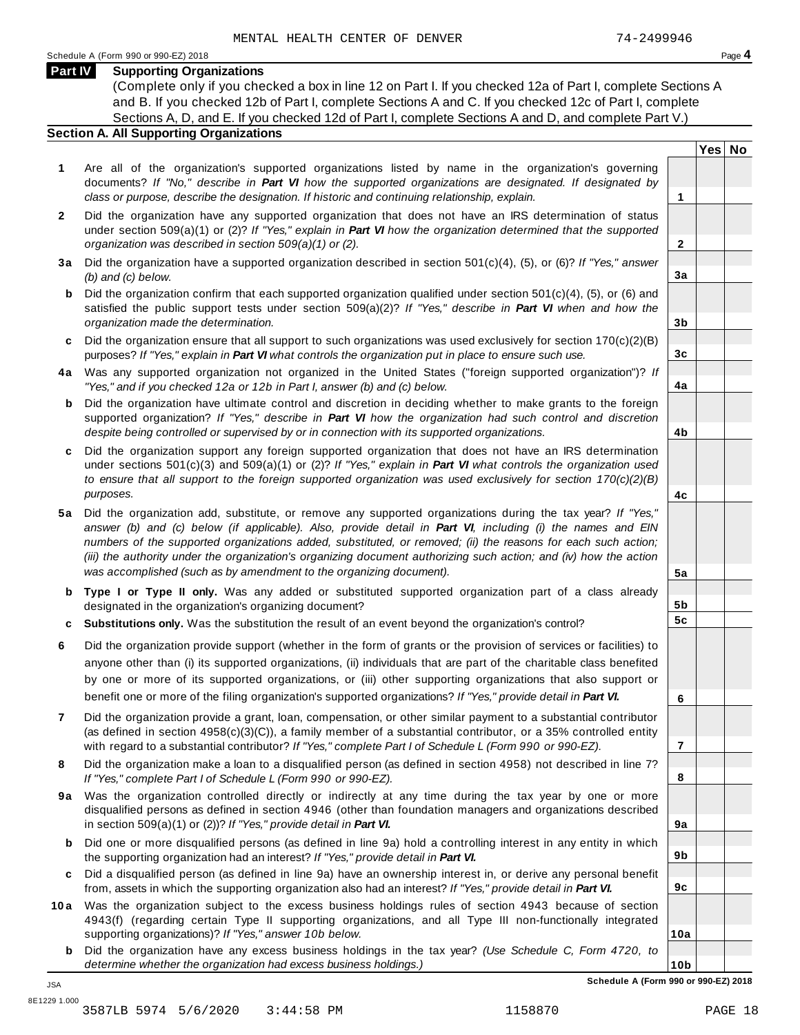**Yes No**

**2**

**3a**

**3b**

**3c**

**4a**

**4b**

**4c**

**5a**

**5b 5c**

**6**

**7**

**8**

**9a**

**9b**

**9c**

**10a**

#### **Part IV Supporting Organizations**

(Complete only if you checked a box in line 12 on Part I. If you checked 12a of Part I, complete Sections A and B. If you checked 12b of Part I, complete Sections A and C. If you checked 12c of Part I, complete Sections A, D, and E. If you checked 12d of Part I, complete Sections A and D, and complete Part V.)

#### **Section A. All Supporting Organizations**

- **1** Are all of the organization's supported organizations listed by name in the organization's governing documents? *If "No," describe in Part VI how the supported organizations are designated. If designated by class or purpose, describe the designation. If historic and continuing relationship, explain.* **1**
- **2** Did the organization have any supported organization that does not have an IRS determination of status under section 509(a)(1) or (2)? *If"Yes," explain in Part VI how the organization determined that the supported organization was described in section 509(a)(1) or (2).*
- **3 a** Did the organization have a supported organization described in section 501(c)(4), (5), or (6)? *If "Yes," answer (b) and (c) below.*
- **b** Did the organization confirm that each supported organization qualified under section 501(c)(4), (5), or (6) and | satisfied the public support tests under section 509(a)(2)? *If "Yes," describe in Part VI when and how the organization made the determination.*
- **c** Did the organization ensure that all support to such organizations was used exclusively for section 170(c)(2)(B) purposes? *If"Yes," explain in Part VI what controls the organization put in place to ensure such use.*
- **4 a** Was any supported organization not organized in the United States ("foreign supported organization")? *If "Yes," and if you checked 12a or 12b in Part I, answer (b) and (c) below.*
- **b** Did the organization have ultimate control and discretion in deciding whether to make grants to the foreign | supported organization? *If "Yes," describe in Part VI how the organization had such control and discretion despite being controlled or supervised by or in connection with its supported organizations.*
- **c** Did the organization support any foreign supported organization that does not have an IRS determination | under sections 501(c)(3) and 509(a)(1) or (2)? *If "Yes," explain in Part VI what controls the organization used to ensure that all support to the foreign supported organization was used exclusively for section 170(c)(2)(B) purposes.*
- **5 a** Did the organization add, substitute, or remove any supported organizations during the tax year? *If "Yes,"* answer (b) and (c) below (if applicable). Also, provide detail in Part VI, including (i) the names and EIN *numbers of the supported organizations added, substituted, or removed; (ii) the reasons for each such action;* (iii) the authority under the organization's organizing document authorizing such action; and (iv) how the action *was accomplished (such as by amendment to the organizing document).*
- **b Type I or Type II only.** Was any added or substituted supported organization part of a class already designated in the organization's organizing document?
- **c Substitutions only.** Was the substitution the result of an event beyond the organization's control?
- **6** Did the organization provide support (whether in the form of grants or the provision of services or facilities) to anyone other than (i) its supported organizations, (ii) individuals that are part of the charitable class benefited by one or more of its supported organizations, or (iii) other supporting organizations that also support or benefit one or more of the filing organization's supported organizations? *If"Yes," provide detail in Part VI.*
- **7** Did the organization provide a grant, loan, compensation, or other similar payment to a substantial contributor (as defined in section 4958(c)(3)(C)), a family member of a substantial contributor, or a 35% controlled entity with regard to a substantial contributor? *If"Yes," complete Part I of Schedule L (Form 990 or 990-EZ).*
- **8** Did the organization make a loan to a disqualified person (as defined in section 4958) not described in line 7? *If "Yes," complete Part I of Schedule L (Form 990 or 990-EZ).*
- **9a** Was the organization controlled directly or indirectly at any time during the tax year by one or more | disqualified persons as defined in section 4946 (other than foundation managers and organizations described in section 509(a)(1) or (2))? *If"Yes," provide detail in Part VI.*
- **b** Did one or more disqualified persons (as defined in line 9a) hold a controlling interest in any entity in which | the supporting organization had an interest? *If"Yes," provide detail in Part VI.*
- **c** Did a disqualified person (as defined in line 9a) have an ownership interest in, or derive any personal benefit from, assets in which the supporting organization also had an interest? *If"Yes," provide detail in Part VI.*
- **10a** Was the organization subject to the excess business holdings rules of section 4943 because of section | 4943(f) (regarding certain Type II supporting organizations, and all Type III non-functionally integrated supporting organizations)? *If"Yes," answer 10b below.*
	- **b** Did the organization have any excess business holdings in the tax year? *(Use Schedule C, Form 4720, to determine whether the organization had excess business holdings.)*

**10b Schedule A (Form 990 or 990-EZ) 2018**

JSA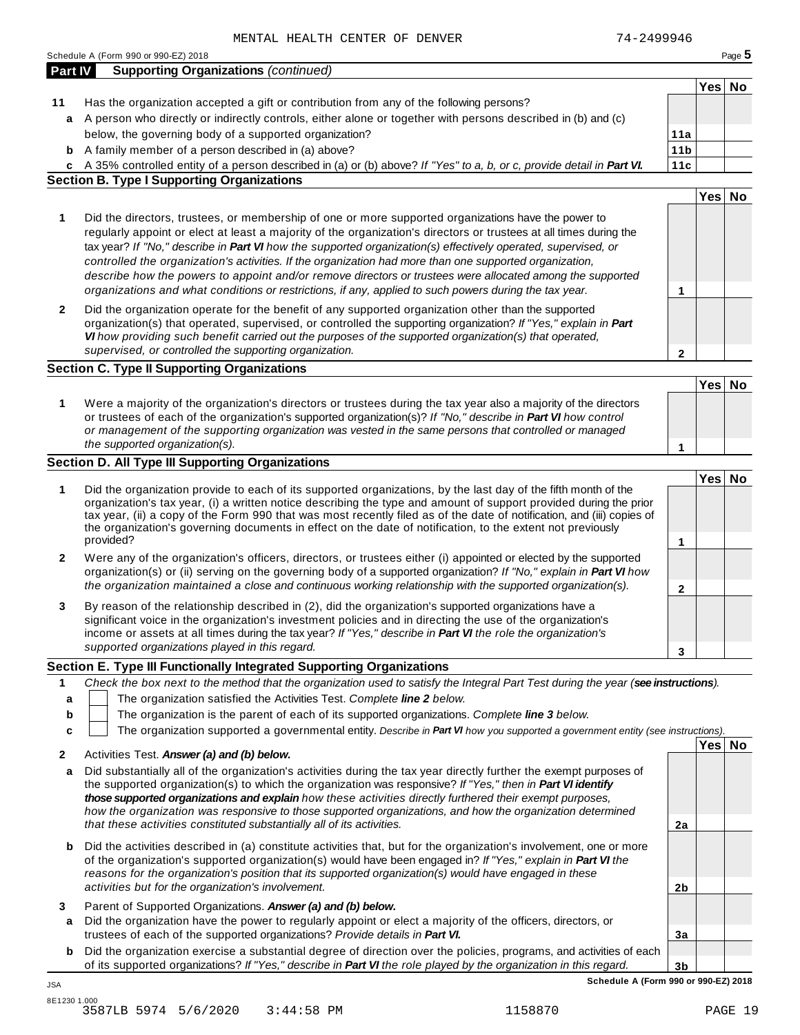|         | 74-2499946<br>MENTAL HEALTH CENTER OF DENVER                                                                                                                                                                                         |                 |        |        |
|---------|--------------------------------------------------------------------------------------------------------------------------------------------------------------------------------------------------------------------------------------|-----------------|--------|--------|
|         | Schedule A (Form 990 or 990-EZ) 2018                                                                                                                                                                                                 |                 |        | Page 5 |
| Part IV | <b>Supporting Organizations (continued)</b>                                                                                                                                                                                          |                 |        |        |
|         |                                                                                                                                                                                                                                      |                 | Yes No |        |
| 11      | Has the organization accepted a gift or contribution from any of the following persons?                                                                                                                                              |                 |        |        |
|         | a A person who directly or indirectly controls, either alone or together with persons described in (b) and (c)                                                                                                                       |                 |        |        |
|         | below, the governing body of a supported organization?                                                                                                                                                                               | 11a             |        |        |
|         | <b>b</b> A family member of a person described in (a) above?                                                                                                                                                                         | 11 <sub>b</sub> |        |        |
|         | c A 35% controlled entity of a person described in (a) or (b) above? If "Yes" to a, b, or c, provide detail in Part VI.<br><b>Section B. Type I Supporting Organizations</b>                                                         | 11c             |        |        |
|         |                                                                                                                                                                                                                                      |                 | Yes No |        |
|         |                                                                                                                                                                                                                                      |                 |        |        |
| 1       | Did the directors, trustees, or membership of one or more supported organizations have the power to                                                                                                                                  |                 |        |        |
|         | regularly appoint or elect at least a majority of the organization's directors or trustees at all times during the                                                                                                                   |                 |        |        |
|         | tax year? If "No," describe in Part VI how the supported organization(s) effectively operated, supervised, or                                                                                                                        |                 |        |        |
|         | controlled the organization's activities. If the organization had more than one supported organization,<br>describe how the powers to appoint and/or remove directors or trustees were allocated among the supported                 |                 |        |        |
|         | organizations and what conditions or restrictions, if any, applied to such powers during the tax year.                                                                                                                               | 1               |        |        |
|         |                                                                                                                                                                                                                                      |                 |        |        |
| 2       | Did the organization operate for the benefit of any supported organization other than the supported                                                                                                                                  |                 |        |        |
|         | organization(s) that operated, supervised, or controlled the supporting organization? If "Yes," explain in Part<br>VI how providing such benefit carried out the purposes of the supported organization(s) that operated,            |                 |        |        |
|         | supervised, or controlled the supporting organization.                                                                                                                                                                               | 2               |        |        |
|         | <b>Section C. Type II Supporting Organizations</b>                                                                                                                                                                                   |                 |        |        |
|         |                                                                                                                                                                                                                                      |                 | Yes No |        |
|         |                                                                                                                                                                                                                                      |                 |        |        |
| 1       | Were a majority of the organization's directors or trustees during the tax year also a majority of the directors<br>or trustees of each of the organization's supported organization(s)? If "No," describe in Part VI how control    |                 |        |        |
|         | or management of the supporting organization was vested in the same persons that controlled or managed                                                                                                                               |                 |        |        |
|         | the supported organization(s).                                                                                                                                                                                                       | 1               |        |        |
|         | Section D. All Type III Supporting Organizations                                                                                                                                                                                     |                 |        |        |
|         |                                                                                                                                                                                                                                      |                 | Yes No |        |
| 1       | Did the organization provide to each of its supported organizations, by the last day of the fifth month of the                                                                                                                       |                 |        |        |
|         | organization's tax year, (i) a written notice describing the type and amount of support provided during the prior                                                                                                                    |                 |        |        |
|         | tax year, (ii) a copy of the Form 990 that was most recently filed as of the date of notification, and (iii) copies of<br>the organization's governing documents in effect on the date of notification, to the extent not previously |                 |        |        |
|         | provided?                                                                                                                                                                                                                            | 1               |        |        |
| 2       | Were any of the organization's officers, directors, or trustees either (i) appointed or elected by the supported                                                                                                                     |                 |        |        |
|         | organization(s) or (ii) serving on the governing body of a supported organization? If "No," explain in Part VI how                                                                                                                   |                 |        |        |
|         | the organization maintained a close and continuous working relationship with the supported organization(s).                                                                                                                          | 2               |        |        |
| 3       | By reason of the relationship described in (2), did the organization's supported organizations have a                                                                                                                                |                 |        |        |
|         | significant voice in the organization's investment policies and in directing the use of the organization's                                                                                                                           |                 |        |        |
|         | income or assets at all times during the tax year? If "Yes," describe in Part VI the role the organization's                                                                                                                         |                 |        |        |
|         | supported organizations played in this regard.                                                                                                                                                                                       | 3               |        |        |
|         | Section E. Type III Functionally Integrated Supporting Organizations                                                                                                                                                                 |                 |        |        |
| 1       | Check the box next to the method that the organization used to satisfy the Integral Part Test during the year (see instructions).                                                                                                    |                 |        |        |
| a       | The organization satisfied the Activities Test. Complete line 2 below.                                                                                                                                                               |                 |        |        |
| b       | The organization is the parent of each of its supported organizations. Complete line 3 below.                                                                                                                                        |                 |        |        |
| c       | The organization supported a governmental entity. Describe in Part VI how you supported a government entity (see instructions).                                                                                                      |                 |        |        |
|         |                                                                                                                                                                                                                                      |                 | Yes No |        |
| 2       | Activities Test. Answer (a) and (b) below.                                                                                                                                                                                           |                 |        |        |
| а       | Did substantially all of the organization's activities during the tax year directly further the exempt purposes of<br>the supported organization(s) to which the organization was responsive? If "Yes," then in Part VI identify     |                 |        |        |
|         | those supported organizations and explain how these activities directly furthered their exempt purposes,                                                                                                                             |                 |        |        |
|         | how the organization was responsive to those supported organizations, and how the organization determined                                                                                                                            |                 |        |        |
|         | that these activities constituted substantially all of its activities.                                                                                                                                                               | 2a              |        |        |
|         | Did the activities described in (a) constitute activities that, but for the organization's involvement, one or more                                                                                                                  |                 |        |        |
| b       | of the organization's supported organization(s) would have been engaged in? If "Yes," explain in Part VI the                                                                                                                         |                 |        |        |
|         | reasons for the organization's position that its supported organization(s) would have engaged in these                                                                                                                               |                 |        |        |
|         | activities but for the organization's involvement.                                                                                                                                                                                   | 2b              |        |        |
| 3       | Parent of Supported Organizations. Answer (a) and (b) below.                                                                                                                                                                         |                 |        |        |
| a       | Did the organization have the power to regularly appoint or elect a majority of the officers, directors, or                                                                                                                          |                 |        |        |
|         | trustees of each of the supported organizations? Provide details in Part VI.                                                                                                                                                         | 3a              |        |        |
|         | h Did the organization evergies a substantial degree of direction over the policies programs and activities of each                                                                                                                  |                 |        |        |

**b** Did the organization exercise a substantial degree of direction over the policies, programs, and activities of each of its supported organizations? *If"Yes," describe in Part VI the role played by the organization in this regard.*

**3b Schedule A (Form 990 or 990-EZ) 2018**

JSA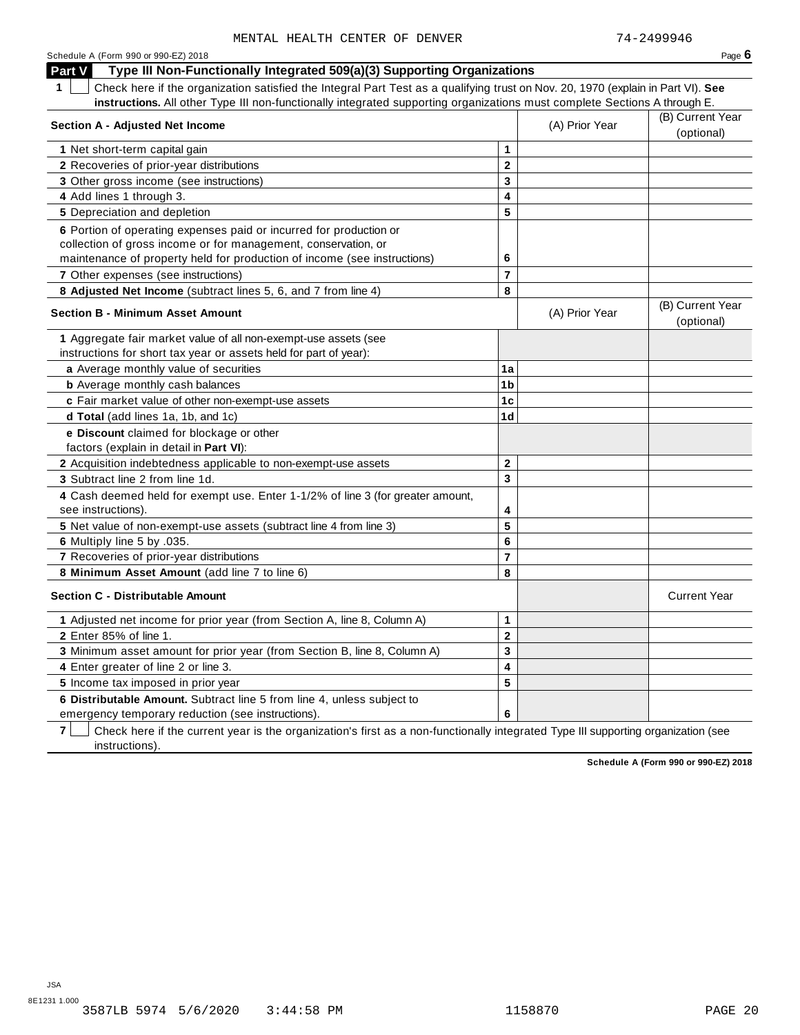| Schedule A (Form 990 or 990-EZ) 2018                                                                                                  |                |                | Page 6                         |
|---------------------------------------------------------------------------------------------------------------------------------------|----------------|----------------|--------------------------------|
| Type III Non-Functionally Integrated 509(a)(3) Supporting Organizations<br>Part V                                                     |                |                |                                |
| 1<br>Check here if the organization satisfied the Integral Part Test as a qualifying trust on Nov. 20, 1970 (explain in Part VI). See |                |                |                                |
| instructions. All other Type III non-functionally integrated supporting organizations must complete Sections A through E.             |                |                |                                |
| <b>Section A - Adjusted Net Income</b>                                                                                                |                | (A) Prior Year | (B) Current Year               |
|                                                                                                                                       |                |                | (optional)                     |
| 1 Net short-term capital gain                                                                                                         | $\mathbf{1}$   |                |                                |
| 2 Recoveries of prior-year distributions                                                                                              | $\mathbf{2}$   |                |                                |
| 3 Other gross income (see instructions)                                                                                               | 3              |                |                                |
| 4 Add lines 1 through 3.                                                                                                              | 4              |                |                                |
| 5 Depreciation and depletion                                                                                                          | 5              |                |                                |
| 6 Portion of operating expenses paid or incurred for production or                                                                    |                |                |                                |
| collection of gross income or for management, conservation, or                                                                        |                |                |                                |
| maintenance of property held for production of income (see instructions)                                                              | 6              |                |                                |
| 7 Other expenses (see instructions)                                                                                                   | $\overline{7}$ |                |                                |
| 8 Adjusted Net Income (subtract lines 5, 6, and 7 from line 4)                                                                        | 8              |                |                                |
| <b>Section B - Minimum Asset Amount</b>                                                                                               |                | (A) Prior Year | (B) Current Year<br>(optional) |
| 1 Aggregate fair market value of all non-exempt-use assets (see                                                                       |                |                |                                |
| instructions for short tax year or assets held for part of year):                                                                     |                |                |                                |
| a Average monthly value of securities                                                                                                 | 1a             |                |                                |
| <b>b</b> Average monthly cash balances                                                                                                | 1 <sub>b</sub> |                |                                |
| c Fair market value of other non-exempt-use assets                                                                                    | 1 <sub>c</sub> |                |                                |
| d Total (add lines 1a, 1b, and 1c)                                                                                                    | 1 <sub>d</sub> |                |                                |
| e Discount claimed for blockage or other                                                                                              |                |                |                                |
| factors (explain in detail in Part VI):                                                                                               |                |                |                                |
| 2 Acquisition indebtedness applicable to non-exempt-use assets                                                                        | $\mathbf{2}$   |                |                                |
| 3 Subtract line 2 from line 1d.                                                                                                       | 3              |                |                                |
| 4 Cash deemed held for exempt use. Enter 1-1/2% of line 3 (for greater amount,<br>see instructions).                                  | 4              |                |                                |
| 5 Net value of non-exempt-use assets (subtract line 4 from line 3)                                                                    | 5              |                |                                |
| 6 Multiply line 5 by .035.                                                                                                            | 6              |                |                                |
| 7 Recoveries of prior-year distributions                                                                                              | $\overline{7}$ |                |                                |
| 8 Minimum Asset Amount (add line 7 to line 6)                                                                                         | 8              |                |                                |
| <b>Section C - Distributable Amount</b>                                                                                               |                |                | <b>Current Year</b>            |
| 1 Adjusted net income for prior year (from Section A, line 8, Column A)                                                               | $\mathbf{1}$   |                |                                |
| 2 Enter 85% of line 1.                                                                                                                | $\mathbf 2$    |                |                                |
| 3 Minimum asset amount for prior year (from Section B, line 8, Column A)                                                              | 3              |                |                                |
| 4 Enter greater of line 2 or line 3.                                                                                                  | 4              |                |                                |
| 5 Income tax imposed in prior year                                                                                                    | 5              |                |                                |
| 6 Distributable Amount. Subtract line 5 from line 4, unless subject to                                                                |                |                |                                |
| emergency temporary reduction (see instructions).                                                                                     | 6              |                |                                |

**7** | Check here if the current year is the organization's first as a non-functionally integrated Type III supporting organization (see instructions).

**Schedule A (Form 990 or 990-EZ) 2018**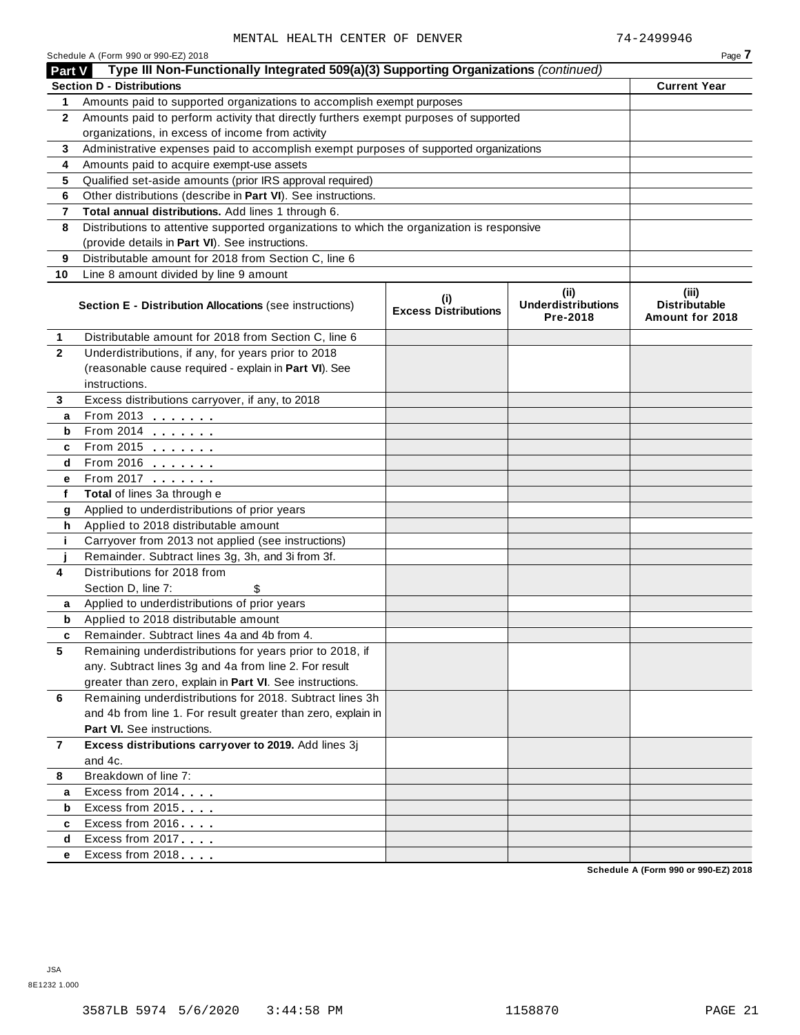|                | Schedule A (Form 990 or 990-EZ) 2018                                                                                                     |                                    |                                               | Page 7                                           |
|----------------|------------------------------------------------------------------------------------------------------------------------------------------|------------------------------------|-----------------------------------------------|--------------------------------------------------|
| Part V         | Type III Non-Functionally Integrated 509(a)(3) Supporting Organizations (continued)<br><b>Section D - Distributions</b>                  |                                    |                                               |                                                  |
|                |                                                                                                                                          |                                    |                                               | <b>Current Year</b>                              |
| 1              | Amounts paid to supported organizations to accomplish exempt purposes                                                                    |                                    |                                               |                                                  |
| $\mathbf{2}$   | Amounts paid to perform activity that directly furthers exempt purposes of supported<br>organizations, in excess of income from activity |                                    |                                               |                                                  |
|                |                                                                                                                                          |                                    |                                               |                                                  |
| 3              | Administrative expenses paid to accomplish exempt purposes of supported organizations                                                    |                                    |                                               |                                                  |
| 4              | Amounts paid to acquire exempt-use assets<br>Qualified set-aside amounts (prior IRS approval required)                                   |                                    |                                               |                                                  |
| 5<br>6         | Other distributions (describe in Part VI). See instructions.                                                                             |                                    |                                               |                                                  |
| 7              | Total annual distributions. Add lines 1 through 6.                                                                                       |                                    |                                               |                                                  |
| 8              | Distributions to attentive supported organizations to which the organization is responsive                                               |                                    |                                               |                                                  |
|                | (provide details in Part VI). See instructions.                                                                                          |                                    |                                               |                                                  |
| 9              | Distributable amount for 2018 from Section C, line 6                                                                                     |                                    |                                               |                                                  |
| 10             | Line 8 amount divided by line 9 amount                                                                                                   |                                    |                                               |                                                  |
|                |                                                                                                                                          |                                    |                                               |                                                  |
|                | <b>Section E - Distribution Allocations (see instructions)</b>                                                                           | (i)<br><b>Excess Distributions</b> | (ii)<br><b>Underdistributions</b><br>Pre-2018 | (iii)<br><b>Distributable</b><br>Amount for 2018 |
| 1              | Distributable amount for 2018 from Section C, line 6                                                                                     |                                    |                                               |                                                  |
| $\mathbf{2}$   | Underdistributions, if any, for years prior to 2018                                                                                      |                                    |                                               |                                                  |
|                | (reasonable cause required - explain in Part VI). See                                                                                    |                                    |                                               |                                                  |
|                | instructions.                                                                                                                            |                                    |                                               |                                                  |
| 3              | Excess distributions carryover, if any, to 2018                                                                                          |                                    |                                               |                                                  |
| а              | From 2013 $\frac{1}{2}$                                                                                                                  |                                    |                                               |                                                  |
| b              | From 2014 $\frac{2014}{20}$                                                                                                              |                                    |                                               |                                                  |
| c              | From 2015 $\frac{1}{2}$                                                                                                                  |                                    |                                               |                                                  |
| d              | From 2016 $\frac{2016}{200}$                                                                                                             |                                    |                                               |                                                  |
| е              | From 2017 <b>Figure 1.1 (19)</b>                                                                                                         |                                    |                                               |                                                  |
| f              | Total of lines 3a through e                                                                                                              |                                    |                                               |                                                  |
| g              | Applied to underdistributions of prior years                                                                                             |                                    |                                               |                                                  |
| h              | Applied to 2018 distributable amount                                                                                                     |                                    |                                               |                                                  |
| j.             | Carryover from 2013 not applied (see instructions)<br>Remainder. Subtract lines 3g, 3h, and 3i from 3f.                                  |                                    |                                               |                                                  |
| 4              | Distributions for 2018 from                                                                                                              |                                    |                                               |                                                  |
|                | Section D, line 7:<br>\$                                                                                                                 |                                    |                                               |                                                  |
| a              | Applied to underdistributions of prior years                                                                                             |                                    |                                               |                                                  |
| b              | Applied to 2018 distributable amount                                                                                                     |                                    |                                               |                                                  |
| c              | Remainder. Subtract lines 4a and 4b from 4.                                                                                              |                                    |                                               |                                                  |
| 5              | Remaining underdistributions for years prior to 2018, if                                                                                 |                                    |                                               |                                                  |
|                | any. Subtract lines 3g and 4a from line 2. For result                                                                                    |                                    |                                               |                                                  |
|                | greater than zero, explain in Part VI. See instructions.                                                                                 |                                    |                                               |                                                  |
| 6              | Remaining underdistributions for 2018. Subtract lines 3h                                                                                 |                                    |                                               |                                                  |
|                | and 4b from line 1. For result greater than zero, explain in                                                                             |                                    |                                               |                                                  |
|                | Part VI. See instructions.                                                                                                               |                                    |                                               |                                                  |
| $\overline{7}$ | Excess distributions carryover to 2019. Add lines 3j                                                                                     |                                    |                                               |                                                  |
|                | and 4c.                                                                                                                                  |                                    |                                               |                                                  |
| 8              | Breakdown of line 7:                                                                                                                     |                                    |                                               |                                                  |
| а              | Excess from 2014                                                                                                                         |                                    |                                               |                                                  |
| b              | Excess from 2015                                                                                                                         |                                    |                                               |                                                  |
| c              | Excess from 2016                                                                                                                         |                                    |                                               |                                                  |
| d              | Excess from 2017                                                                                                                         |                                    |                                               |                                                  |
| е              | Excess from 2018                                                                                                                         |                                    |                                               |                                                  |
|                |                                                                                                                                          |                                    |                                               |                                                  |

**Schedule A (Form 990 or 990-EZ) 2018**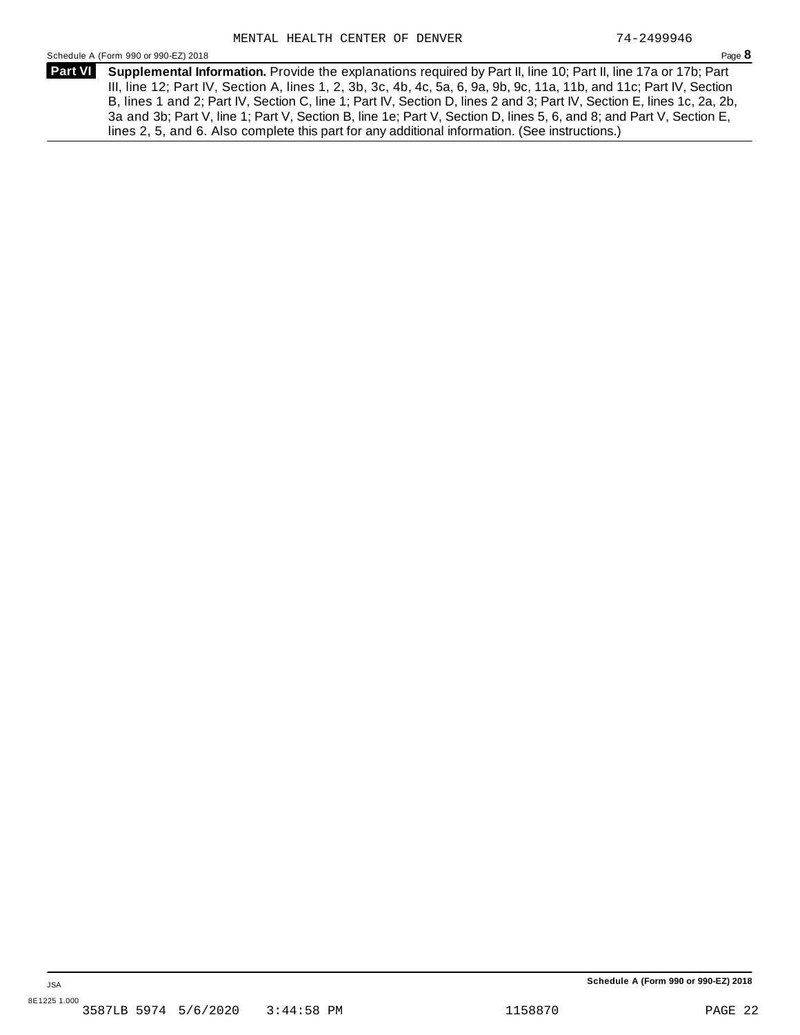Schedule <sup>A</sup> (Form <sup>990</sup> or 990-EZ) <sup>2018</sup> Page **8**

**Supplemental Information.** Provide the explanations required by Part II, line 10; Part II, line 17a or 17b; Part **Part VI** III, line 12; Part IV, Section A, lines 1, 2, 3b, 3c, 4b, 4c, 5a, 6, 9a, 9b, 9c, 11a, 11b, and 11c; Part IV, Section B, lines 1 and 2; Part IV, Section C, line 1; Part IV, Section D, lines 2 and 3; Part IV, Section E, lines 1c, 2a, 2b, 3a and 3b; Part V, line 1; Part V, Section B, line 1e; Part V, Section D, lines 5, 6, and 8; and Part V, Section E, lines 2, 5, and 6. Also complete this part for any additional information. (See instructions.)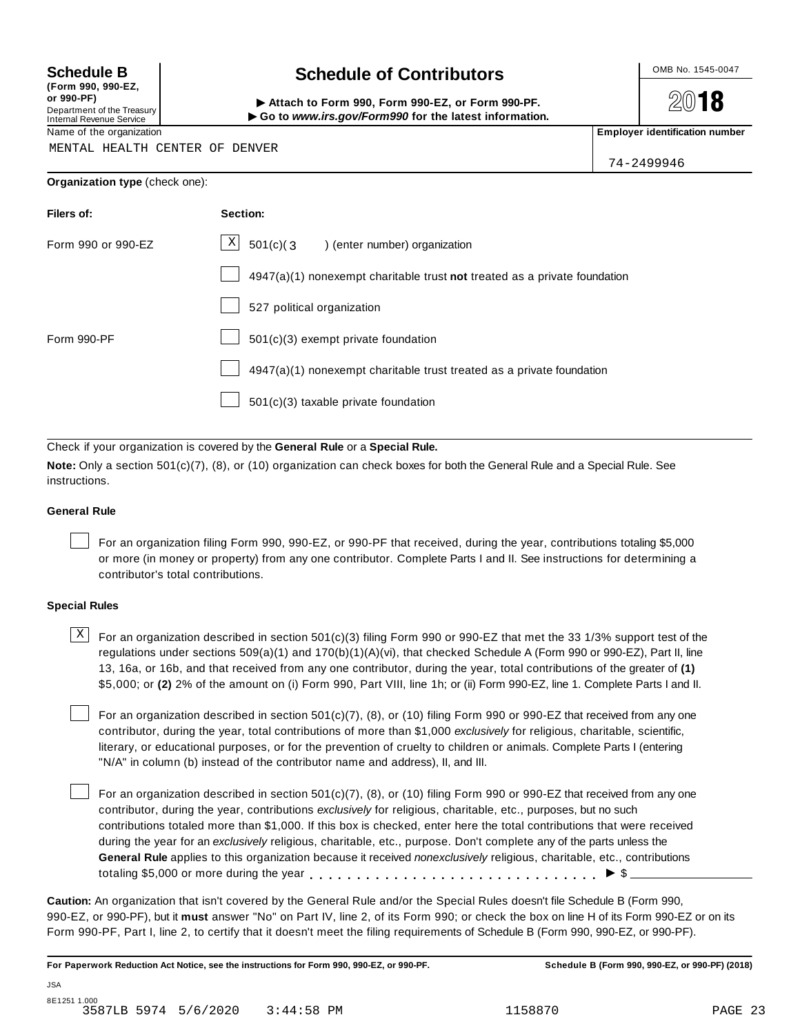**(Form 990, 990-EZ, or 990-PF)** Department of the Treasury<br>Internal Revenue Service

### **Schedule B chedule of Contributors**

(Point issue, sub-Ez,<br>Department of the Treasury internal Revenue Service<br>Department of the Treasury internal Revenue Service internal Revenue Service internal Revenue Service internal<br>Name of the organization internal Re

**2018** 

MENTAL HEALTH CENTER OF DENVER

74-2499946

|  | Organization type (check one): |
|--|--------------------------------|
|--|--------------------------------|

| Filers of:         | Section:                                                                    |
|--------------------|-----------------------------------------------------------------------------|
| Form 990 or 990-EZ | $X$ 501(c)(3<br>) (enter number) organization                               |
|                    | $4947(a)(1)$ nonexempt charitable trust not treated as a private foundation |
|                    | 527 political organization                                                  |
| Form 990-PF        | 501(c)(3) exempt private foundation                                         |
|                    | 4947(a)(1) nonexempt charitable trust treated as a private foundation       |
|                    | 501(c)(3) taxable private foundation                                        |

Check if your organization is covered by the **General Rule** or a **Special Rule.**

**Note:** Only a section 501(c)(7), (8), or (10) organization can check boxes for both the General Rule and a Special Rule. See instructions.

#### **General Rule**

For an organization filing Form 990, 990-EZ, or 990-PF that received, during the year, contributions totaling \$5,000 or more (in money or property) from any one contributor. Complete Parts I and II. See instructions for determining a contributor's total contributions.

#### **Special Rules**

 $\text{X}$  For an organization described in section 501(c)(3) filing Form 990 or 990-EZ that met the 33 1/3% support test of the regulations under sections 509(a)(1) and 170(b)(1)(A)(vi), that checked Schedule A (Form 990 or 990-EZ), Part II, line 13, 16a, or 16b, and that received from any one contributor, during the year, total contributions of the greater of **(1)** \$5,000; or **(2)** 2% of the amount on (i) Form 990, Part VIII, line 1h; or (ii) Form 990-EZ, line 1. Complete Parts I and II.

For an organization described in section 501(c)(7), (8), or (10) filing Form 990 or 990-EZ that received from any one contributor, during the year, total contributions of more than \$1,000 *exclusively* for religious, charitable, scientific, literary, or educational purposes, or for the prevention of cruelty to children or animals. Complete Parts I (entering "N/A" in column (b) instead of the contributor name and address), II, and III.

For an organization described in section 501(c)(7), (8), or (10) filing Form 990 or 990-EZ that received from any one contributor, during the year, contributions *exclusively* for religious, charitable, etc., purposes, but no such contributions totaled more than \$1,000. If this box is checked, enter here the total contributions that were received during the year for an *exclusively* religious, charitable, etc., purpose. Don't complete any of the parts unless the **General Rule** applies to this organization because it received *nonexclusively* religious, charitable, etc., contributions totaling \$5,000 or more during the year  $\ldots \ldots \ldots \ldots \ldots \ldots \ldots \ldots \ldots \vdots$ 

**Caution:** An organization that isn't covered by the General Rule and/or the Special Rules doesn't file Schedule B (Form 990, 990-EZ, or 990-PF), but it **must** answer "No" on Part IV, line 2, of its Form 990; or check the box on line H of its Form 990-EZ or on its Form 990-PF, Part I, line 2, to certify that it doesn't meet the filing requirements of Schedule B (Form 990, 990-EZ, or 990-PF).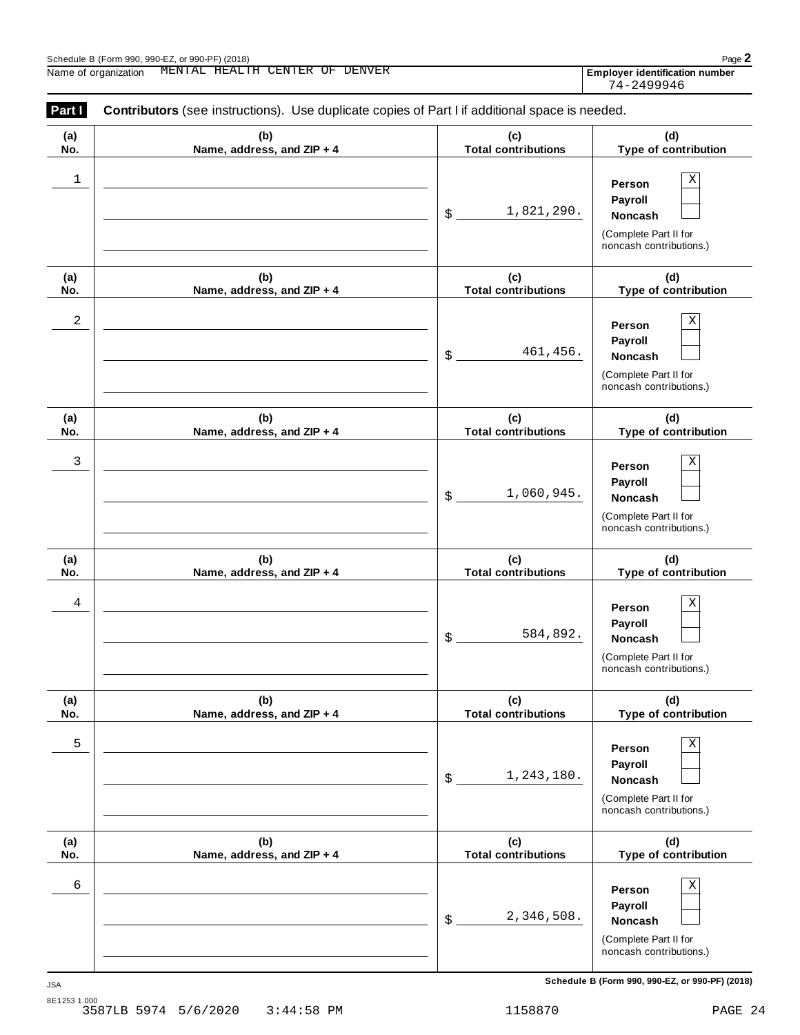| (a)<br>No. | (b)<br>Name, address, and ZIP + 4 | (c)<br><b>Total contributions</b> | (d)<br>Type of contribution                                                                     |
|------------|-----------------------------------|-----------------------------------|-------------------------------------------------------------------------------------------------|
| 1          |                                   | 1,821,290.<br>$\frac{1}{2}$       | $\mathbf X$<br>Person<br>Payroll<br>Noncash<br>(Complete Part II for<br>noncash contributions.) |
| (a)<br>No. | (b)<br>Name, address, and ZIP + 4 | (c)<br><b>Total contributions</b> | (d)<br>Type of contribution                                                                     |
| 2          |                                   | 461,456.<br>\$                    | $\mathbf X$<br>Person<br>Payroll<br>Noncash<br>(Complete Part II for<br>noncash contributions.) |
| (a)<br>No. | (b)<br>Name, address, and ZIP + 4 | (c)<br><b>Total contributions</b> | (d)<br>Type of contribution                                                                     |
| 3          |                                   | 1,060,945.<br>$\mathsf{\$}$       | $\mathbf X$<br>Person<br>Payroll<br>Noncash<br>(Complete Part II for<br>noncash contributions.) |
| (a)<br>No. | (b)<br>Name, address, and ZIP + 4 | (c)<br><b>Total contributions</b> | (d)<br>Type of contribution                                                                     |
| 4          |                                   | 584,892.<br>\$                    | $\mathbf X$<br>Person<br>Payroll<br>Noncash<br>(Complete Part II for<br>noncash contributions.) |
| (a)<br>No. | (b)<br>Name, address, and ZIP + 4 | (c)<br><b>Total contributions</b> | (d)<br>Type of contribution                                                                     |
| 5          |                                   | 1,243,180.<br>\$                  | Χ<br>Person<br>Payroll<br><b>Noncash</b><br>(Complete Part II for<br>noncash contributions.)    |
| (a)<br>No. | (b)<br>Name, address, and ZIP + 4 | (c)<br><b>Total contributions</b> | (d)<br>Type of contribution                                                                     |
| 6          |                                   | 2,346,508.<br>\$                  | $\mathbf X$<br>Person<br>Payroll<br>Noncash<br>(Complete Part II for<br>noncash contributions.) |

**Schedule B (Form 990, 990-EZ, or 990-PF) (2018)** JSA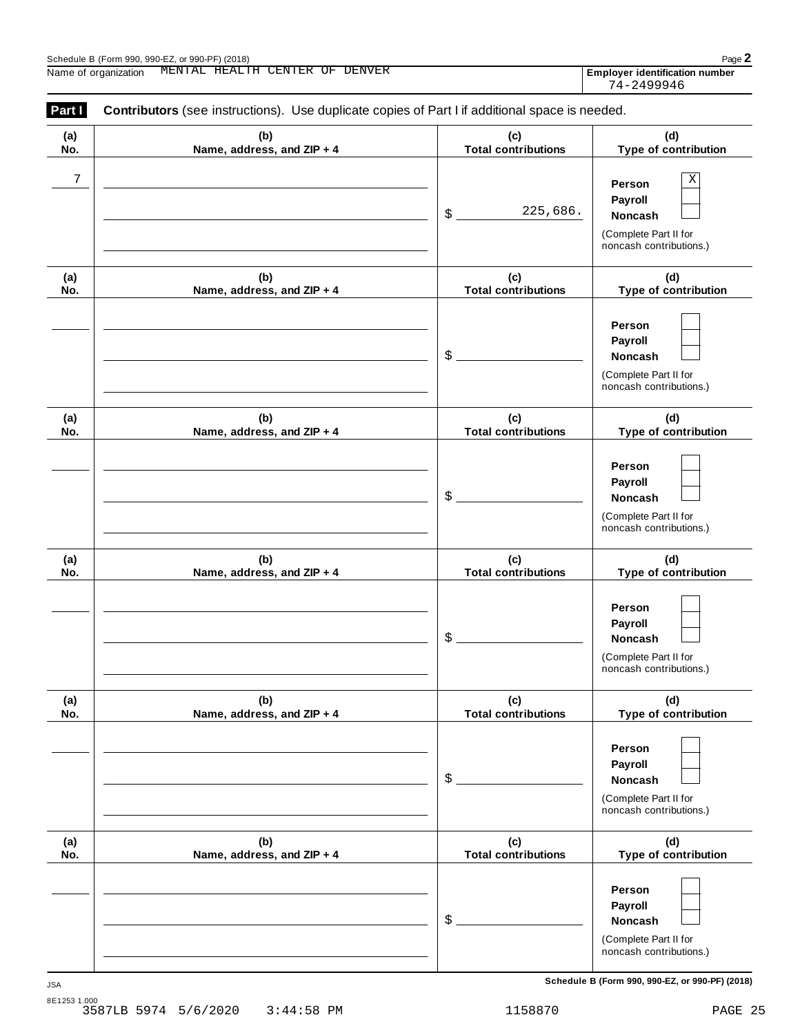| (a) | (b)                        | (c)                        | (d)                     |
|-----|----------------------------|----------------------------|-------------------------|
| No. | Name, address, and ZIP + 4 | <b>Total contributions</b> | Type of contribution    |
| 7   |                            |                            | Χ<br>Person             |
|     |                            |                            | Payroll                 |
|     |                            | 225,686.<br>\$             | Noncash                 |
|     |                            |                            | (Complete Part II for   |
|     |                            |                            | noncash contributions.) |
| (a) | (b)                        | (c)                        | (d)                     |
| No. | Name, address, and ZIP + 4 | <b>Total contributions</b> | Type of contribution    |
|     |                            |                            | Person                  |
|     |                            |                            | Payroll                 |
|     |                            | \$                         | Noncash                 |
|     |                            |                            | (Complete Part II for   |
|     |                            |                            | noncash contributions.) |
| (a) | (b)                        | (c)                        | (d)                     |
| No. | Name, address, and ZIP + 4 | <b>Total contributions</b> | Type of contribution    |
|     |                            |                            | Person                  |
|     |                            |                            | Payroll                 |
|     |                            | \$                         | Noncash                 |
|     |                            |                            | (Complete Part II for   |
|     |                            |                            | noncash contributions.) |
| (a) | (b)                        | (c)                        | (d)                     |
| No. | Name, address, and ZIP + 4 | <b>Total contributions</b> | Type of contribution    |
|     |                            |                            | Person                  |
|     |                            |                            | Payroll                 |
|     |                            | \$                         | <b>Noncash</b>          |
|     |                            |                            | (Complete Part II for   |
|     |                            |                            | noncash contributions.) |
| (a) | (b)                        | (c)                        | (d)                     |
| No. | Name, address, and ZIP + 4 | <b>Total contributions</b> | Type of contribution    |
|     |                            |                            | Person                  |
|     |                            |                            | Payroll                 |
|     |                            | \$                         | Noncash                 |
|     |                            |                            | (Complete Part II for   |
|     |                            |                            | noncash contributions.) |
| (a) | (b)                        | (c)                        | (d)                     |
| No. | Name, address, and ZIP + 4 | <b>Total contributions</b> | Type of contribution    |
|     |                            |                            | Person                  |
|     |                            |                            | Payroll                 |
|     |                            | \$                         | Noncash                 |
|     |                            |                            |                         |
|     |                            |                            | (Complete Part II for   |

**Schedule B (Form 990, 990-EZ, or 990-PF) (2018)** JSA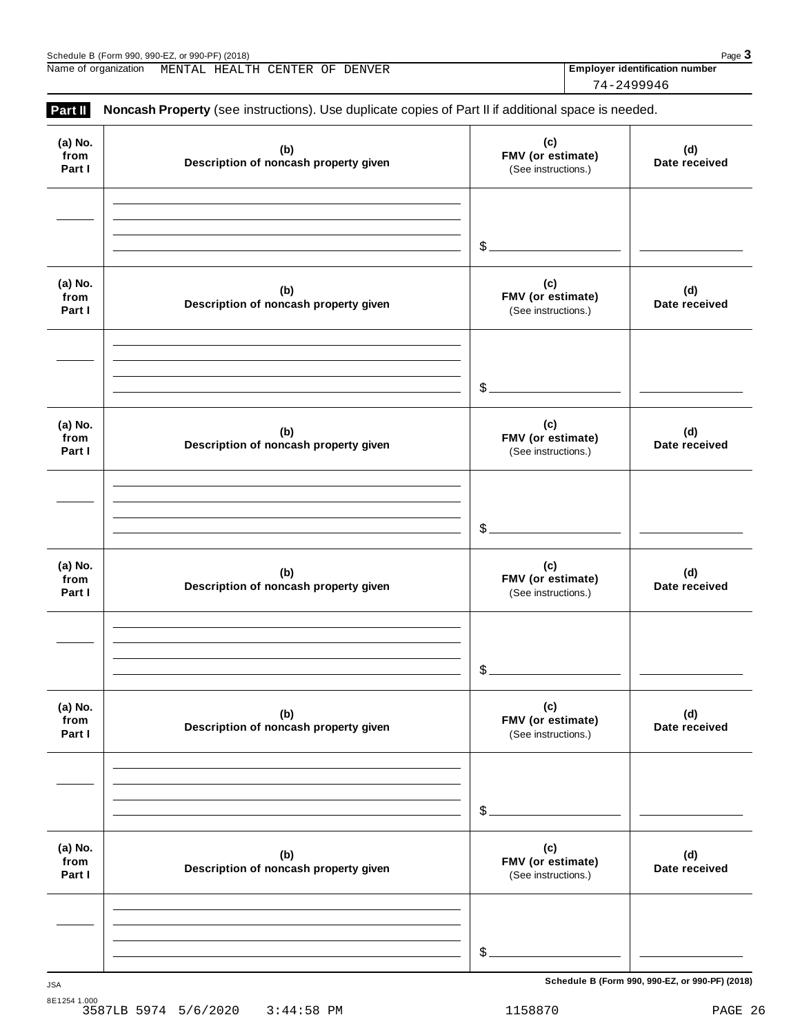Schedule B (Form 990, 990-EZ, or 990-PF) (2018)<br>Name of organization MENTAL HEALTH CENTER OF DENVER **Page 1 Page 3 Page 3** Name of organization MENTAL HEALTH CENTER OF DENVER **Employer identification number** 

74-2499946

| Part II                   | Noncash Property (see instructions). Use duplicate copies of Part II if additional space is needed. |                                                 |                      |
|---------------------------|-----------------------------------------------------------------------------------------------------|-------------------------------------------------|----------------------|
| (a) No.<br>from<br>Part I | (b)<br>Description of noncash property given                                                        | (c)<br>FMV (or estimate)<br>(See instructions.) | (d)<br>Date received |
|                           |                                                                                                     | $\frac{2}{2}$                                   |                      |
| (a) No.<br>from<br>Part I | (b)<br>Description of noncash property given                                                        | (c)<br>FMV (or estimate)<br>(See instructions.) | (d)<br>Date received |
|                           |                                                                                                     | $$$ .                                           |                      |
| (a) No.<br>from<br>Part I | (b)<br>Description of noncash property given                                                        | (c)<br>FMV (or estimate)<br>(See instructions.) | (d)<br>Date received |
|                           |                                                                                                     | $\mathcal{L}$                                   |                      |
| (a) No.<br>from<br>Part I | (b)<br>Description of noncash property given                                                        | (c)<br>FMV (or estimate)<br>(See instructions.) | (d)<br>Date received |
|                           |                                                                                                     | \$                                              |                      |
| (a) No.<br>from<br>Part I | (b)<br>Description of noncash property given                                                        | (c)<br>FMV (or estimate)<br>(See instructions.) | (d)<br>Date received |
|                           |                                                                                                     | \$                                              |                      |
| (a) No.<br>from<br>Part I | (b)<br>Description of noncash property given                                                        | (c)<br>FMV (or estimate)<br>(See instructions.) | (d)<br>Date received |
|                           |                                                                                                     | \$.                                             |                      |

**Schedule B (Form 990, 990-EZ, or 990-PF) (2018)** JSA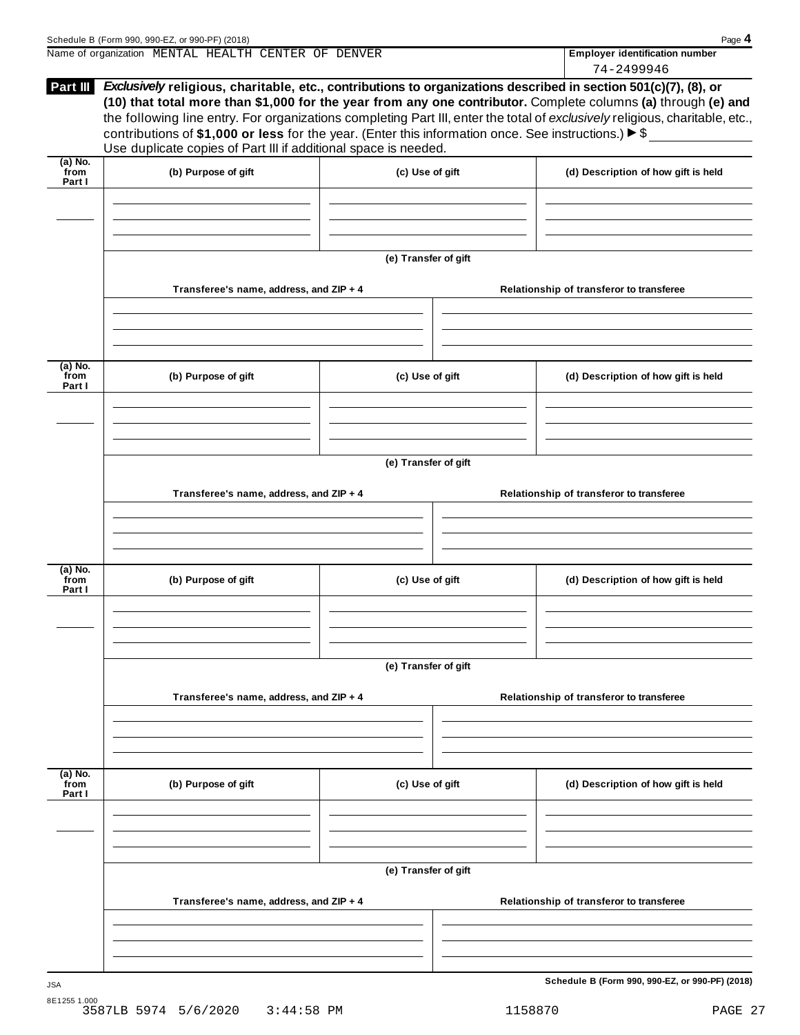|                             | Schedule B (Form 990, 990-EZ, or 990-PF) (2018)<br>Name of organization MENTAL HEALTH CENTER OF DENVER                                                                                      |                      |  | Page 4<br><b>Employer identification number</b><br>74-2499946                                                                                                                                                                                                                                                                                                             |
|-----------------------------|---------------------------------------------------------------------------------------------------------------------------------------------------------------------------------------------|----------------------|--|---------------------------------------------------------------------------------------------------------------------------------------------------------------------------------------------------------------------------------------------------------------------------------------------------------------------------------------------------------------------------|
|                             | contributions of \$1,000 or less for the year. (Enter this information once. See instructions.) $\blacktriangleright$ \$<br>Use duplicate copies of Part III if additional space is needed. |                      |  | Part III Exclusively religious, charitable, etc., contributions to organizations described in section 501(c)(7), (8), or<br>(10) that total more than \$1,000 for the year from any one contributor. Complete columns (a) through (e) and<br>the following line entry. For organizations completing Part III, enter the total of exclusively religious, charitable, etc., |
| $(a)$ No.<br>from<br>Part I | (b) Purpose of gift                                                                                                                                                                         | (c) Use of gift      |  | (d) Description of how gift is held                                                                                                                                                                                                                                                                                                                                       |
|                             |                                                                                                                                                                                             |                      |  |                                                                                                                                                                                                                                                                                                                                                                           |
|                             | Transferee's name, address, and ZIP + 4                                                                                                                                                     | (e) Transfer of gift |  | Relationship of transferor to transferee                                                                                                                                                                                                                                                                                                                                  |
|                             |                                                                                                                                                                                             |                      |  |                                                                                                                                                                                                                                                                                                                                                                           |
| (a) No.<br>from<br>Part I   | (b) Purpose of gift                                                                                                                                                                         | (c) Use of gift      |  | (d) Description of how gift is held                                                                                                                                                                                                                                                                                                                                       |
|                             |                                                                                                                                                                                             |                      |  |                                                                                                                                                                                                                                                                                                                                                                           |
|                             | Transferee's name, address, and ZIP + 4                                                                                                                                                     | (e) Transfer of gift |  | Relationship of transferor to transferee                                                                                                                                                                                                                                                                                                                                  |
| (a) No.<br>from             | (b) Purpose of gift                                                                                                                                                                         | (c) Use of gift      |  | (d) Description of how gift is held                                                                                                                                                                                                                                                                                                                                       |
| Part I                      |                                                                                                                                                                                             |                      |  |                                                                                                                                                                                                                                                                                                                                                                           |
|                             |                                                                                                                                                                                             | (e) Transfer of gift |  |                                                                                                                                                                                                                                                                                                                                                                           |
|                             | Transferee's name, address, and ZIP + 4                                                                                                                                                     |                      |  | Relationship of transferor to transferee                                                                                                                                                                                                                                                                                                                                  |
| $(a)$ No.<br>from<br>Part I | (b) Purpose of gift                                                                                                                                                                         | (c) Use of gift      |  | (d) Description of how gift is held                                                                                                                                                                                                                                                                                                                                       |
|                             |                                                                                                                                                                                             |                      |  |                                                                                                                                                                                                                                                                                                                                                                           |
|                             |                                                                                                                                                                                             |                      |  |                                                                                                                                                                                                                                                                                                                                                                           |
|                             | Transferee's name, address, and ZIP + 4                                                                                                                                                     |                      |  | Relationship of transferor to transferee                                                                                                                                                                                                                                                                                                                                  |
|                             |                                                                                                                                                                                             |                      |  |                                                                                                                                                                                                                                                                                                                                                                           |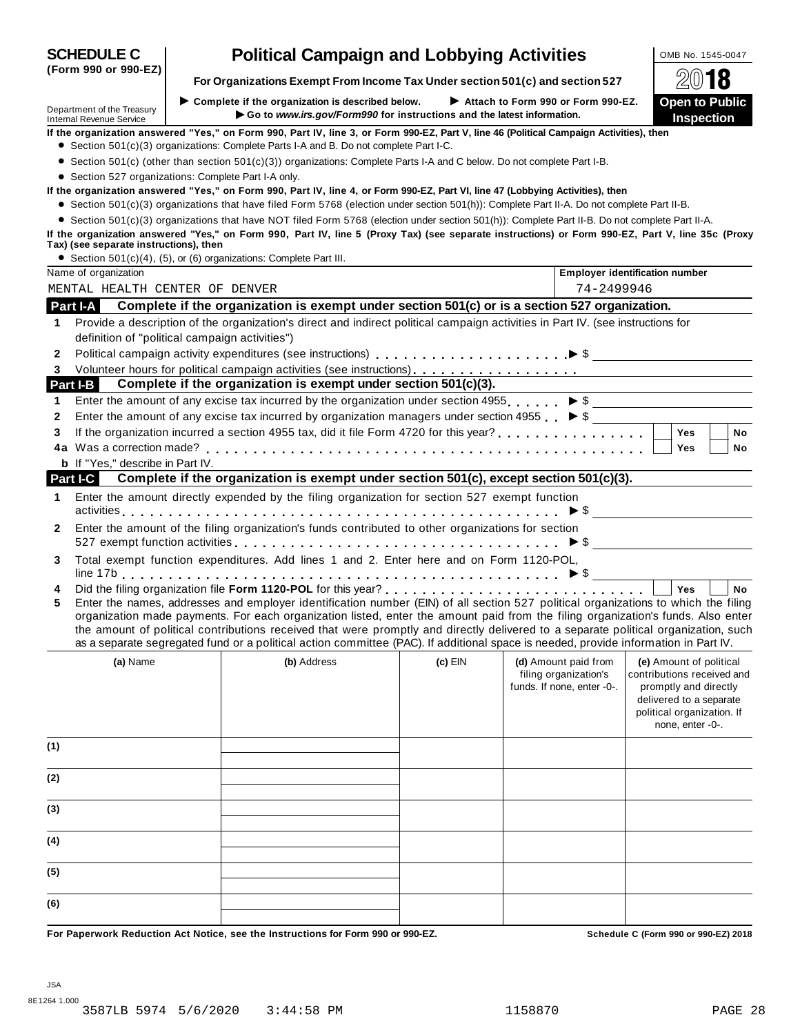|                                 |                                                                    |                                                                                                                                                                                                                                                                                                                                                                                                                                                                                                                                                      |           |                                                                             | порссион                                                                                                                                                    |
|---------------------------------|--------------------------------------------------------------------|------------------------------------------------------------------------------------------------------------------------------------------------------------------------------------------------------------------------------------------------------------------------------------------------------------------------------------------------------------------------------------------------------------------------------------------------------------------------------------------------------------------------------------------------------|-----------|-----------------------------------------------------------------------------|-------------------------------------------------------------------------------------------------------------------------------------------------------------|
|                                 |                                                                    | If the organization answered "Yes," on Form 990, Part IV, line 3, or Form 990-EZ, Part V, line 46 (Political Campaign Activities), then                                                                                                                                                                                                                                                                                                                                                                                                              |           |                                                                             |                                                                                                                                                             |
|                                 |                                                                    | • Section $501(c)(3)$ organizations: Complete Parts I-A and B. Do not complete Part I-C.                                                                                                                                                                                                                                                                                                                                                                                                                                                             |           |                                                                             |                                                                                                                                                             |
|                                 |                                                                    | • Section 501(c) (other than section 501(c)(3)) organizations: Complete Parts I-A and C below. Do not complete Part I-B.                                                                                                                                                                                                                                                                                                                                                                                                                             |           |                                                                             |                                                                                                                                                             |
|                                 | • Section 527 organizations: Complete Part I-A only.               | If the organization answered "Yes," on Form 990, Part IV, line 4, or Form 990-EZ, Part VI, line 47 (Lobbying Activities), then                                                                                                                                                                                                                                                                                                                                                                                                                       |           |                                                                             |                                                                                                                                                             |
|                                 |                                                                    | • Section 501(c)(3) organizations that have filed Form 5768 (election under section 501(h)): Complete Part II-A. Do not complete Part II-B.                                                                                                                                                                                                                                                                                                                                                                                                          |           |                                                                             |                                                                                                                                                             |
|                                 |                                                                    | • Section 501(c)(3) organizations that have NOT filed Form 5768 (election under section 501(h)): Complete Part II-B. Do not complete Part II-A.                                                                                                                                                                                                                                                                                                                                                                                                      |           |                                                                             |                                                                                                                                                             |
|                                 |                                                                    | If the organization answered "Yes," on Form 990, Part IV, line 5 (Proxy Tax) (see separate instructions) or Form 990-EZ, Part V, line 35c (Proxy                                                                                                                                                                                                                                                                                                                                                                                                     |           |                                                                             |                                                                                                                                                             |
|                                 | Tax) (see separate instructions), then                             |                                                                                                                                                                                                                                                                                                                                                                                                                                                                                                                                                      |           |                                                                             |                                                                                                                                                             |
|                                 | • Section 501(c)(4), (5), or (6) organizations: Complete Part III. |                                                                                                                                                                                                                                                                                                                                                                                                                                                                                                                                                      |           |                                                                             |                                                                                                                                                             |
|                                 | Name of organization                                               |                                                                                                                                                                                                                                                                                                                                                                                                                                                                                                                                                      |           |                                                                             | <b>Employer identification number</b>                                                                                                                       |
|                                 | MENTAL HEALTH CENTER OF DENVER                                     |                                                                                                                                                                                                                                                                                                                                                                                                                                                                                                                                                      |           | 74-2499946                                                                  |                                                                                                                                                             |
|                                 |                                                                    | Part I-A Complete if the organization is exempt under section 501(c) or is a section 527 organization.                                                                                                                                                                                                                                                                                                                                                                                                                                               |           |                                                                             |                                                                                                                                                             |
| 1                               |                                                                    | Provide a description of the organization's direct and indirect political campaign activities in Part IV. (see instructions for                                                                                                                                                                                                                                                                                                                                                                                                                      |           |                                                                             |                                                                                                                                                             |
|                                 | definition of "political campaign activities")                     |                                                                                                                                                                                                                                                                                                                                                                                                                                                                                                                                                      |           |                                                                             |                                                                                                                                                             |
| $\mathbf{2}$                    |                                                                    |                                                                                                                                                                                                                                                                                                                                                                                                                                                                                                                                                      |           |                                                                             |                                                                                                                                                             |
|                                 |                                                                    |                                                                                                                                                                                                                                                                                                                                                                                                                                                                                                                                                      |           |                                                                             |                                                                                                                                                             |
|                                 | Part I-B                                                           | Complete if the organization is exempt under section 501(c)(3).                                                                                                                                                                                                                                                                                                                                                                                                                                                                                      |           |                                                                             |                                                                                                                                                             |
| 1                               |                                                                    | Enter the amount of any excise tax incurred by the organization under section 4955. $\triangleright$ \$                                                                                                                                                                                                                                                                                                                                                                                                                                              |           |                                                                             |                                                                                                                                                             |
| 2                               |                                                                    | Enter the amount of any excise tax incurred by organization managers under section 4955 $\triangleright$ \$                                                                                                                                                                                                                                                                                                                                                                                                                                          |           |                                                                             |                                                                                                                                                             |
| 3                               |                                                                    |                                                                                                                                                                                                                                                                                                                                                                                                                                                                                                                                                      |           |                                                                             | <b>Yes</b><br>No                                                                                                                                            |
|                                 |                                                                    |                                                                                                                                                                                                                                                                                                                                                                                                                                                                                                                                                      |           |                                                                             | <b>Yes</b><br>No                                                                                                                                            |
|                                 | <b>b</b> If "Yes," describe in Part IV.                            |                                                                                                                                                                                                                                                                                                                                                                                                                                                                                                                                                      |           |                                                                             |                                                                                                                                                             |
|                                 | <b>Part I-C</b>                                                    | Complete if the organization is exempt under section 501(c), except section 501(c)(3).                                                                                                                                                                                                                                                                                                                                                                                                                                                               |           |                                                                             |                                                                                                                                                             |
| 1                               |                                                                    | Enter the amount directly expended by the filing organization for section 527 exempt function                                                                                                                                                                                                                                                                                                                                                                                                                                                        |           |                                                                             |                                                                                                                                                             |
|                                 |                                                                    |                                                                                                                                                                                                                                                                                                                                                                                                                                                                                                                                                      |           |                                                                             | $\blacktriangleright \text{\$}$                                                                                                                             |
| $\mathbf{2}$                    |                                                                    | Enter the amount of the filing organization's funds contributed to other organizations for section<br>527 exempt function activities $\ldots \ldots \ldots \ldots \ldots \ldots \ldots \ldots \ldots \ldots \ldots \ldots \blacktriangleright$ \$ ____                                                                                                                                                                                                                                                                                               |           |                                                                             |                                                                                                                                                             |
| 3                               |                                                                    | Total exempt function expenditures. Add lines 1 and 2. Enter here and on Form 1120-POL,                                                                                                                                                                                                                                                                                                                                                                                                                                                              |           |                                                                             |                                                                                                                                                             |
| 4<br>5                          |                                                                    | Enter the names, addresses and employer identification number (EIN) of all section 527 political organizations to which the filing<br>organization made payments. For each organization listed, enter the amount paid from the filing organization's funds. Also enter<br>the amount of political contributions received that were promptly and directly delivered to a separate political organization, such<br>as a separate segregated fund or a political action committee (PAC). If additional space is needed, provide information in Part IV. |           |                                                                             | Yes<br><b>No</b>                                                                                                                                            |
|                                 | (a) Name                                                           | (b) Address                                                                                                                                                                                                                                                                                                                                                                                                                                                                                                                                          | $(c)$ EIN | (d) Amount paid from<br>filing organization's<br>funds. If none, enter -0-. | (e) Amount of political<br>contributions received and<br>promptly and directly<br>delivered to a separate<br>political organization. If<br>none, enter -0-. |
|                                 |                                                                    |                                                                                                                                                                                                                                                                                                                                                                                                                                                                                                                                                      |           |                                                                             |                                                                                                                                                             |
|                                 |                                                                    |                                                                                                                                                                                                                                                                                                                                                                                                                                                                                                                                                      |           |                                                                             |                                                                                                                                                             |
|                                 |                                                                    |                                                                                                                                                                                                                                                                                                                                                                                                                                                                                                                                                      |           |                                                                             |                                                                                                                                                             |
|                                 |                                                                    |                                                                                                                                                                                                                                                                                                                                                                                                                                                                                                                                                      |           |                                                                             |                                                                                                                                                             |
|                                 |                                                                    |                                                                                                                                                                                                                                                                                                                                                                                                                                                                                                                                                      |           |                                                                             |                                                                                                                                                             |
| (1)<br>(2)<br>(3)<br>(4)<br>(5) |                                                                    |                                                                                                                                                                                                                                                                                                                                                                                                                                                                                                                                                      |           |                                                                             |                                                                                                                                                             |



**For Organizations Exempt From Income Tax Under section 501(c) and section 527 │ △①18<br>Complete if the organization is described below. ▶ Attach to Form 990 or Form 990-EZ. Open to Public**  $\blacktriangleright$  Complete if the organization is described below.

**SCHEDULE C Political Campaign and Lobbying Activities LOMB No. 1545-0047** 

| (Form 990 or 990-EZ) |  |
|----------------------|--|
|                      |  |

Department of the Treasury ▶ Complete if the organization is described below. ▶ Attach to Form 990 or Form 990-EZ. **Open to Public**<br>Internal Revenue Service ▶ Co to *www.irs.gov/Form990* for instructions and the latest in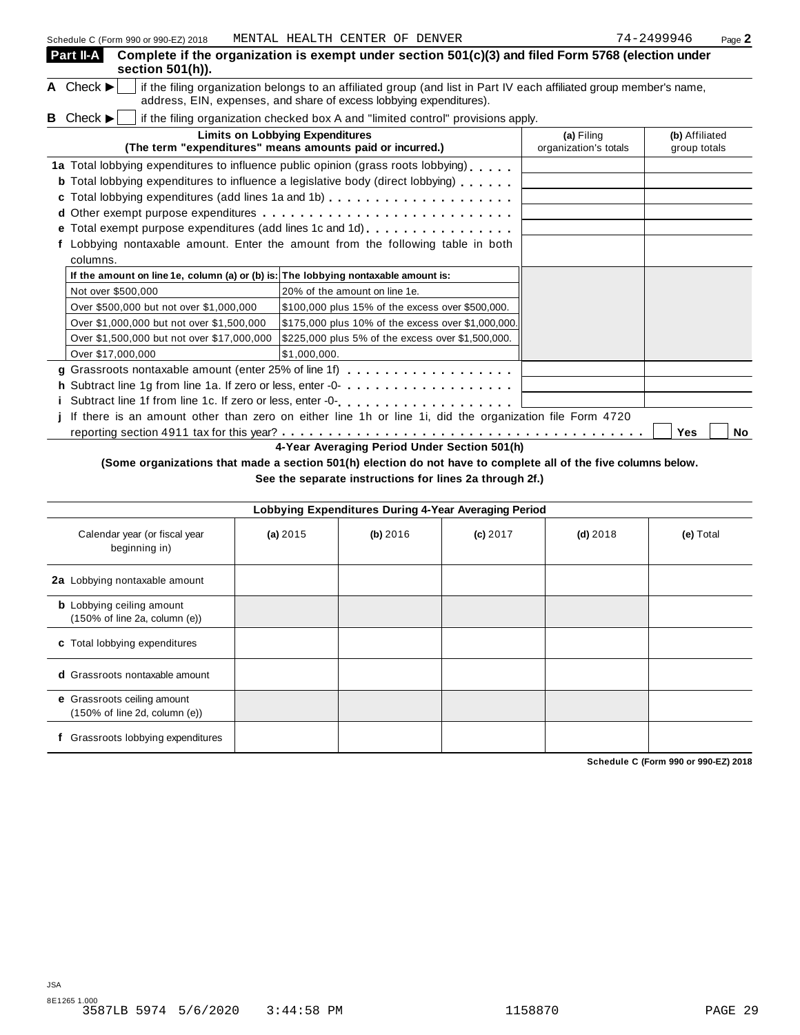| Schedule C (Form 990 or 990-EZ) 2018                                               | MENTAL HEALTH CENTER OF DENVER                                                                                                                                                             |                                     | 74-2499946<br>Page 2           |
|------------------------------------------------------------------------------------|--------------------------------------------------------------------------------------------------------------------------------------------------------------------------------------------|-------------------------------------|--------------------------------|
| Part II-A<br>section 501(h)).                                                      | Complete if the organization is exempt under section 501(c)(3) and filed Form 5768 (election under                                                                                         |                                     |                                |
| A Check $\blacktriangleright$                                                      | if the filing organization belongs to an affiliated group (and list in Part IV each affiliated group member's name,<br>address, EIN, expenses, and share of excess lobbying expenditures). |                                     |                                |
| Check $\blacktriangleright$<br>в                                                   | if the filing organization checked box A and "limited control" provisions apply.                                                                                                           |                                     |                                |
|                                                                                    | <b>Limits on Lobbying Expenditures</b><br>(The term "expenditures" means amounts paid or incurred.)                                                                                        | (a) Filing<br>organization's totals | (b) Affiliated<br>group totals |
|                                                                                    | 1a Total lobbying expenditures to influence public opinion (grass roots lobbying)                                                                                                          |                                     |                                |
|                                                                                    | <b>b</b> Total lobbying expenditures to influence a legislative body (direct lobbying)                                                                                                     |                                     |                                |
|                                                                                    | Total lobbying expenditures (add lines 1a and 1b)                                                                                                                                          |                                     |                                |
| d                                                                                  |                                                                                                                                                                                            |                                     |                                |
|                                                                                    | e Total exempt purpose expenditures (add lines 1c and 1d)                                                                                                                                  |                                     |                                |
|                                                                                    | Lobbying nontaxable amount. Enter the amount from the following table in both                                                                                                              |                                     |                                |
| columns.                                                                           |                                                                                                                                                                                            |                                     |                                |
| If the amount on line 1e, column (a) or (b) is: The lobbying nontaxable amount is: |                                                                                                                                                                                            |                                     |                                |
| Not over \$500,000                                                                 | 20% of the amount on line 1e.                                                                                                                                                              |                                     |                                |
| Over \$500,000 but not over \$1,000,000                                            | \$100,000 plus 15% of the excess over \$500,000.                                                                                                                                           |                                     |                                |
| Over \$1,000,000 but not over \$1,500,000                                          | \$175,000 plus 10% of the excess over \$1,000,000.                                                                                                                                         |                                     |                                |
| Over \$1,500,000 but not over \$17,000,000                                         | \$225,000 plus 5% of the excess over \$1,500,000.                                                                                                                                          |                                     |                                |
| Over \$17,000,000                                                                  | \$1,000,000.                                                                                                                                                                               |                                     |                                |
|                                                                                    | g Grassroots nontaxable amount (enter 25% of line 1f)                                                                                                                                      |                                     |                                |
|                                                                                    |                                                                                                                                                                                            |                                     |                                |
|                                                                                    |                                                                                                                                                                                            |                                     |                                |
|                                                                                    | If there is an amount other than zero on either line 1h or line 1i, did the organization file Form 4720                                                                                    |                                     |                                |
|                                                                                    |                                                                                                                                                                                            |                                     | No<br>Yes                      |
|                                                                                    | $\overline{AB}$ and $\overline{AB}$ are solven in the state of $\overline{AB}$ and $\overline{AB}$ are state of $\overline{BA}$ and $\overline{AB}$                                        |                                     |                                |

**4-Year Averaging Period Under Section 501(h)**

(Some organizations that made a section 501(h) election do not have to complete all of the five columns below.

**See the separate instructions for lines 2a through 2f.)**

| Lobbying Expenditures During 4-Year Averaging Period                                   |            |          |            |            |           |  |
|----------------------------------------------------------------------------------------|------------|----------|------------|------------|-----------|--|
| Calendar year (or fiscal year<br>beginning in)                                         | (a) $2015$ | (b) 2016 | $(c)$ 2017 | $(d)$ 2018 | (e) Total |  |
| 2a Lobbying nontaxable amount                                                          |            |          |            |            |           |  |
| <b>b</b> Lobbying ceiling amount<br>$(150\% \text{ of line } 2a, \text{ column } (e))$ |            |          |            |            |           |  |
| c Total lobbying expenditures                                                          |            |          |            |            |           |  |
| <b>d</b> Grassroots nontaxable amount                                                  |            |          |            |            |           |  |
| e Grassroots ceiling amount<br>$(150\% \text{ of line } 2d, \text{ column } (e))$      |            |          |            |            |           |  |
| Grassroots lobbying expenditures                                                       |            |          |            |            |           |  |

**Schedule C (Form 990 or 990-EZ) 2018**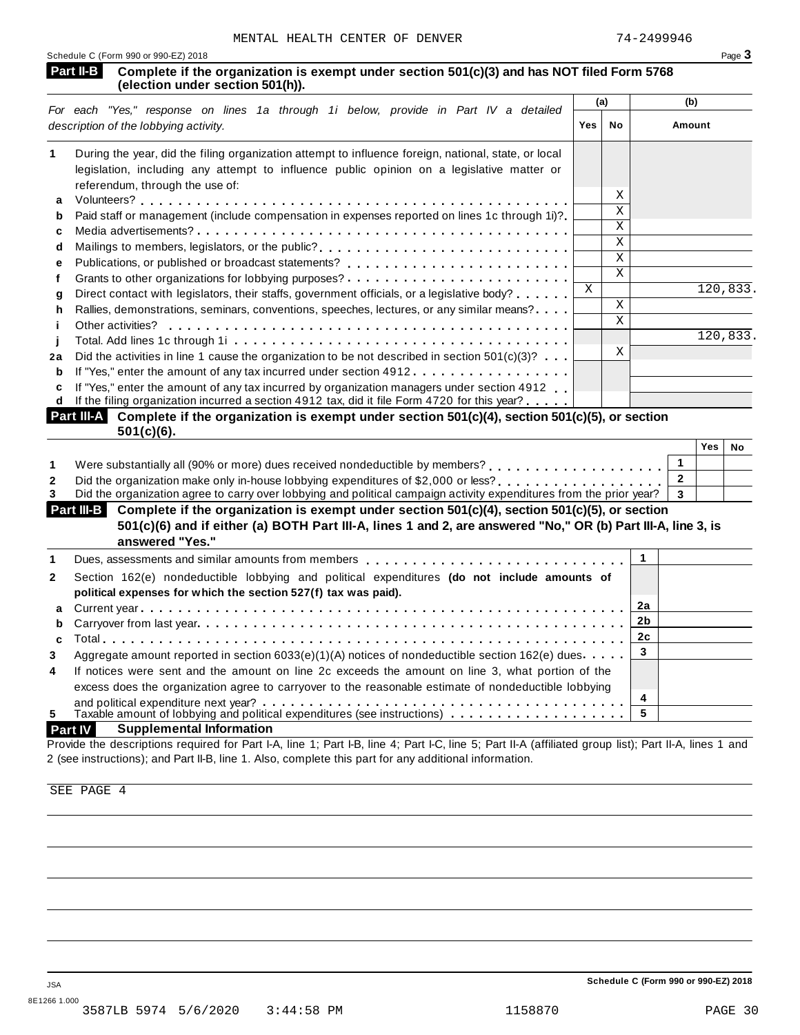|           | Schedule C (Form 990 or 990-EZ) 2018                                                                                           | Page 3 |
|-----------|--------------------------------------------------------------------------------------------------------------------------------|--------|
| Part II-B | Complete if the organization is exempt under section 501(c)(3) and has NOT filed Form 5768<br>(election under section 501(h)). |        |
|           |                                                                                                                                |        |

|    | For each "Yes," response on lines 1a through 1i below, provide in Part IV a detailed                                                                        |              | (a) | (b)      |
|----|-------------------------------------------------------------------------------------------------------------------------------------------------------------|--------------|-----|----------|
|    | description of the lobbying activity.                                                                                                                       | Yes.         | No  | Amount   |
|    | During the year, did the filing organization attempt to influence foreign, national, state, or local                                                        |              |     |          |
|    | legislation, including any attempt to influence public opinion on a legislative matter or                                                                   |              |     |          |
|    | referendum, through the use of:                                                                                                                             |              |     |          |
| a  |                                                                                                                                                             |              | Х   |          |
| b  | Paid staff or management (include compensation in expenses reported on lines 1c through 1i)?                                                                |              | Χ   |          |
| c  |                                                                                                                                                             |              | Χ   |          |
| d  | Mailings to members, legislators, or the public?                                                                                                            |              | X   |          |
| е  |                                                                                                                                                             |              | X   |          |
|    |                                                                                                                                                             |              | X   |          |
| g  | Direct contact with legislators, their staffs, government officials, or a legislative body?                                                                 | $\mathsf{x}$ |     | 120,833. |
| h  | Rallies, demonstrations, seminars, conventions, speeches, lectures, or any similar means?                                                                   |              | X   |          |
|    | Other activities?                                                                                                                                           |              | X   |          |
|    | Total. Add lines 1c through 1i $\dots\dots\dots\dots\dots\dots\dots\dots\dots\dots\dots\dots\dots\dots\dots\dots\dots\dots$                                 |              |     | 120,833. |
| 2a | Did the activities in line 1 cause the organization to be not described in section $501(c)(3)$ ?                                                            |              | X   |          |
| b  | If "Yes," enter the amount of any tax incurred under section 4912                                                                                           |              |     |          |
| с  | If "Yes," enter the amount of any tax incurred by organization managers under section 4912                                                                  |              |     |          |
| d  | If the filing organization incurred a section 4912 tax, did it file Form 4720 for this year?                                                                |              |     |          |
|    | <b>Dout <math>\mathbb{H}</math></b> $\Lambda$ . Complete if the experimetion is exampt under eaction $\mathsf{FA}/(N)$ eaction $\mathsf{FA}/(N)$ or eaction |              |     |          |

| <b>Part III-A</b> Complete if the organization is exempt under section $501(c)(4)$ , section $501(c)(5)$ , or section |
|-----------------------------------------------------------------------------------------------------------------------|
| $501(c)(6)$ .                                                                                                         |
|                                                                                                                       |

|                                                                                                                     | Yes | No |
|---------------------------------------------------------------------------------------------------------------------|-----|----|
| Were substantially all (90% or more) dues received nondeductible by members?                                        |     |    |
| Did the organization make only in-house lobbying expenditures of \$2,000 or less?                                   |     |    |
| Did the organization agree to carry over lobbying and political campaign activity expenditures from the prior year? |     |    |

| Part III-B Complete if the organization is exempt under section 501(c)(4), section 501(c)(5), or section     |  |
|--------------------------------------------------------------------------------------------------------------|--|
| 501(c)(6) and if either (a) BOTH Part III-A, lines 1 and 2, are answered "No," OR (b) Part III-A, line 3, is |  |
| answered "Yes."                                                                                              |  |
|                                                                                                              |  |

|                | answered res.                                                                                                               |            |
|----------------|-----------------------------------------------------------------------------------------------------------------------------|------------|
|                | Dues, assessments and similar amounts from members $\ldots \ldots \ldots \ldots \ldots \ldots \ldots \ldots \ldots \perp 1$ |            |
| $\mathbf{2}$   | Section 162(e) nondeductible lobbying and political expenditures (do not include amounts of                                 |            |
|                | political expenses for which the section 527(f) tax was paid).                                                              |            |
|                |                                                                                                                             | 2a         |
|                |                                                                                                                             |            |
|                |                                                                                                                             | <u> 2c</u> |
| 3              | Aggregate amount reported in section $6033(e)(1)(A)$ notices of nondeductible section 162(e) dues                           |            |
| $\overline{4}$ | If notices were sent and the amount on line 2c exceeds the amount on line 3, what portion of the                            |            |
|                | excess does the organization agree to carryover to the reasonable estimate of nondeductible lobbying                        |            |
|                |                                                                                                                             | 4          |
| 5              |                                                                                                                             |            |
|                |                                                                                                                             |            |

#### **Part IV Supplemental Information**

Provide the descriptions required for Part I-A, line 1; Part I-B, line 4; Part I-C, line 5; Part II-A (affiliated group list); Part II-A, lines 1 and 2 (see instructions); and Part II-B, line 1. Also, complete this part for any additional information.

SEE PAGE 4

JSA 8E1266 1.000 3587LB 5974 5/6/2020 3:44:58 PM 1158870 PAGE 30

**Schedule C (Form 990 or 990-EZ) 2018**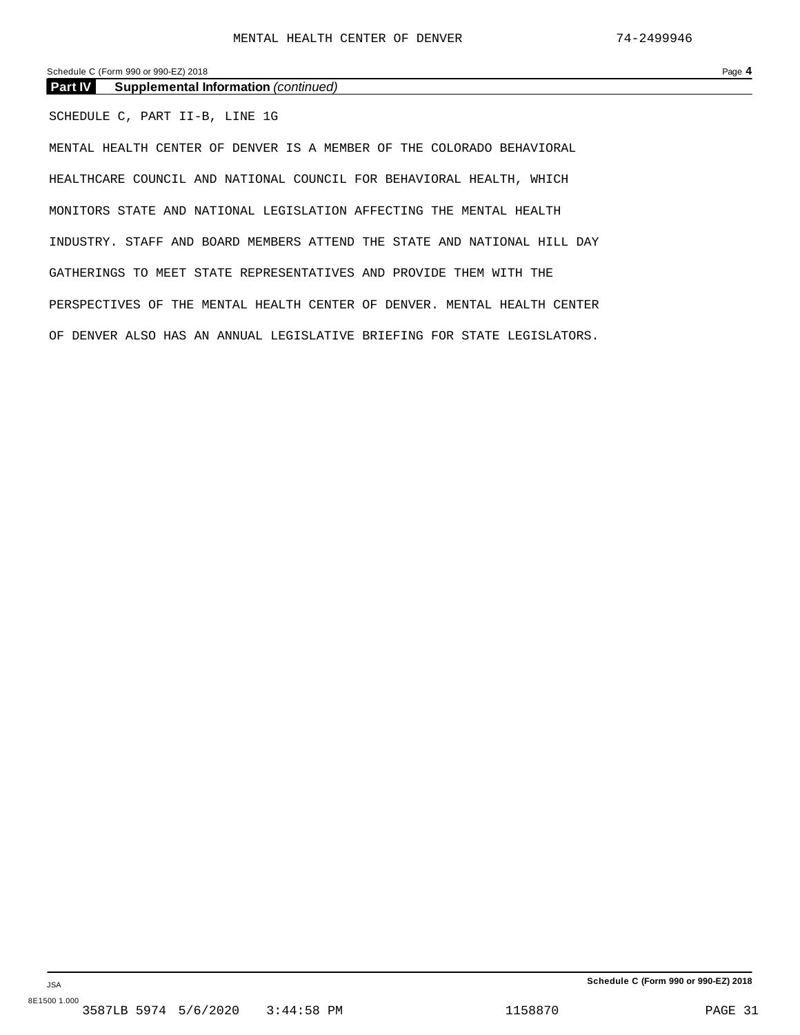Schedule C (Form 990 or 990-EZ) 2018 Page **4**

**Part IV Supplemental Information** *(continued)*

SCHEDULE C, PART II-B, LINE 1G

MENTAL HEALTH CENTER OF DENVER IS A MEMBER OF THE COLORADO BEHAVIORAL HEALTHCARE COUNCIL AND NATIONAL COUNCIL FOR BEHAVIORAL HEALTH, WHICH MONITORS STATE AND NATIONAL LEGISLATION AFFECTING THE MENTAL HEALTH INDUSTRY. STAFF AND BOARD MEMBERS ATTEND THE STATE AND NATIONAL HILL DAY GATHERINGS TO MEET STATE REPRESENTATIVES AND PROVIDE THEM WITH THE PERSPECTIVES OF THE MENTAL HEALTH CENTER OF DENVER. MENTAL HEALTH CENTER OF DENVER ALSO HAS AN ANNUAL LEGISLATIVE BRIEFING FOR STATE LEGISLATORS.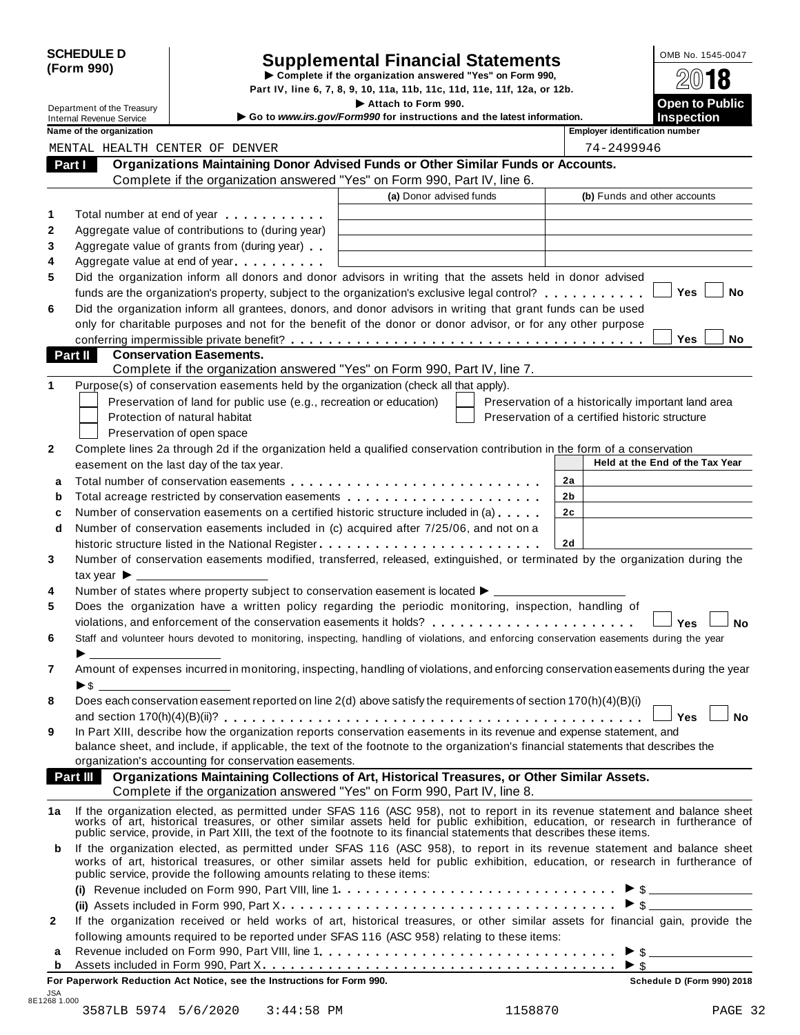|            | <b>SCHEDULE D</b> |
|------------|-------------------|
| (Form 990) |                   |

# SCHEDULE D<br>
Supplemental Financial Statements<br>
Form 990) Part IV, line 6, 7, 8, 9, 10, 11a, 11b, 11c, 11d, 11e, 11f, 12a, or 12b.

|                |                                                               |                                                                                                                                                                                                                               | Part IV, line 6, 7, 8, 9, 10, 11a, 11b, 11c, 11d, 11e, 11f, 12a, or 12b.                      |                |                                                                                                                                                                                                                                                              |
|----------------|---------------------------------------------------------------|-------------------------------------------------------------------------------------------------------------------------------------------------------------------------------------------------------------------------------|-----------------------------------------------------------------------------------------------|----------------|--------------------------------------------------------------------------------------------------------------------------------------------------------------------------------------------------------------------------------------------------------------|
|                | Department of the Treasury<br><b>Internal Revenue Service</b> |                                                                                                                                                                                                                               | Attach to Form 990.<br>Go to www.irs.gov/Form990 for instructions and the latest information. |                | <b>Open to Public</b><br><b>Inspection</b>                                                                                                                                                                                                                   |
|                | Name of the organization                                      |                                                                                                                                                                                                                               |                                                                                               |                | <b>Employer identification number</b>                                                                                                                                                                                                                        |
|                |                                                               | MENTAL HEALTH CENTER OF DENVER                                                                                                                                                                                                |                                                                                               |                | 74-2499946                                                                                                                                                                                                                                                   |
| Part I         |                                                               | Organizations Maintaining Donor Advised Funds or Other Similar Funds or Accounts.                                                                                                                                             |                                                                                               |                |                                                                                                                                                                                                                                                              |
|                |                                                               | Complete if the organization answered "Yes" on Form 990, Part IV, line 6.                                                                                                                                                     |                                                                                               |                |                                                                                                                                                                                                                                                              |
|                |                                                               |                                                                                                                                                                                                                               | (a) Donor advised funds                                                                       |                | (b) Funds and other accounts                                                                                                                                                                                                                                 |
| 1              |                                                               | Total number at end of year entitled as a set of the set of the set of the set of the set of the set of the set of the set of the set of the set of the set of the set of the set of the set of the set of the set of the set |                                                                                               |                |                                                                                                                                                                                                                                                              |
| 2              |                                                               | Aggregate value of contributions to (during year)                                                                                                                                                                             |                                                                                               |                |                                                                                                                                                                                                                                                              |
| 3              |                                                               | Aggregate value of grants from (during year)                                                                                                                                                                                  |                                                                                               |                |                                                                                                                                                                                                                                                              |
| 4              |                                                               | Aggregate value at end of year                                                                                                                                                                                                |                                                                                               |                |                                                                                                                                                                                                                                                              |
| 5              |                                                               | Did the organization inform all donors and donor advisors in writing that the assets held in donor advised                                                                                                                    |                                                                                               |                |                                                                                                                                                                                                                                                              |
|                |                                                               | funds are the organization's property, subject to the organization's exclusive legal control?                                                                                                                                 |                                                                                               |                | <b>Yes</b><br>No                                                                                                                                                                                                                                             |
| 6              |                                                               | Did the organization inform all grantees, donors, and donor advisors in writing that grant funds can be used                                                                                                                  |                                                                                               |                |                                                                                                                                                                                                                                                              |
|                |                                                               | only for charitable purposes and not for the benefit of the donor or donor advisor, or for any other purpose                                                                                                                  |                                                                                               |                |                                                                                                                                                                                                                                                              |
|                |                                                               |                                                                                                                                                                                                                               |                                                                                               |                | <b>Yes</b><br>No.                                                                                                                                                                                                                                            |
| <b>Part II</b> |                                                               | <b>Conservation Easements.</b>                                                                                                                                                                                                |                                                                                               |                |                                                                                                                                                                                                                                                              |
|                |                                                               | Complete if the organization answered "Yes" on Form 990, Part IV, line 7.                                                                                                                                                     |                                                                                               |                |                                                                                                                                                                                                                                                              |
| 1              |                                                               | Purpose(s) of conservation easements held by the organization (check all that apply).                                                                                                                                         |                                                                                               |                |                                                                                                                                                                                                                                                              |
|                |                                                               | Preservation of land for public use (e.g., recreation or education)                                                                                                                                                           |                                                                                               |                | Preservation of a historically important land area                                                                                                                                                                                                           |
|                |                                                               | Protection of natural habitat                                                                                                                                                                                                 |                                                                                               |                | Preservation of a certified historic structure                                                                                                                                                                                                               |
|                |                                                               | Preservation of open space                                                                                                                                                                                                    |                                                                                               |                |                                                                                                                                                                                                                                                              |
| 2              |                                                               | Complete lines 2a through 2d if the organization held a qualified conservation contribution in the form of a conservation                                                                                                     |                                                                                               |                |                                                                                                                                                                                                                                                              |
|                |                                                               | easement on the last day of the tax year.                                                                                                                                                                                     |                                                                                               |                | Held at the End of the Tax Year                                                                                                                                                                                                                              |
| a              |                                                               |                                                                                                                                                                                                                               |                                                                                               | 2a             |                                                                                                                                                                                                                                                              |
| b              |                                                               | Total acreage restricted by conservation easements                                                                                                                                                                            |                                                                                               | 2b             |                                                                                                                                                                                                                                                              |
| c              |                                                               | Number of conservation easements on a certified historic structure included in (a)                                                                                                                                            |                                                                                               | 2 <sub>c</sub> |                                                                                                                                                                                                                                                              |
| d              |                                                               | Number of conservation easements included in (c) acquired after 7/25/06, and not on a                                                                                                                                         |                                                                                               |                |                                                                                                                                                                                                                                                              |
|                |                                                               |                                                                                                                                                                                                                               |                                                                                               | 2d             |                                                                                                                                                                                                                                                              |
| 3              |                                                               | Number of conservation easements modified, transferred, released, extinguished, or terminated by the organization during the                                                                                                  |                                                                                               |                |                                                                                                                                                                                                                                                              |
|                | tax year $\blacktriangleright$ _                              |                                                                                                                                                                                                                               |                                                                                               |                |                                                                                                                                                                                                                                                              |
| 4              |                                                               | Number of states where property subject to conservation easement is located ▶ __________                                                                                                                                      |                                                                                               |                |                                                                                                                                                                                                                                                              |
| 5              |                                                               | Does the organization have a written policy regarding the periodic monitoring, inspection, handling of                                                                                                                        |                                                                                               |                |                                                                                                                                                                                                                                                              |
|                |                                                               | violations, and enforcement of the conservation easements it holds?                                                                                                                                                           |                                                                                               |                | Yes<br><b>No</b>                                                                                                                                                                                                                                             |
| 6              |                                                               | Staff and volunteer hours devoted to monitoring, inspecting, handling of violations, and enforcing conservation easements during the year                                                                                     |                                                                                               |                |                                                                                                                                                                                                                                                              |
| 7              |                                                               |                                                                                                                                                                                                                               |                                                                                               |                | Amount of expenses incurred in monitoring, inspecting, handling of violations, and enforcing conservation easements during the year                                                                                                                          |
|                |                                                               |                                                                                                                                                                                                                               |                                                                                               |                |                                                                                                                                                                                                                                                              |
| 8              |                                                               | Does each conservation easement reported on line 2(d) above satisfy the requirements of section 170(h)(4)(B)(i)                                                                                                               |                                                                                               |                |                                                                                                                                                                                                                                                              |
|                |                                                               |                                                                                                                                                                                                                               |                                                                                               |                | <b>No</b><br><b>Yes</b>                                                                                                                                                                                                                                      |
| 9              |                                                               | In Part XIII, describe how the organization reports conservation easements in its revenue and expense statement, and                                                                                                          |                                                                                               |                |                                                                                                                                                                                                                                                              |
|                |                                                               | balance sheet, and include, if applicable, the text of the footnote to the organization's financial statements that describes the                                                                                             |                                                                                               |                |                                                                                                                                                                                                                                                              |
|                |                                                               | organization's accounting for conservation easements.                                                                                                                                                                         |                                                                                               |                |                                                                                                                                                                                                                                                              |
|                |                                                               | Part III Organizations Maintaining Collections of Art, Historical Treasures, or Other Similar Assets.                                                                                                                         |                                                                                               |                |                                                                                                                                                                                                                                                              |
|                |                                                               | Complete if the organization answered "Yes" on Form 990, Part IV, line 8.                                                                                                                                                     |                                                                                               |                |                                                                                                                                                                                                                                                              |
| 1a             |                                                               | public service, provide, in Part XIII, the text of the footnote to its financial statements that describes these items.                                                                                                       |                                                                                               |                | If the organization elected, as permitted under SFAS 116 (ASC 958), not to report in its revenue statement and balance sheet works of art, historical treasures, or other similar assets held for public exhibition, education                               |
| b              |                                                               | public service, provide the following amounts relating to these items:                                                                                                                                                        |                                                                                               |                | If the organization elected, as permitted under SFAS 116 (ASC 958), to report in its revenue statement and balance sheet<br>works of art, historical treasures, or other similar assets held for public exhibition, education, or research in furtherance of |
|                |                                                               |                                                                                                                                                                                                                               |                                                                                               |                |                                                                                                                                                                                                                                                              |
|                |                                                               |                                                                                                                                                                                                                               |                                                                                               |                | $\triangleright$ \$                                                                                                                                                                                                                                          |
| 2              |                                                               |                                                                                                                                                                                                                               |                                                                                               |                | If the organization received or held works of art, historical treasures, or other similar assets for financial gain, provide the                                                                                                                             |
|                |                                                               | following amounts required to be reported under SFAS 116 (ASC 958) relating to these items:                                                                                                                                   |                                                                                               |                |                                                                                                                                                                                                                                                              |
| а              |                                                               |                                                                                                                                                                                                                               |                                                                                               |                | $\triangleright$ \$                                                                                                                                                                                                                                          |
| b              |                                                               |                                                                                                                                                                                                                               |                                                                                               |                | $\triangleright$ \$                                                                                                                                                                                                                                          |

**For Paperwork Reduction Act Notice, see the Instructions for Form 990. Schedule D (Form 990) 2018**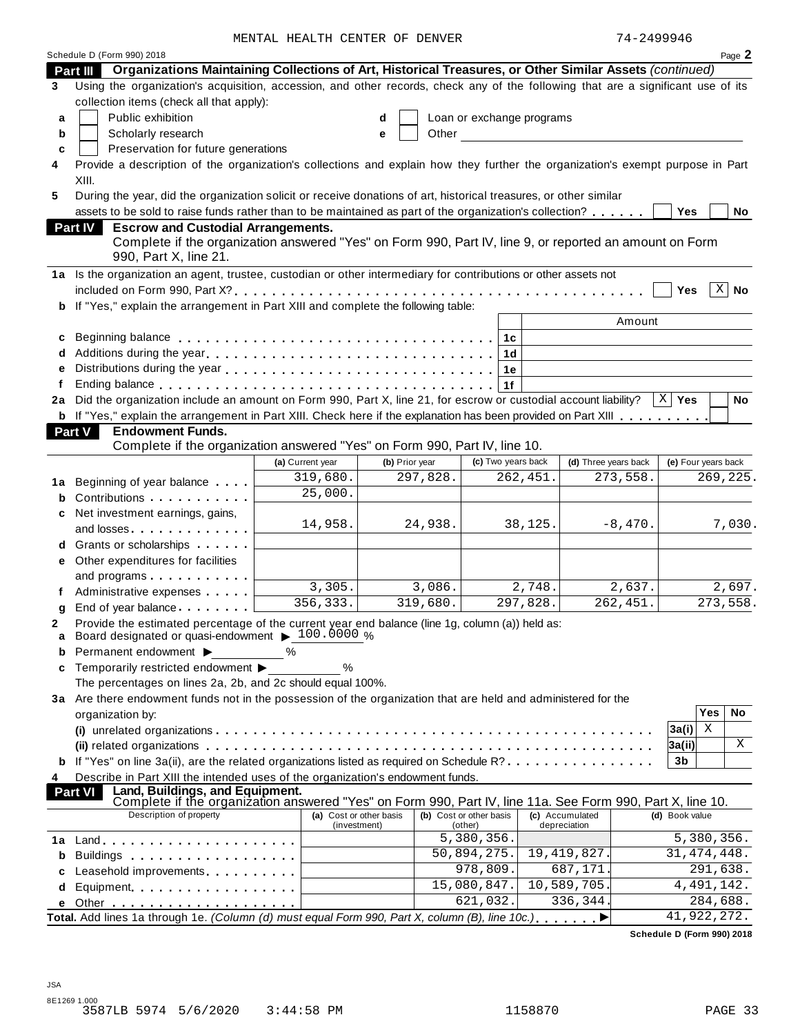|    | Schedule D (Form 990) 2018                                                                                                                                                                                                    |                         |                |                           |                 |                      |                     |              | Page 2       |
|----|-------------------------------------------------------------------------------------------------------------------------------------------------------------------------------------------------------------------------------|-------------------------|----------------|---------------------------|-----------------|----------------------|---------------------|--------------|--------------|
|    | Part III Organizations Maintaining Collections of Art, Historical Treasures, or Other Similar Assets (continued)                                                                                                              |                         |                |                           |                 |                      |                     |              |              |
| 3  | Using the organization's acquisition, accession, and other records, check any of the following that are a significant use of its                                                                                              |                         |                |                           |                 |                      |                     |              |              |
|    | collection items (check all that apply):                                                                                                                                                                                      |                         |                |                           |                 |                      |                     |              |              |
| a  | Public exhibition                                                                                                                                                                                                             |                         | d              | Loan or exchange programs |                 |                      |                     |              |              |
| b  | Scholarly research                                                                                                                                                                                                            |                         | Other<br>e     |                           |                 |                      |                     |              |              |
| c  | Preservation for future generations                                                                                                                                                                                           |                         |                |                           |                 |                      |                     |              |              |
| 4  | Provide a description of the organization's collections and explain how they further the organization's exempt purpose in Part<br>XIII.                                                                                       |                         |                |                           |                 |                      |                     |              |              |
| 5  | During the year, did the organization solicit or receive donations of art, historical treasures, or other similar                                                                                                             |                         |                |                           |                 |                      |                     |              |              |
|    | assets to be sold to raise funds rather than to be maintained as part of the organization's collection?                                                                                                                       |                         |                |                           |                 |                      | Yes                 |              | No           |
|    | <b>Escrow and Custodial Arrangements.</b><br><b>Part IV</b>                                                                                                                                                                   |                         |                |                           |                 |                      |                     |              |              |
|    | Complete if the organization answered "Yes" on Form 990, Part IV, line 9, or reported an amount on Form                                                                                                                       |                         |                |                           |                 |                      |                     |              |              |
|    | 990, Part X, line 21.                                                                                                                                                                                                         |                         |                |                           |                 |                      |                     |              |              |
|    | 1a Is the organization an agent, trustee, custodian or other intermediary for contributions or other assets not                                                                                                               |                         |                |                           |                 |                      |                     |              |              |
|    |                                                                                                                                                                                                                               |                         |                |                           |                 |                      | Yes                 |              | $X \mid N$ o |
|    | b If "Yes," explain the arrangement in Part XIII and complete the following table:                                                                                                                                            |                         |                |                           |                 |                      |                     |              |              |
|    |                                                                                                                                                                                                                               |                         |                |                           |                 | Amount               |                     |              |              |
| c  |                                                                                                                                                                                                                               |                         |                | 1c                        |                 |                      |                     |              |              |
| d  |                                                                                                                                                                                                                               |                         |                | 1d                        |                 |                      |                     |              |              |
| е  |                                                                                                                                                                                                                               |                         |                |                           |                 |                      |                     |              |              |
| f  |                                                                                                                                                                                                                               |                         |                | 1e<br>1f                  |                 |                      |                     |              |              |
| 2a | Did the organization include an amount on Form 990, Part X, line 21, for escrow or custodial account liability? $\ X\ $ Yes                                                                                                   |                         |                |                           |                 |                      |                     |              | No           |
|    | <b>b</b> If "Yes," explain the arrangement in Part XIII. Check here if the explanation has been provided on Part XIII                                                                                                         |                         |                |                           |                 |                      |                     |              |              |
|    | <b>Endowment Funds.</b>                                                                                                                                                                                                       |                         |                |                           |                 |                      |                     |              |              |
|    | <b>Part V</b><br>Complete if the organization answered "Yes" on Form 990, Part IV, line 10.                                                                                                                                   |                         |                |                           |                 |                      |                     |              |              |
|    |                                                                                                                                                                                                                               | (a) Current year        | (b) Prior year | (c) Two years back        |                 | (d) Three years back | (e) Four years back |              |              |
|    |                                                                                                                                                                                                                               | 319,680.                | 297,828.       |                           | 262,451.        | 273,558.             |                     |              | 269,225.     |
| 1a | Beginning of year balance                                                                                                                                                                                                     |                         |                |                           |                 |                      |                     |              |              |
| b  | Contributions                                                                                                                                                                                                                 | 25,000.                 |                |                           |                 |                      |                     |              |              |
| c  | Net investment earnings, gains,                                                                                                                                                                                               |                         |                |                           |                 |                      |                     |              |              |
|    | and losses                                                                                                                                                                                                                    | 14,958.                 | 24,938.        |                           | 38,125.         | $-8,470.$            |                     |              | 7,030.       |
| d  | Grants or scholarships <b>State of State State</b>                                                                                                                                                                            |                         |                |                           |                 |                      |                     |              |              |
| е  | Other expenditures for facilities                                                                                                                                                                                             |                         |                |                           |                 |                      |                     |              |              |
|    | and programs                                                                                                                                                                                                                  |                         |                |                           |                 |                      |                     |              |              |
| Ť. | Administrative expenses                                                                                                                                                                                                       | 3,305.                  | 3,086.         |                           | 2,748.          | 2,637.               |                     |              | 2,697.       |
| g  | End of year balance                                                                                                                                                                                                           | 356,333.                | 319,680.       |                           | 297,828.        | 262,451.             |                     |              | 273,558.     |
| 2  | Provide the estimated percentage of the current year end balance (line 1g, column (a)) held as:                                                                                                                               |                         |                |                           |                 |                      |                     |              |              |
| а  | Board designated or quasi-endowment $\triangleright$ 100.0000 %                                                                                                                                                               |                         |                |                           |                 |                      |                     |              |              |
| b  | Permanent endowment ▶                                                                                                                                                                                                         | $\frac{0}{0}$           |                |                           |                 |                      |                     |              |              |
| c  | Temporarily restricted endowment ▶                                                                                                                                                                                            | %                       |                |                           |                 |                      |                     |              |              |
|    | The percentages on lines 2a, 2b, and 2c should equal 100%.                                                                                                                                                                    |                         |                |                           |                 |                      |                     |              |              |
|    | 3a Are there endowment funds not in the possession of the organization that are held and administered for the                                                                                                                 |                         |                |                           |                 |                      |                     |              |              |
|    | organization by:                                                                                                                                                                                                              |                         |                |                           |                 |                      |                     | <b>Yes</b>   | No           |
|    |                                                                                                                                                                                                                               |                         |                |                           |                 |                      | 3a(i)               | Χ            |              |
|    | (ii) related organizations enterpresent respectively in the contract of the contract of the contract or contract $\alpha$                                                                                                     |                         |                |                           |                 |                      | 3a(ii)              |              | Χ            |
|    | <b>b</b> If "Yes" on line 3a(ii), are the related organizations listed as required on Schedule R?                                                                                                                             |                         |                |                           |                 |                      | 3b                  |              |              |
| 4  | Describe in Part XIII the intended uses of the organization's endowment funds.                                                                                                                                                |                         |                |                           |                 |                      |                     |              |              |
|    | Land, Buildings, and Equipment.<br><b>Part VI</b>                                                                                                                                                                             |                         |                |                           |                 |                      |                     |              |              |
|    | Complete if the organization answered "Yes" on Form 990, Part IV, line 11a. See Form 990, Part X, line 10.<br>Description of property                                                                                         | (a) Cost or other basis |                | (b) Cost or other basis   | (c) Accumulated |                      | (d) Book value      |              |              |
|    |                                                                                                                                                                                                                               | (investment)            |                | (other)                   | depreciation    |                      |                     |              |              |
| 1a |                                                                                                                                                                                                                               |                         |                | 5,380,356.                |                 |                      |                     | 5,380,356.   |              |
| b  | Buildings                                                                                                                                                                                                                     |                         |                | 50,894,275.               | 19, 419, 827.   |                      | 31, 474, 448.       |              |              |
| c  | Leasehold improvements entitled and the set of the set of the set of the set of the set of the set of the set o                                                                                                               |                         |                | $\overline{978,}809.$     |                 | 687,171              |                     | 291,638.     |              |
| d  | Equipment entertainment and the entertainment of the set of the set of the set of the set of the set of the set of the set of the set of the set of the set of the set of the set of the set of the set of the set of the set |                         |                | 15,080,847.               | 10,589,705.     |                      |                     | 4, 491, 142. |              |
| е  |                                                                                                                                                                                                                               |                         |                | 621,032.                  |                 | 336,344.             |                     | 284,688.     |              |
|    | Total. Add lines 1a through 1e. (Column (d) must equal Form 990, Part X, column (B), line 10c.)                                                                                                                               |                         |                |                           |                 | ▶                    | 41, 922, 272.       |              |              |
|    |                                                                                                                                                                                                                               |                         |                |                           |                 |                      |                     |              |              |

**Schedule D (Form 990) 2018**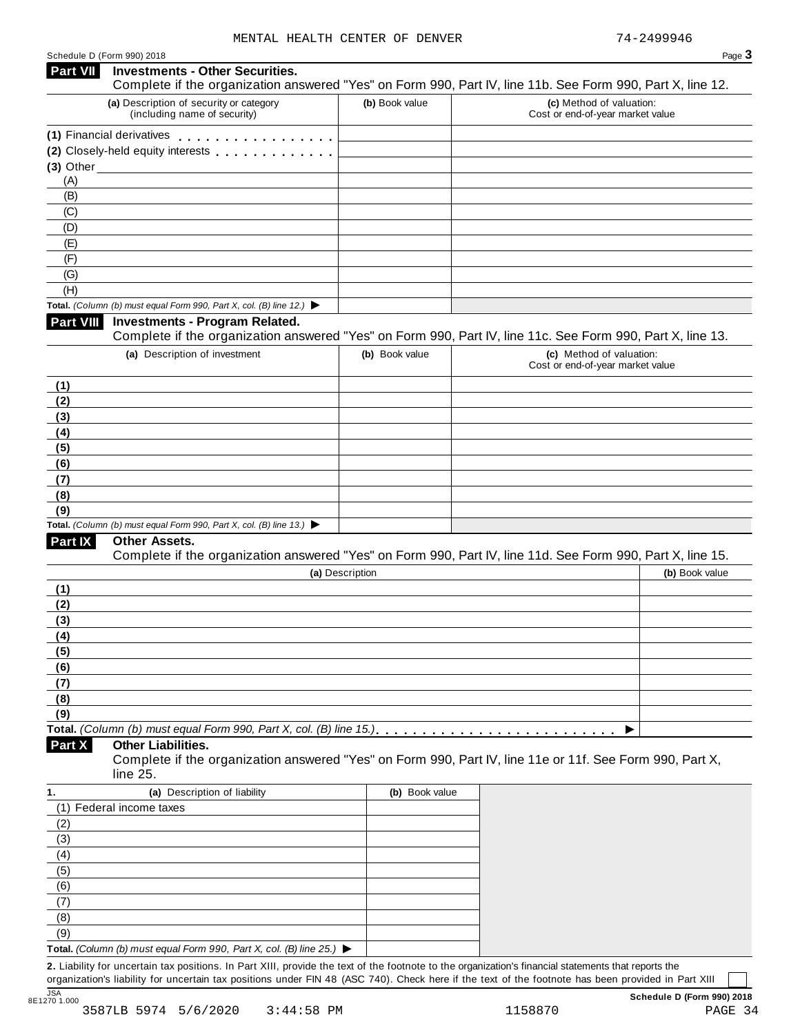| Schedule D (Form 990) 2018 |  |  |
|----------------------------|--|--|

| <b>Part VII</b>                                                                                                                     | <b>Investments - Other Securities.</b>                                                                                                                                                                                              |                 | Complete if the organization answered "Yes" on Form 990, Part IV, line 11b. See Form 990, Part X, line 12. |
|-------------------------------------------------------------------------------------------------------------------------------------|-------------------------------------------------------------------------------------------------------------------------------------------------------------------------------------------------------------------------------------|-----------------|------------------------------------------------------------------------------------------------------------|
|                                                                                                                                     | (a) Description of security or category<br>(including name of security)                                                                                                                                                             | (b) Book value  | (c) Method of valuation:<br>Cost or end-of-year market value                                               |
|                                                                                                                                     | (1) Financial derivatives                                                                                                                                                                                                           |                 |                                                                                                            |
|                                                                                                                                     | (2) Closely-held equity interests entitled and closely-held equity interests                                                                                                                                                        |                 |                                                                                                            |
|                                                                                                                                     | (3) Other <u>Canadian Communication</u> Communication Communication Communication Communication Communication Communication Communication Communication Communication Communication Communication Communication Communication Commu |                 |                                                                                                            |
| (A)                                                                                                                                 |                                                                                                                                                                                                                                     |                 |                                                                                                            |
| (B)                                                                                                                                 |                                                                                                                                                                                                                                     |                 |                                                                                                            |
| (C)                                                                                                                                 |                                                                                                                                                                                                                                     |                 |                                                                                                            |
| (D)                                                                                                                                 |                                                                                                                                                                                                                                     |                 |                                                                                                            |
| (E)                                                                                                                                 |                                                                                                                                                                                                                                     |                 |                                                                                                            |
| (F)                                                                                                                                 |                                                                                                                                                                                                                                     |                 |                                                                                                            |
| (G)                                                                                                                                 |                                                                                                                                                                                                                                     |                 |                                                                                                            |
| (H)                                                                                                                                 |                                                                                                                                                                                                                                     |                 |                                                                                                            |
|                                                                                                                                     | Total. (Column (b) must equal Form 990, Part X, col. (B) line 12.) $\blacktriangleright$                                                                                                                                            |                 |                                                                                                            |
| <b>Part VIII</b>                                                                                                                    | <b>Investments - Program Related.</b>                                                                                                                                                                                               |                 | Complete if the organization answered "Yes" on Form 990, Part IV, line 11c. See Form 990, Part X, line 13. |
|                                                                                                                                     | (a) Description of investment                                                                                                                                                                                                       | (b) Book value  | (c) Method of valuation:                                                                                   |
|                                                                                                                                     |                                                                                                                                                                                                                                     |                 | Cost or end-of-year market value                                                                           |
| (1)                                                                                                                                 |                                                                                                                                                                                                                                     |                 |                                                                                                            |
| (2)                                                                                                                                 |                                                                                                                                                                                                                                     |                 |                                                                                                            |
| (3)                                                                                                                                 |                                                                                                                                                                                                                                     |                 |                                                                                                            |
| (4)                                                                                                                                 |                                                                                                                                                                                                                                     |                 |                                                                                                            |
| (5)                                                                                                                                 |                                                                                                                                                                                                                                     |                 |                                                                                                            |
| (6)                                                                                                                                 |                                                                                                                                                                                                                                     |                 |                                                                                                            |
| (7)                                                                                                                                 |                                                                                                                                                                                                                                     |                 |                                                                                                            |
| (8)                                                                                                                                 |                                                                                                                                                                                                                                     |                 |                                                                                                            |
|                                                                                                                                     |                                                                                                                                                                                                                                     |                 |                                                                                                            |
| (9)                                                                                                                                 |                                                                                                                                                                                                                                     |                 |                                                                                                            |
|                                                                                                                                     | Total. (Column (b) must equal Form 990, Part X, col. (B) line 13.) $\blacktriangleright$                                                                                                                                            |                 |                                                                                                            |
| Part IX                                                                                                                             | Other Assets.                                                                                                                                                                                                                       |                 |                                                                                                            |
|                                                                                                                                     |                                                                                                                                                                                                                                     |                 | Complete if the organization answered "Yes" on Form 990, Part IV, line 11d. See Form 990, Part X, line 15. |
|                                                                                                                                     |                                                                                                                                                                                                                                     | (a) Description | (b) Book value                                                                                             |
|                                                                                                                                     |                                                                                                                                                                                                                                     |                 |                                                                                                            |
|                                                                                                                                     |                                                                                                                                                                                                                                     |                 |                                                                                                            |
|                                                                                                                                     |                                                                                                                                                                                                                                     |                 |                                                                                                            |
|                                                                                                                                     |                                                                                                                                                                                                                                     |                 |                                                                                                            |
|                                                                                                                                     |                                                                                                                                                                                                                                     |                 |                                                                                                            |
|                                                                                                                                     |                                                                                                                                                                                                                                     |                 |                                                                                                            |
|                                                                                                                                     |                                                                                                                                                                                                                                     |                 |                                                                                                            |
|                                                                                                                                     |                                                                                                                                                                                                                                     |                 |                                                                                                            |
|                                                                                                                                     |                                                                                                                                                                                                                                     |                 |                                                                                                            |
|                                                                                                                                     |                                                                                                                                                                                                                                     |                 |                                                                                                            |
|                                                                                                                                     | <b>Other Liabilities.</b><br>line 25.                                                                                                                                                                                               |                 | Complete if the organization answered "Yes" on Form 990, Part IV, line 11e or 11f. See Form 990, Part X,   |
|                                                                                                                                     |                                                                                                                                                                                                                                     | (b) Book value  |                                                                                                            |
|                                                                                                                                     | (a) Description of liability                                                                                                                                                                                                        |                 |                                                                                                            |
|                                                                                                                                     | (1) Federal income taxes                                                                                                                                                                                                            |                 |                                                                                                            |
|                                                                                                                                     |                                                                                                                                                                                                                                     |                 |                                                                                                            |
|                                                                                                                                     |                                                                                                                                                                                                                                     |                 |                                                                                                            |
|                                                                                                                                     |                                                                                                                                                                                                                                     |                 |                                                                                                            |
|                                                                                                                                     |                                                                                                                                                                                                                                     |                 |                                                                                                            |
|                                                                                                                                     |                                                                                                                                                                                                                                     |                 |                                                                                                            |
|                                                                                                                                     |                                                                                                                                                                                                                                     |                 |                                                                                                            |
|                                                                                                                                     |                                                                                                                                                                                                                                     |                 |                                                                                                            |
| (1)<br>(2)<br>(3)<br>(4)<br>(5)<br>(6)<br>(7)<br>(8)<br>(9)<br>Part X<br>1.<br>(2)<br>(3)<br>(4)<br>(5)<br>(6)<br>(7)<br>(8)<br>(9) | Total. (Column (b) must equal Form 990, Part X, col. (B) line 25.) $\blacktriangleright$                                                                                                                                            |                 |                                                                                                            |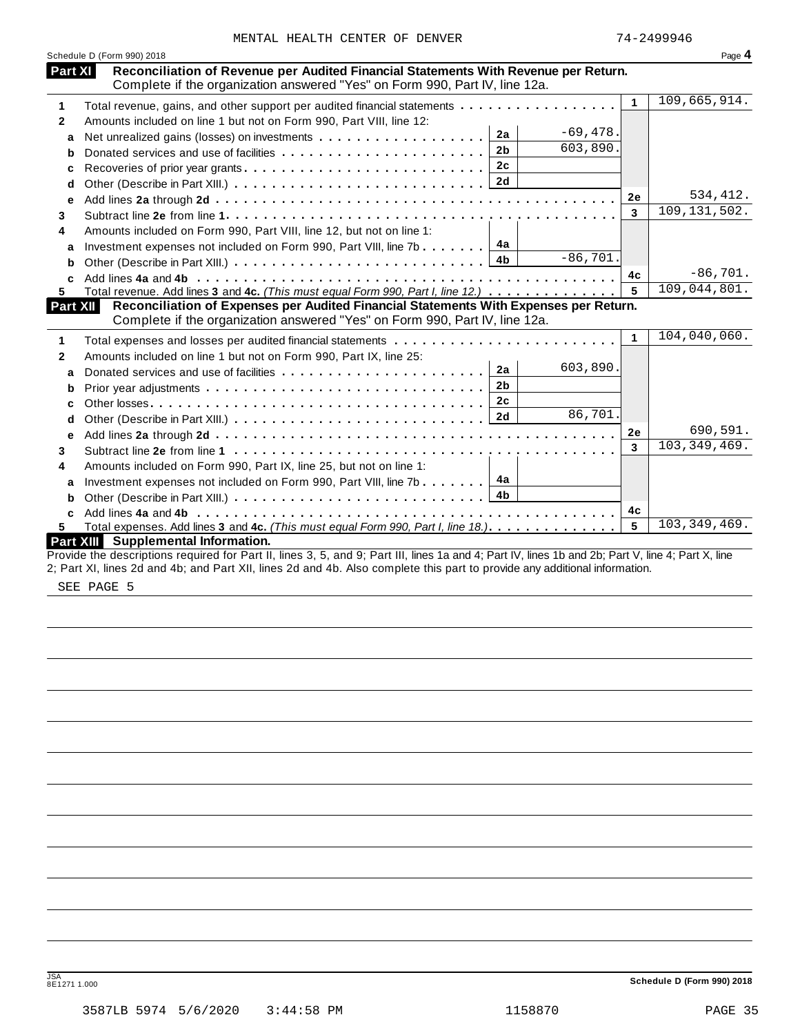|              | Schedule D (Form 990) 2018                                                                                                                                         |                | Page 4         |
|--------------|--------------------------------------------------------------------------------------------------------------------------------------------------------------------|----------------|----------------|
| Part XI      | Reconciliation of Revenue per Audited Financial Statements With Revenue per Return.<br>Complete if the organization answered "Yes" on Form 990, Part IV, line 12a. |                |                |
| 1            | Total revenue, gains, and other support per audited financial statements                                                                                           | $\mathbf{1}$   | 109,665,914.   |
| $\mathbf{2}$ | Amounts included on line 1 but not on Form 990, Part VIII, line 12:                                                                                                |                |                |
| a            | $-69, 478.$<br>2a                                                                                                                                                  |                |                |
| b            | 603,890.<br>2 <sub>b</sub>                                                                                                                                         |                |                |
| с            | 2c<br>Recoveries of prior year grants                                                                                                                              |                |                |
| d            |                                                                                                                                                                    |                |                |
| е            |                                                                                                                                                                    | 2e             | 534,412.       |
| 3            |                                                                                                                                                                    | 3              | 109, 131, 502. |
| 4            | Amounts included on Form 990, Part VIII, line 12, but not on line 1:                                                                                               |                |                |
| a            | 4a<br>Investment expenses not included on Form 990, Part VIII, line 7b $\ldots$                                                                                    |                |                |
| b            | $-86,701.$<br>4 <sub>b</sub>                                                                                                                                       |                |                |
| C            |                                                                                                                                                                    | 4c             | $-86,701.$     |
| 5            | Total revenue. Add lines 3 and 4c. (This must equal Form 990, Part I, line 12.)                                                                                    | 5              | 109,044,801.   |
| Part XII     | Reconciliation of Expenses per Audited Financial Statements With Expenses per Return.                                                                              |                |                |
|              | Complete if the organization answered "Yes" on Form 990, Part IV, line 12a.                                                                                        |                |                |
| 1            |                                                                                                                                                                    | $\mathbf{1}$   | 104,040,060.   |
| $\mathbf{2}$ | Amounts included on line 1 but not on Form 990, Part IX, line 25:                                                                                                  |                |                |
| a            | 603,890.<br>2a<br>Donated services and use of facilities                                                                                                           |                |                |
| b            | 2 <sub>b</sub>                                                                                                                                                     |                |                |
| с            | 2c                                                                                                                                                                 |                |                |
| d            | 86,701.                                                                                                                                                            |                |                |
| e            |                                                                                                                                                                    | 2e             | 690,591.       |
| 3            |                                                                                                                                                                    | 3              | 103, 349, 469. |
| 4            | Amounts included on Form 990, Part IX, line 25, but not on line 1:                                                                                                 |                |                |
| a            | Investment expenses not included on Form 990, Part VIII, line 7b $\boxed{4a}$                                                                                      |                |                |
| b            |                                                                                                                                                                    |                |                |
| C.           |                                                                                                                                                                    | 4 <sub>c</sub> |                |
| 5.           | Total expenses. Add lines 3 and 4c. (This must equal Form 990, Part I, line 18.).                                                                                  | 5              | 103, 349, 469. |
|              | Part XIII Supplemental Information.                                                                                                                                |                |                |
|              | Provide the descriptions required for Part II, lines 3, 5, and 9; Part III, lines 1a and 4; Part IV, lines 1b and 2b; Part V, line 4; Part X, line                 |                |                |
|              | 2; Part XI, lines 2d and 4b; and Part XII, lines 2d and 4b. Also complete this part to provide any additional information.                                         |                |                |

SEE PAGE 5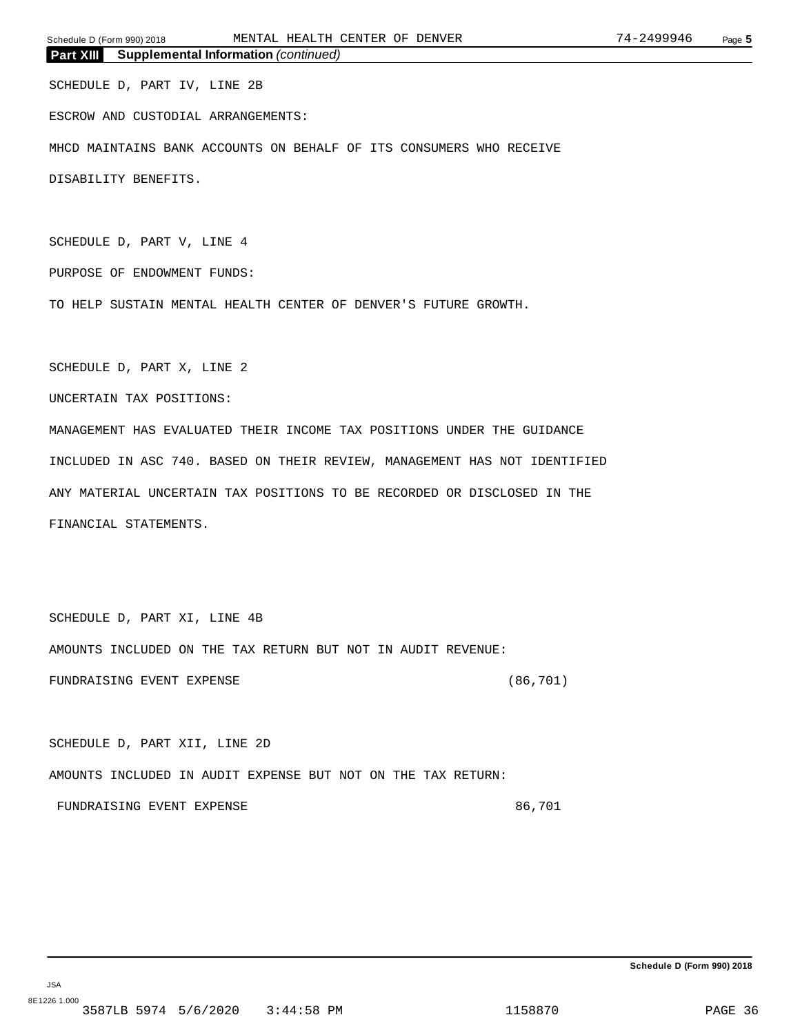**Part XIII Supplemental Information** *(continued)*

SCHEDULE D, PART IV, LINE 2B

ESCROW AND CUSTODIAL ARRANGEMENTS:

MHCD MAINTAINS BANK ACCOUNTS ON BEHALF OF ITS CONSUMERS WHO RECEIVE

DISABILITY BENEFITS.

SCHEDULE D, PART V, LINE 4

PURPOSE OF ENDOWMENT FUNDS:

TO HELP SUSTAIN MENTAL HEALTH CENTER OF DENVER'S FUTURE GROWTH.

SCHEDULE D, PART X, LINE 2

UNCERTAIN TAX POSITIONS:

MANAGEMENT HAS EVALUATED THEIR INCOME TAX POSITIONS UNDER THE GUIDANCE INCLUDED IN ASC 740. BASED ON THEIR REVIEW, MANAGEMENT HAS NOT IDENTIFIED ANY MATERIAL UNCERTAIN TAX POSITIONS TO BE RECORDED OR DISCLOSED IN THE FINANCIAL STATEMENTS.

SCHEDULE D, PART XI, LINE 4B AMOUNTS INCLUDED ON THE TAX RETURN BUT NOT IN AUDIT REVENUE: FUNDRAISING EVENT EXPENSE (86,701)

SCHEDULE D, PART XII, LINE 2D AMOUNTS INCLUDED IN AUDIT EXPENSE BUT NOT ON THE TAX RETURN: FUNDRAISING EVENT EXPENSE **86,701**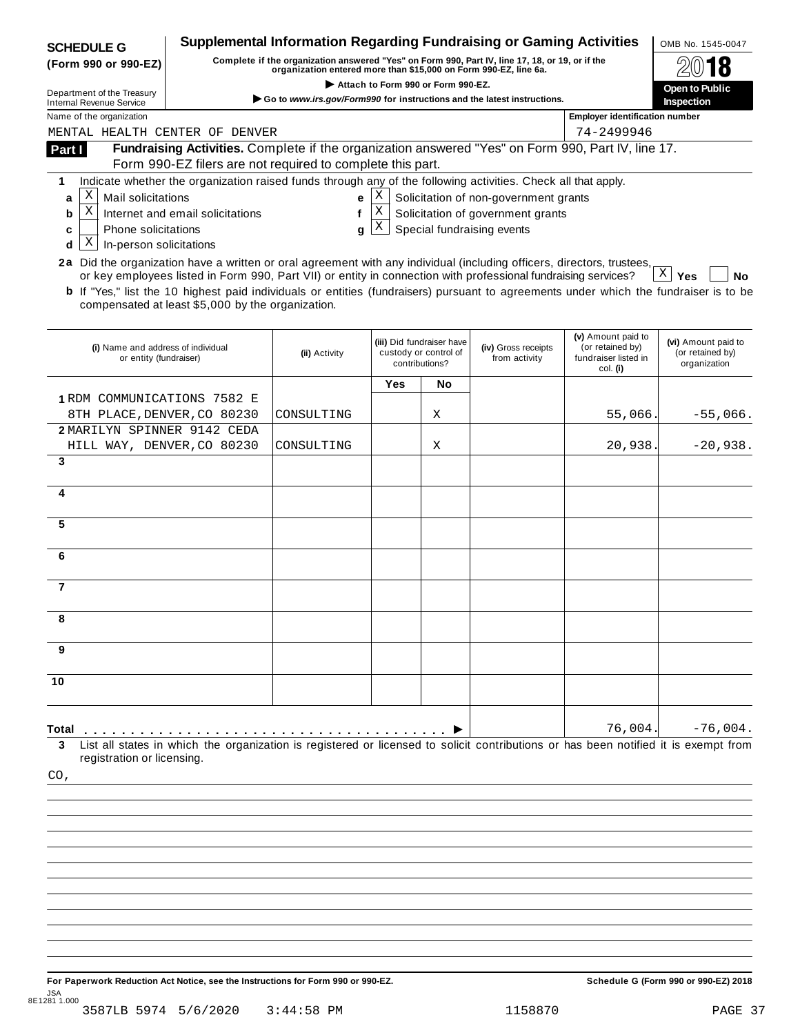| <b>SCHEDULE G</b>                                                                                                      |                                                                                                                                                                                                   | <b>Supplemental Information Regarding Fundraising or Gaming Activities</b>                                                                                          |        |                                         |                                                                 |                                                      | OMB No. 1545-0047                    |
|------------------------------------------------------------------------------------------------------------------------|---------------------------------------------------------------------------------------------------------------------------------------------------------------------------------------------------|---------------------------------------------------------------------------------------------------------------------------------------------------------------------|--------|-----------------------------------------|-----------------------------------------------------------------|------------------------------------------------------|--------------------------------------|
| (Form 990 or 990-EZ)                                                                                                   |                                                                                                                                                                                                   | Complete if the organization answered "Yes" on Form 990, Part IV, line 17, 18, or 19, or if the<br>organization entered more than \$15,000 on Form 990-EZ, line 6a. |        |                                         |                                                                 |                                                      |                                      |
| Department of the Treasury                                                                                             |                                                                                                                                                                                                   |                                                                                                                                                                     |        | Attach to Form 990 or Form 990-EZ.      |                                                                 |                                                      | Open to Public                       |
| <b>Internal Revenue Service</b><br>Name of the organization                                                            |                                                                                                                                                                                                   | Go to www.irs.gov/Form990 for instructions and the latest instructions.                                                                                             |        |                                         |                                                                 | <b>Employer identification number</b>                | Inspection                           |
| MENTAL HEALTH CENTER OF DENVER                                                                                         |                                                                                                                                                                                                   |                                                                                                                                                                     |        |                                         |                                                                 | 74-2499946                                           |                                      |
| Part I                                                                                                                 | Fundraising Activities. Complete if the organization answered "Yes" on Form 990, Part IV, line 17.                                                                                                |                                                                                                                                                                     |        |                                         |                                                                 |                                                      |                                      |
|                                                                                                                        | Form 990-EZ filers are not required to complete this part.                                                                                                                                        |                                                                                                                                                                     |        |                                         |                                                                 |                                                      |                                      |
| 1                                                                                                                      | Indicate whether the organization raised funds through any of the following activities. Check all that apply.                                                                                     |                                                                                                                                                                     |        |                                         |                                                                 |                                                      |                                      |
| Χ<br>Mail solicitations<br>a<br>$\mathbf X$                                                                            |                                                                                                                                                                                                   | е                                                                                                                                                                   | Χ<br>Χ |                                         | Solicitation of non-government grants                           |                                                      |                                      |
| b<br>Phone solicitations<br>c                                                                                          | Internet and email solicitations                                                                                                                                                                  | f<br>q                                                                                                                                                              | Χ      |                                         | Solicitation of government grants<br>Special fundraising events |                                                      |                                      |
| Χ<br>In-person solicitations<br>d                                                                                      |                                                                                                                                                                                                   |                                                                                                                                                                     |        |                                         |                                                                 |                                                      |                                      |
| 2a Did the organization have a written or oral agreement with any individual (including officers, directors, trustees, |                                                                                                                                                                                                   |                                                                                                                                                                     |        |                                         |                                                                 |                                                      |                                      |
|                                                                                                                        | or key employees listed in Form 990, Part VII) or entity in connection with professional fundraising services?                                                                                    |                                                                                                                                                                     |        |                                         |                                                                 |                                                      | $X \mid Y$ es<br>No                  |
|                                                                                                                        | <b>b</b> If "Yes," list the 10 highest paid individuals or entities (fundraisers) pursuant to agreements under which the fundraiser is to be<br>compensated at least \$5,000 by the organization. |                                                                                                                                                                     |        |                                         |                                                                 |                                                      |                                      |
|                                                                                                                        |                                                                                                                                                                                                   |                                                                                                                                                                     |        | (iii) Did fundraiser have               |                                                                 | (v) Amount paid to                                   | (vi) Amount paid to                  |
| (i) Name and address of individual<br>or entity (fundraiser)                                                           |                                                                                                                                                                                                   | (ii) Activity                                                                                                                                                       |        | custody or control of<br>contributions? | (iv) Gross receipts<br>from activity                            | (or retained by)<br>fundraiser listed in<br>col. (i) | (or retained by)<br>organization     |
|                                                                                                                        |                                                                                                                                                                                                   |                                                                                                                                                                     | Yes    | No                                      |                                                                 |                                                      |                                      |
| 1 RDM COMMUNICATIONS 7582 E                                                                                            |                                                                                                                                                                                                   |                                                                                                                                                                     |        |                                         |                                                                 |                                                      |                                      |
| 8TH PLACE, DENVER, CO 80230<br>2 MARILYN SPINNER 9142 CEDA                                                             |                                                                                                                                                                                                   | CONSULTING                                                                                                                                                          |        | Χ                                       |                                                                 | 55,066.                                              | $-55,066$ .                          |
| HILL WAY, DENVER, CO 80230                                                                                             |                                                                                                                                                                                                   | CONSULTING                                                                                                                                                          |        | Χ                                       |                                                                 | 20,938.                                              | $-20,938.$                           |
| 3                                                                                                                      |                                                                                                                                                                                                   |                                                                                                                                                                     |        |                                         |                                                                 |                                                      |                                      |
| 4                                                                                                                      |                                                                                                                                                                                                   |                                                                                                                                                                     |        |                                         |                                                                 |                                                      |                                      |
| 5                                                                                                                      |                                                                                                                                                                                                   |                                                                                                                                                                     |        |                                         |                                                                 |                                                      |                                      |
| 6                                                                                                                      |                                                                                                                                                                                                   |                                                                                                                                                                     |        |                                         |                                                                 |                                                      |                                      |
| $\overline{7}$                                                                                                         |                                                                                                                                                                                                   |                                                                                                                                                                     |        |                                         |                                                                 |                                                      |                                      |
| ŏ                                                                                                                      |                                                                                                                                                                                                   |                                                                                                                                                                     |        |                                         |                                                                 |                                                      |                                      |
| 9                                                                                                                      |                                                                                                                                                                                                   |                                                                                                                                                                     |        |                                         |                                                                 |                                                      |                                      |
| 10                                                                                                                     |                                                                                                                                                                                                   |                                                                                                                                                                     |        |                                         |                                                                 |                                                      |                                      |
| Total                                                                                                                  |                                                                                                                                                                                                   |                                                                                                                                                                     |        |                                         |                                                                 | 76,004.                                              | $-76,004.$                           |
| 3                                                                                                                      | . <u>.</u><br>List all states in which the organization is registered or licensed to solicit contributions or has been notified it is exempt from                                                 |                                                                                                                                                                     |        |                                         |                                                                 |                                                      |                                      |
| registration or licensing.                                                                                             |                                                                                                                                                                                                   |                                                                                                                                                                     |        |                                         |                                                                 |                                                      |                                      |
| CO,                                                                                                                    |                                                                                                                                                                                                   |                                                                                                                                                                     |        |                                         |                                                                 |                                                      |                                      |
|                                                                                                                        |                                                                                                                                                                                                   |                                                                                                                                                                     |        |                                         |                                                                 |                                                      |                                      |
|                                                                                                                        |                                                                                                                                                                                                   |                                                                                                                                                                     |        |                                         |                                                                 |                                                      |                                      |
|                                                                                                                        |                                                                                                                                                                                                   |                                                                                                                                                                     |        |                                         |                                                                 |                                                      |                                      |
|                                                                                                                        |                                                                                                                                                                                                   |                                                                                                                                                                     |        |                                         |                                                                 |                                                      |                                      |
|                                                                                                                        |                                                                                                                                                                                                   |                                                                                                                                                                     |        |                                         |                                                                 |                                                      |                                      |
|                                                                                                                        |                                                                                                                                                                                                   |                                                                                                                                                                     |        |                                         |                                                                 |                                                      |                                      |
|                                                                                                                        |                                                                                                                                                                                                   |                                                                                                                                                                     |        |                                         |                                                                 |                                                      |                                      |
|                                                                                                                        |                                                                                                                                                                                                   |                                                                                                                                                                     |        |                                         |                                                                 |                                                      |                                      |
|                                                                                                                        |                                                                                                                                                                                                   |                                                                                                                                                                     |        |                                         |                                                                 |                                                      |                                      |
|                                                                                                                        |                                                                                                                                                                                                   |                                                                                                                                                                     |        |                                         |                                                                 |                                                      |                                      |
| For Paperwork Reduction Act Notice, see the Instructions for Form 990 or 990-EZ.                                       |                                                                                                                                                                                                   |                                                                                                                                                                     |        |                                         |                                                                 |                                                      | Schedule G (Form 990 or 990-EZ) 2018 |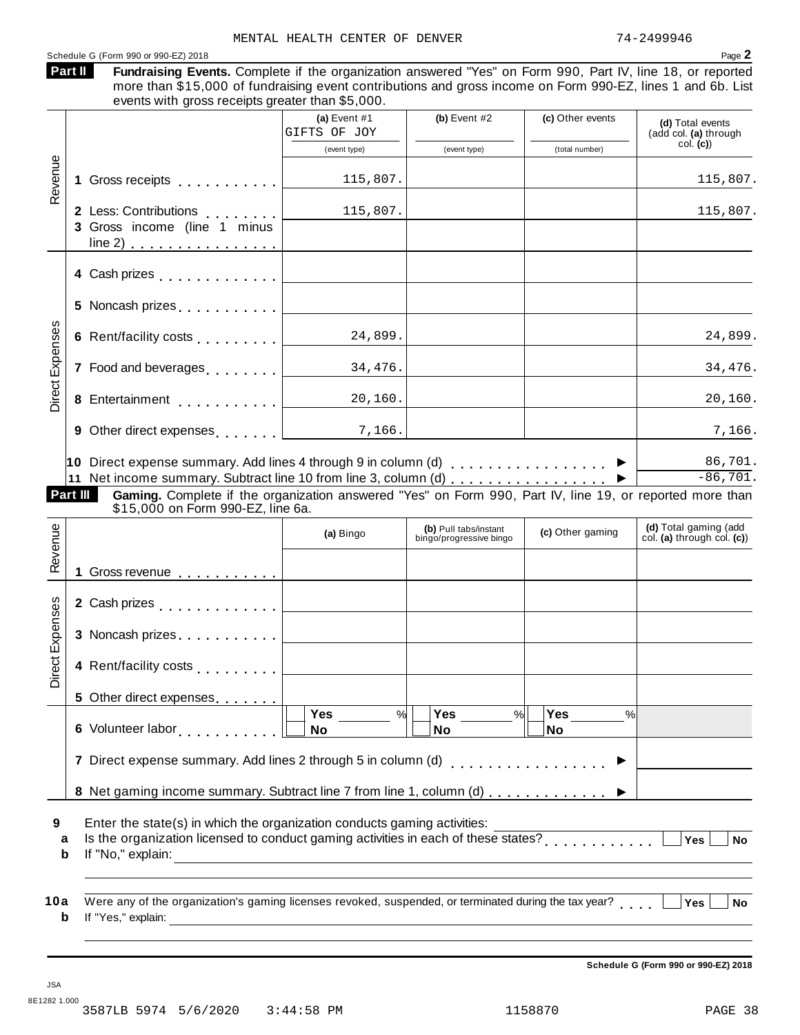| Schedule G (Form 990 or 990-EZ) 2018                                                                                                                                                                                                                                                                                      | MENTAL HEALTH CENTER OF DENVER |                                                  |                  | 74-2499946<br>Page 2                                |
|---------------------------------------------------------------------------------------------------------------------------------------------------------------------------------------------------------------------------------------------------------------------------------------------------------------------------|--------------------------------|--------------------------------------------------|------------------|-----------------------------------------------------|
| Part II<br>Fundraising Events. Complete if the organization answered "Yes" on Form 990, Part IV, line 18, or reported<br>more than \$15,000 of fundraising event contributions and gross income on Form 990-EZ, lines 1 and 6b. List<br>events with gross receipts greater than \$5,000.                                  |                                |                                                  |                  |                                                     |
|                                                                                                                                                                                                                                                                                                                           | (a) Event $#1$<br>GIFTS OF JOY | (b) Event $#2$                                   | (c) Other events | (d) Total events<br>(add col. (a) through           |
|                                                                                                                                                                                                                                                                                                                           | (event type)                   | (event type)                                     | (total number)   | col. (c)                                            |
| Revenue                                                                                                                                                                                                                                                                                                                   | 115,807.                       |                                                  |                  | 115,807.                                            |
| 2 Less: Contributions                                                                                                                                                                                                                                                                                                     | 115,807.                       |                                                  |                  | 115,807.                                            |
| 3 Gross income (line 1 minus<br>$line 2)$                                                                                                                                                                                                                                                                                 |                                |                                                  |                  |                                                     |
| 4 Cash prizes et al., et al., et al., et al., et al., et al., et al., et al., et al., et al., et al., et al., e                                                                                                                                                                                                           |                                |                                                  |                  |                                                     |
| 5.                                                                                                                                                                                                                                                                                                                        |                                |                                                  |                  |                                                     |
|                                                                                                                                                                                                                                                                                                                           | 24,899.                        |                                                  |                  | 24,899.                                             |
| <b>Direct Expenses</b><br>7 Food and beverages [1, 1, 1, 1]                                                                                                                                                                                                                                                               | 34, 476.                       |                                                  |                  | 34,476.                                             |
| 8 Entertainment                                                                                                                                                                                                                                                                                                           | 20, 160.                       |                                                  |                  | 20,160.                                             |
| 9 Other direct expenses [11]                                                                                                                                                                                                                                                                                              | 7,166.                         |                                                  |                  | 7,166.                                              |
| 10 Direct expense summary. Add lines 4 through 9 in column (d) $\ldots$ ,,,,,,,,,,,,,,,<br>11 Net income summary. Subtract line 10 from line 3, column (d) ▶<br>Part III<br>Gaming. Complete if the organization answered "Yes" on Form 990, Part IV, line 19, or reported more than<br>\$15,000 on Form 990-EZ, line 6a. |                                |                                                  |                  | 86,701.<br>$-86,701.$                               |
| Revenue                                                                                                                                                                                                                                                                                                                   | (a) Bingo                      | (b) Pull tabs/instant<br>bingo/progressive bingo | (c) Other gaming | (d) Total gaming (add<br>col. (a) through col. (c)) |
|                                                                                                                                                                                                                                                                                                                           |                                |                                                  |                  |                                                     |
| 89<br>2 Cash prizes $\ldots \ldots \ldots \ldots$                                                                                                                                                                                                                                                                         |                                |                                                  |                  |                                                     |
| $\mathbf{3}$<br>Noncash prizes experiences                                                                                                                                                                                                                                                                                |                                |                                                  |                  |                                                     |
| Direct Expens<br>4 Rent/facility costs                                                                                                                                                                                                                                                                                    |                                |                                                  |                  |                                                     |
| 5 Other direct expenses                                                                                                                                                                                                                                                                                                   |                                |                                                  |                  |                                                     |
|                                                                                                                                                                                                                                                                                                                           | Yes<br>%<br>No                 | Yes $\qquad \qquad \qquad$<br>%<br>No            | %<br>No          |                                                     |
| 7 Direct expense summary. Add lines 2 through 5 in column (d)                                                                                                                                                                                                                                                             |                                |                                                  | . <b>.</b> .     |                                                     |
| 8 Net gaming income summary. Subtract line 7 from line 1, column (d)                                                                                                                                                                                                                                                      |                                |                                                  |                  |                                                     |
| Enter the state(s) in which the organization conducts gaming activities:<br>9<br>$\frac{1}{2}$ is the organization licensed to conduct gaming activities in each of these states?<br>a<br>$\mathbf b$                                                                                                                     |                                |                                                  |                  | Yes<br><b>No</b>                                    |
|                                                                                                                                                                                                                                                                                                                           |                                |                                                  |                  | <b>No</b>                                           |
| Were any of the organization's gaming licenses revoked, suspended, or terminated during the tax year?<br>10a<br>b                                                                                                                                                                                                         |                                |                                                  |                  | Yes                                                 |

**Schedule G (Form 990 or 990-EZ) 2018**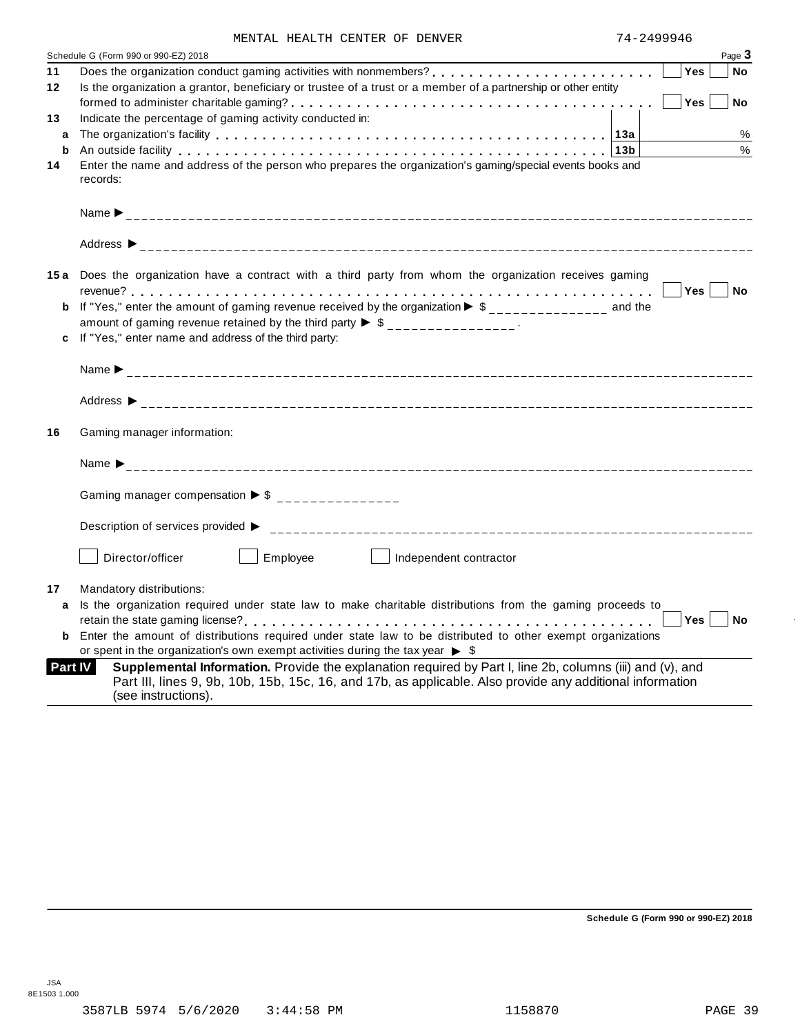| MENTAL HEALTH CENTER OF DENVER |  |  |
|--------------------------------|--|--|
|--------------------------------|--|--|

|    | MENIAL HEALIH CENIER OF DENVER                                                                                                                                                                                                 |                         |
|----|--------------------------------------------------------------------------------------------------------------------------------------------------------------------------------------------------------------------------------|-------------------------|
|    | Schedule G (Form 990 or 990-EZ) 2018                                                                                                                                                                                           | Page $3$                |
| 11 |                                                                                                                                                                                                                                | <b>Yes</b><br><b>No</b> |
| 12 | Is the organization a grantor, beneficiary or trustee of a trust or a member of a partnership or other entity                                                                                                                  |                         |
|    |                                                                                                                                                                                                                                | <b>Yes</b><br><b>No</b> |
| 13 | Indicate the percentage of gaming activity conducted in:                                                                                                                                                                       |                         |
| a  | The organization's facility enterpresent enterpresent enterpresent enterpresent enterpresent enterpresent enterpresent enterpresent enterpresent enterpresent enterpresent enterpresent enterpresent enterpresent enterpresent | %                       |
|    |                                                                                                                                                                                                                                | $\%$                    |
| 14 | Enter the name and address of the person who prepares the organization's gaming/special events books and<br>records:                                                                                                           |                         |
|    |                                                                                                                                                                                                                                |                         |
|    |                                                                                                                                                                                                                                |                         |
|    | 15a Does the organization have a contract with a third party from whom the organization receives gaming                                                                                                                        |                         |
|    |                                                                                                                                                                                                                                | Yes No                  |
|    | <b>b</b> If "Yes," enter the amount of gaming revenue received by the organization $\triangleright$ \$_______________ and the                                                                                                  |                         |
|    | amount of gaming revenue retained by the third party $\triangleright$ \$ _______________.                                                                                                                                      |                         |
|    | c If "Yes," enter name and address of the third party:                                                                                                                                                                         |                         |
|    |                                                                                                                                                                                                                                |                         |
|    |                                                                                                                                                                                                                                |                         |
| 16 | Gaming manager information:                                                                                                                                                                                                    |                         |
|    |                                                                                                                                                                                                                                |                         |
|    | Gaming manager compensation $\triangleright$ \$ ________________                                                                                                                                                               |                         |
|    |                                                                                                                                                                                                                                |                         |
|    | Employee<br>Director/officer<br>Independent contractor                                                                                                                                                                         |                         |
| 17 | Mandatory distributions:                                                                                                                                                                                                       |                         |
|    | a Is the organization required under state law to make charitable distributions from the gaming proceeds to                                                                                                                    |                         |
|    | <b>b</b> Enter the amount of distributions required under state law to be distributed to other exempt organizations                                                                                                            | Yes<br><b>No</b>        |
|    | or spent in the organization's own exempt activities during the tax year $\triangleright$ \$                                                                                                                                   |                         |
|    | Supplemental Information. Provide the explanation required by Part I, line 2b, columns (iii) and (v), and<br><b>Part IV</b>                                                                                                    |                         |
|    | Part III, lines 9, 9b, 10b, 15b, 15c, 16, and 17b, as applicable. Also provide any additional information                                                                                                                      |                         |
|    | (see instructions).                                                                                                                                                                                                            |                         |

**Schedule G (Form 990 or 990-EZ) 2018**

 $\ddot{\phantom{a}}$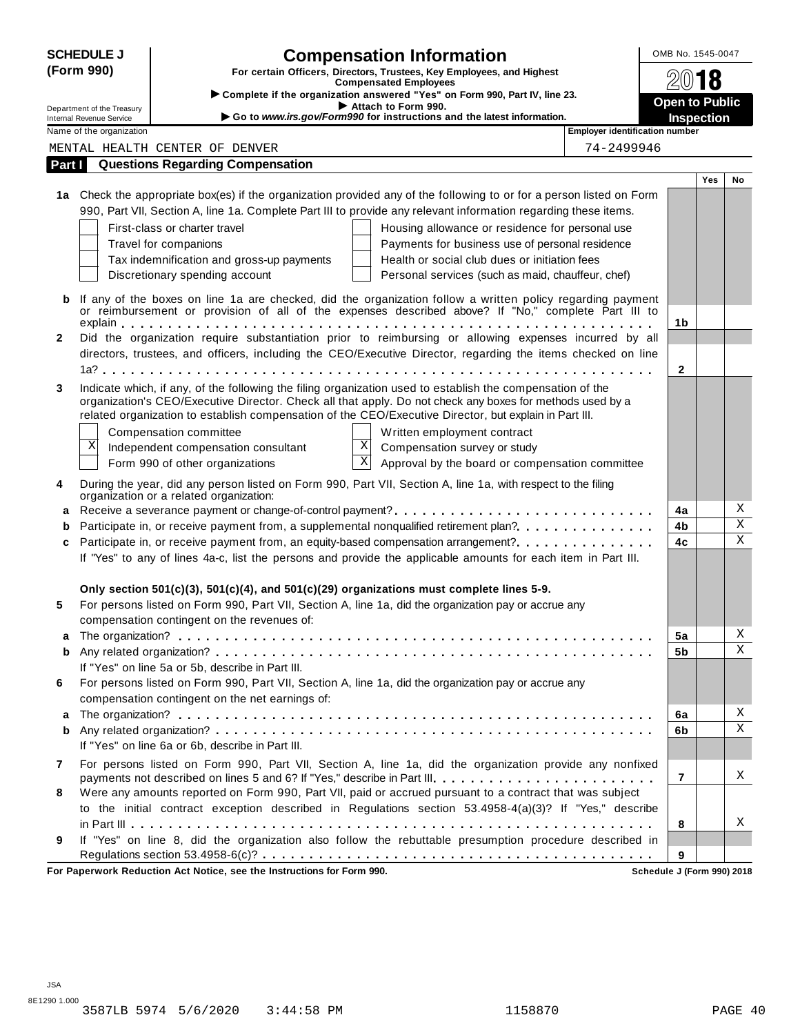| <b>SCHEDULE J</b>                                           | <b>Compensation Information</b>                                                                                      | OMB No. 1545-0047     |            |             |
|-------------------------------------------------------------|----------------------------------------------------------------------------------------------------------------------|-----------------------|------------|-------------|
| (Form 990)                                                  | For certain Officers, Directors, Trustees, Key Employees, and Highest                                                |                       | 8          |             |
|                                                             | <b>Compensated Employees</b><br>Complete if the organization answered "Yes" on Form 990, Part IV, line 23.           |                       |            |             |
| Department of the Treasury                                  | Attach to Form 990.<br>Go to www.irs.gov/Form990 for instructions and the latest information.                        | <b>Open to Public</b> |            |             |
| <b>Internal Revenue Service</b><br>Name of the organization | Employer identification number                                                                                       | <b>Inspection</b>     |            |             |
|                                                             | 74-2499946<br>MENTAL HEALTH CENTER OF DENVER                                                                         |                       |            |             |
| Part I                                                      | <b>Questions Regarding Compensation</b>                                                                              |                       |            |             |
|                                                             |                                                                                                                      |                       | <b>Yes</b> | No          |
|                                                             | 1a Check the appropriate box(es) if the organization provided any of the following to or for a person listed on Form |                       |            |             |
|                                                             | 990, Part VII, Section A, line 1a. Complete Part III to provide any relevant information regarding these items.      |                       |            |             |
|                                                             | First-class or charter travel<br>Housing allowance or residence for personal use                                     |                       |            |             |
|                                                             | Travel for companions<br>Payments for business use of personal residence                                             |                       |            |             |
|                                                             | Tax indemnification and gross-up payments<br>Health or social club dues or initiation fees                           |                       |            |             |
|                                                             | Discretionary spending account<br>Personal services (such as maid, chauffeur, chef)                                  |                       |            |             |
|                                                             |                                                                                                                      |                       |            |             |
| b                                                           | If any of the boxes on line 1a are checked, did the organization follow a written policy regarding payment           |                       |            |             |
|                                                             | or reimbursement or provision of all of the expenses described above? If "No," complete Part III to                  | 1 <sub>b</sub>        |            |             |
| $\mathbf{2}$                                                | Did the organization require substantiation prior to reimbursing or allowing expenses incurred by all                |                       |            |             |
|                                                             | directors, trustees, and officers, including the CEO/Executive Director, regarding the items checked on line         |                       |            |             |
|                                                             |                                                                                                                      | $\mathbf{2}$          |            |             |
| 3                                                           | Indicate which, if any, of the following the filing organization used to establish the compensation of the           |                       |            |             |
|                                                             | organization's CEO/Executive Director. Check all that apply. Do not check any boxes for methods used by a            |                       |            |             |
|                                                             | related organization to establish compensation of the CEO/Executive Director, but explain in Part III.               |                       |            |             |
|                                                             | Compensation committee<br>Written employment contract                                                                |                       |            |             |
| X                                                           | $\mathbf X$<br>Independent compensation consultant<br>Compensation survey or study                                   |                       |            |             |
|                                                             | $\overline{\textbf{x}}$<br>Form 990 of other organizations<br>Approval by the board or compensation committee        |                       |            |             |
| 4                                                           | During the year, did any person listed on Form 990, Part VII, Section A, line 1a, with respect to the filing         |                       |            |             |
|                                                             | organization or a related organization:                                                                              |                       |            |             |
| a                                                           |                                                                                                                      | 4a                    |            | Χ           |
| b                                                           | Participate in, or receive payment from, a supplemental nonqualified retirement plan?                                | 4b                    |            | X           |
| c                                                           | Participate in, or receive payment from, an equity-based compensation arrangement?                                   | 4c                    |            | $\mathbf X$ |
|                                                             | If "Yes" to any of lines 4a-c, list the persons and provide the applicable amounts for each item in Part III.        |                       |            |             |
|                                                             |                                                                                                                      |                       |            |             |
|                                                             | Only section $501(c)(3)$ , $501(c)(4)$ , and $501(c)(29)$ organizations must complete lines 5-9.                     |                       |            |             |
| 5                                                           | For persons listed on Form 990, Part VII, Section A, line 1a, did the organization pay or accrue any                 |                       |            |             |
|                                                             | compensation contingent on the revenues of:                                                                          |                       |            |             |
|                                                             |                                                                                                                      | 5a                    |            | Χ           |
| b                                                           |                                                                                                                      | 5b                    |            | Χ           |
|                                                             | If "Yes" on line 5a or 5b, describe in Part III.                                                                     |                       |            |             |
| 6                                                           | For persons listed on Form 990, Part VII, Section A, line 1a, did the organization pay or accrue any                 |                       |            |             |
|                                                             | compensation contingent on the net earnings of:                                                                      |                       |            |             |
| a                                                           |                                                                                                                      | 6a                    |            | Χ           |
| b                                                           |                                                                                                                      | 6b                    |            | Χ           |
|                                                             | If "Yes" on line 6a or 6b, describe in Part III.                                                                     |                       |            |             |
| 7                                                           | For persons listed on Form 990, Part VII, Section A, line 1a, did the organization provide any nonfixed              |                       |            |             |
|                                                             | payments not described on lines 5 and 6? If "Yes," describe in Part III.                                             | 7                     |            | Χ           |
| 8                                                           | Were any amounts reported on Form 990, Part VII, paid or accrued pursuant to a contract that was subject             |                       |            |             |
|                                                             | to the initial contract exception described in Regulations section 53.4958-4(a)(3)? If "Yes," describe               |                       |            |             |
|                                                             |                                                                                                                      | 8                     |            | X           |
| 9                                                           | If "Yes" on line 8, did the organization also follow the rebuttable presumption procedure described in               |                       |            |             |
|                                                             | For Paperwork Reduction Act Notice, see the Instructions for Form 990.<br>Schedule J (Form 990) 2018                 | 9                     |            |             |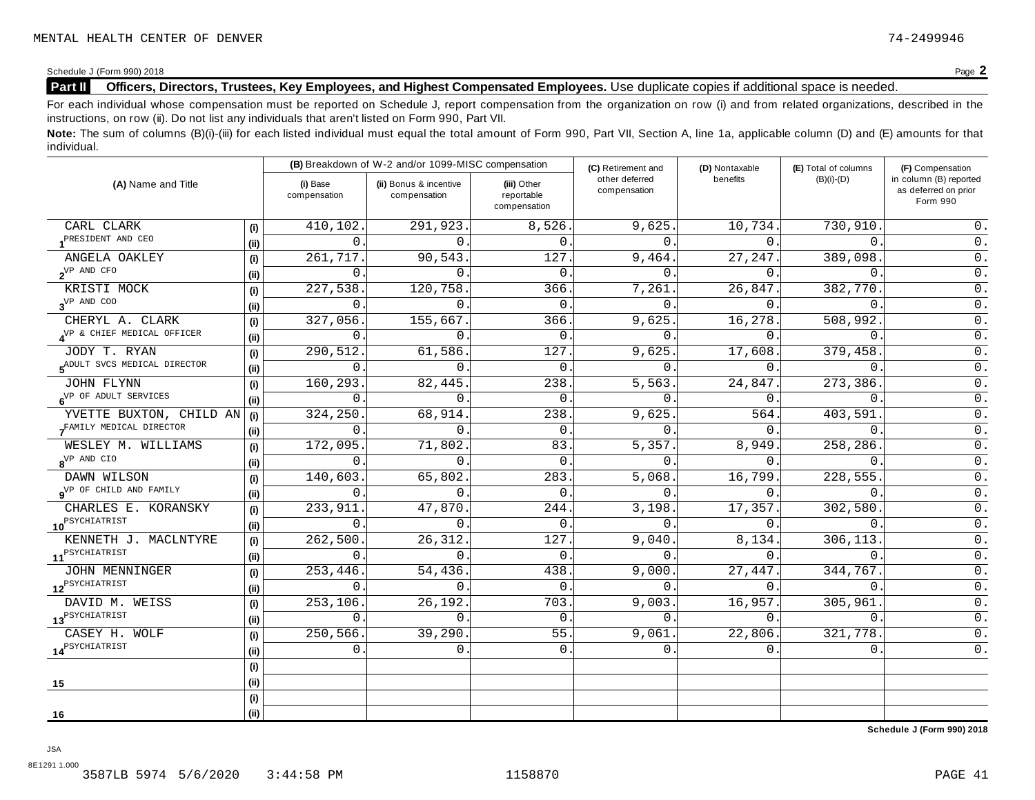#### Schedule J (Form 990) 2018<br>**Part II** Officers, Directors, Trustees, Key Employees, and Highest Compensated Employees. Use duplicate copies if additional space is needed. **Part II Officers, Directors, Trustees, Key Employees, and Highest Compensated Employees.** Use duplicate copies ifadditional space is needed.

For each individual whose compensation must be reported on Schedule J, report compensation from the organization on row (i) and from related organizations, described in the instructions, on row (ii). Do not list any individuals that aren't listed on Form 990, Part VII.

Note: The sum of columns (B)(i)-(iii) for each listed individual must equal the total amount of Form 990, Part VII, Section A, line 1a, applicable column (D) and (E) amounts for that individual.

|                                             |      |                          | (B) Breakdown of W-2 and/or 1099-MISC compensation |                                           | (C) Retirement and             | (D) Nontaxable   | (E) Total of columns | (F) Compensation                                           |
|---------------------------------------------|------|--------------------------|----------------------------------------------------|-------------------------------------------|--------------------------------|------------------|----------------------|------------------------------------------------------------|
| (A) Name and Title                          |      | (i) Base<br>compensation | (ii) Bonus & incentive<br>compensation             | (iii) Other<br>reportable<br>compensation | other deferred<br>compensation | benefits         | $(B)(i)-(D)$         | in column (B) reported<br>as deferred on prior<br>Form 990 |
| CARL CLARK                                  | (i)  | 410,102                  | 291,923.                                           | 8,526.                                    | 9,625                          | 10,734.          | 730,910              | 0.                                                         |
| PRESIDENT AND CEO                           | (i)  | $\Omega$                 | $\Omega$                                           | $\Omega$ .                                | $\Omega$                       | 0.               | $\Omega$             | $\overline{0}$ .                                           |
| ANGELA OAKLEY                               | (i)  | 261,717                  | 90,543                                             | 127                                       | 9,464                          | 27, 247.         | 389,098              | 0.                                                         |
| $2^{\text{VP}$ AND CFO                      | (i)  | $\Omega$                 | $\Omega$                                           | $\Omega$                                  | $\Omega$                       | $0$ .            | $\Omega$             | $\overline{0}$ .                                           |
| KRISTI MOCK                                 | (i)  | 227,538                  | 120,758                                            | 366.                                      | 7,261                          | 26,847.          | 382,770              | 0.                                                         |
| $3^{\text{VP}$ AND COO                      | (ii) | $\mathbf 0$              | $\Omega$ .                                         | $\Omega$ .                                | $\Omega$                       | 0.               | $\Omega$ .           | $0$ .                                                      |
| CHERYL A. CLARK                             | (i)  | 327,056                  | 155,667                                            | 366.                                      | 9,625                          | 16, 278.         | 508,992              | $\overline{0}$ .                                           |
| 4 <sup>VP &amp;</sup> CHIEF MEDICAL OFFICER | (i)  | $\Omega$ .               | $\Omega$ .                                         | $\Omega$ .                                | $\Omega$                       | 0.               | $\Omega$ .           | 0.                                                         |
| JODY T. RYAN                                | (i)  | 290, 512.                | 61,586                                             | 127                                       | 9,625                          | 17,608.          | 379,458              | $0$ .                                                      |
| ADULT SVCS MEDICAL DIRECTOR                 | (i)  | $\overline{0}$ .         | $\mathbf{0}$ .                                     | $\mathbf{0}$ .                            | $\Omega$                       | 0.               | $\mathbf{0}$ .       | $\mathsf 0$ .                                              |
| JOHN FLYNN                                  | (i)  | 160,293.                 | 82,445                                             | 238.                                      | 5,563                          | 24,847.          | 273,386.             | $\overline{0}$ .                                           |
| 6 <sup>VP</sup> OF ADULT SERVICES           | (i)  | $\mathbf 0$              | 0                                                  | $\mathbf 0$                               | 0                              | 0.               | $\mathbf{0}$ .       | $\overline{0}$ .                                           |
| YVETTE BUXTON, CHILD AN                     | (i)  | 324,250                  | 68,914.                                            | 238.                                      | 9,625                          | 564.             | 403,591              | $\overline{0}$ .                                           |
| FAMILY MEDICAL DIRECTOR                     | (ii) | $\Omega$                 | $\Omega$ .                                         | $\Omega$ .                                | $\Omega$                       | 0.               | $\Omega$ .           | $\overline{0}$ .                                           |
| WESLEY M. WILLIAMS                          | (i)  | 172,095                  | 71,802                                             | 83.                                       | 5,357                          | 8,949.           | 258,286.             | $0$ .                                                      |
| $8^{\text{VP}$ AND CIO                      | (i)  | $\Omega$                 | $\Omega$                                           | $\Omega$ .                                | $\Omega$                       | $\Omega$ .       | $\Omega$             | $0$ .                                                      |
| DAWN WILSON                                 | (i)  | 140,603                  | 65,802.                                            | 283.                                      | 5,068                          | 16,799.          | 228,555              | $\overline{0}$ .                                           |
| $9$ <sup>VP OF CHILD AND FAMILY</sup>       | (i)  | $\Omega$                 | $\Omega$ .                                         | $\mathbf{0}$ .                            | $\Omega$                       | 0.               | $\Omega$             | $\overline{0}$ .                                           |
| CHARLES E. KORANSKY                         | (i)  | 233,911                  | 47,870                                             | 244                                       | 3,198                          | 17,357.          | 302,580              | $\overline{0}$ .                                           |
| 10 <sup>PSYCHIATRIST</sup>                  | (i)  | $\Omega$ .               | $\Omega$ .                                         | $\Omega$ .                                | $\Omega$                       | $\Omega$ .       | $\Omega$             | $0$ .                                                      |
| KENNETH J. MACLNTYRE                        | (i)  | 262,500                  | 26, 312                                            | 127                                       | 9,040                          | 8,134.           | 306,113              | $0$ .                                                      |
| 11 <sup>PSYCHIATRIST</sup>                  | (i)  | $\Omega$ .               | $\Omega$                                           | $\mathbf{0}$ .                            | $\Omega$                       | 0.               | $\Omega$             | 0.                                                         |
| JOHN MENNINGER                              | (i)  | 253,446                  | 54,436                                             | 438.                                      | 9,000                          | 27,447.          | 344,767.             | $\overline{0}$ .                                           |
| 12 <sup>PSYCHIATRIST</sup>                  | (i)  | $\Omega$ .               | $\Omega$                                           | $\Omega$                                  | $\Omega$                       | $\overline{0}$ . | $\Omega$ .           | $\overline{0}$ .                                           |
| DAVID M. WEISS                              | (i)  | 253,106                  | 26, 192.                                           | 703.                                      | 9,003                          | 16,957.          | 305,961              | $\overline{0}$ .                                           |
| 13 <sup>PSYCHIATRIST</sup>                  | (ii) | $\Omega$ .               | $\Omega$ .                                         | $\mathbf{0}$ .                            | $\Omega$                       | $0$ .            | $\Omega$ .           | $0$ .                                                      |
| CASEY H. WOLF                               | (i)  | 250,566.                 | 39,290                                             | 55.                                       | 9,061                          | 22,806.          | 321,778.             | $0$ .                                                      |
| 14 <sup>PSYCHIATRIST</sup>                  | (ii) | $\mathsf{0}$ .           | 0.                                                 | $\mathbf 0$ .                             | $\mathbf 0$ .                  | $0$ .            | 0.                   | $\overline{0}$ .                                           |
|                                             | (i)  |                          |                                                    |                                           |                                |                  |                      |                                                            |
| 15                                          | (i)  |                          |                                                    |                                           |                                |                  |                      |                                                            |
|                                             | (i)  |                          |                                                    |                                           |                                |                  |                      |                                                            |
| 16                                          | (ii) |                          |                                                    |                                           |                                |                  |                      |                                                            |

**Schedule J (Form 990) 2018**

JSA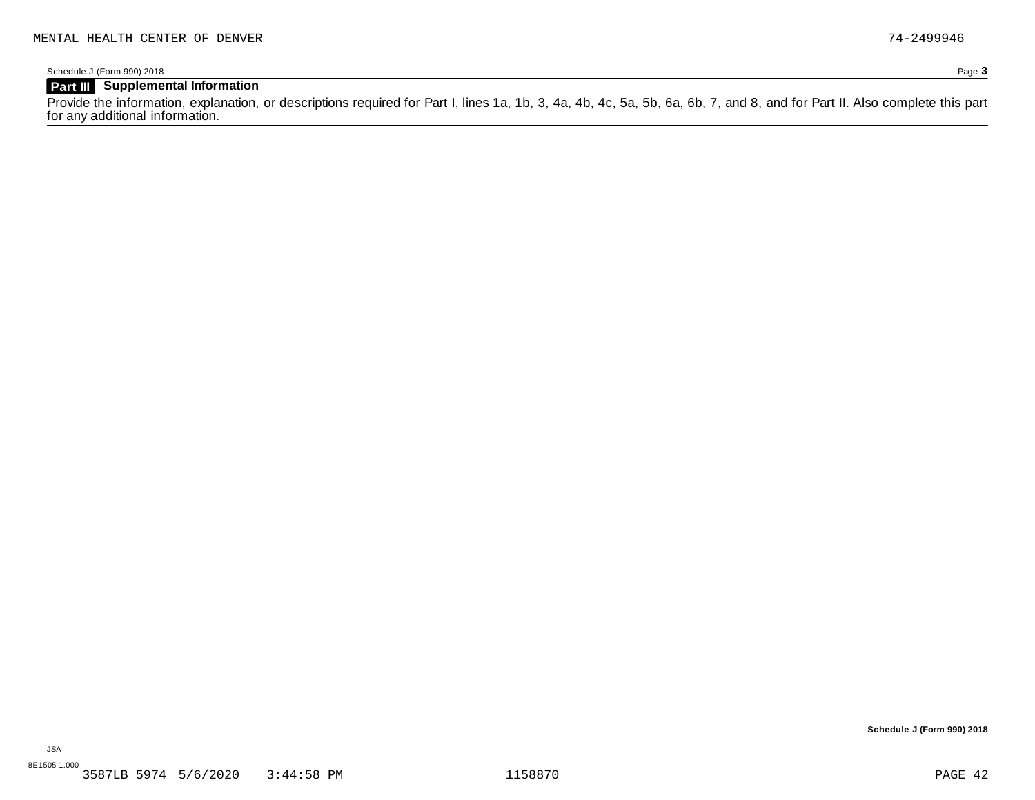#### **Part III Supplemental Information**

Provide the information, explanation, or descriptions required for Part I, lines 1a, 1b, 3, 4a, 4b, 4c, 5a, 5b, 6a, 6b, 7, and 8, and for Part II. Also complete this part for any additional information.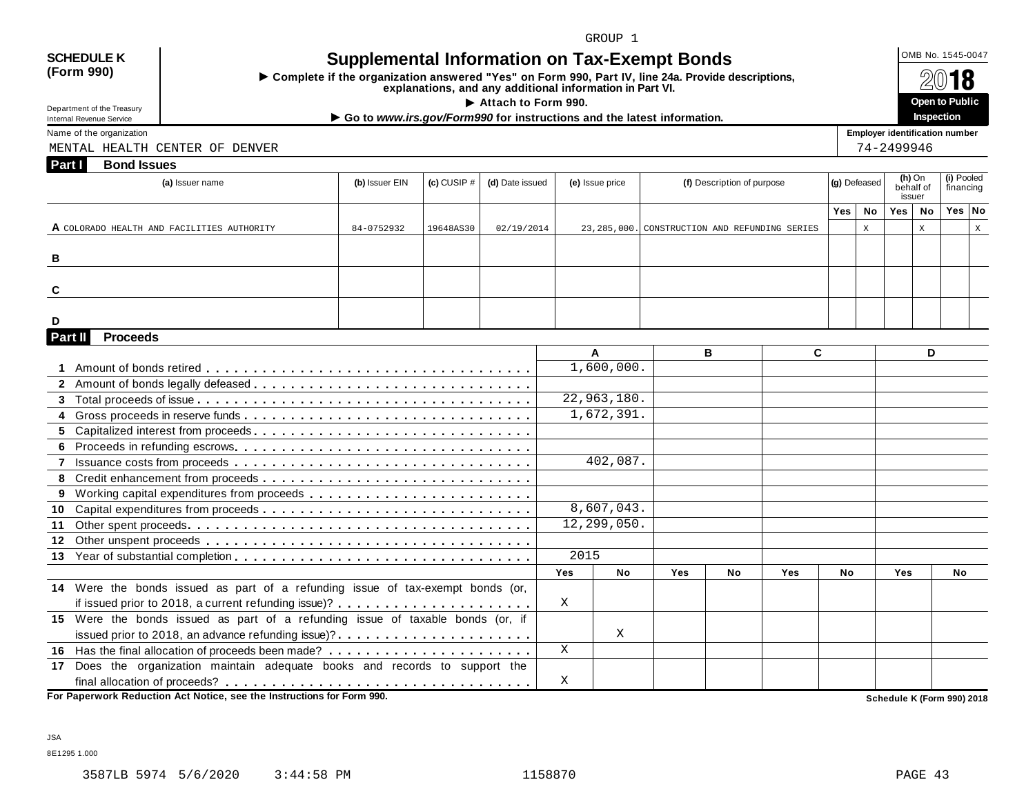### **(Form 990)**

### SCHEDULE K  $\bigcup_{\text{OMB No. 1545-0047}}$  **Supplemental Information on Tax-Exempt Bonds**

 $\triangleright$  Complete if the organization answered "Yes" on Form 990, Part IV, line 24a. Provide descriptions,<br>explanations, and any additional information in Part VI.

Department of the Treasury<br>Internal Revenue Service

Department of the Treasury<br>
Internal Revenue Service **Department of the Treasury** Open to Public<br>
Inspection<br>
Name of the organization

MENTAL HEALTH CENTER OF DENVER THE SERIES OF SERIES AND THE SERIES OF DENSITY OF THE SERIES OF DENVER

| Part I<br><b>Bond Issues</b>               |                |                |                 |                 |                                                 |                |    |                               |                              |                         |  |
|--------------------------------------------|----------------|----------------|-----------------|-----------------|-------------------------------------------------|----------------|----|-------------------------------|------------------------------|-------------------------|--|
| (a) Issuer name                            | (b) Issuer EIN | (c) CUSIP $\#$ | (d) Date issued | (e) Issue price | (f) Description of purpose                      | $(g)$ Defeased |    | (h) On<br>behalf of<br>issuer |                              | (i) Pooled<br>financing |  |
|                                            |                |                |                 |                 |                                                 | $Yes \mid$     | No | Yes                           | No l                         | Yes No                  |  |
| A COLORADO HEALTH AND FACILITIES AUTHORITY | 84-0752932     | 19648AS30      | 02/19/2014      |                 | 23, 285, 000. CONSTRUCTION AND REFUNDING SERIES |                | Χ  |                               | $\overline{\mathbf{z}}$<br>x |                         |  |
|                                            |                |                |                 |                 |                                                 |                |    |                               |                              |                         |  |
| B                                          |                |                |                 |                 |                                                 |                |    |                               |                              |                         |  |
|                                            |                |                |                 |                 |                                                 |                |    |                               |                              |                         |  |
| C                                          |                |                |                 |                 |                                                 |                |    |                               |                              |                         |  |
|                                            |                |                |                 |                 |                                                 |                |    |                               |                              |                         |  |
| D                                          |                |                |                 |                 |                                                 |                |    |                               |                              |                         |  |

| <b>Yes</b> | <b>No</b> | <b>Yes</b>                                                                                    | <b>No</b> | Yes | <b>No</b> | <b>Yes</b> | <b>No</b> |
|------------|-----------|-----------------------------------------------------------------------------------------------|-----------|-----|-----------|------------|-----------|
|            |           |                                                                                               |           |     |           |            |           |
| X          |           |                                                                                               |           |     |           |            |           |
|            |           |                                                                                               |           |     |           |            |           |
|            | X         |                                                                                               |           |     |           |            |           |
| X          |           |                                                                                               |           |     |           |            |           |
|            |           |                                                                                               |           |     |           |            |           |
| X          |           |                                                                                               |           |     |           |            |           |
|            |           | A<br>1,600,000.<br>22,963,180.<br>1,672,391.<br>402,087.<br>8,607,043.<br>12,299,050.<br>2015 |           | в   |           | C.         | D         |

JSA

8E1295 1.000

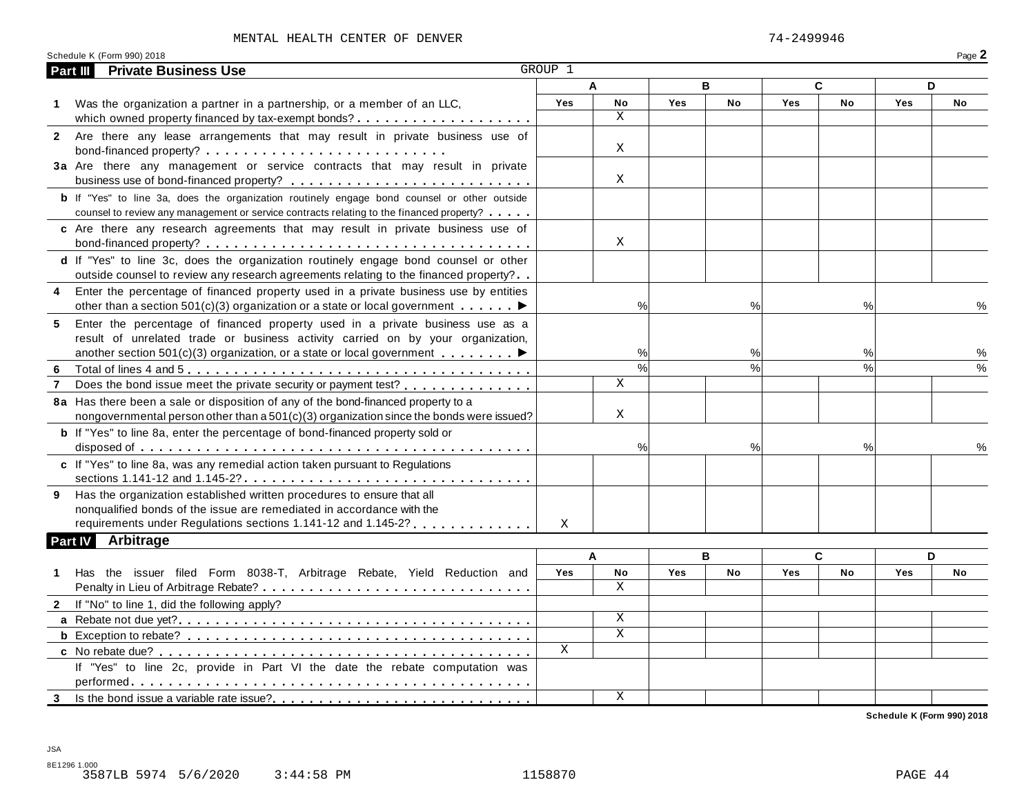| Schedule K (Form 990) 2018 | Dogo<br>-aue . |  |
|----------------------------|----------------|--|
|                            |                |  |

| Part III       | <b>Private Business Use</b>                                                                        | GROUP 1 |               |            |               |            |               |            |    |
|----------------|----------------------------------------------------------------------------------------------------|---------|---------------|------------|---------------|------------|---------------|------------|----|
|                |                                                                                                    |         | Α             |            | B             |            | C             |            | D  |
| -1             | Was the organization a partner in a partnership, or a member of an LLC,                            | Yes     | No            | <b>Yes</b> | No            | <b>Yes</b> | <b>No</b>     | <b>Yes</b> | No |
|                |                                                                                                    |         | X             |            |               |            |               |            |    |
|                | 2 Are there any lease arrangements that may result in private business use of                      |         |               |            |               |            |               |            |    |
|                |                                                                                                    |         | X             |            |               |            |               |            |    |
|                | 3a Are there any management or service contracts that may result in private                        |         |               |            |               |            |               |            |    |
|                |                                                                                                    |         | Χ             |            |               |            |               |            |    |
|                | <b>b</b> If "Yes" to line 3a, does the organization routinely engage bond counsel or other outside |         |               |            |               |            |               |            |    |
|                | counsel to review any management or service contracts relating to the financed property?           |         |               |            |               |            |               |            |    |
|                | c Are there any research agreements that may result in private business use of                     |         |               |            |               |            |               |            |    |
|                |                                                                                                    |         | Χ             |            |               |            |               |            |    |
|                | d If "Yes" to line 3c, does the organization routinely engage bond counsel or other                |         |               |            |               |            |               |            |    |
|                | outside counsel to review any research agreements relating to the financed property?               |         |               |            |               |            |               |            |    |
| 4              | Enter the percentage of financed property used in a private business use by entities               |         |               |            |               |            |               |            |    |
|                | other than a section 501(c)(3) organization or a state or local government $\dots \dots$           |         | %             |            | %             |            | %             |            |    |
| 5              | Enter the percentage of financed property used in a private business use as a                      |         |               |            |               |            |               |            |    |
|                | result of unrelated trade or business activity carried on by your organization,                    |         |               |            |               |            |               |            |    |
|                | another section 501(c)(3) organization, or a state or local government $\dots \dots$               |         | %             |            | %             |            | %             |            | %  |
| 6              |                                                                                                    |         | $\frac{0}{0}$ |            | %             |            | $\frac{0}{0}$ |            |    |
| $\overline{7}$ | Does the bond issue meet the private security or payment test?                                     |         | $\mathbf X$   |            |               |            |               |            |    |
|                | 8a Has there been a sale or disposition of any of the bond-financed property to a                  |         |               |            |               |            |               |            |    |
|                | nongovernmental person other than a 501(c)(3) organization since the bonds were issued?            |         | X             |            |               |            |               |            |    |
|                | <b>b</b> If "Yes" to line 8a, enter the percentage of bond-financed property sold or               |         |               |            |               |            |               |            |    |
|                |                                                                                                    |         | $\frac{0}{0}$ |            | $\frac{0}{0}$ |            | $\frac{0}{0}$ |            |    |
|                | c If "Yes" to line 8a, was any remedial action taken pursuant to Regulations                       |         |               |            |               |            |               |            |    |
|                |                                                                                                    |         |               |            |               |            |               |            |    |
| 9              | Has the organization established written procedures to ensure that all                             |         |               |            |               |            |               |            |    |
|                | nonqualified bonds of the issue are remediated in accordance with the                              |         |               |            |               |            |               |            |    |
|                | requirements under Regulations sections 1.141-12 and 1.145-2?                                      | X       |               |            |               |            |               |            |    |
| <b>Part IV</b> | <b>Arbitrage</b>                                                                                   |         |               |            |               |            |               |            |    |
|                |                                                                                                    |         | A             |            | B             |            | $\mathbf{C}$  |            | D  |
|                | Has the issuer filed Form 8038-T, Arbitrage Rebate, Yield Reduction and                            | Yes     | <b>No</b>     | <b>Yes</b> | <b>No</b>     | <b>Yes</b> | <b>No</b>     | <b>Yes</b> | No |
|                |                                                                                                    |         | X             |            |               |            |               |            |    |
|                | 2 If "No" to line 1, did the following apply?                                                      |         |               |            |               |            |               |            |    |
|                |                                                                                                    |         | X             |            |               |            |               |            |    |
|                |                                                                                                    |         | Χ             |            |               |            |               |            |    |
|                |                                                                                                    | X       |               |            |               |            |               |            |    |
|                | If "Yes" to line 2c, provide in Part VI the date the rebate computation was                        |         |               |            |               |            |               |            |    |
|                |                                                                                                    |         |               |            |               |            |               |            |    |
| 3              |                                                                                                    |         | Χ             |            |               |            |               |            |    |

**Schedule K (Form 990) 2018**

| Ŀ |  |
|---|--|
|   |  |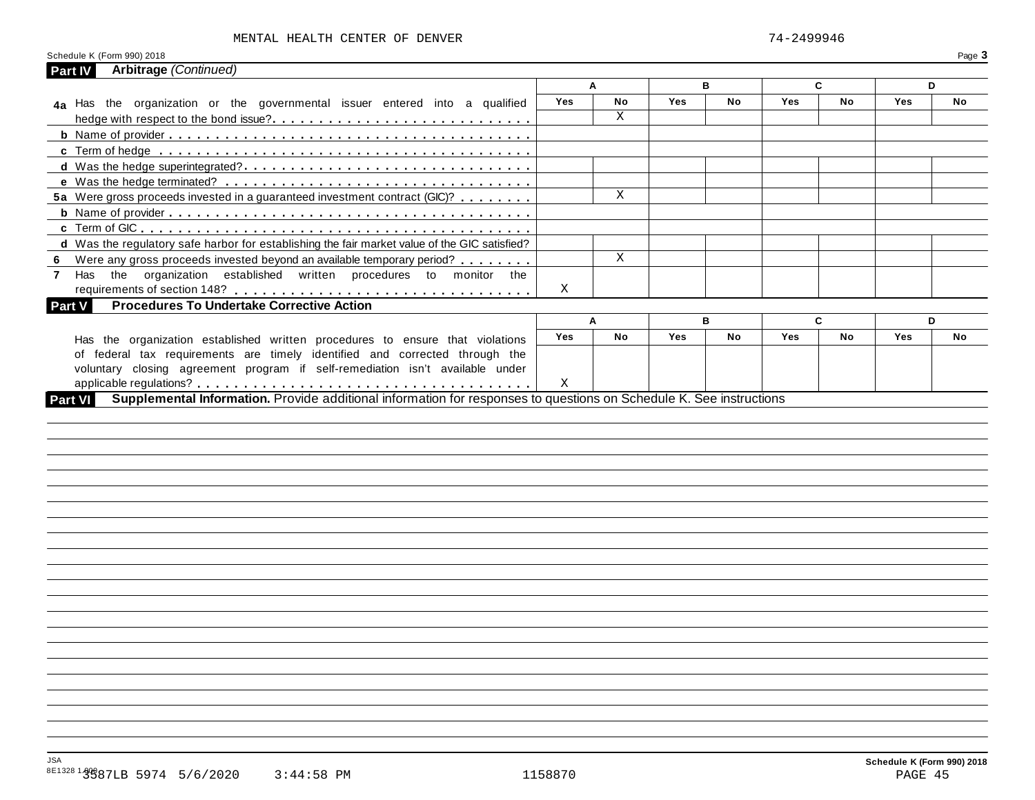| <b>Arbitrage (Continued)</b><br><b>Part IV</b>                                                                                                                                                                  |            |              |     |    |            |           |            |    |
|-----------------------------------------------------------------------------------------------------------------------------------------------------------------------------------------------------------------|------------|--------------|-----|----|------------|-----------|------------|----|
|                                                                                                                                                                                                                 |            | A            |     | в  | C          |           |            | D  |
| 4a Has the organization or the governmental issuer entered into a qualified                                                                                                                                     | <b>Yes</b> | <b>No</b>    | Yes | No | <b>Yes</b> | No        | Yes        | No |
|                                                                                                                                                                                                                 |            | $\mathbf{x}$ |     |    |            |           |            |    |
|                                                                                                                                                                                                                 |            |              |     |    |            |           |            |    |
|                                                                                                                                                                                                                 |            |              |     |    |            |           |            |    |
|                                                                                                                                                                                                                 |            |              |     |    |            |           |            |    |
|                                                                                                                                                                                                                 |            |              |     |    |            |           |            |    |
| 5a Were gross proceeds invested in a guaranteed investment contract (GIC)?                                                                                                                                      |            | $\mathbf{x}$ |     |    |            |           |            |    |
|                                                                                                                                                                                                                 |            |              |     |    |            |           |            |    |
|                                                                                                                                                                                                                 |            |              |     |    |            |           |            |    |
| d Was the regulatory safe harbor for establishing the fair market value of the GIC satisfied?                                                                                                                   |            |              |     |    |            |           |            |    |
| 6 Were any gross proceeds invested beyond an available temporary period?                                                                                                                                        |            | X            |     |    |            |           |            |    |
| Has the organization established written procedures to monitor the<br>$7^{\circ}$                                                                                                                               |            |              |     |    |            |           |            |    |
|                                                                                                                                                                                                                 | Χ          |              |     |    |            |           |            |    |
| <b>Procedures To Undertake Corrective Action</b><br>Part V                                                                                                                                                      |            |              |     |    |            |           |            |    |
|                                                                                                                                                                                                                 |            | A            |     | в  | C          |           |            | D  |
| Has the organization established written procedures to ensure that violations                                                                                                                                   | <b>Yes</b> | <b>No</b>    | Yes | No | <b>Yes</b> | <b>No</b> | <b>Yes</b> | No |
|                                                                                                                                                                                                                 |            |              |     |    |            |           |            |    |
|                                                                                                                                                                                                                 |            |              |     |    |            |           |            |    |
| of federal tax requirements are timely identified and corrected through the                                                                                                                                     |            |              |     |    |            |           |            |    |
| voluntary closing agreement program if self-remediation isn't available under<br>Supplemental Information. Provide additional information for responses to questions on Schedule K. See instructions<br>Part VI | X          |              |     |    |            |           |            |    |
|                                                                                                                                                                                                                 |            |              |     |    |            |           |            |    |
|                                                                                                                                                                                                                 |            |              |     |    |            |           |            |    |
|                                                                                                                                                                                                                 |            |              |     |    |            |           |            |    |
|                                                                                                                                                                                                                 |            |              |     |    |            |           |            |    |
|                                                                                                                                                                                                                 |            |              |     |    |            |           |            |    |
|                                                                                                                                                                                                                 |            |              |     |    |            |           |            |    |
|                                                                                                                                                                                                                 |            |              |     |    |            |           |            |    |
|                                                                                                                                                                                                                 |            |              |     |    |            |           |            |    |
|                                                                                                                                                                                                                 |            |              |     |    |            |           |            |    |
|                                                                                                                                                                                                                 |            |              |     |    |            |           |            |    |
|                                                                                                                                                                                                                 |            |              |     |    |            |           |            |    |
|                                                                                                                                                                                                                 |            |              |     |    |            |           |            |    |
|                                                                                                                                                                                                                 |            |              |     |    |            |           |            |    |
|                                                                                                                                                                                                                 |            |              |     |    |            |           |            |    |
|                                                                                                                                                                                                                 |            |              |     |    |            |           |            |    |
|                                                                                                                                                                                                                 |            |              |     |    |            |           |            |    |
|                                                                                                                                                                                                                 |            |              |     |    |            |           |            |    |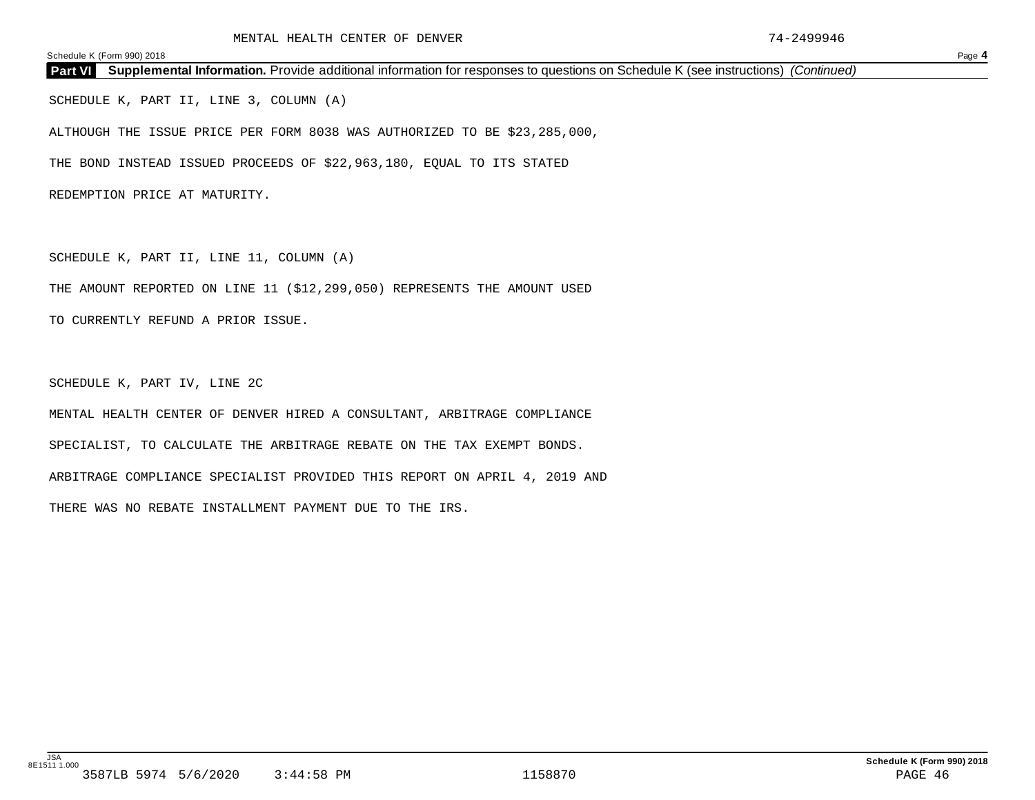Schedule K (Form 990) 2018 Page **4**

**Part VI Supplemental Information.** Provide additional information for responses to questions on Schedule K (see instructions) *(Continued)*

SCHEDULE K, PART II, LINE 3, COLUMN (A)

ALTHOUGH THE ISSUE PRICE PER FORM 8038 WAS AUTHORIZED TO BE \$23,285,000,

THE BOND INSTEAD ISSUED PROCEEDS OF \$22,963,180, EQUAL TO ITS STATED

REDEMPTION PRICE AT MATURITY.

SCHEDULE K, PART II, LINE 11, COLUMN (A)

THE AMOUNT REPORTED ON LINE 11 (\$12,299,050) REPRESENTS THE AMOUNT USED

TO CURRENTLY REFUND A PRIOR ISSUE.

SCHEDULE K, PART IV, LINE 2C

MENTAL HEALTH CENTER OF DENVER HIRED A CONSULTANT, ARBITRAGE COMPLIANCE SPECIALIST, TO CALCULATE THE ARBITRAGE REBATE ON THE TAX EXEMPT BONDS. ARBITRAGE COMPLIANCE SPECIALIST PROVIDED THIS REPORT ON APRIL 4, 2019 AND THERE WAS NO REBATE INSTALLMENT PAYMENT DUE TO THE IRS.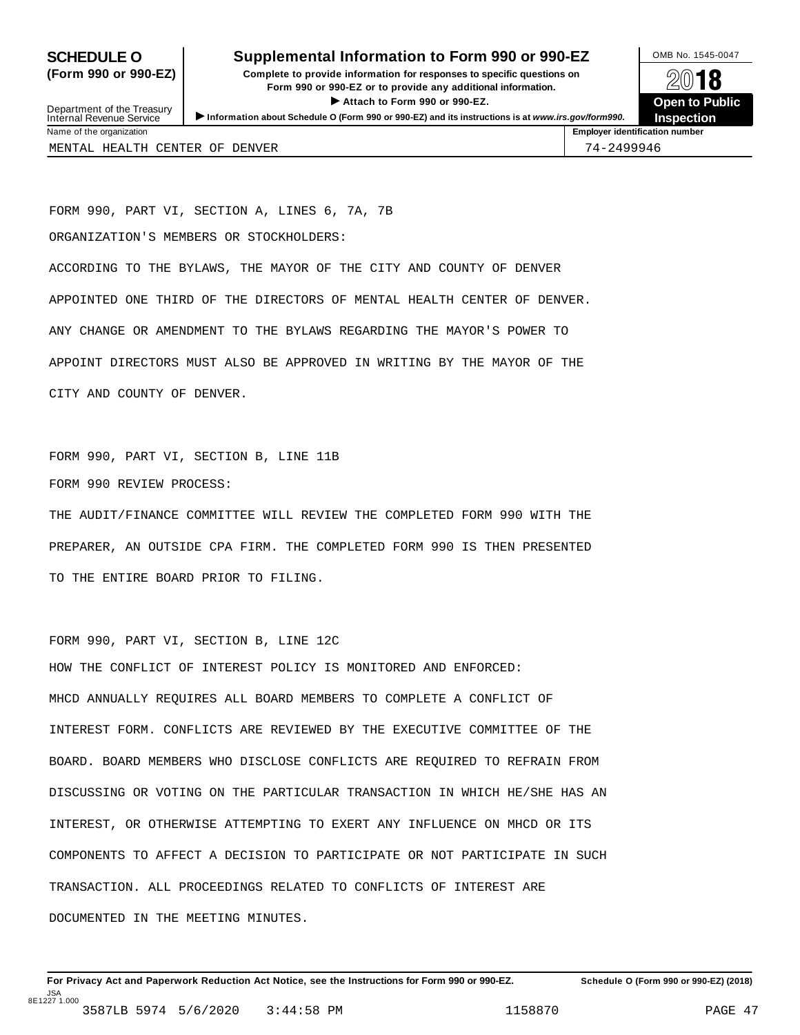### **SCHEDULE O** Supplemental Information to Form 990 or 990-EZ DAMB No. 1545-0047

**(Form 990 or 990-EZ) Complete to provide information for responses to specific questions on** plete to provide information for responses to specific questions on  $\mathbb{Z}^{0}$  **18 EV I O**<br>
■ Attach to Form 990 or 990-EZ. Depen to Public<br>
■ Public Corporation of the Security of the Security of the Security of the Security of the Security of the Security of the Security of the Security of the Securi



Department of the Treasury<br>Internal Revenue Service Department of the Treasury between to Public<br>
Internal Revenue Service between to Public<br>
Name of the organization<br>
Name of the organization MENTAL HEALTH CENTER OF DENVER 74-2499946

FORM 990, PART VI, SECTION A, LINES 6, 7A, 7B

ORGANIZATION'S MEMBERS OR STOCKHOLDERS:

ACCORDING TO THE BYLAWS, THE MAYOR OF THE CITY AND COUNTY OF DENVER APPOINTED ONE THIRD OF THE DIRECTORS OF MENTAL HEALTH CENTER OF DENVER. ANY CHANGE OR AMENDMENT TO THE BYLAWS REGARDING THE MAYOR'S POWER TO APPOINT DIRECTORS MUST ALSO BE APPROVED IN WRITING BY THE MAYOR OF THE CITY AND COUNTY OF DENVER.

# FORM 990, PART VI, SECTION B, LINE 11B

FORM 990 REVIEW PROCESS:

THE AUDIT/FINANCE COMMITTEE WILL REVIEW THE COMPLETED FORM 990 WITH THE PREPARER, AN OUTSIDE CPA FIRM. THE COMPLETED FORM 990 IS THEN PRESENTED TO THE ENTIRE BOARD PRIOR TO FILING.

```
FORM 990, PART VI, SECTION B, LINE 12C
```
HOW THE CONFLICT OF INTEREST POLICY IS MONITORED AND ENFORCED: MHCD ANNUALLY REQUIRES ALL BOARD MEMBERS TO COMPLETE A CONFLICT OF INTEREST FORM. CONFLICTS ARE REVIEWED BY THE EXECUTIVE COMMITTEE OF THE BOARD. BOARD MEMBERS WHO DISCLOSE CONFLICTS ARE REQUIRED TO REFRAIN FROM DISCUSSING OR VOTING ON THE PARTICULAR TRANSACTION IN WHICH HE/SHE HAS AN INTEREST, OR OTHERWISE ATTEMPTING TO EXERT ANY INFLUENCE ON MHCD OR ITS COMPONENTS TO AFFECT A DECISION TO PARTICIPATE OR NOT PARTICIPATE IN SUCH TRANSACTION. ALL PROCEEDINGS RELATED TO CONFLICTS OF INTEREST ARE DOCUMENTED IN THE MEETING MINUTES.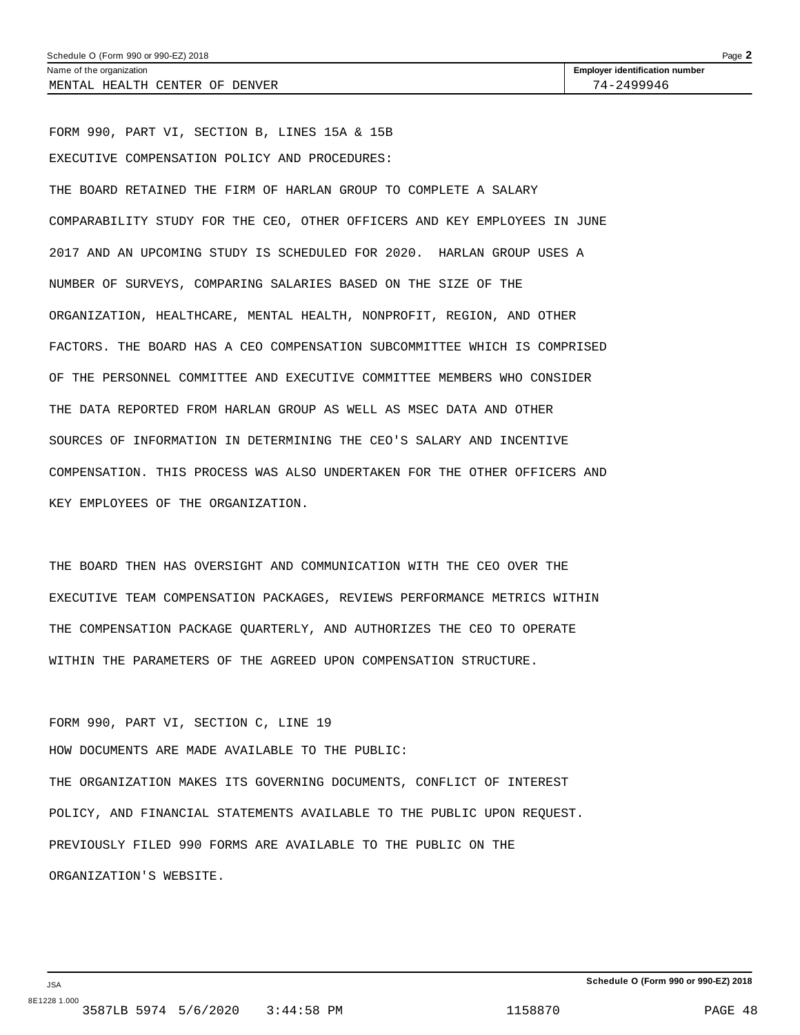#### Schedule O (Form 990 or 990-EZ) 2018 Page 2

### MENTAL HEALTH CENTER OF DENVER 74-2499946

Name of the organization **intervalse of the organization number intervalse of the organization number intervalse of the organization number** 

FORM 990, PART VI, SECTION B, LINES 15A & 15B EXECUTIVE COMPENSATION POLICY AND PROCEDURES: THE BOARD RETAINED THE FIRM OF HARLAN GROUP TO COMPLETE A SALARY COMPARABILITY STUDY FOR THE CEO, OTHER OFFICERS AND KEY EMPLOYEES IN JUNE 2017 AND AN UPCOMING STUDY IS SCHEDULED FOR 2020. HARLAN GROUP USES A NUMBER OF SURVEYS, COMPARING SALARIES BASED ON THE SIZE OF THE ORGANIZATION, HEALTHCARE, MENTAL HEALTH, NONPROFIT, REGION, AND OTHER FACTORS. THE BOARD HAS A CEO COMPENSATION SUBCOMMITTEE WHICH IS COMPRISED OF THE PERSONNEL COMMITTEE AND EXECUTIVE COMMITTEE MEMBERS WHO CONSIDER THE DATA REPORTED FROM HARLAN GROUP AS WELL AS MSEC DATA AND OTHER SOURCES OF INFORMATION IN DETERMINING THE CEO'S SALARY AND INCENTIVE COMPENSATION. THIS PROCESS WAS ALSO UNDERTAKEN FOR THE OTHER OFFICERS AND KEY EMPLOYEES OF THE ORGANIZATION.

THE BOARD THEN HAS OVERSIGHT AND COMMUNICATION WITH THE CEO OVER THE EXECUTIVE TEAM COMPENSATION PACKAGES, REVIEWS PERFORMANCE METRICS WITHIN THE COMPENSATION PACKAGE QUARTERLY, AND AUTHORIZES THE CEO TO OPERATE WITHIN THE PARAMETERS OF THE AGREED UPON COMPENSATION STRUCTURE.

FORM 990, PART VI, SECTION C, LINE 19

HOW DOCUMENTS ARE MADE AVAILABLE TO THE PUBLIC: THE ORGANIZATION MAKES ITS GOVERNING DOCUMENTS, CONFLICT OF INTEREST POLICY, AND FINANCIAL STATEMENTS AVAILABLE TO THE PUBLIC UPON REQUEST. PREVIOUSLY FILED 990 FORMS ARE AVAILABLE TO THE PUBLIC ON THE ORGANIZATION'S WEBSITE.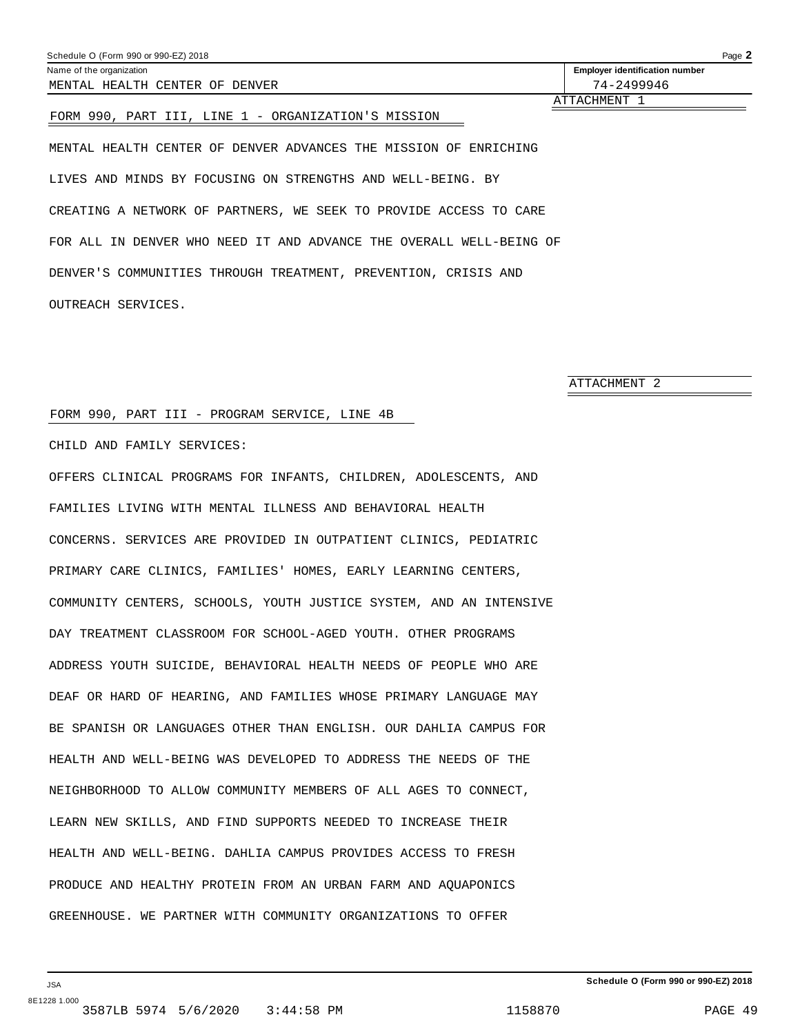<span id="page-47-0"></span>

| Schedule O (Form 990 or 990-EZ) 2018                                            | Page 2                                |
|---------------------------------------------------------------------------------|---------------------------------------|
| Name of the organization                                                        | <b>Employer identification number</b> |
| MENTAL HEALTH CENTER OF DENVER                                                  | 74-2499946                            |
| FORM 990, PART III, LINE 1 - ORGANIZATION'S MISSION                             | ATTACHMENT 1                          |
| MENTAL HEALTH CENTER OF DENVER ADVANCES THE MISSION OF<br>ENR TCH TNG           |                                       |
| LIVES AND MINDS BY FOCUSING ON STRENGTHS AND WELL-BEING. BY                     |                                       |
| CREATING A NETWORK OF PARTNERS, WE SEEK TO PROVIDE ACCESS TO CARE               |                                       |
| NEED IT AND ADVANCE THE<br>OVERALL WELL-BEING OF<br>DENVER<br>FOR ALL TN<br>WHO |                                       |

OUTREACH SERVICES.

ATTACHMENT 2

#### FORM 990, PART III - PROGRAM SERVICE, LINE 4B

DENVER'S COMMUNITIES THROUGH TREATMENT, PREVENTION, CRISIS AND

CHILD AND FAMILY SERVICES:

OFFERS CLINICAL PROGRAMS FOR INFANTS, CHILDREN, ADOLESCENTS, AND FAMILIES LIVING WITH MENTAL ILLNESS AND BEHAVIORAL HEALTH CONCERNS. SERVICES ARE PROVIDED IN OUTPATIENT CLINICS, PEDIATRIC PRIMARY CARE CLINICS, FAMILIES' HOMES, EARLY LEARNING CENTERS, COMMUNITY CENTERS, SCHOOLS, YOUTH JUSTICE SYSTEM, AND AN INTENSIVE DAY TREATMENT CLASSROOM FOR SCHOOL-AGED YOUTH. OTHER PROGRAMS ADDRESS YOUTH SUICIDE, BEHAVIORAL HEALTH NEEDS OF PEOPLE WHO ARE DEAF OR HARD OF HEARING, AND FAMILIES WHOSE PRIMARY LANGUAGE MAY BE SPANISH OR LANGUAGES OTHER THAN ENGLISH. OUR DAHLIA CAMPUS FOR HEALTH AND WELL-BEING WAS DEVELOPED TO ADDRESS THE NEEDS OF THE NEIGHBORHOOD TO ALLOW COMMUNITY MEMBERS OF ALL AGES TO CONNECT, LEARN NEW SKILLS, AND FIND SUPPORTS NEEDED TO INCREASE THEIR HEALTH AND WELL-BEING. DAHLIA CAMPUS PROVIDES ACCESS TO FRESH PRODUCE AND HEALTHY PROTEIN FROM AN URBAN FARM AND AQUAPONICS GREENHOUSE. WE PARTNER WITH COMMUNITY ORGANIZATIONS TO OFFER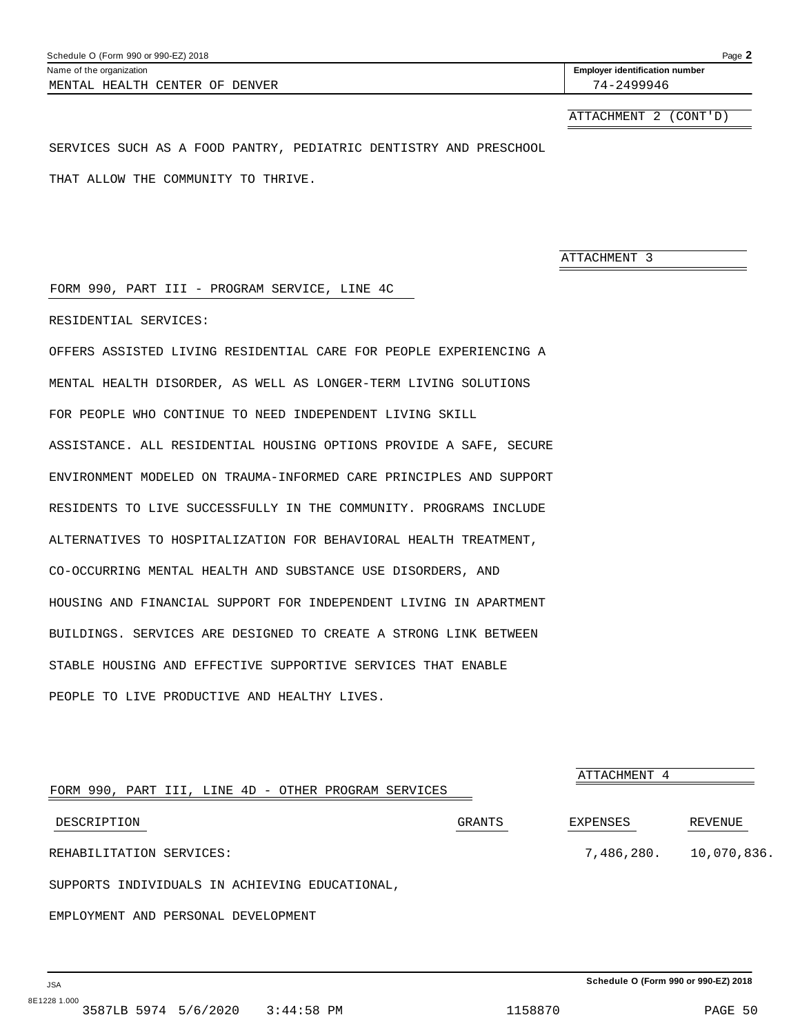ATTACHMENT 2 (CONT'D)

<span id="page-48-0"></span>SERVICES SUCH AS A FOOD PANTRY, PEDIATRIC DENTISTRY AND PRESCHOOL

THAT ALLOW THE COMMUNITY TO THRIVE.

ATTACHMENT 3

#### FORM 990, PART III - PROGRAM SERVICE, LINE 4C

RESIDENTIAL SERVICES:

OFFERS ASSISTED LIVING RESIDENTIAL CARE FOR PEOPLE EXPERIENCING A MENTAL HEALTH DISORDER, AS WELL AS LONGER-TERM LIVING SOLUTIONS FOR PEOPLE WHO CONTINUE TO NEED INDEPENDENT LIVING SKILL ASSISTANCE. ALL RESIDENTIAL HOUSING OPTIONS PROVIDE A SAFE, SECURE ENVIRONMENT MODELED ON TRAUMA-INFORMED CARE PRINCIPLES AND SUPPORT RESIDENTS TO LIVE SUCCESSFULLY IN THE COMMUNITY. PROGRAMS INCLUDE ALTERNATIVES TO HOSPITALIZATION FOR BEHAVIORAL HEALTH TREATMENT, CO-OCCURRING MENTAL HEALTH AND SUBSTANCE USE DISORDERS, AND HOUSING AND FINANCIAL SUPPORT FOR INDEPENDENT LIVING IN APARTMENT BUILDINGS. SERVICES ARE DESIGNED TO CREATE A STRONG LINK BETWEEN STABLE HOUSING AND EFFECTIVE SUPPORTIVE SERVICES THAT ENABLE PEOPLE TO LIVE PRODUCTIVE AND HEALTHY LIVES.

| FORM 990, PART III, LINE 4D - OTHER PROGRAM SERVICES |               | ATTACHMENT 4 |             |
|------------------------------------------------------|---------------|--------------|-------------|
| DESCRIPTION                                          | <b>GRANTS</b> | EXPENSES     | REVENUE     |
| REHABILITATION SERVICES:                             |               | 7,486,280.   | 10,070,836. |
| SUPPORTS INDIVIDUALS IN ACHIEVING EDUCATIONAL,       |               |              |             |
| EMPLOYMENT AND PERSONAL DEVELOPMENT                  |               |              |             |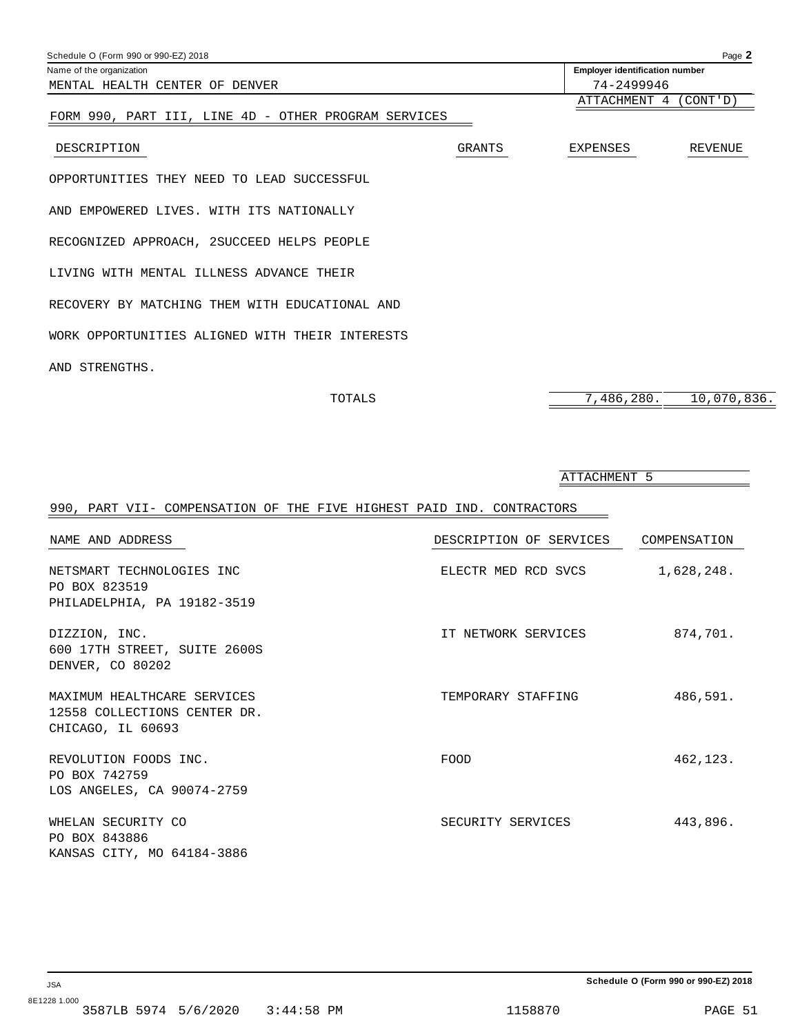<span id="page-49-0"></span>

| Schedule O (Form 990 or 990-EZ) 2018                 |        |                                       | Page 2      |
|------------------------------------------------------|--------|---------------------------------------|-------------|
| Name of the organization                             |        | <b>Employer identification number</b> |             |
| MENTAL HEALTH CENTER OF DENVER                       |        | 74-2499946                            |             |
| FORM 990, PART III, LINE 4D - OTHER PROGRAM SERVICES |        | ATTACHMENT 4                          | ' CONT ' D  |
| DESCRIPTION                                          | GRANTS | EXPENSES                              | REVENUE     |
| OPPORTUNITIES THEY NEED TO LEAD SUCCESSFUL           |        |                                       |             |
| AND EMPOWERED LIVES. WITH ITS NATIONALLY             |        |                                       |             |
| RECOGNIZED APPROACH, 2SUCCEED HELPS PEOPLE           |        |                                       |             |
| LIVING WITH MENTAL ILLNESS ADVANCE THEIR             |        |                                       |             |
| RECOVERY BY MATCHING THEM WITH EDUCATIONAL AND       |        |                                       |             |
| WORK OPPORTUNITIES ALIGNED WITH THEIR INTERESTS      |        |                                       |             |
| STRENGTHS.<br>AND                                    |        |                                       |             |
| TOTALS                                               |        | 7,486,280.                            | 10,070,836. |

ATTACHMENT 5

| 990 | PART | --<br>$\mathcal{L}$ | COMPENSATION | ΟF | THE | VE<br>모ェ | HIGHEST | PAID | IND | 'ORS<br>∵יוח∩י<br>$R^{\prime}$ |
|-----|------|---------------------|--------------|----|-----|----------|---------|------|-----|--------------------------------|
|     |      |                     |              |    |     |          |         |      |     |                                |

| NAME AND ADDRESS                                                                 | DESCRIPTION OF SERVICES | COMPENSATION |
|----------------------------------------------------------------------------------|-------------------------|--------------|
| NETSMART TECHNOLOGIES INC<br>PO BOX 823519<br>PHILADELPHIA, PA 19182-3519        | ELECTR MED RCD SVCS     | 1,628,248.   |
| DIZZION, INC.<br>600 17TH STREET, SUITE 2600S<br>DENVER, CO 80202                | IT NETWORK SERVICES     | 874,701.     |
| MAXIMUM HEALTHCARE SERVICES<br>12558 COLLECTIONS CENTER DR.<br>CHICAGO, IL 60693 | TEMPORARY STAFFING      | 486,591.     |
| REVOLUTION FOODS INC.<br>PO BOX 742759<br>LOS ANGELES, CA 90074-2759             | FOOD                    | 462,123.     |
| WHELAN SECURITY CO<br>PO BOX 843886<br>KANSAS CITY, MO 64184-3886                | SECURITY SERVICES       | 443,896.     |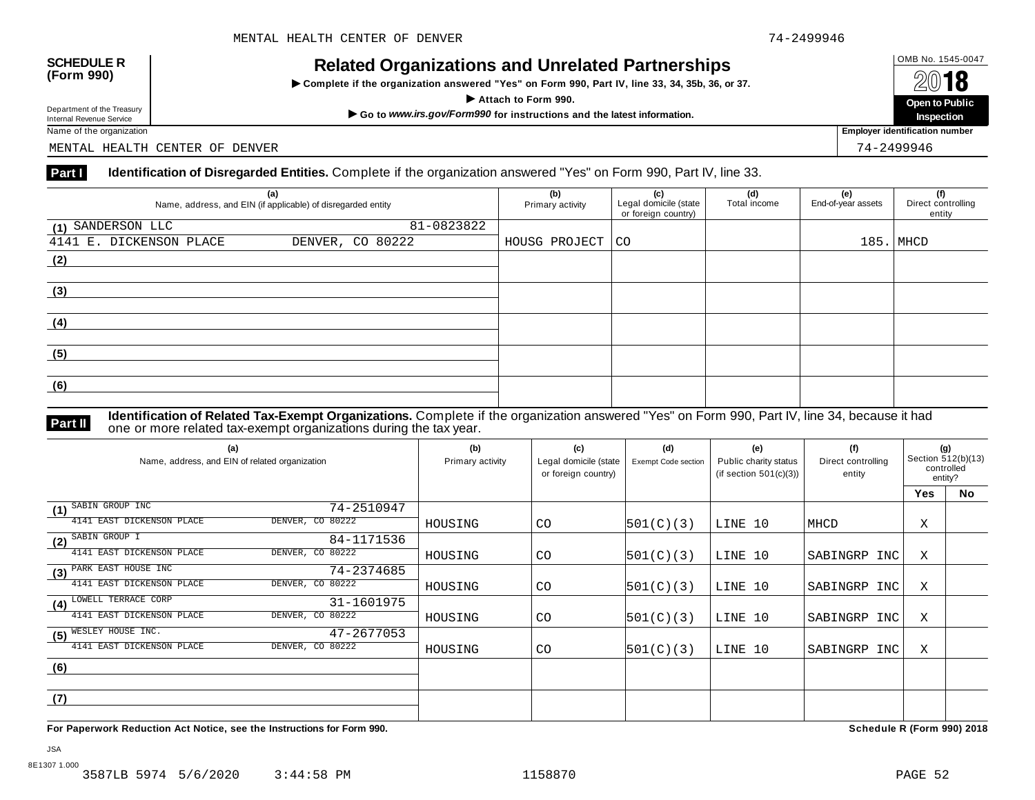## OMB No. 1545-0047 **SCHEDULE R (Form 990) Related Organizations and Unrelated Partnerships**

 $\triangleright$  Complete if the organization answered "Yes" on Form 990, Part IV, line 33, 34, 35b, 36, or 37.



Department of the Treasury<br>Internal Revenue Service

MENTAL HEALTH CENTER OF DENVER 74-2499946

#### **Part I Identification of Disregarded Entities.** Complete if the organization answered "Yes" on Form 990, Part IV, line 33.

|                         | (a)<br>Name, address, and EIN (if applicable) of disregarded entity | (b)<br>Primary activity | (c)<br>Legal domicile (state<br>or foreign country) | (d)<br>Total income | (e)<br>End-of-year assets | (f)<br>Direct controlling<br>entity |
|-------------------------|---------------------------------------------------------------------|-------------------------|-----------------------------------------------------|---------------------|---------------------------|-------------------------------------|
| (1) SANDERSON LLC       | 81-0823822                                                          |                         |                                                     |                     |                           |                                     |
| 4141 E. DICKENSON PLACE | DENVER, CO 80222                                                    | HOUSG PROJECT   CO      |                                                     |                     |                           | $185.$ MHCD                         |
| (2)                     |                                                                     |                         |                                                     |                     |                           |                                     |
|                         |                                                                     |                         |                                                     |                     |                           |                                     |
| (3)                     |                                                                     |                         |                                                     |                     |                           |                                     |
|                         |                                                                     |                         |                                                     |                     |                           |                                     |
| (4)                     |                                                                     |                         |                                                     |                     |                           |                                     |
|                         |                                                                     |                         |                                                     |                     |                           |                                     |
| (5)                     |                                                                     |                         |                                                     |                     |                           |                                     |
|                         |                                                                     |                         |                                                     |                     |                           |                                     |
| (6)                     |                                                                     |                         |                                                     |                     |                           |                                     |
|                         |                                                                     |                         |                                                     |                     |                           |                                     |

**Identification of Related Tax-Exempt Organizations.** Complete if the organization answered "Yes" on Form 990, Part IV, line 34, because it had **Part II** one or more related tax-exempt organizations during the tax year.

| (a)<br>Name, address, and EIN of related organization |                  | (b)<br>Primary activity | (c)<br>Legal domicile (state<br>or foreign country) | (d)<br>Exempt Code section | (e)<br>Public charity status<br>(if section $501(c)(3)$ ) | (f)<br>Direct controlling<br>entity | (g)<br>Section 512(b)(13)<br>controlled<br>entity? |    |
|-------------------------------------------------------|------------------|-------------------------|-----------------------------------------------------|----------------------------|-----------------------------------------------------------|-------------------------------------|----------------------------------------------------|----|
|                                                       |                  |                         |                                                     |                            |                                                           |                                     | <b>Yes</b>                                         | No |
| SABIN GROUP INC<br>(1)                                | 74-2510947       |                         |                                                     |                            |                                                           |                                     |                                                    |    |
| 4141 EAST DICKENSON PLACE                             | DENVER, CO 80222 | HOUSING                 | CO                                                  | 501(C)(3)                  | LINE 10                                                   | MHCD                                | Χ                                                  |    |
| SABIN GROUP I<br>(2)                                  | 84-1171536       |                         |                                                     |                            |                                                           |                                     |                                                    |    |
| 4141 EAST DICKENSON PLACE                             | DENVER, CO 80222 | HOUSING                 | CO                                                  | 501(C)(3)                  | LINE 10                                                   | SABINGRP<br>INC                     | Χ                                                  |    |
| PARK EAST HOUSE INC<br>(3)                            | 74-2374685       |                         |                                                     |                            |                                                           |                                     |                                                    |    |
| 4141 EAST DICKENSON PLACE                             | DENVER, CO 80222 | HOUSING                 | CO                                                  | 501(C)(3)                  | LINE 10                                                   | SABINGRP<br>INC                     | X                                                  |    |
| LOWELL TERRACE CORP<br>(4)                            | 31-1601975       |                         |                                                     |                            |                                                           |                                     |                                                    |    |
| 4141 EAST DICKENSON PLACE                             | DENVER, CO 80222 | HOUSING                 | CO                                                  | 501(C)(3)                  | LINE 10                                                   | SABINGRP INC                        | Χ                                                  |    |
| WESLEY HOUSE INC.<br>(5)                              | 47-2677053       |                         |                                                     |                            |                                                           |                                     |                                                    |    |
| 4141 EAST DICKENSON PLACE                             | DENVER, CO 80222 | HOUSING                 | CO                                                  | 501(C)(3)                  | LINE 10                                                   | SABINGRP INC                        | Χ                                                  |    |
| (6)                                                   |                  |                         |                                                     |                            |                                                           |                                     |                                                    |    |
|                                                       |                  |                         |                                                     |                            |                                                           |                                     |                                                    |    |
| (7)                                                   |                  |                         |                                                     |                            |                                                           |                                     |                                                    |    |
|                                                       |                  |                         |                                                     |                            |                                                           |                                     |                                                    |    |

**For Paperwork Reduction Act Notice, see the Instructions for Form 990. Schedule R (Form 990) 2018**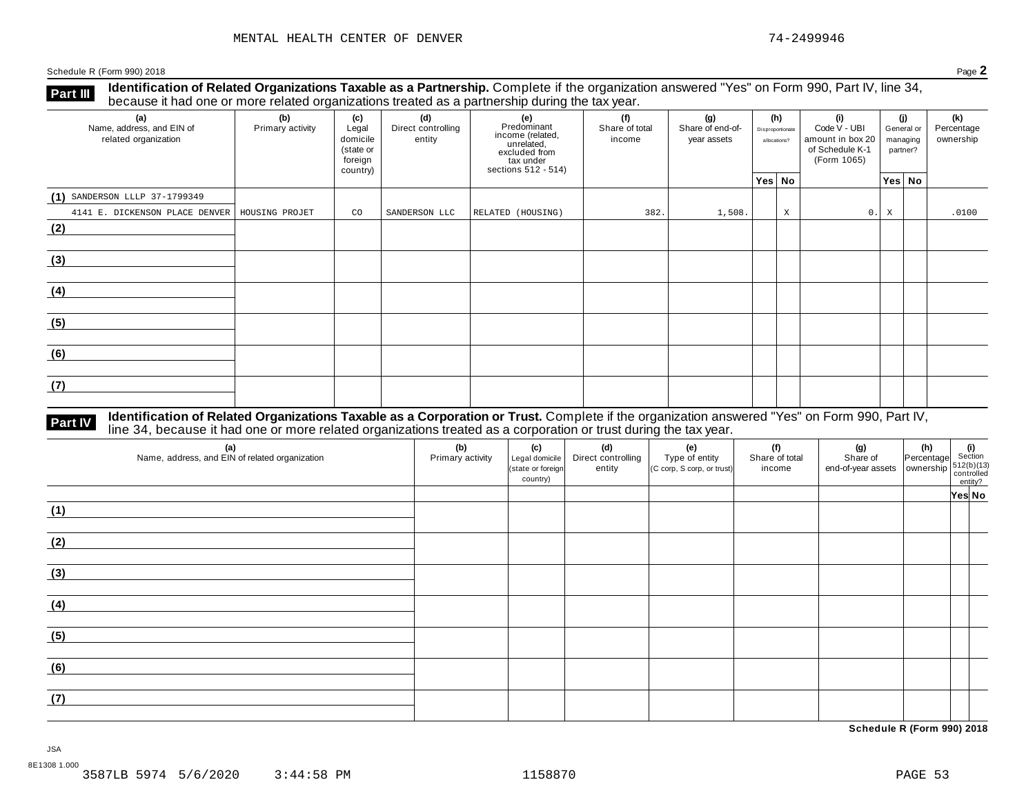**Part III** Identification of Related Organizations Taxable as a Partnership. Complete if the organization answered "Yes" on Form 990, Part IV, line 34,<br>because it had one or more related organizations treated as a partners

| (a)<br>Name, address, and EIN of<br>related organization | (b)<br>Primary activity | (c)<br>Legal<br>domicile<br>(state or<br>foreign<br>country) | (d)<br>Direct controlling<br>entity | (e)<br>Predominant<br>income (related,<br>unrelated,<br>excluded from<br>tax under<br>sections 512 - 514) | (f)<br>Share of total<br>income | (g)<br>Share of end-of-<br>year assets | Disproportionate<br>allocations? | (h) | (i)<br>Code V - UBI<br>amount in box 20<br>of Schedule K-1<br>(Form 1065) |        | (i)<br>General or<br>managing<br>partner? | (k)<br>Percentage<br>ownership |
|----------------------------------------------------------|-------------------------|--------------------------------------------------------------|-------------------------------------|-----------------------------------------------------------------------------------------------------------|---------------------------------|----------------------------------------|----------------------------------|-----|---------------------------------------------------------------------------|--------|-------------------------------------------|--------------------------------|
|                                                          |                         |                                                              |                                     |                                                                                                           |                                 |                                        | Yes No                           |     |                                                                           |        | Yes No                                    |                                |
| $(1)$ SANDERSON LLLP 37-1799349                          |                         |                                                              |                                     |                                                                                                           |                                 |                                        |                                  |     |                                                                           |        |                                           |                                |
| 4141 E. DICKENSON PLACE DENVER   HOUSING PROJET          |                         | CO                                                           | SANDERSON LLC                       | RELATED (HOUSING)                                                                                         | 382.                            | 1,508.                                 |                                  | X   | 0.1                                                                       | $\,$ X |                                           | .0100                          |
| (2)                                                      |                         |                                                              |                                     |                                                                                                           |                                 |                                        |                                  |     |                                                                           |        |                                           |                                |
| (3)                                                      |                         |                                                              |                                     |                                                                                                           |                                 |                                        |                                  |     |                                                                           |        |                                           |                                |
| (4)                                                      |                         |                                                              |                                     |                                                                                                           |                                 |                                        |                                  |     |                                                                           |        |                                           |                                |
| (5)                                                      |                         |                                                              |                                     |                                                                                                           |                                 |                                        |                                  |     |                                                                           |        |                                           |                                |
| (6)                                                      |                         |                                                              |                                     |                                                                                                           |                                 |                                        |                                  |     |                                                                           |        |                                           |                                |
| (7)                                                      |                         |                                                              |                                     |                                                                                                           |                                 |                                        |                                  |     |                                                                           |        |                                           |                                |

# **Part IV** Identification of Related Organizations Taxable as a Corporation or Trust. Complete if the organization answered "Yes" on Form 990, Part IV,<br>line 34, because it had one or more related organizations treated as a

| (a)<br>Name, address, and EIN of related organization | (b)<br>Primary activity | (c)<br>Legal domicile<br>(state or foreign<br>country) | (d)<br>Direct controlling<br>entity | (e)<br>Type of entity<br>$ $ (C corp, S corp, or trust) $ $ | (f)<br>Share of total<br>income | (g)<br>Share of<br>$\left  \begin{array}{c} 0 & 0 & 0 \\ 0 & 0 & 0 \\ 0 & 0 & 0 \end{array} \right $ and-of-year assets ownership $\left  \begin{array}{c} 512(b)(13) \\ 0 & 0 \\ 0 & 0 \end{array} \right $ | $\begin{vmatrix} \n\textbf{(h)} \\ \n\text{Percentage} \n\end{vmatrix}$ Section | entity? |  |
|-------------------------------------------------------|-------------------------|--------------------------------------------------------|-------------------------------------|-------------------------------------------------------------|---------------------------------|--------------------------------------------------------------------------------------------------------------------------------------------------------------------------------------------------------------|---------------------------------------------------------------------------------|---------|--|
|                                                       |                         |                                                        |                                     |                                                             |                                 |                                                                                                                                                                                                              |                                                                                 | Yes No  |  |
| (1)                                                   |                         |                                                        |                                     |                                                             |                                 |                                                                                                                                                                                                              |                                                                                 |         |  |
| (2)                                                   |                         |                                                        |                                     |                                                             |                                 |                                                                                                                                                                                                              |                                                                                 |         |  |
| (3)                                                   |                         |                                                        |                                     |                                                             |                                 |                                                                                                                                                                                                              |                                                                                 |         |  |
| (4)                                                   |                         |                                                        |                                     |                                                             |                                 |                                                                                                                                                                                                              |                                                                                 |         |  |
| (5)                                                   |                         |                                                        |                                     |                                                             |                                 |                                                                                                                                                                                                              |                                                                                 |         |  |
| (6)                                                   |                         |                                                        |                                     |                                                             |                                 |                                                                                                                                                                                                              |                                                                                 |         |  |
| (7)                                                   |                         |                                                        |                                     |                                                             |                                 |                                                                                                                                                                                                              |                                                                                 |         |  |

**Schedule R (Form 990) 2018**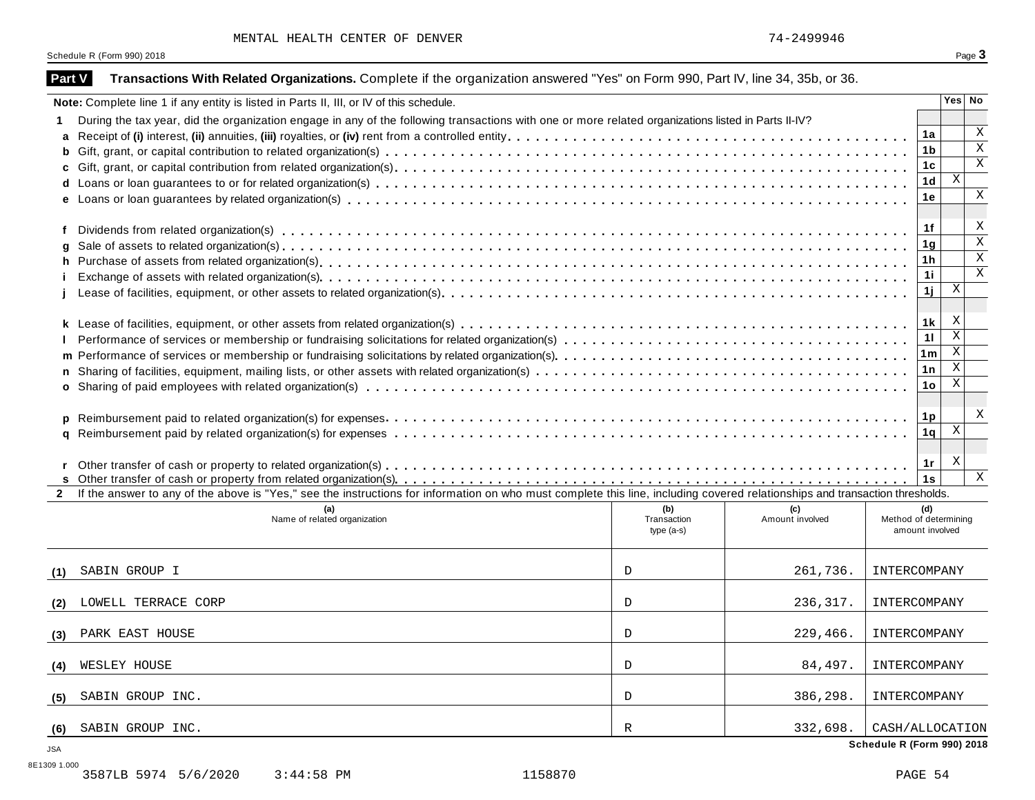| Part V | Transactions With Related Organizations. Complete if the organization answered "Yes" on Form 990, Part IV, line 34, 35b, or 36.                                                |              |                 |                            |                           |                           |
|--------|--------------------------------------------------------------------------------------------------------------------------------------------------------------------------------|--------------|-----------------|----------------------------|---------------------------|---------------------------|
|        | Note: Complete line 1 if any entity is listed in Parts II, III, or IV of this schedule.                                                                                        |              |                 |                            |                           | Yes No                    |
|        | During the tax year, did the organization engage in any of the following transactions with one or more related organizations listed in Parts II-IV?                            |              |                 |                            |                           |                           |
| a      |                                                                                                                                                                                |              |                 | 1a                         |                           | Χ                         |
| b      |                                                                                                                                                                                |              |                 | 1b                         |                           | $\overline{\mathbf{x}}$   |
| c      |                                                                                                                                                                                |              |                 | 1 <sub>c</sub>             |                           | $\mathbf X$               |
|        |                                                                                                                                                                                |              |                 | 1d                         | X                         |                           |
|        |                                                                                                                                                                                |              |                 | 1e                         |                           | X                         |
|        |                                                                                                                                                                                |              |                 |                            |                           |                           |
| f      |                                                                                                                                                                                |              |                 | 1f                         |                           | X                         |
|        |                                                                                                                                                                                |              |                 | 1g                         |                           | $\overline{\text{X}}$     |
|        |                                                                                                                                                                                |              |                 | 1 h                        |                           | $\overline{\mathbf{x}}$   |
|        |                                                                                                                                                                                |              |                 | 11                         |                           | $\overline{X}$            |
|        |                                                                                                                                                                                |              |                 | 11                         | X                         |                           |
|        |                                                                                                                                                                                |              |                 |                            |                           |                           |
|        |                                                                                                                                                                                |              |                 |                            | X                         |                           |
|        |                                                                                                                                                                                |              |                 | 1 k                        | $\boldsymbol{\mathrm{X}}$ |                           |
|        |                                                                                                                                                                                |              |                 | 11                         |                           |                           |
|        |                                                                                                                                                                                |              |                 | 1m                         | X                         |                           |
|        |                                                                                                                                                                                |              |                 | 1n                         | $\mathbf{x}$              |                           |
|        |                                                                                                                                                                                |              |                 | 1 <sub>o</sub>             | X                         |                           |
|        |                                                                                                                                                                                |              |                 |                            |                           |                           |
|        |                                                                                                                                                                                |              |                 | 1p                         |                           | X                         |
|        |                                                                                                                                                                                |              |                 | 1q                         | X                         |                           |
|        |                                                                                                                                                                                |              |                 |                            |                           |                           |
|        |                                                                                                                                                                                |              |                 | 1r                         | Χ                         |                           |
|        |                                                                                                                                                                                |              |                 | 1s                         |                           | $\boldsymbol{\mathrm{X}}$ |
|        | 2 If the answer to any of the above is "Yes," see the instructions for information on who must complete this line, including covered relationships and transaction thresholds. |              |                 |                            |                           |                           |
|        | (a)                                                                                                                                                                            | (b)          | (c)             | (d)                        |                           |                           |
|        | Name of related organization                                                                                                                                                   | Transaction  | Amount involved | Method of determining      |                           |                           |
|        |                                                                                                                                                                                | $type(a-s)$  |                 | amount involved            |                           |                           |
|        |                                                                                                                                                                                |              |                 |                            |                           |                           |
| (1)    | SABIN GROUP I                                                                                                                                                                  | $\mathbb{D}$ | 261,736.        | INTERCOMPANY               |                           |                           |
|        |                                                                                                                                                                                |              |                 |                            |                           |                           |
| (2)    | LOWELL TERRACE CORP                                                                                                                                                            | D            | 236,317.        | INTERCOMPANY               |                           |                           |
| (3)    | PARK EAST HOUSE                                                                                                                                                                | D            | 229,466.        | INTERCOMPANY               |                           |                           |
|        |                                                                                                                                                                                |              |                 |                            |                           |                           |
| (4)    | WESLEY HOUSE                                                                                                                                                                   | $\mathbb D$  | 84,497.         | INTERCOMPANY               |                           |                           |
|        |                                                                                                                                                                                |              |                 |                            |                           |                           |
| (5)    | SABIN GROUP INC.                                                                                                                                                               | D            | 386,298.        | INTERCOMPANY               |                           |                           |
|        |                                                                                                                                                                                |              |                 |                            |                           |                           |
| (6)    | SABIN GROUP INC.                                                                                                                                                               | R            | 332,698.        | CASH/ALLOCATION            |                           |                           |
|        |                                                                                                                                                                                |              |                 | Schedule R (Form 990) 2018 |                           |                           |

8E1309 1.000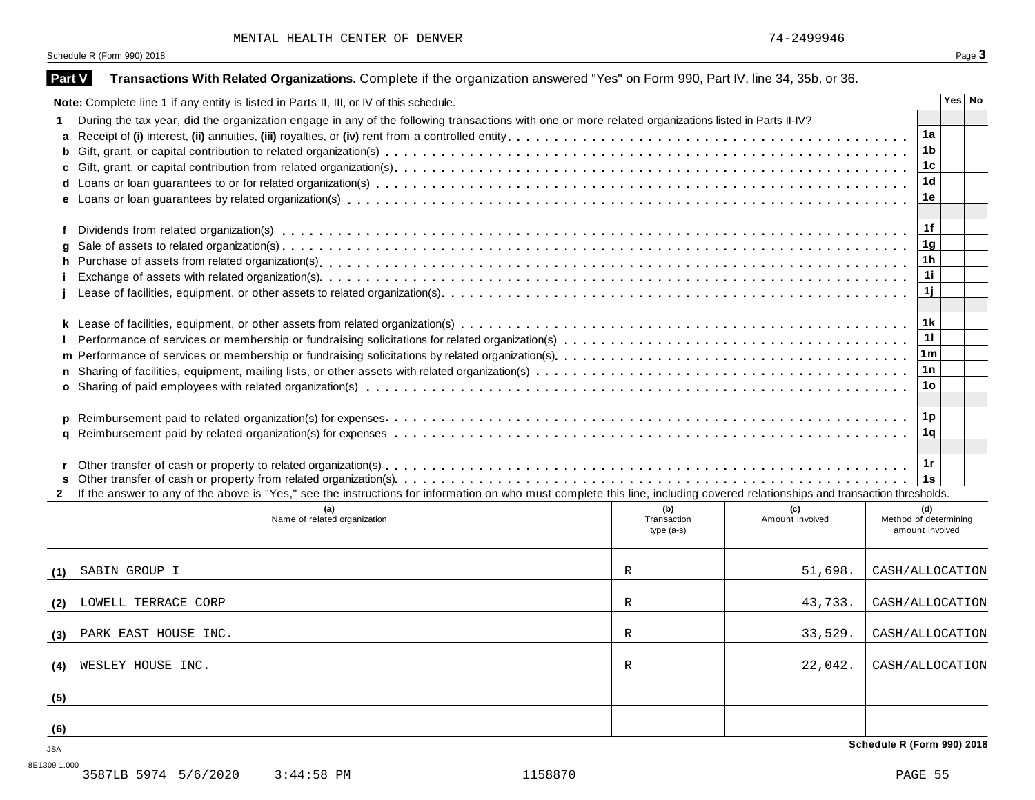|  | MENTAL HEALTH CENTER OF DENVER |  |  |  |
|--|--------------------------------|--|--|--|
|--|--------------------------------|--|--|--|

| Part V       |  | Transactions With Related Organizations. Complete if the organization answered "Yes" on Form 990, Part IV, line 34, 35b, or 36.                                                                                                |                    |                        |                            |                |        |  |  |  |  |
|--------------|--|--------------------------------------------------------------------------------------------------------------------------------------------------------------------------------------------------------------------------------|--------------------|------------------------|----------------------------|----------------|--------|--|--|--|--|
|              |  | Note: Complete line 1 if any entity is listed in Parts II, III, or IV of this schedule.                                                                                                                                        |                    |                        |                            |                | Yes No |  |  |  |  |
|              |  | During the tax year, did the organization engage in any of the following transactions with one or more related organizations listed in Parts II-IV?                                                                            |                    |                        |                            |                |        |  |  |  |  |
| a            |  |                                                                                                                                                                                                                                |                    |                        |                            |                |        |  |  |  |  |
| b            |  |                                                                                                                                                                                                                                |                    |                        |                            | 1 <sub>b</sub> |        |  |  |  |  |
| c            |  |                                                                                                                                                                                                                                |                    |                        |                            |                |        |  |  |  |  |
| d            |  |                                                                                                                                                                                                                                |                    |                        |                            |                |        |  |  |  |  |
|              |  |                                                                                                                                                                                                                                |                    |                        |                            | 1e             |        |  |  |  |  |
|              |  |                                                                                                                                                                                                                                |                    |                        |                            |                |        |  |  |  |  |
|              |  | Dividends from related organization(s) enterpresent research resources and response to contact the content of the content of the content of the content of the content of the content of the content of the content of the con |                    |                        |                            | 1f             |        |  |  |  |  |
| a            |  |                                                                                                                                                                                                                                |                    |                        |                            | 1 <sub>g</sub> |        |  |  |  |  |
| h            |  |                                                                                                                                                                                                                                |                    |                        |                            | 1 <sub>h</sub> |        |  |  |  |  |
|              |  |                                                                                                                                                                                                                                |                    |                        |                            | 11             |        |  |  |  |  |
|              |  |                                                                                                                                                                                                                                |                    |                        |                            | 1j             |        |  |  |  |  |
|              |  |                                                                                                                                                                                                                                |                    |                        |                            | 1k             |        |  |  |  |  |
|              |  |                                                                                                                                                                                                                                |                    |                        |                            |                |        |  |  |  |  |
|              |  |                                                                                                                                                                                                                                |                    |                        |                            |                |        |  |  |  |  |
|              |  |                                                                                                                                                                                                                                |                    |                        |                            |                |        |  |  |  |  |
| n.           |  |                                                                                                                                                                                                                                |                    |                        |                            |                |        |  |  |  |  |
|              |  |                                                                                                                                                                                                                                |                    |                        |                            | 1 <sub>o</sub> |        |  |  |  |  |
|              |  |                                                                                                                                                                                                                                |                    |                        |                            |                |        |  |  |  |  |
| p            |  |                                                                                                                                                                                                                                |                    |                        |                            | 1p             |        |  |  |  |  |
|              |  |                                                                                                                                                                                                                                |                    |                        |                            | 1q             |        |  |  |  |  |
|              |  |                                                                                                                                                                                                                                |                    |                        |                            |                |        |  |  |  |  |
|              |  |                                                                                                                                                                                                                                |                    |                        |                            | 1r             |        |  |  |  |  |
|              |  |                                                                                                                                                                                                                                |                    |                        |                            | 1s             |        |  |  |  |  |
| $\mathbf{2}$ |  | If the answer to any of the above is "Yes," see the instructions for information on who must complete this line, including covered relationships and transaction thresholds.                                                   |                    |                        |                            |                |        |  |  |  |  |
|              |  | (a)<br>Name of related organization                                                                                                                                                                                            | (b)<br>Transaction | (c)<br>Amount involved | Method of determining      | (d)            |        |  |  |  |  |
|              |  |                                                                                                                                                                                                                                | type (a-s)         |                        | amount involved            |                |        |  |  |  |  |
|              |  |                                                                                                                                                                                                                                |                    |                        |                            |                |        |  |  |  |  |
|              |  |                                                                                                                                                                                                                                |                    |                        |                            |                |        |  |  |  |  |
| (1)          |  | SABIN GROUP I                                                                                                                                                                                                                  | R                  | 51,698.                | CASH/ALLOCATION            |                |        |  |  |  |  |
|              |  | LOWELL TERRACE CORP                                                                                                                                                                                                            | $\mathbb R$        | 43,733.                | CASH/ALLOCATION            |                |        |  |  |  |  |
| (2)          |  |                                                                                                                                                                                                                                |                    |                        |                            |                |        |  |  |  |  |
|              |  | PARK EAST HOUSE INC.                                                                                                                                                                                                           | R                  | 33,529.                | CASH/ALLOCATION            |                |        |  |  |  |  |
| (3)          |  |                                                                                                                                                                                                                                |                    |                        |                            |                |        |  |  |  |  |
|              |  | WESLEY HOUSE INC.                                                                                                                                                                                                              | R                  | 22,042.                | CASH/ALLOCATION            |                |        |  |  |  |  |
| (4)          |  |                                                                                                                                                                                                                                |                    |                        |                            |                |        |  |  |  |  |
|              |  |                                                                                                                                                                                                                                |                    |                        |                            |                |        |  |  |  |  |
| (5)          |  |                                                                                                                                                                                                                                |                    |                        |                            |                |        |  |  |  |  |
| (6)          |  |                                                                                                                                                                                                                                |                    |                        |                            |                |        |  |  |  |  |
|              |  |                                                                                                                                                                                                                                |                    |                        | Schedule R (Form 990) 2018 |                |        |  |  |  |  |
| JSA          |  |                                                                                                                                                                                                                                |                    |                        |                            |                |        |  |  |  |  |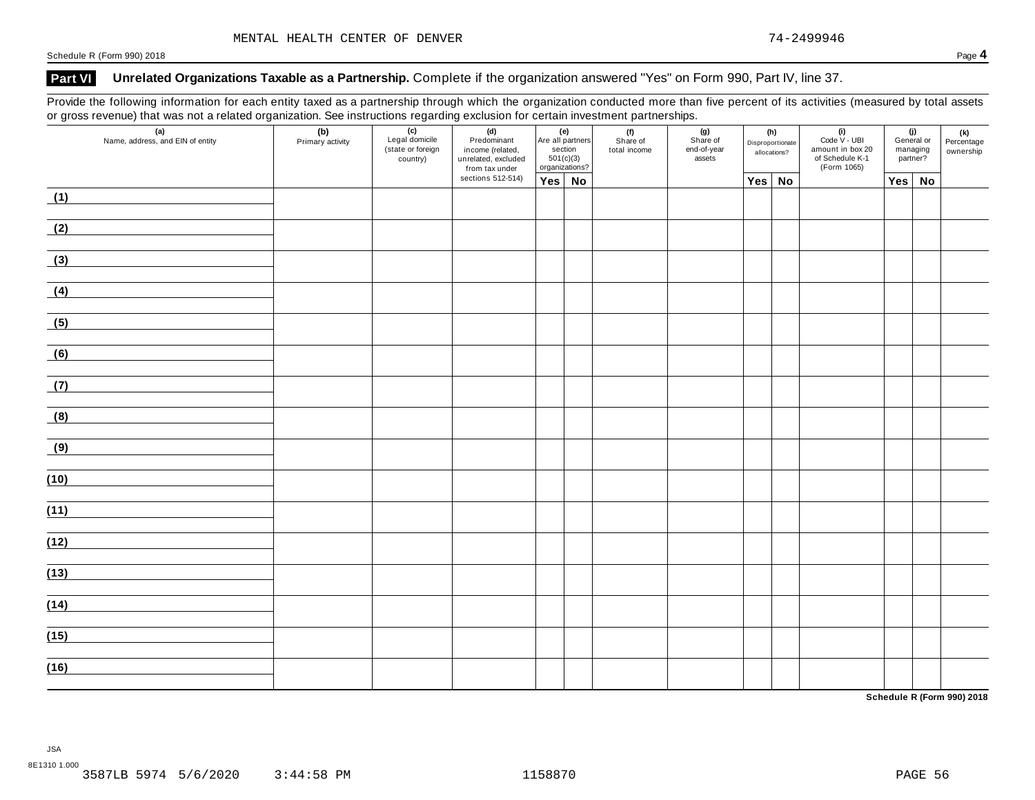#### **Part VI Unrelated Organizations Taxable as a Partnership.** Complete if the organization answered "Yes" on Form 990, Part IV, line 37.

Provide the following information for each entity taxed as a partnership through which the organization conducted more than five percent of its activities (measured by total assets or gross revenue) that was not a related organization. See instructions regarding exclusion for certain investment partnerships.

| $\overline{\phantom{a}}$ | $\mathbf{z}$<br>(a)<br>Name, address, and EIN of entity | ັ<br>ັ<br>$\overline{(c)}$<br>(b)<br>Primary activity<br>Legal domicile<br>(state or foreign<br>country) |  | $\sim$<br>(d)<br>Predominant<br>income (related,<br>unrelated, excluded<br>from tax under | (e)<br>Are all partners<br>section<br>501(c)(3)<br>organizations? |        | (f)<br>Share of<br>total income | (g)<br>Share of<br>end-of-year<br>assets | (h)<br>Disproportionate<br>allocations? |  | $(i)$<br>Code V - UBI<br>amount in box 20<br>of Schedule K-1<br>(Form 1065) | (j)<br>General or<br>managing<br>partner? |           | $\frac{1}{\sqrt{k}}$<br>Percentage<br>ownership |
|--------------------------|---------------------------------------------------------|----------------------------------------------------------------------------------------------------------|--|-------------------------------------------------------------------------------------------|-------------------------------------------------------------------|--------|---------------------------------|------------------------------------------|-----------------------------------------|--|-----------------------------------------------------------------------------|-------------------------------------------|-----------|-------------------------------------------------|
|                          |                                                         |                                                                                                          |  | sections 512-514)                                                                         |                                                                   | Yes No |                                 |                                          | Yes No                                  |  |                                                                             | Yes                                       | <b>No</b> |                                                 |
| (1)                      |                                                         |                                                                                                          |  |                                                                                           |                                                                   |        |                                 |                                          |                                         |  |                                                                             |                                           |           |                                                 |
| (2)                      |                                                         |                                                                                                          |  |                                                                                           |                                                                   |        |                                 |                                          |                                         |  |                                                                             |                                           |           |                                                 |
| (3)                      |                                                         |                                                                                                          |  |                                                                                           |                                                                   |        |                                 |                                          |                                         |  |                                                                             |                                           |           |                                                 |
| (4)                      |                                                         |                                                                                                          |  |                                                                                           |                                                                   |        |                                 |                                          |                                         |  |                                                                             |                                           |           |                                                 |
| (5)                      |                                                         |                                                                                                          |  |                                                                                           |                                                                   |        |                                 |                                          |                                         |  |                                                                             |                                           |           |                                                 |
| (6)                      |                                                         |                                                                                                          |  |                                                                                           |                                                                   |        |                                 |                                          |                                         |  |                                                                             |                                           |           |                                                 |
| (7)                      |                                                         |                                                                                                          |  |                                                                                           |                                                                   |        |                                 |                                          |                                         |  |                                                                             |                                           |           |                                                 |
| (8)                      |                                                         |                                                                                                          |  |                                                                                           |                                                                   |        |                                 |                                          |                                         |  |                                                                             |                                           |           |                                                 |
| (9)                      |                                                         |                                                                                                          |  |                                                                                           |                                                                   |        |                                 |                                          |                                         |  |                                                                             |                                           |           |                                                 |
| (10)                     |                                                         |                                                                                                          |  |                                                                                           |                                                                   |        |                                 |                                          |                                         |  |                                                                             |                                           |           |                                                 |
| (11)                     |                                                         |                                                                                                          |  |                                                                                           |                                                                   |        |                                 |                                          |                                         |  |                                                                             |                                           |           |                                                 |
| (12)                     |                                                         |                                                                                                          |  |                                                                                           |                                                                   |        |                                 |                                          |                                         |  |                                                                             |                                           |           |                                                 |
| (13)                     |                                                         |                                                                                                          |  |                                                                                           |                                                                   |        |                                 |                                          |                                         |  |                                                                             |                                           |           |                                                 |
| (14)                     |                                                         |                                                                                                          |  |                                                                                           |                                                                   |        |                                 |                                          |                                         |  |                                                                             |                                           |           |                                                 |
| (15)                     |                                                         |                                                                                                          |  |                                                                                           |                                                                   |        |                                 |                                          |                                         |  |                                                                             |                                           |           |                                                 |
|                          |                                                         |                                                                                                          |  |                                                                                           |                                                                   |        |                                 |                                          |                                         |  |                                                                             |                                           |           |                                                 |
| (16)                     |                                                         |                                                                                                          |  |                                                                                           |                                                                   |        |                                 |                                          |                                         |  |                                                                             |                                           |           |                                                 |

**Schedule R (Form 990) 2018**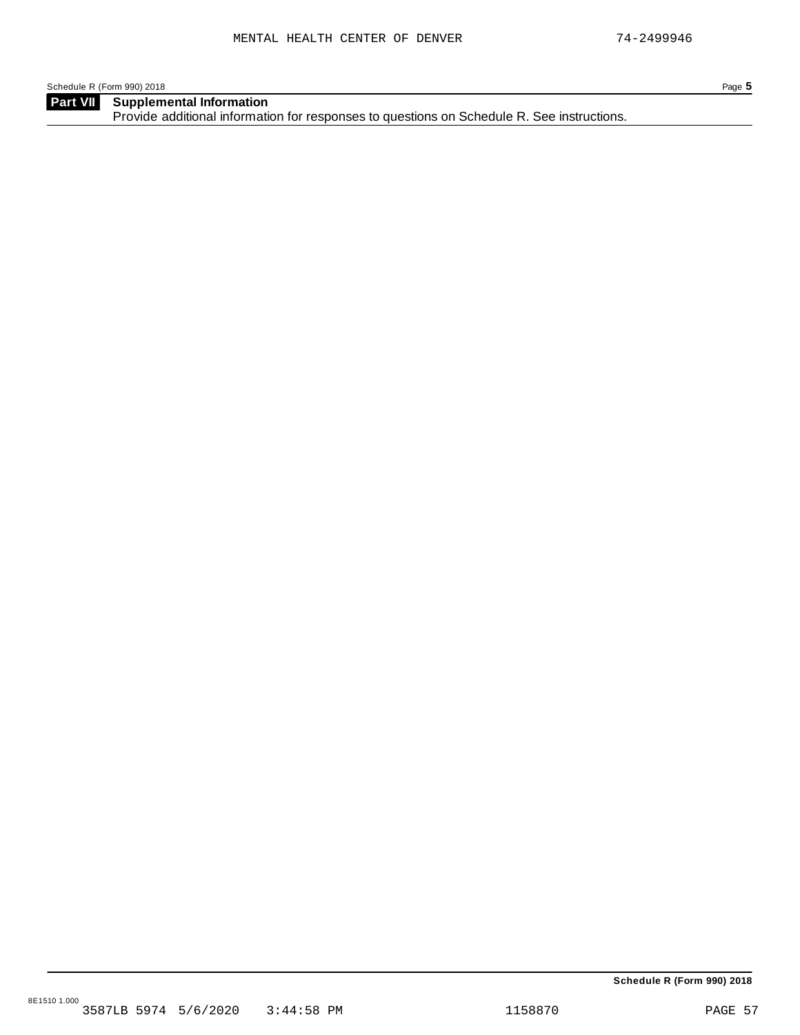**Part VII** Supplemental Information **Provide additional information for responses to questions on Schedule R. See instructions.** 

**Schedule R (Form 990) 2018**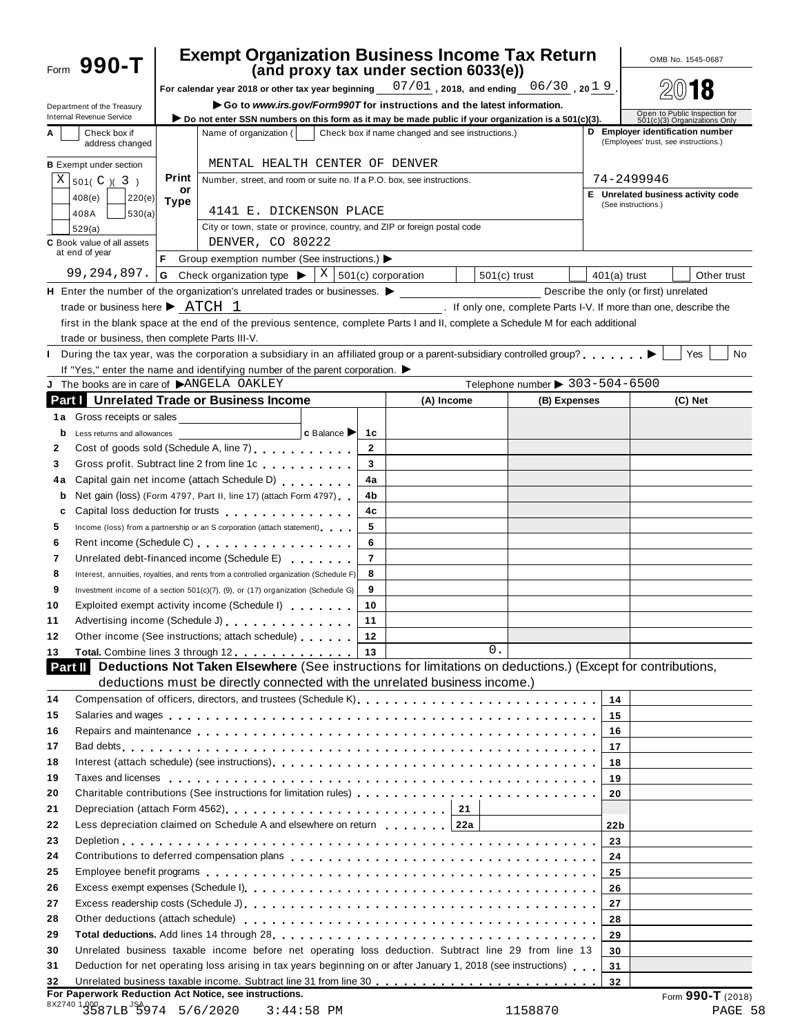| Form 990-T                                                                                            |                                 |             |                                                                                                                                                                                                                                |                                |                         | <b>Exempt Organization Business Income Tax Return</b><br>(and proxy tax under section 6033(e))                                                                                                                                 |    |                                                |                     |                                        | OMB No. 1545-0687                                                         |
|-------------------------------------------------------------------------------------------------------|---------------------------------|-------------|--------------------------------------------------------------------------------------------------------------------------------------------------------------------------------------------------------------------------------|--------------------------------|-------------------------|--------------------------------------------------------------------------------------------------------------------------------------------------------------------------------------------------------------------------------|----|------------------------------------------------|---------------------|----------------------------------------|---------------------------------------------------------------------------|
|                                                                                                       |                                 |             |                                                                                                                                                                                                                                |                                |                         | For calendar year 2018 or other tax year beginning 07/01, 2018, and ending 06/30, 2019                                                                                                                                         |    |                                                |                     |                                        |                                                                           |
| Department of the Treasury                                                                            |                                 |             |                                                                                                                                                                                                                                |                                |                         | Go to www.irs.gov/Form990T for instructions and the latest information.                                                                                                                                                        |    |                                                |                     |                                        |                                                                           |
| Internal Revenue Service                                                                              |                                 |             |                                                                                                                                                                                                                                |                                |                         | Do not enter SSN numbers on this form as it may be made public if your organization is a 501(c)(3).                                                                                                                            |    |                                                |                     |                                        | Open to Public Inspection for<br>501(c)(3) Organizations Only             |
| А                                                                                                     | Check box if<br>address changed |             | Name of organization (                                                                                                                                                                                                         |                                |                         | Check box if name changed and see instructions.)                                                                                                                                                                               |    |                                                |                     |                                        | D Employer identification number<br>(Employees' trust, see instructions.) |
| <b>B</b> Exempt under section                                                                         |                                 |             |                                                                                                                                                                                                                                | MENTAL HEALTH CENTER OF DENVER |                         |                                                                                                                                                                                                                                |    |                                                |                     |                                        |                                                                           |
| $X \mid 501(C) (3)$                                                                                   |                                 | Print<br>or |                                                                                                                                                                                                                                |                                |                         | Number, street, and room or suite no. If a P.O. box, see instructions.                                                                                                                                                         |    |                                                | 74-2499946          |                                        |                                                                           |
| 408(e)                                                                                                | 220(e)                          | <b>Type</b> |                                                                                                                                                                                                                                |                                |                         |                                                                                                                                                                                                                                |    |                                                | (See instructions.) |                                        | E Unrelated business activity code                                        |
| 408A                                                                                                  | 530(a)                          |             |                                                                                                                                                                                                                                | 4141 E. DICKENSON PLACE        |                         |                                                                                                                                                                                                                                |    |                                                |                     |                                        |                                                                           |
| 529(a)                                                                                                |                                 |             |                                                                                                                                                                                                                                |                                |                         | City or town, state or province, country, and ZIP or foreign postal code                                                                                                                                                       |    |                                                |                     |                                        |                                                                           |
| C Book value of all assets<br>at end of year                                                          |                                 |             | DENVER, CO 80222                                                                                                                                                                                                               |                                |                         |                                                                                                                                                                                                                                |    |                                                |                     |                                        |                                                                           |
| 99,294,897.                                                                                           |                                 |             | Group exemption number (See instructions.) ▶                                                                                                                                                                                   |                                |                         |                                                                                                                                                                                                                                |    |                                                |                     |                                        |                                                                           |
|                                                                                                       |                                 |             | <b>G</b> Check organization type $\blacktriangleright$ $\mid$ X $\mid$ 501(c) corporation                                                                                                                                      |                                |                         |                                                                                                                                                                                                                                |    | $501(c)$ trust                                 | $401(a)$ trust      |                                        | Other trust                                                               |
| H Enter the number of the organization's unrelated trades or businesses. $\blacktriangleright$        |                                 |             |                                                                                                                                                                                                                                |                                |                         | Let a let a let a let a let a let a let a let a let a let a let a let a let a let a let a let a let a let a let a let a let a let a let a let a let a let a let a let a let a let a let a let a let a let a let a let a let a  |    |                                                |                     | Describe the only (or first) unrelated |                                                                           |
| trade or business here $\triangleright$ ATCH 1                                                        |                                 |             |                                                                                                                                                                                                                                |                                |                         | first in the blank space at the end of the previous sentence, complete Parts I and II, complete a Schedule M for each additional                                                                                               |    |                                                |                     |                                        |                                                                           |
|                                                                                                       |                                 |             | trade or business, then complete Parts III-V.                                                                                                                                                                                  |                                |                         |                                                                                                                                                                                                                                |    |                                                |                     |                                        |                                                                           |
| $\mathbf{I}$                                                                                          |                                 |             |                                                                                                                                                                                                                                |                                |                         | During the tax year, was the corporation a subsidiary in an affiliated group or a parent-subsidiary controlled group?                                                                                                          |    |                                                |                     |                                        | Yes<br>No                                                                 |
|                                                                                                       |                                 |             | If "Yes," enter the name and identifying number of the parent corporation. $\blacktriangleright$                                                                                                                               |                                |                         |                                                                                                                                                                                                                                |    |                                                |                     |                                        |                                                                           |
| J The books are in care of ANGELA OAKLEY                                                              |                                 |             |                                                                                                                                                                                                                                |                                |                         |                                                                                                                                                                                                                                |    | Telephone number $\triangleright$ 303-504-6500 |                     |                                        |                                                                           |
|                                                                                                       |                                 |             | <b>Part   Unrelated Trade or Business Income</b>                                                                                                                                                                               |                                |                         | (A) Income                                                                                                                                                                                                                     |    | (B) Expenses                                   |                     |                                        | (C) Net                                                                   |
| 1 a                                                                                                   |                                 |             | Gross receipts or sales                                                                                                                                                                                                        |                                |                         |                                                                                                                                                                                                                                |    |                                                |                     |                                        |                                                                           |
| b                                                                                                     | Less returns and allowances     |             |                                                                                                                                                                                                                                | c Balance                      | 1c                      |                                                                                                                                                                                                                                |    |                                                |                     |                                        |                                                                           |
| 2                                                                                                     |                                 |             | Cost of goods sold (Schedule A, line 7) [10] Cost of goods sold (Schedule A, line 7)                                                                                                                                           |                                | $\overline{2}$          |                                                                                                                                                                                                                                |    |                                                |                     |                                        |                                                                           |
| 3                                                                                                     |                                 |             | Gross profit. Subtract line 2 from line 1c                                                                                                                                                                                     |                                | $\overline{\mathbf{3}}$ |                                                                                                                                                                                                                                |    |                                                |                     |                                        |                                                                           |
| 4a                                                                                                    |                                 |             | Capital gain net income (attach Schedule D) [100]                                                                                                                                                                              |                                | 4a                      |                                                                                                                                                                                                                                |    |                                                |                     |                                        |                                                                           |
| b                                                                                                     |                                 |             | Net gain (loss) (Form 4797, Part II, line 17) (attach Form 4797)                                                                                                                                                               |                                | 4b                      |                                                                                                                                                                                                                                |    |                                                |                     |                                        |                                                                           |
| c                                                                                                     |                                 |             | Capital loss deduction for trusts experience of the state of the state of the state of the state of the state of the state of the state of the state of the state of the state of the state of the state of the state of the s |                                | 4c                      |                                                                                                                                                                                                                                |    |                                                |                     |                                        |                                                                           |
| 5                                                                                                     |                                 |             | Income (loss) from a partnership or an S corporation (attach statement)                                                                                                                                                        |                                | 5                       |                                                                                                                                                                                                                                |    |                                                |                     |                                        |                                                                           |
| 6                                                                                                     |                                 |             | Rent income (Schedule C)                                                                                                                                                                                                       |                                | 6                       |                                                                                                                                                                                                                                |    |                                                |                     |                                        |                                                                           |
| 7                                                                                                     |                                 |             | Unrelated debt-financed income (Schedule E)                                                                                                                                                                                    |                                | $\overline{7}$          |                                                                                                                                                                                                                                |    |                                                |                     |                                        |                                                                           |
| 8                                                                                                     |                                 |             | Interest, annuities, royalties, and rents from a controlled organization (Schedule F)                                                                                                                                          |                                | 8                       |                                                                                                                                                                                                                                |    |                                                |                     |                                        |                                                                           |
| 9                                                                                                     |                                 |             | Investment income of a section 501(c)(7), (9), or (17) organization (Schedule G)                                                                                                                                               |                                | 9                       |                                                                                                                                                                                                                                |    |                                                |                     |                                        |                                                                           |
| 10                                                                                                    |                                 |             | Exploited exempt activity income (Schedule I)                                                                                                                                                                                  |                                | 10                      |                                                                                                                                                                                                                                |    |                                                |                     |                                        |                                                                           |
| 11                                                                                                    |                                 |             | Advertising income (Schedule J)                                                                                                                                                                                                |                                | 11                      |                                                                                                                                                                                                                                |    |                                                |                     |                                        |                                                                           |
| 12                                                                                                    |                                 |             | Other income (See instructions; attach schedule)                                                                                                                                                                               |                                | 12                      |                                                                                                                                                                                                                                | 0. |                                                |                     |                                        |                                                                           |
| 13                                                                                                    |                                 |             |                                                                                                                                                                                                                                |                                | 13                      |                                                                                                                                                                                                                                |    |                                                |                     |                                        |                                                                           |
| Part II                                                                                               |                                 |             |                                                                                                                                                                                                                                |                                |                         | Deductions Not Taken Elsewhere (See instructions for limitations on deductions.) (Except for contributions,<br>deductions must be directly connected with the unrelated business income.)                                      |    |                                                |                     |                                        |                                                                           |
| 14                                                                                                    |                                 |             |                                                                                                                                                                                                                                |                                |                         |                                                                                                                                                                                                                                |    |                                                |                     |                                        |                                                                           |
| 15                                                                                                    |                                 |             |                                                                                                                                                                                                                                |                                |                         |                                                                                                                                                                                                                                |    |                                                | 14                  |                                        |                                                                           |
| 16                                                                                                    |                                 |             |                                                                                                                                                                                                                                |                                |                         | Salaries and wages enterpreteration of the series of the series of the series and wages enterpreteration of the series and wages of the series of the series of the series of the series of the series and series and series a |    |                                                | 15                  |                                        |                                                                           |
| 17                                                                                                    |                                 |             |                                                                                                                                                                                                                                |                                |                         |                                                                                                                                                                                                                                |    |                                                | 16<br>17            |                                        |                                                                           |
| 18                                                                                                    |                                 |             |                                                                                                                                                                                                                                |                                |                         |                                                                                                                                                                                                                                |    |                                                | 18                  |                                        |                                                                           |
| 19                                                                                                    |                                 |             |                                                                                                                                                                                                                                |                                |                         |                                                                                                                                                                                                                                |    |                                                | 19                  |                                        |                                                                           |
| 20                                                                                                    |                                 |             |                                                                                                                                                                                                                                |                                |                         |                                                                                                                                                                                                                                |    |                                                | 20                  |                                        |                                                                           |
| 21                                                                                                    |                                 |             |                                                                                                                                                                                                                                |                                |                         |                                                                                                                                                                                                                                |    |                                                |                     |                                        |                                                                           |
| 22                                                                                                    |                                 |             |                                                                                                                                                                                                                                |                                |                         | Less depreciation claimed on Schedule A and elsewhere on return   22a                                                                                                                                                          |    |                                                | 22 <sub>b</sub>     |                                        |                                                                           |
| 23                                                                                                    |                                 |             |                                                                                                                                                                                                                                |                                |                         |                                                                                                                                                                                                                                |    |                                                | 23                  |                                        |                                                                           |
| 24                                                                                                    |                                 |             |                                                                                                                                                                                                                                |                                |                         |                                                                                                                                                                                                                                |    |                                                | 24                  |                                        |                                                                           |
| 25                                                                                                    |                                 |             |                                                                                                                                                                                                                                |                                |                         | Employee benefit programs enterpreened and the contract of the contract of the contract of the contract of the contract of the contract of the contract of the contract of the contract of the contract of the contract of the |    |                                                | 25                  |                                        |                                                                           |
| 26                                                                                                    |                                 |             |                                                                                                                                                                                                                                |                                |                         |                                                                                                                                                                                                                                |    |                                                | 26                  |                                        |                                                                           |
| 27                                                                                                    |                                 |             |                                                                                                                                                                                                                                |                                |                         |                                                                                                                                                                                                                                |    |                                                | 27                  |                                        |                                                                           |
| 28                                                                                                    |                                 |             |                                                                                                                                                                                                                                |                                |                         |                                                                                                                                                                                                                                |    |                                                | 28                  |                                        |                                                                           |
| 29                                                                                                    |                                 |             |                                                                                                                                                                                                                                |                                |                         |                                                                                                                                                                                                                                |    |                                                | 29                  |                                        |                                                                           |
| 30                                                                                                    |                                 |             |                                                                                                                                                                                                                                |                                |                         | Unrelated business taxable income before net operating loss deduction. Subtract line 29 from line 13                                                                                                                           |    |                                                | 30                  |                                        |                                                                           |
| 31                                                                                                    |                                 |             |                                                                                                                                                                                                                                |                                |                         | Deduction for net operating loss arising in tax years beginning on or after January 1, 2018 (see instructions)                                                                                                                 |    |                                                | 31                  |                                        |                                                                           |
| 32                                                                                                    |                                 |             |                                                                                                                                                                                                                                |                                |                         |                                                                                                                                                                                                                                |    |                                                | 32                  |                                        |                                                                           |
| For Paperwork Reduction Act Notice, see instructions.<br>$8x2740140087LB$ <sup>154</sup> 974 5/6/2020 |                                 |             |                                                                                                                                                                                                                                |                                |                         |                                                                                                                                                                                                                                |    |                                                |                     |                                        | Form 990-T (2018)                                                         |
|                                                                                                       |                                 |             |                                                                                                                                                                                                                                | $3:44:58$ PM                   |                         |                                                                                                                                                                                                                                |    | 1158870                                        |                     |                                        | PAGE 58                                                                   |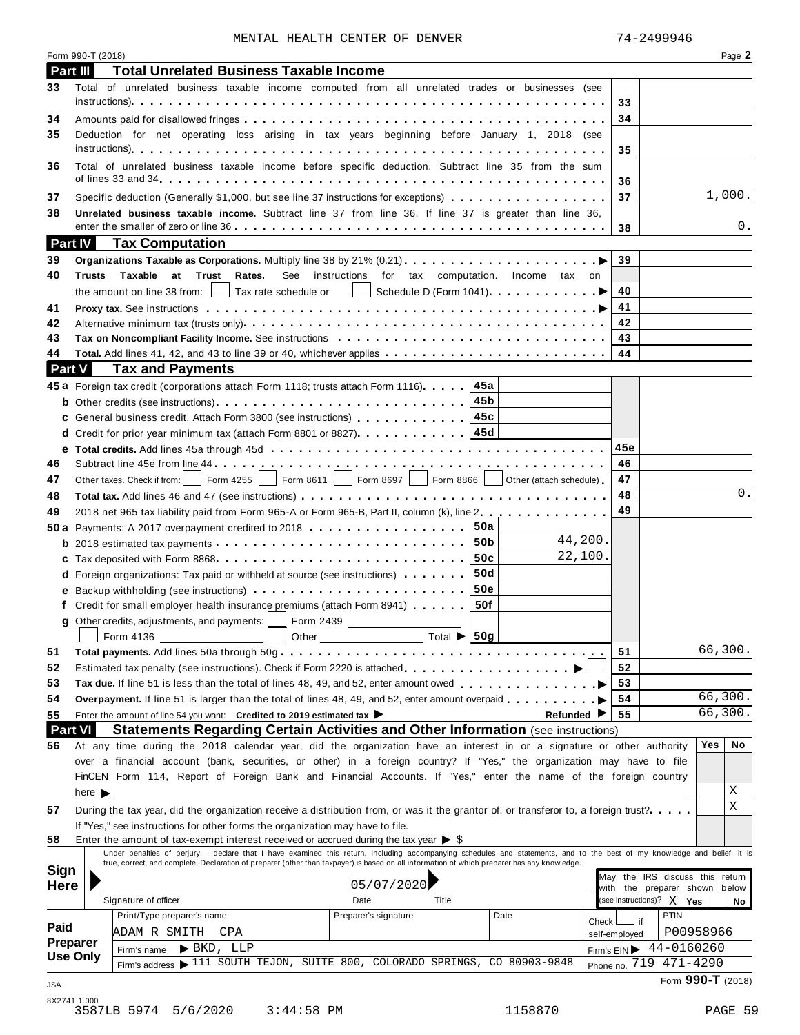| Form 990-T (2018)                                                                                                                                                                                                                                                                 |               | Page 2                                                                  |
|-----------------------------------------------------------------------------------------------------------------------------------------------------------------------------------------------------------------------------------------------------------------------------------|---------------|-------------------------------------------------------------------------|
| <b>Total Unrelated Business Taxable Income</b><br>Part III                                                                                                                                                                                                                        |               |                                                                         |
| Total of unrelated business taxable income computed from all unrelated trades or businesses (see<br>33                                                                                                                                                                            |               |                                                                         |
|                                                                                                                                                                                                                                                                                   | 33            |                                                                         |
| 34                                                                                                                                                                                                                                                                                | 34            |                                                                         |
| Deduction for net operating loss arising in tax years beginning before January 1, 2018 (see<br>35                                                                                                                                                                                 |               |                                                                         |
|                                                                                                                                                                                                                                                                                   | 35            |                                                                         |
| Total of unrelated business taxable income before specific deduction. Subtract line 35 from the sum<br>36                                                                                                                                                                         |               |                                                                         |
|                                                                                                                                                                                                                                                                                   | 36            |                                                                         |
| 37                                                                                                                                                                                                                                                                                | 37            | 1,000.                                                                  |
| Unrelated business taxable income. Subtract line 37 from line 36. If line 37 is greater than line 36,<br>38                                                                                                                                                                       |               |                                                                         |
|                                                                                                                                                                                                                                                                                   | 38            | 0.                                                                      |
| <b>Part IV</b><br><b>Tax Computation</b>                                                                                                                                                                                                                                          |               |                                                                         |
| 39                                                                                                                                                                                                                                                                                | 39            |                                                                         |
| Taxable at Trust Rates.<br>40<br><b>Trusts</b><br>See instructions for tax computation. Income tax on                                                                                                                                                                             |               |                                                                         |
| $\sim 10^{-10}$<br>Schedule D (Form 1041)<br>Tax rate schedule or<br>the amount on line 38 from: $\vert$                                                                                                                                                                          | 40            |                                                                         |
| 41                                                                                                                                                                                                                                                                                | 41            |                                                                         |
| 42                                                                                                                                                                                                                                                                                | 42            |                                                                         |
| 43                                                                                                                                                                                                                                                                                | 43            |                                                                         |
| 44<br>Total. Add lines 41, 42, and 43 to line 39 or 40, whichever applies <b>and intervent and intervent and intervent and intervent and intervent and intervent and intervent and intervent and intervent and intervent and intervent</b>                                        | 44            |                                                                         |
| Part V<br><b>Tax and Payments</b>                                                                                                                                                                                                                                                 |               |                                                                         |
| 45a                                                                                                                                                                                                                                                                               |               |                                                                         |
| 45 a Foreign tax credit (corporations attach Form 1118; trusts attach Form 1116)<br>45b                                                                                                                                                                                           |               |                                                                         |
|                                                                                                                                                                                                                                                                                   |               |                                                                         |
| c General business credit. Attach Form 3800 (see instructions) 45c                                                                                                                                                                                                                |               |                                                                         |
| d Credit for prior year minimum tax (attach Form 8801 or 8827). 45d                                                                                                                                                                                                               |               |                                                                         |
|                                                                                                                                                                                                                                                                                   | 45e           |                                                                         |
| 46                                                                                                                                                                                                                                                                                | 46            |                                                                         |
| Form 4255   Form 8611   Form 8697   Form 8866   Other (attach schedule)<br>47<br>Other taxes. Check if from:                                                                                                                                                                      | 47            |                                                                         |
| 48                                                                                                                                                                                                                                                                                | 48            | $0$ .                                                                   |
| 2018 net 965 tax liability paid from Form 965-A or Form 965-B, Part II, column (k), line 2.<br>49                                                                                                                                                                                 | 49            |                                                                         |
| 50 a Payments: A 2017 overpayment credited to 2018 $\ldots \ldots \ldots \ldots \ldots$<br>50a                                                                                                                                                                                    |               |                                                                         |
| 44,200.<br>50b                                                                                                                                                                                                                                                                    |               |                                                                         |
| 22,100.<br>50c<br>C                                                                                                                                                                                                                                                               |               |                                                                         |
| 50d<br>d Foreign organizations: Tax paid or withheld at source (see instructions)                                                                                                                                                                                                 |               |                                                                         |
| <b>50e</b>                                                                                                                                                                                                                                                                        |               |                                                                         |
| 50f<br>Credit for small employer health insurance premiums (attach Form 8941)<br>Ť.                                                                                                                                                                                               |               |                                                                         |
| q Other credits, adjustments, and payments: $\vert$<br>Form 2439                                                                                                                                                                                                                  |               |                                                                         |
| Form 4136 <u>Contract Contract Contract Contract Contract Contract Contract Contract Contract Contract Contract Contract Contract Contract Contract Contract Contract Contract Contract Contract Contract Contract Contract Cont</u><br>50g<br>Total $\blacktriangleright$        |               |                                                                         |
| 51                                                                                                                                                                                                                                                                                | 51            | 66,300.                                                                 |
| Estimated tax penalty (see instructions). Check if Form 2220 is attached ▶<br>52                                                                                                                                                                                                  | 52            |                                                                         |
| 53<br>Tax due. If line 51 is less than the total of lines 48, 49, and 52, enter amount owed $\ldots, \ldots, \ldots$                                                                                                                                                              | 53            |                                                                         |
| 54<br><b>Overpayment.</b> If line 51 is larger than the total of lines 48, 49, and 52, enter amount overpaid $\ldots \ldots \ldots$                                                                                                                                               | 54            | 66,300.                                                                 |
| Enter the amount of line 54 you want: Credited to 2019 estimated tax<br>Refunded $\blacktriangleright$<br>55                                                                                                                                                                      | 55            | 66,300.                                                                 |
| <b>Statements Regarding Certain Activities and Other Information (see instructions)</b><br><b>Part VI</b>                                                                                                                                                                         |               |                                                                         |
| At any time during the 2018 calendar year, did the organization have an interest in or a signature or other authority<br>56                                                                                                                                                       |               | Yes<br>No                                                               |
| over a financial account (bank, securities, or other) in a foreign country? If "Yes," the organization may have to file                                                                                                                                                           |               |                                                                         |
| FinCEN Form 114, Report of Foreign Bank and Financial Accounts. If "Yes," enter the name of the foreign country                                                                                                                                                                   |               |                                                                         |
| here $\blacktriangleright$                                                                                                                                                                                                                                                        |               | Χ                                                                       |
| During the tax year, did the organization receive a distribution from, or was it the grantor of, or transferor to, a foreign trust?<br>57                                                                                                                                         |               | X                                                                       |
|                                                                                                                                                                                                                                                                                   |               |                                                                         |
| If "Yes," see instructions for other forms the organization may have to file.<br>58                                                                                                                                                                                               |               |                                                                         |
| Enter the amount of tax-exempt interest received or accrued during the tax year $\triangleright$ \$<br>Under penalties of perjury, I declare that I have examined this return, including accompanying schedules and statements, and to the best of my knowledge and belief, it is |               |                                                                         |
|                                                                                                                                                                                                                                                                                   |               |                                                                         |
| true, correct, and complete. Declaration of preparer (other than taxpayer) is based on all information of which preparer has any knowledge.                                                                                                                                       |               | May the IRS discuss this return                                         |
| Sign                                                                                                                                                                                                                                                                              |               |                                                                         |
| 05/07/2020<br><b>Here</b>                                                                                                                                                                                                                                                         |               | with the preparer shown below                                           |
| Signature of officer<br>Title<br>Date                                                                                                                                                                                                                                             |               | (see instructions)? $\begin{array}{ c c }\nX & \text{Yes}\n\end{array}$ |
| Print/Type preparer's name<br>Preparer's signature<br>Date<br>Check I                                                                                                                                                                                                             | if            | No l<br><b>PTIN</b>                                                     |
| Paid<br>ADAM R SMITH<br>CPA                                                                                                                                                                                                                                                       | self-employed | P00958966                                                               |
| Preparer<br>$\blacktriangleright$ BKD, LLP<br>Firm's name                                                                                                                                                                                                                         | Firm's $EIN$  | 44-0160260                                                              |
| Use Only<br>Firm's address > 111 SOUTH TEJON, SUITE 800, COLORADO SPRINGS, CO 80903-9848                                                                                                                                                                                          |               | Phone no. 719 471-4290                                                  |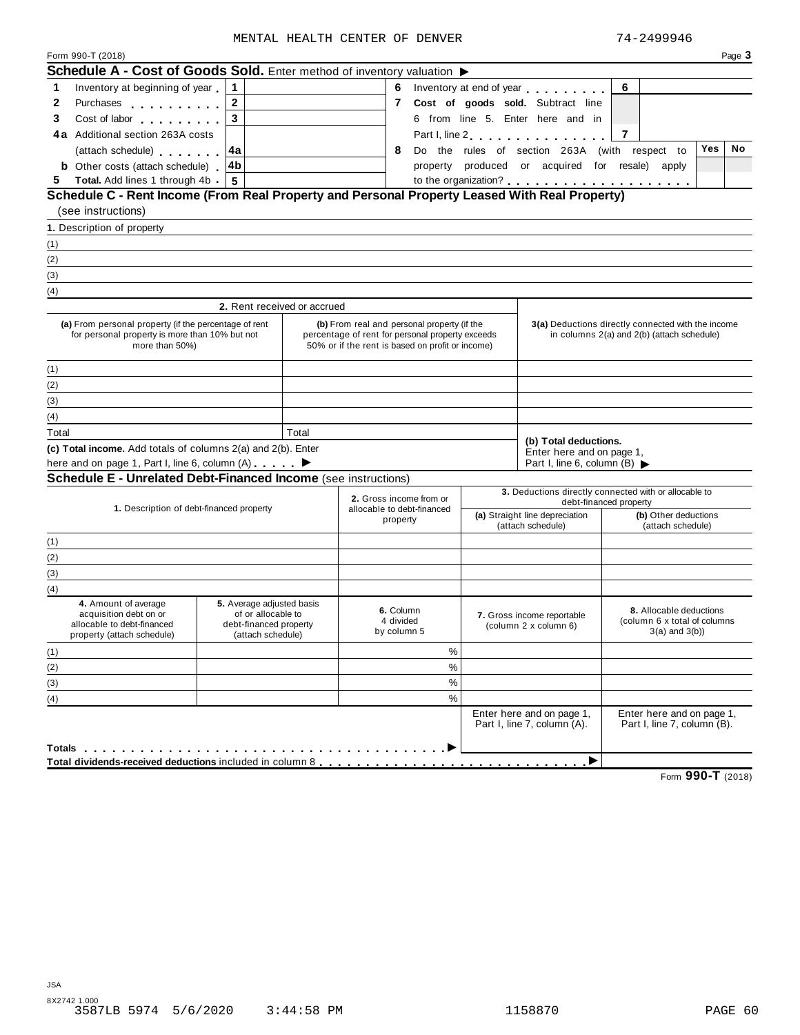74-2499946

| Form 990-T (2018)                                                                             |                                                                                                                                                                                                                                                |          |  |                                                                                                      |  |                                                          | Page 3                                                                          |  |  |  |
|-----------------------------------------------------------------------------------------------|------------------------------------------------------------------------------------------------------------------------------------------------------------------------------------------------------------------------------------------------|----------|--|------------------------------------------------------------------------------------------------------|--|----------------------------------------------------------|---------------------------------------------------------------------------------|--|--|--|
| Schedule A - Cost of Goods Sold. Enter method of inventory valuation >                        |                                                                                                                                                                                                                                                |          |  |                                                                                                      |  |                                                          |                                                                                 |  |  |  |
| 1                                                                                             | Inventory at beginning of year<br>$\mathbf{1}$<br>6                                                                                                                                                                                            |          |  |                                                                                                      |  | Inventory at end of year                                 | 6                                                                               |  |  |  |
| 2                                                                                             | $\mathbf{2}$<br>Purchases experience and provide a series of the series of the series of the series of the series of the series of the series of the series of the series of the series of the series of the series of the series of the serie |          |  | 7                                                                                                    |  | Cost of goods sold. Subtract line                        |                                                                                 |  |  |  |
| Cost of labor entering the set of labor<br>3                                                  | 3                                                                                                                                                                                                                                              |          |  |                                                                                                      |  | 6 from line 5. Enter here and in                         |                                                                                 |  |  |  |
| 4a Additional section 263A costs                                                              |                                                                                                                                                                                                                                                |          |  |                                                                                                      |  | Part I, line 2                                           | $\overline{7}$                                                                  |  |  |  |
| (attach schedule) and the control of                                                          | 4a                                                                                                                                                                                                                                             |          |  | 8                                                                                                    |  | Do the rules of section 263A (with respect to            | Yes<br>No                                                                       |  |  |  |
| <b>b</b> Other costs (attach schedule)                                                        | ∣4b                                                                                                                                                                                                                                            |          |  |                                                                                                      |  | property produced or acquired for resale) apply          |                                                                                 |  |  |  |
| Total. Add lines 1 through 4b<br>5                                                            | 5                                                                                                                                                                                                                                              |          |  |                                                                                                      |  |                                                          |                                                                                 |  |  |  |
| Schedule C - Rent Income (From Real Property and Personal Property Leased With Real Property) |                                                                                                                                                                                                                                                |          |  |                                                                                                      |  |                                                          |                                                                                 |  |  |  |
| (see instructions)                                                                            |                                                                                                                                                                                                                                                |          |  |                                                                                                      |  |                                                          |                                                                                 |  |  |  |
| 1. Description of property                                                                    |                                                                                                                                                                                                                                                |          |  |                                                                                                      |  |                                                          |                                                                                 |  |  |  |
| (1)                                                                                           |                                                                                                                                                                                                                                                |          |  |                                                                                                      |  |                                                          |                                                                                 |  |  |  |
| (2)                                                                                           |                                                                                                                                                                                                                                                |          |  |                                                                                                      |  |                                                          |                                                                                 |  |  |  |
| (3)                                                                                           |                                                                                                                                                                                                                                                |          |  |                                                                                                      |  |                                                          |                                                                                 |  |  |  |
| (4)                                                                                           |                                                                                                                                                                                                                                                |          |  |                                                                                                      |  |                                                          |                                                                                 |  |  |  |
|                                                                                               | 2. Rent received or accrued                                                                                                                                                                                                                    |          |  |                                                                                                      |  |                                                          |                                                                                 |  |  |  |
| (a) From personal property (if the percentage of rent                                         |                                                                                                                                                                                                                                                |          |  | (b) From real and personal property (if the                                                          |  | 3(a) Deductions directly connected with the income       |                                                                                 |  |  |  |
| for personal property is more than 10% but not<br>more than 50%)                              |                                                                                                                                                                                                                                                |          |  | percentage of rent for personal property exceeds<br>50% or if the rent is based on profit or income) |  | in columns 2(a) and 2(b) (attach schedule)               |                                                                                 |  |  |  |
|                                                                                               |                                                                                                                                                                                                                                                |          |  |                                                                                                      |  |                                                          |                                                                                 |  |  |  |
| (1)                                                                                           |                                                                                                                                                                                                                                                |          |  |                                                                                                      |  |                                                          |                                                                                 |  |  |  |
| (2)                                                                                           |                                                                                                                                                                                                                                                |          |  |                                                                                                      |  |                                                          |                                                                                 |  |  |  |
| (3)                                                                                           |                                                                                                                                                                                                                                                |          |  |                                                                                                      |  |                                                          |                                                                                 |  |  |  |
| (4)                                                                                           |                                                                                                                                                                                                                                                |          |  |                                                                                                      |  |                                                          |                                                                                 |  |  |  |
| Total                                                                                         |                                                                                                                                                                                                                                                | Total    |  |                                                                                                      |  | (b) Total deductions.                                    |                                                                                 |  |  |  |
| (c) Total income. Add totals of columns 2(a) and 2(b). Enter                                  |                                                                                                                                                                                                                                                |          |  |                                                                                                      |  | Enter here and on page 1,                                |                                                                                 |  |  |  |
| here and on page 1, Part I, line 6, column (A) ▶                                              |                                                                                                                                                                                                                                                |          |  |                                                                                                      |  | Part I, line 6, column (B)                               |                                                                                 |  |  |  |
| <b>Schedule E - Unrelated Debt-Financed Income (see instructions)</b>                         |                                                                                                                                                                                                                                                |          |  |                                                                                                      |  |                                                          |                                                                                 |  |  |  |
|                                                                                               |                                                                                                                                                                                                                                                |          |  | 2. Gross income from or                                                                              |  |                                                          | 3. Deductions directly connected with or allocable to<br>debt-financed property |  |  |  |
| 1. Description of debt-financed property                                                      |                                                                                                                                                                                                                                                |          |  | allocable to debt-financed                                                                           |  | (a) Straight line depreciation                           | (b) Other deductions                                                            |  |  |  |
|                                                                                               |                                                                                                                                                                                                                                                | property |  |                                                                                                      |  | (attach schedule)                                        | (attach schedule)                                                               |  |  |  |
| (1)                                                                                           |                                                                                                                                                                                                                                                |          |  |                                                                                                      |  |                                                          |                                                                                 |  |  |  |
| (2)                                                                                           |                                                                                                                                                                                                                                                |          |  |                                                                                                      |  |                                                          |                                                                                 |  |  |  |
| (3)                                                                                           |                                                                                                                                                                                                                                                |          |  |                                                                                                      |  |                                                          |                                                                                 |  |  |  |
| (4)                                                                                           |                                                                                                                                                                                                                                                |          |  |                                                                                                      |  |                                                          |                                                                                 |  |  |  |
| 4. Amount of average<br>acquisition debt on or                                                | 5. Average adjusted basis<br>of or allocable to                                                                                                                                                                                                |          |  | 6. Column                                                                                            |  | 7. Gross income reportable                               | 8. Allocable deductions                                                         |  |  |  |
| allocable to debt-financed                                                                    | debt-financed property                                                                                                                                                                                                                         |          |  | 4 divided                                                                                            |  | (column 2 x column 6)                                    | (column 6 x total of columns                                                    |  |  |  |
| property (attach schedule)                                                                    | (attach schedule)                                                                                                                                                                                                                              |          |  | by column 5                                                                                          |  |                                                          | $3(a)$ and $3(b)$                                                               |  |  |  |
| (1)                                                                                           |                                                                                                                                                                                                                                                |          |  | %                                                                                                    |  |                                                          |                                                                                 |  |  |  |
| (2)                                                                                           |                                                                                                                                                                                                                                                |          |  | $\%$                                                                                                 |  |                                                          |                                                                                 |  |  |  |
| (3)                                                                                           |                                                                                                                                                                                                                                                |          |  | $\%$                                                                                                 |  |                                                          |                                                                                 |  |  |  |
| (4)                                                                                           |                                                                                                                                                                                                                                                |          |  | $\%$                                                                                                 |  |                                                          |                                                                                 |  |  |  |
|                                                                                               |                                                                                                                                                                                                                                                |          |  |                                                                                                      |  | Enter here and on page 1,<br>Part I, line 7, column (A). | Enter here and on page 1,<br>Part I, line 7, column (B).                        |  |  |  |
|                                                                                               |                                                                                                                                                                                                                                                |          |  |                                                                                                      |  |                                                          |                                                                                 |  |  |  |
| <b>Totals</b>                                                                                 |                                                                                                                                                                                                                                                |          |  |                                                                                                      |  |                                                          |                                                                                 |  |  |  |
| Total dividends-received deductions included in column 8                                      |                                                                                                                                                                                                                                                |          |  |                                                                                                      |  | ▶                                                        |                                                                                 |  |  |  |

Form **990-T** (2018)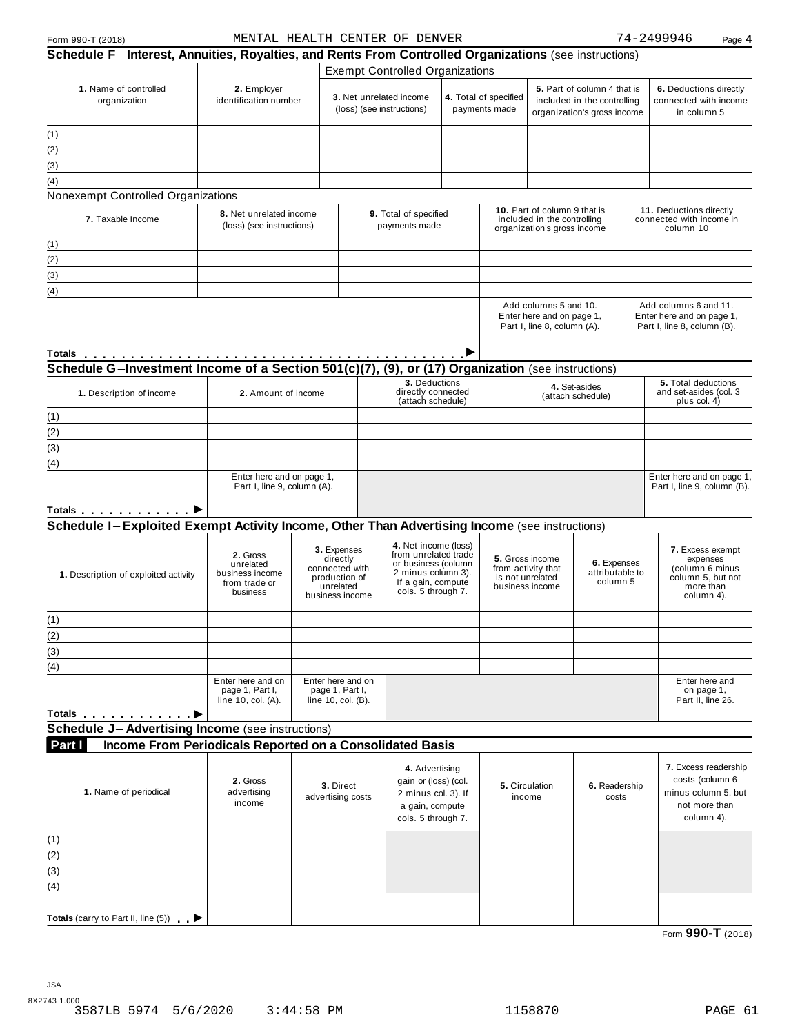| Form 990-T (2018)                                                                                                                      | MENTAL HEALTH CENTER OF DENVER                                        |                                                                                            |                                                                                                        |                                                                                                                                       |                          |  |                                                                                            |                                                                                           |                                                                                               | 74-2499946<br>Page 4                                                                            |
|----------------------------------------------------------------------------------------------------------------------------------------|-----------------------------------------------------------------------|--------------------------------------------------------------------------------------------|--------------------------------------------------------------------------------------------------------|---------------------------------------------------------------------------------------------------------------------------------------|--------------------------|--|--------------------------------------------------------------------------------------------|-------------------------------------------------------------------------------------------|-----------------------------------------------------------------------------------------------|-------------------------------------------------------------------------------------------------|
| Schedule F-Interest, Annuities, Royalties, and Rents From Controlled Organizations (see instructions)                                  |                                                                       |                                                                                            |                                                                                                        |                                                                                                                                       |                          |  |                                                                                            |                                                                                           |                                                                                               |                                                                                                 |
|                                                                                                                                        |                                                                       |                                                                                            |                                                                                                        | <b>Exempt Controlled Organizations</b>                                                                                                |                          |  |                                                                                            |                                                                                           |                                                                                               |                                                                                                 |
| 1. Name of controlled<br>organization                                                                                                  | 2. Employer<br>identification number                                  |                                                                                            | 3. Net unrelated income<br>4. Total of specified<br>(loss) (see instructions)<br>payments made         |                                                                                                                                       |                          |  |                                                                                            | 5. Part of column 4 that is<br>included in the controlling<br>organization's gross income |                                                                                               | 6. Deductions directly<br>connected with income<br>in column 5                                  |
| (1)                                                                                                                                    |                                                                       |                                                                                            |                                                                                                        |                                                                                                                                       |                          |  |                                                                                            |                                                                                           |                                                                                               |                                                                                                 |
| (2)                                                                                                                                    |                                                                       |                                                                                            |                                                                                                        |                                                                                                                                       |                          |  |                                                                                            |                                                                                           |                                                                                               |                                                                                                 |
| (3)                                                                                                                                    |                                                                       |                                                                                            |                                                                                                        |                                                                                                                                       |                          |  |                                                                                            |                                                                                           |                                                                                               |                                                                                                 |
| (4)                                                                                                                                    |                                                                       |                                                                                            |                                                                                                        |                                                                                                                                       |                          |  |                                                                                            |                                                                                           |                                                                                               |                                                                                                 |
| Nonexempt Controlled Organizations                                                                                                     |                                                                       |                                                                                            |                                                                                                        |                                                                                                                                       |                          |  |                                                                                            |                                                                                           |                                                                                               |                                                                                                 |
| 7. Taxable Income                                                                                                                      | 8. Net unrelated income<br>(loss) (see instructions)                  |                                                                                            |                                                                                                        | 9. Total of specified<br>payments made                                                                                                |                          |  | 10. Part of column 9 that is<br>included in the controlling<br>organization's gross income |                                                                                           |                                                                                               | 11. Deductions directly<br>connected with income in<br>column 10                                |
| (1)                                                                                                                                    |                                                                       |                                                                                            |                                                                                                        |                                                                                                                                       |                          |  |                                                                                            |                                                                                           |                                                                                               |                                                                                                 |
| (2)                                                                                                                                    |                                                                       |                                                                                            |                                                                                                        |                                                                                                                                       |                          |  |                                                                                            |                                                                                           |                                                                                               |                                                                                                 |
| (3)                                                                                                                                    |                                                                       |                                                                                            |                                                                                                        |                                                                                                                                       |                          |  |                                                                                            |                                                                                           |                                                                                               |                                                                                                 |
| (4)                                                                                                                                    |                                                                       |                                                                                            |                                                                                                        |                                                                                                                                       |                          |  |                                                                                            |                                                                                           |                                                                                               |                                                                                                 |
|                                                                                                                                        |                                                                       |                                                                                            |                                                                                                        |                                                                                                                                       | $\cdot$                  |  | Add columns 5 and 10.<br>Enter here and on page 1,<br>Part I, line 8, column (A).          |                                                                                           |                                                                                               | Add columns 6 and 11.<br>Enter here and on page 1,<br>Part I, line 8, column (B).               |
| Schedule G-Investment Income of a Section 501(c)(7), (9), or (17) Organization (see instructions)                                      |                                                                       |                                                                                            |                                                                                                        |                                                                                                                                       |                          |  |                                                                                            |                                                                                           |                                                                                               |                                                                                                 |
| 1. Description of income                                                                                                               | 2. Amount of income                                                   |                                                                                            | 3. Deductions<br>directly connected<br>(attach schedule)                                               |                                                                                                                                       |                          |  | 4. Set-asides<br>(attach schedule)                                                         |                                                                                           |                                                                                               | 5. Total deductions<br>and set-asides (col. 3<br>plus $col. 4$ )                                |
| (1)                                                                                                                                    |                                                                       |                                                                                            |                                                                                                        |                                                                                                                                       |                          |  |                                                                                            |                                                                                           |                                                                                               |                                                                                                 |
| (2)                                                                                                                                    |                                                                       |                                                                                            |                                                                                                        |                                                                                                                                       |                          |  |                                                                                            |                                                                                           |                                                                                               |                                                                                                 |
| (3)                                                                                                                                    |                                                                       |                                                                                            |                                                                                                        |                                                                                                                                       |                          |  |                                                                                            |                                                                                           |                                                                                               |                                                                                                 |
| (4)                                                                                                                                    |                                                                       |                                                                                            |                                                                                                        |                                                                                                                                       |                          |  |                                                                                            |                                                                                           |                                                                                               |                                                                                                 |
| Totals $\ldots$ $\blacktriangleright$<br>Schedule I-Exploited Exempt Activity Income, Other Than Advertising Income (see instructions) | Enter here and on page 1,<br>Part I, line 9, column (A).              |                                                                                            |                                                                                                        |                                                                                                                                       |                          |  |                                                                                            |                                                                                           |                                                                                               | Enter here and on page 1,<br>Part I, line 9, column (B).                                        |
| 1. Description of exploited activity                                                                                                   | 2. Gross<br>unrelated<br>business income<br>from trade or<br>business | 3. Expenses<br>directly<br>connected with<br>production of<br>unrelated<br>business income |                                                                                                        | 4. Net income (loss)<br>from unrelated trade<br>or business (column<br>2 minus column 3).<br>If a gain, compute<br>cols. 5 through 7. |                          |  | 5. Gross income<br>from activity that<br>is not unrelated<br>business income               | 6. Expenses<br>attributable to<br>column 5                                                |                                                                                               | 7. Excess exempt<br>expenses<br>(column 6 minus<br>column 5, but not<br>more than<br>column 4). |
| (1)                                                                                                                                    |                                                                       |                                                                                            |                                                                                                        |                                                                                                                                       |                          |  |                                                                                            |                                                                                           |                                                                                               |                                                                                                 |
| (2)                                                                                                                                    |                                                                       |                                                                                            |                                                                                                        |                                                                                                                                       |                          |  |                                                                                            |                                                                                           |                                                                                               |                                                                                                 |
| (3)                                                                                                                                    |                                                                       |                                                                                            |                                                                                                        |                                                                                                                                       |                          |  |                                                                                            |                                                                                           |                                                                                               |                                                                                                 |
| (4)                                                                                                                                    |                                                                       |                                                                                            |                                                                                                        |                                                                                                                                       |                          |  |                                                                                            |                                                                                           |                                                                                               |                                                                                                 |
|                                                                                                                                        | Enter here and on<br>page 1, Part I,<br>line 10, col. (A).            | Enter here and on<br>page 1, Part I,<br>line 10, col. (B).                                 |                                                                                                        |                                                                                                                                       |                          |  |                                                                                            |                                                                                           |                                                                                               | Enter here and<br>on page 1,<br>Part II, line 26.                                               |
| Totals ▶<br><b>Schedule J-Advertising Income (see instructions)</b>                                                                    |                                                                       |                                                                                            |                                                                                                        |                                                                                                                                       |                          |  |                                                                                            |                                                                                           |                                                                                               |                                                                                                 |
| Income From Periodicals Reported on a Consolidated Basis                                                                               |                                                                       |                                                                                            |                                                                                                        |                                                                                                                                       |                          |  |                                                                                            |                                                                                           |                                                                                               |                                                                                                 |
| Part I                                                                                                                                 |                                                                       |                                                                                            |                                                                                                        |                                                                                                                                       |                          |  |                                                                                            |                                                                                           |                                                                                               |                                                                                                 |
| 1. Name of periodical                                                                                                                  | 2. Gross<br>3. Direct<br>advertising<br>advertising costs<br>income   |                                                                                            | 4. Advertising<br>gain or (loss) (col.<br>2 minus col. 3). If<br>a gain, compute<br>cols. 5 through 7. |                                                                                                                                       | 5. Circulation<br>income |  | 6. Readership<br>costs                                                                     |                                                                                           | 7. Excess readership<br>costs (column 6<br>minus column 5, but<br>not more than<br>column 4). |                                                                                                 |
| (1)                                                                                                                                    |                                                                       |                                                                                            |                                                                                                        |                                                                                                                                       |                          |  |                                                                                            |                                                                                           |                                                                                               |                                                                                                 |
| (2)                                                                                                                                    |                                                                       |                                                                                            |                                                                                                        |                                                                                                                                       |                          |  |                                                                                            |                                                                                           |                                                                                               |                                                                                                 |
| (3)                                                                                                                                    |                                                                       |                                                                                            |                                                                                                        |                                                                                                                                       |                          |  |                                                                                            |                                                                                           |                                                                                               |                                                                                                 |
| (4)                                                                                                                                    |                                                                       |                                                                                            |                                                                                                        |                                                                                                                                       |                          |  |                                                                                            |                                                                                           |                                                                                               |                                                                                                 |
|                                                                                                                                        |                                                                       |                                                                                            |                                                                                                        |                                                                                                                                       |                          |  |                                                                                            |                                                                                           |                                                                                               |                                                                                                 |
| Totals (carry to Part II, line $(5)$ )                                                                                                 |                                                                       |                                                                                            |                                                                                                        |                                                                                                                                       |                          |  |                                                                                            |                                                                                           |                                                                                               | <b>000 T</b>                                                                                    |

Form **990-T** (2018)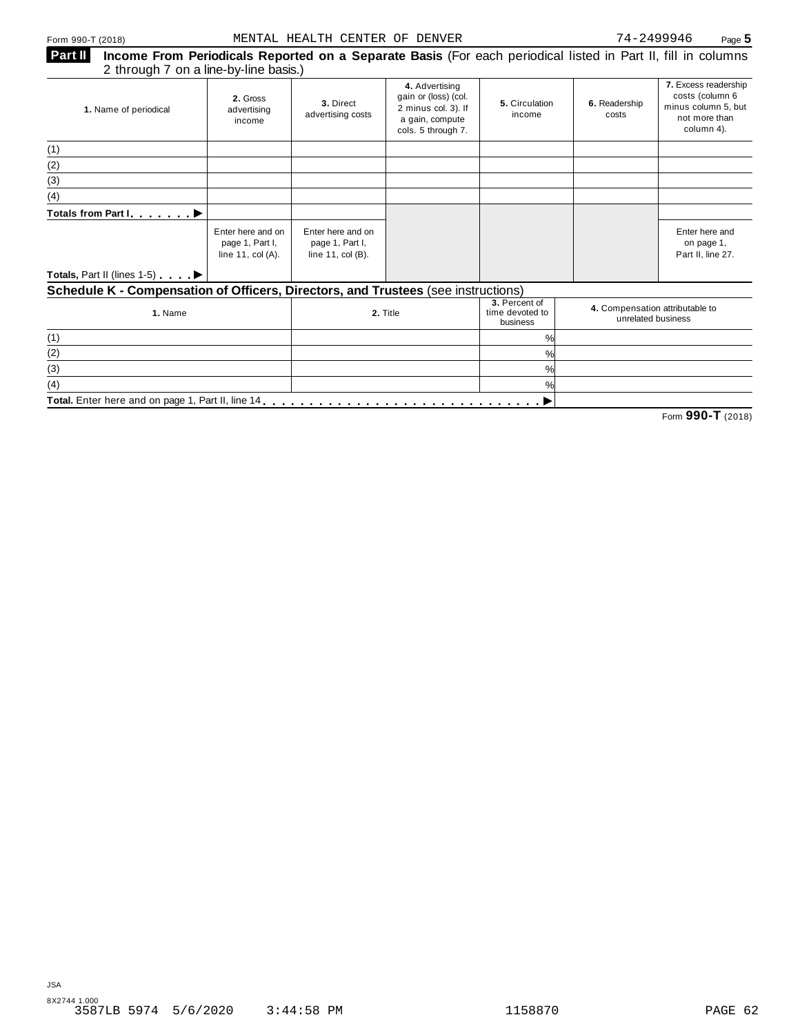| Part II<br>Income From Periodicals Reported on a Separate Basis (For each periodical listed in Part II, fill in columns<br>2 through 7 on a line-by-line basis.) |                                                           |                                                           |                                                                                                        |                                              |                                                       |                                                                                               |  |
|------------------------------------------------------------------------------------------------------------------------------------------------------------------|-----------------------------------------------------------|-----------------------------------------------------------|--------------------------------------------------------------------------------------------------------|----------------------------------------------|-------------------------------------------------------|-----------------------------------------------------------------------------------------------|--|
| 1. Name of periodical                                                                                                                                            | 2. Gross<br>advertising<br>income                         | 3. Direct<br>advertising costs                            | 4. Advertising<br>gain or (loss) (col.<br>2 minus col. 3). If<br>a gain, compute<br>cols. 5 through 7. | 5. Circulation<br>income                     | 6. Readership<br>costs                                | 7. Excess readership<br>costs (column 6<br>minus column 5, but<br>not more than<br>column 4). |  |
| (1)                                                                                                                                                              |                                                           |                                                           |                                                                                                        |                                              |                                                       |                                                                                               |  |
| (2)                                                                                                                                                              |                                                           |                                                           |                                                                                                        |                                              |                                                       |                                                                                               |  |
| (3)                                                                                                                                                              |                                                           |                                                           |                                                                                                        |                                              |                                                       |                                                                                               |  |
| (4)                                                                                                                                                              |                                                           |                                                           |                                                                                                        |                                              |                                                       |                                                                                               |  |
| Totals from Part I                                                                                                                                               |                                                           |                                                           |                                                                                                        |                                              |                                                       |                                                                                               |  |
|                                                                                                                                                                  | Enter here and on<br>page 1, Part I,<br>line 11, col (A). | Enter here and on<br>page 1, Part I,<br>line 11, col (B). |                                                                                                        |                                              |                                                       | Enter here and<br>on page 1,<br>Part II. line 27.                                             |  |
| Totals, Part II (lines 1-5)                                                                                                                                      |                                                           |                                                           |                                                                                                        |                                              |                                                       |                                                                                               |  |
| Schedule K - Compensation of Officers, Directors, and Trustees (see instructions)                                                                                |                                                           |                                                           |                                                                                                        |                                              |                                                       |                                                                                               |  |
| 1. Name                                                                                                                                                          |                                                           |                                                           |                                                                                                        | 3. Percent of<br>time devoted to<br>business | 4. Compensation attributable to<br>unrelated business |                                                                                               |  |
| (1)                                                                                                                                                              |                                                           |                                                           |                                                                                                        | %                                            |                                                       |                                                                                               |  |
| (2)                                                                                                                                                              |                                                           |                                                           |                                                                                                        | %                                            |                                                       |                                                                                               |  |
| (3)                                                                                                                                                              |                                                           |                                                           |                                                                                                        | %                                            |                                                       |                                                                                               |  |
| (4)                                                                                                                                                              |                                                           |                                                           |                                                                                                        | %                                            |                                                       |                                                                                               |  |

**Total.** Enter here and on page 1, Part II, line <sup>14</sup> m m m m m m m m m m m m m m m m m m m m m m m m m m m m m mI

Form **990-T** (2018)